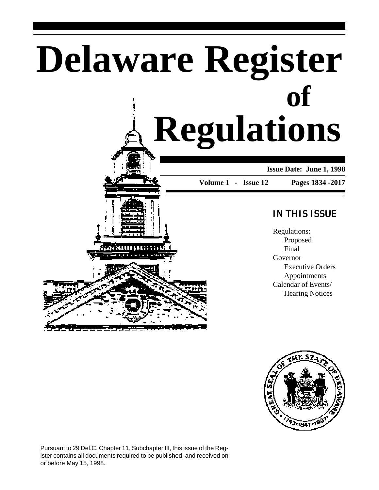# **Delaware Register Regulations of**

### **Issue Date: June 1, 1998**

 **Pages 1834 -2017 Volume 1 - Issue 12**

### IN THIS ISSUE

Regulations: Proposed Final Governor Executive Orders Appointments Calendar of Events/ Hearing Notices



Pursuant to 29 Del.C. Chapter 11, Subchapter III, this issue of the Register contains all documents required to be published, and received on or before May 15, 1998.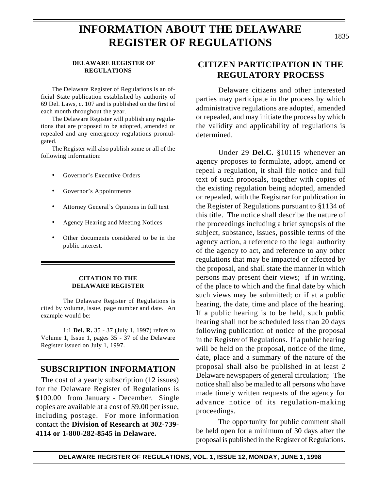#### **DELAWARE REGISTER OF REGULATIONS**

The Delaware Register of Regulations is an official State publication established by authority of 69 Del. Laws, c. 107 and is published on the first of each month throughout the year.

The Delaware Register will publish any regulations that are proposed to be adopted, amended or repealed and any emergency regulations promulgated.

The Register will also publish some or all of the following information:

- Governor's Executive Orders
- Governor's Appointments
- Attorney General's Opinions in full text
- Agency Hearing and Meeting Notices
- Other documents considered to be in the public interest.

#### **CITATION TO THE DELAWARE REGISTER**

The Delaware Register of Regulations is cited by volume, issue, page number and date. An example would be:

1:1 **Del. R.** 35 - 37 (July 1, 1997) refers to Volume 1, Issue 1, pages 35 - 37 of the Delaware Register issued on July 1, 1997.

### **SUBSCRIPTION INFORMATION**

The cost of a yearly subscription (12 issues) for the Delaware Register of Regulations is \$100.00 from January - December. Single copies are available at a cost of \$9.00 per issue, including postage. For more information contact the **Division of Research at 302-739- 4114 or 1-800-282-8545 in Delaware.**

### **CITIZEN PARTICIPATION IN THE REGULATORY PROCESS**

Delaware citizens and other interested parties may participate in the process by which administrative regulations are adopted, amended or repealed, and may initiate the process by which the validity and applicability of regulations is determined.

Under 29 **Del.C.** §10115 whenever an agency proposes to formulate, adopt, amend or repeal a regulation, it shall file notice and full text of such proposals, together with copies of the existing regulation being adopted, amended or repealed, with the Registrar for publication in the Register of Regulations pursuant to §1134 of this title. The notice shall describe the nature of the proceedings including a brief synopsis of the subject, substance, issues, possible terms of the agency action, a reference to the legal authority of the agency to act, and reference to any other regulations that may be impacted or affected by the proposal, and shall state the manner in which persons may present their views; if in writing, of the place to which and the final date by which such views may be submitted; or if at a public hearing, the date, time and place of the hearing. If a public hearing is to be held, such public hearing shall not be scheduled less than 20 days following publication of notice of the proposal in the Register of Regulations. If a public hearing will be held on the proposal, notice of the time, date, place and a summary of the nature of the proposal shall also be published in at least 2 Delaware newspapers of general circulation; The notice shall also be mailed to all persons who have made timely written requests of the agency for advance notice of its regulation-making proceedings.

The opportunity for public comment shall be held open for a minimum of 30 days after the proposal is published in the Register of Regulations.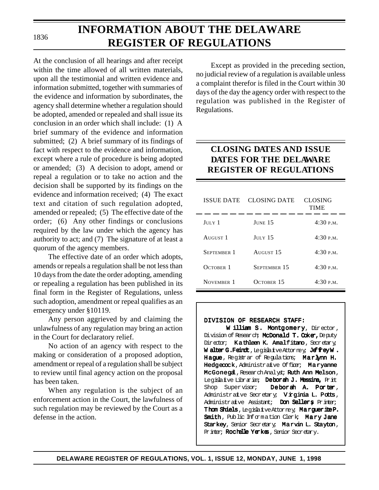# **INFORMATION ABOUT THE DELAWARE REGISTER OF REGULATIONS**

At the conclusion of all hearings and after receipt within the time allowed of all written materials, upon all the testimonial and written evidence and information submitted, together with summaries of the evidence and information by subordinates, the agency shall determine whether a regulation should be adopted, amended or repealed and shall issue its conclusion in an order which shall include: (1) A brief summary of the evidence and information submitted; (2) A brief summary of its findings of fact with respect to the evidence and information, except where a rule of procedure is being adopted or amended; (3) A decision to adopt, amend or repeal a regulation or to take no action and the decision shall be supported by its findings on the evidence and information received; (4) The exact text and citation of such regulation adopted, amended or repealed; (5) The effective date of the order; (6) Any other findings or conclusions required by the law under which the agency has authority to act; and (7) The signature of at least a quorum of the agency members.

The effective date of an order which adopts, amends or repeals a regulation shall be not less than 10 days from the date the order adopting, amending or repealing a regulation has been published in its final form in the Register of Regulations, unless such adoption, amendment or repeal qualifies as an emergency under §10119.

Any person aggrieved by and claiming the unlawfulness of any regulation may bring an action in the Court for declaratory relief.

No action of an agency with respect to the making or consideration of a proposed adoption, amendment or repeal of a regulation shall be subject to review until final agency action on the proposal has been taken.

When any regulation is the subject of an enforcement action in the Court, the lawfulness of such regulation may be reviewed by the Court as a defense in the action.

Except as provided in the preceding section, no judicial review of a regulation is available unless a complaint therefor is filed in the Court within 30 days of the day the agency order with respect to the regulation was published in the Register of Regulations.

### **CLOSING DATES AND ISSUE DATES FOR THE DELAWARE REGISTER OF REGULATIONS**

| <b>ISSUE DATE</b> | CLOSING DATE        | <b>CLOSING</b><br><b>TIME</b> |
|-------------------|---------------------|-------------------------------|
| $J_{\rm ULY}$ 1   | $J$ IINE 15         | 4:30P.M.                      |
| AUGUST 1          | $_{\text{JULY}}$ 15 | 4:30 P.M.                     |
| SEPTEMBER 1       | AUGUST 15           | 4:30 P.M.                     |
| OCTOBER 1         | SEPTEMBER 15        | 4:30 P.M.                     |
| NOVEMBER 1        | OCTOBER 15          | 4:30P.M.                      |

#### DIVISION OF RESEARCH STAFF:

W illiam S. Montgomery, Director, Division of Research; McDonald T. Coker, Deputy Director; Kathleen K. Amalfitano, Secretary; W alter G.Feindt, Legislatve Attorney; JeffreyW. Hague, Registrar of Regulations; Marlynn H. Hedgecock, Administrative Officer; Maryanne McGonegal, Research Analyst; Ruth Ann Melson, Legislative Librarian; Deborah J. Messina, Print Shop Supervisor; **Deborah A. Porter**, Administrative Secretary; Virginia L. Potts, Administrative Assistant; Don Sellers, Printer; Thom Shiels, Legislative Attorney; Marquerite P. Smith, Public Information Clerk; Mary Jane Starkey, Senior Secretary; Marvin L. Stayton, Printer; Rochelle Yerkes, Senior Secretary.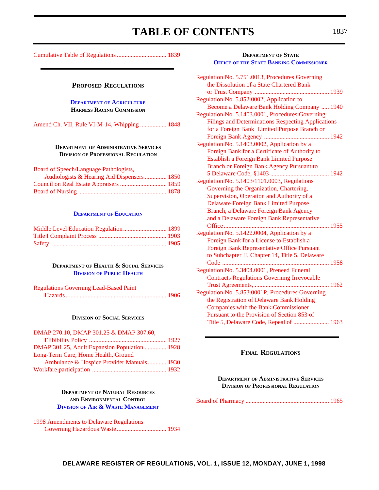### **TABLE OF CONTENTS** 1837

<span id="page-3-0"></span>[Cumulative Table of Regulations................................](#page-5-0) 1839

#### **PROPOSED REGULATIONS**

**DEPARTMENT [OF AGRICULTURE](http://www.state.de.us/deptagri/index.htm) HARNESS RACING COMMISSION**

[Amend Ch. VII, Rule VI-M-14, Whipping](#page-14-0) ................. 1848

#### **DEPARTMENT OF ADMINISTRATIVE SERVICES DIVISION OF PROFESSIONAL REGULATION**

Board of Speech/Language Pathologists,

| Audiologists & Hearing Aid Dispensers  1850 |  |
|---------------------------------------------|--|
|                                             |  |
|                                             |  |

#### **[DEPARTMENT](http://www.doe.state.de.us/docs/index_js.asp) OF EDUCATION**

| Middle Level Education Regulation 1899 |  |
|----------------------------------------|--|
|                                        |  |
|                                        |  |

**DEPARTMENT OF HEALTH & SOCIAL SERVICES DIVISION [OF PUBLIC HEALTH](http://www.state.de.us/govern/agencies/dhss/irm/dph/dphhome.htm)**

Regulations Governing Lead-Based Paint [Hazards.................................................................](#page-72-0) 1906

|  | <b>DIVISION OF SOCIAL SERVICES</b> |  |
|--|------------------------------------|--|

#### [DMAP 270.10, DMAP 301.25 & DMAP 307.60,](#page-93-0)

| DMAP 301.25, Adult Expansion Population  1928 |  |
|-----------------------------------------------|--|
| Long-Term Care, Home Health, Ground           |  |
| Ambulance & Hospice Provider Manuals 1930     |  |
|                                               |  |

#### **DEPARTMENT OF NATURAL RESOURCES AND ENVIRONMENTAL CONTROL DIVISION OF [AIR & WASTE MANAGEMENT](http://www.dnrec.state.de.us/aandw.htm)**

#### [1998 Amendments to Delaware Regulations](#page-100-0) Governing Hazardous Waste ................................ 1934

#### **DEPARTMENT OF STATE OFFICE OF [THE STATE BANKING](http://www.state.de.us/bank/index.htm) COMMISSIONER**

| Regulation No. 5.751.0013, Procedures Governing<br>the Dissolution of a State Chartered Bank |  |
|----------------------------------------------------------------------------------------------|--|
|                                                                                              |  |
| Regulation No. 5.852.0002, Application to                                                    |  |
| Become a Delaware Bank Holding Company  1940                                                 |  |
| Regulation No. 5.1403.0001, Procedures Governing                                             |  |
| <b>Filings and Determinations Respecting Applications</b>                                    |  |
| for a Foreign Bank Limited Purpose Branch or                                                 |  |
|                                                                                              |  |
| Regulation No. 5.1403.0002, Application by a                                                 |  |
| Foreign Bank for a Certificate of Authority to                                               |  |
| <b>Establish a Foreign Bank Limited Purpose</b>                                              |  |
| Branch or Foreign Bank Agency Pursuant to                                                    |  |
|                                                                                              |  |
| Regulation No. 5.1403/1101.0003, Regulations                                                 |  |
| Governing the Organization, Chartering,                                                      |  |
| Supervision, Operation and Authority of a                                                    |  |
| <b>Delaware Foreign Bank Limited Purpose</b>                                                 |  |
| Branch, a Delaware Foreign Bank Agency                                                       |  |
| and a Delaware Foreign Bank Representative                                                   |  |
|                                                                                              |  |
| Regulation No. 5.1422.0004, Application by a                                                 |  |
| Foreign Bank for a License to Establish a                                                    |  |
| Foreign Bank Representative Office Pursuant                                                  |  |
| to Subchapter II, Chapter 14, Title 5, Delaware                                              |  |
|                                                                                              |  |
| Regulation No. 5.3404.0001, Preneed Funeral                                                  |  |
| <b>Contracts Regulations Governing Irrevocable</b>                                           |  |
|                                                                                              |  |
| Regulation No. 5.853.0001P, Procedures Governing                                             |  |
| the Registration of Delaware Bank Holding                                                    |  |
| <b>Companies with the Bank Commissioner</b>                                                  |  |
| Pursuant to the Provision of Section 853 of                                                  |  |
| Title 5, Delaware Code, Repeal of  1963                                                      |  |

### **FINAL REGULATIONS**

#### **DEPARTMENT OF ADMINISTRATIVE SERVICES DIVISION OF PROFESSIONAL REGULATION**

|--|--|--|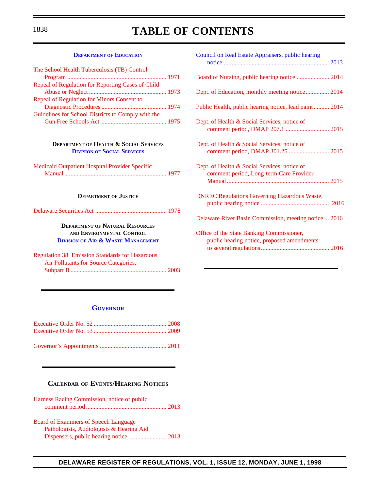### <sup>1838</sup> **TABLE OF CONTENTS**

### **DEPARTMENT [OF EDUCATION](http://www.doe.state.de.us/docs/index_js.asp)**

| The School Health Tuberculosis (TB) Control        |  |
|----------------------------------------------------|--|
|                                                    |  |
| Repeal of Regulation for Reporting Cases of Child  |  |
|                                                    |  |
| Repeal of Regulation for Minors Consent to         |  |
|                                                    |  |
| Guidelines for School Districts to Comply with the |  |
|                                                    |  |
|                                                    |  |

#### **DEPARTMENT OF HEALTH & SOCIAL SERVICES DIVISION [OF SOCIAL SERVICES](http://www.state.de.us/govern/agencies/dhss/irm/dss/dsshome.htm)**

| Medicaid Outpatient Hospital Provider Specific |  |
|------------------------------------------------|--|
|                                                |  |

#### **DEPARTMENT OF JUSTICE**

Delaware Securities Act [..............................................](#page-144-0) 1978

#### **DEPARTMENT OF NATURAL RESOURCES AND ENVIRONMENTAL CONTROL DIVISION OF [AIR & WASTE MANAGEMENT](http://www.dnrec.state.de.us/aandw.htm)**

| <b>Regulation 38, Emission Standards for Hazardous</b> |  |
|--------------------------------------------------------|--|
| Air Pollutants for Source Categories,                  |  |
|                                                        |  |

| Council on Real Estate Appraisers, public hearing                                       |  |
|-----------------------------------------------------------------------------------------|--|
|                                                                                         |  |
| Dept. of Education, monthly meeting notice 2014                                         |  |
| Public Health, public hearing notice, lead paint 2014                                   |  |
| Dept. of Health & Social Services, notice of                                            |  |
| Dept. of Health & Social Services, notice of                                            |  |
| Dept. of Health & Social Services, notice of<br>comment period, Long-term Care Provider |  |
| <b>DNREC Regulations Governing Hazardous Waste,</b>                                     |  |
| Delaware River Basin Commission, meeting notice  2016                                   |  |
| Office of the State Banking Commissioner,<br>public hearing notice, proposed amendments |  |

#### **[GOVERNOR](http://www.state.de.us/govern/governor/introgov.htm)**

#### **CALENDAR OF EVENTS/HEARING NOTICES**

[Harness Racing Commission, notice of public](#page-179-0) comment period .................................................... 2013

Board of Examiners of Speech Language [Pathologists, Audiologists & Hearing Aid](#page-179-0) Dispensers, public hearing notice ........................ 2013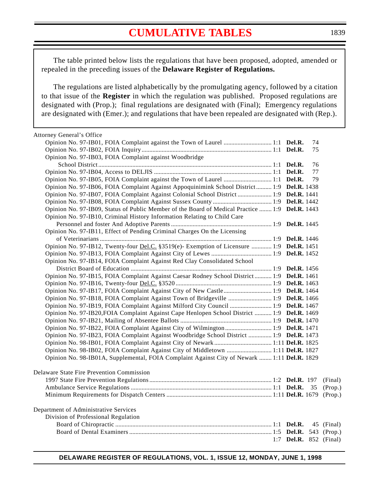<span id="page-5-0"></span>The table printed below lists the regulations that have been proposed, adopted, amended or repealed in the preceding issues of the **Delaware Register of Regulations.**

The regulations are listed alphabetically by the promulgating agency, followed by a citation to that issue of the **Register** in which the regulation was published. Proposed regulations are designated with (Prop.); final regulations are designated with (Final); Emergency regulations are designated with (Emer.); and regulations that have been repealed are designated with (Rep.).

| Attorney General's Office                                                                      |                               |    |            |
|------------------------------------------------------------------------------------------------|-------------------------------|----|------------|
| Opinion No. 97-IB01, FOIA Complaint against the Town of Laurel  1:1 Del.R.                     |                               | 74 |            |
|                                                                                                |                               | 75 |            |
| Opinion No. 97-IB03, FOIA Complaint against Woodbridge                                         |                               |    |            |
|                                                                                                |                               | 76 |            |
|                                                                                                |                               | 77 |            |
|                                                                                                |                               | 79 |            |
| Opinion No. 97-IB06, FOIA Complaint Against Appoquinimink School District 1:9 Del.R. 1438      |                               |    |            |
| Opinion No. 97-IB07, FOIA Complaint Against Colonial School District  1:9 Del.R. 1441          |                               |    |            |
|                                                                                                |                               |    |            |
| Opinion No. 97-IB09, Status of Public Member of the Board of Medical Practice  1:9 Del.R. 1443 |                               |    |            |
| Opinion No. 97-IB10, Criminal History Information Relating to Child Care                       |                               |    |            |
|                                                                                                |                               |    |            |
| Opinion No. 97-IB11, Effect of Pending Criminal Charges On the Licensing                       |                               |    |            |
|                                                                                                |                               |    |            |
| Opinion No. 97-IB12, Twenty-four Del.C. §3519(e)- Exemption of Licensure  1:9 Del.R. 1451      |                               |    |            |
|                                                                                                |                               |    |            |
| Opinion No. 97-IB14, FOIA Complaint Against Red Clay Consolidated School                       |                               |    |            |
|                                                                                                |                               |    |            |
| Opinion No. 97-IB15, FOIA Complaint Against Caesar Rodney School District 1:9 Del.R. 1461      |                               |    |            |
|                                                                                                |                               |    |            |
| Opinion No. 97-IB17, FOIA Complaint Against City of New Castle  1:9 Del.R. 1464                |                               |    |            |
| Opinion No. 97-IB18, FOIA Complaint Against Town of Bridgeville  1:9 Del.R. 1466               |                               |    |            |
| Opinion No. 97-IB19, FOIA Complaint Against Milford City Council  1:9 Del.R. 1467              |                               |    |            |
| Opinion No. 97-IB20, FOIA Complaint Against Cape Henlopen School District  1:9 Del.R. 1469     |                               |    |            |
|                                                                                                |                               |    |            |
| Opinion No. 97-IB22, FOIA Complaint Against City of Wilmington  1:9 Del.R. 1471                |                               |    |            |
| Opinion No. 97-IB23, FOIA Complaint Against Woodbridge School District  1:9 Del.R. 1473        |                               |    |            |
|                                                                                                |                               |    |            |
| Opinion No. 98-IB02, FOIA Complaint Against City of Middletown  1:11 Del.R. 1827               |                               |    |            |
| Opinion No. 98-IB01A, Supplemental, FOIA Complaint Against City of Newark  1:11 Del.R. 1829    |                               |    |            |
|                                                                                                |                               |    |            |
| Delaware State Fire Prevention Commission                                                      |                               |    |            |
|                                                                                                |                               |    | (Final)    |
|                                                                                                |                               | 35 | (Prop.)    |
|                                                                                                |                               |    | (Prop.)    |
|                                                                                                |                               |    |            |
| Department of Administrative Services                                                          |                               |    |            |
| Division of Professional Regulation                                                            |                               |    |            |
|                                                                                                |                               |    | 45 (Final) |
|                                                                                                |                               |    |            |
|                                                                                                | 1:7 <b>Del.R.</b> 852 (Final) |    |            |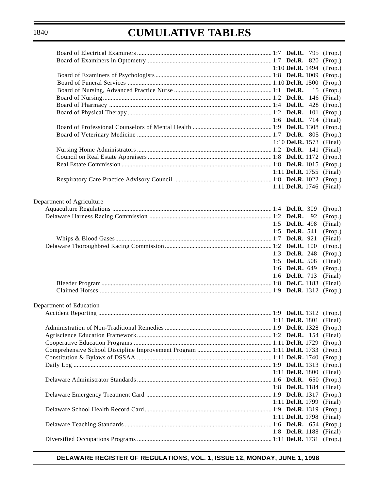|                           |                                 |      | 1:10 Del.R. 1494 (Prop.)        |
|---------------------------|---------------------------------|------|---------------------------------|
|                           |                                 |      |                                 |
|                           |                                 |      | (Prop.)                         |
|                           |                                 | 15   | (Prop.)                         |
|                           |                                 |      | (Final)                         |
|                           |                                 |      | (Prop.)                         |
|                           |                                 |      | (Prop.)                         |
|                           | 1:6 <b>Del.R.</b> 714 (Final)   |      |                                 |
|                           |                                 |      |                                 |
|                           |                                 |      |                                 |
|                           | 1:10 Del.R. $1573$              |      | (Final)                         |
|                           |                                 |      |                                 |
|                           |                                 |      |                                 |
|                           |                                 |      |                                 |
|                           | 1:11 <b>Del.R.</b> 1755 (Final) |      |                                 |
|                           |                                 |      |                                 |
|                           | 1:11 Del.R. 1746 (Final)        |      |                                 |
|                           |                                 |      |                                 |
| Department of Agriculture |                                 |      |                                 |
|                           |                                 | - 92 | (Prop.)                         |
|                           | 1:5 <b>Del.R.</b> 498           |      | (Prop.)<br>(Final)              |
|                           | 1:5 <b>Del.R.</b> 541           |      | (Prop.)                         |
|                           |                                 |      | (Final)                         |
|                           |                                 |      | (Prop.)                         |
|                           | 1:3 <b>Del.R.</b> 248           |      | (Prop.)                         |
|                           | 1:5 <b>Del.R.</b> 508           |      | (Final)                         |
|                           | 1:6 <b>Del.R.</b> 649           |      | (Prop.)                         |
|                           | 1:6 <b>Del.R.</b> 713           |      | (Final)                         |
|                           |                                 |      | (Final)                         |
|                           |                                 |      |                                 |
|                           |                                 |      |                                 |
| Department of Education   |                                 |      |                                 |
|                           |                                 |      |                                 |
|                           |                                 |      | 1:11 <b>Del.R.</b> 1801 (Final) |
|                           |                                 |      |                                 |
|                           |                                 |      |                                 |
|                           |                                 |      | (Prop.)                         |
|                           |                                 |      | (Prop.)                         |
|                           |                                 |      | (Prop.)                         |
|                           |                                 |      | (Prop.)                         |
|                           | 1:11 <b>Del.R.</b> 1800         |      | (Final)                         |
|                           | 1:8 <b>Del.R.</b> 1184 (Final)  |      |                                 |
|                           |                                 |      |                                 |
|                           | 1:11 <b>Del.R.</b> 1799         |      | (Final)                         |
|                           |                                 |      |                                 |
|                           | 1:11 <b>Del.R.</b> 1798         |      | (Final)                         |
|                           |                                 |      |                                 |
|                           | 1:8 <b>Del.R.</b> 1188 (Final)  |      |                                 |
|                           |                                 |      |                                 |
|                           |                                 |      |                                 |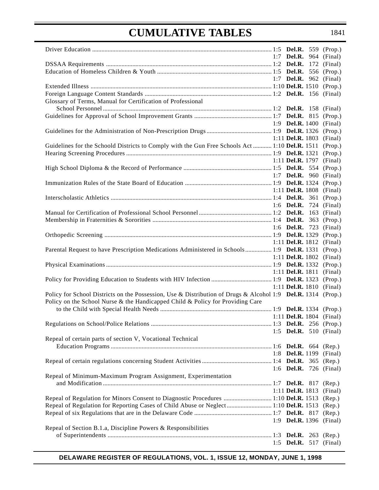|                                                                                                                                                                                                |                  | 1:7 <b>Del.R.</b> 964 (Final)   |
|------------------------------------------------------------------------------------------------------------------------------------------------------------------------------------------------|------------------|---------------------------------|
|                                                                                                                                                                                                |                  |                                 |
|                                                                                                                                                                                                |                  |                                 |
|                                                                                                                                                                                                |                  | 1:7 <b>Del.R.</b> 962 (Final)   |
|                                                                                                                                                                                                |                  |                                 |
| Glossary of Terms, Manual for Certification of Professional                                                                                                                                    |                  |                                 |
|                                                                                                                                                                                                |                  |                                 |
|                                                                                                                                                                                                |                  |                                 |
|                                                                                                                                                                                                |                  | 1:9 <b>Del.R.</b> 1400 (Final)  |
|                                                                                                                                                                                                |                  |                                 |
|                                                                                                                                                                                                |                  | 1:11 <b>Del.R.</b> 1803 (Final) |
| Guidelines for the Schoold Districts to Comply with the Gun Free Schools Act 1:10 Del.R. 1511 (Prop.)                                                                                          |                  |                                 |
|                                                                                                                                                                                                |                  |                                 |
|                                                                                                                                                                                                |                  | 1:11 <b>Del.R.</b> 1797 (Final) |
|                                                                                                                                                                                                |                  |                                 |
|                                                                                                                                                                                                |                  | 1:7 <b>Del.R.</b> 960 (Final)   |
|                                                                                                                                                                                                |                  |                                 |
|                                                                                                                                                                                                |                  | 1:11 <b>Del.R.</b> 1808 (Final) |
|                                                                                                                                                                                                |                  |                                 |
|                                                                                                                                                                                                |                  | 1:6 <b>Del.R.</b> 724 (Final)   |
|                                                                                                                                                                                                |                  |                                 |
|                                                                                                                                                                                                |                  | 1:6 <b>Del.R.</b> 723 (Final)   |
|                                                                                                                                                                                                |                  |                                 |
|                                                                                                                                                                                                |                  | 1:11 <b>Del.R.</b> 1812 (Final) |
| Parental Request to have Prescription Medications Administered in Schools 1:9 Del.R. 1331 (Prop.)                                                                                              |                  |                                 |
|                                                                                                                                                                                                |                  | 1:11 <b>Del.R.</b> 1802 (Final) |
|                                                                                                                                                                                                |                  |                                 |
|                                                                                                                                                                                                |                  | 1:11 <b>Del.R.</b> 1811 (Final) |
|                                                                                                                                                                                                |                  |                                 |
|                                                                                                                                                                                                |                  | 1:11 <b>Del.R.</b> 1810 (Final) |
| Policy for School Districts on the Possession, Use & Distribution of Drugs & Alcohol 1:9 Del.R. 1314 (Prop.)<br>Policy on the School Nurse & the Handicapped Child & Policy for Providing Care |                  |                                 |
|                                                                                                                                                                                                |                  |                                 |
|                                                                                                                                                                                                |                  | 1:11 <b>Del.R.</b> 1804 (Final) |
|                                                                                                                                                                                                |                  |                                 |
|                                                                                                                                                                                                |                  | 1:5 <b>Del.R.</b> 510 (Final)   |
| Repeal of certain parts of section V, Vocational Technical                                                                                                                                     |                  |                                 |
|                                                                                                                                                                                                |                  |                                 |
|                                                                                                                                                                                                |                  | 1:8 <b>Del.R.</b> 1199 (Final)  |
|                                                                                                                                                                                                |                  |                                 |
|                                                                                                                                                                                                |                  | 1:6 <b>Del.R.</b> 726 (Final)   |
| Repeal of Minimum-Maximum Program Assignment, Experimentation                                                                                                                                  |                  |                                 |
|                                                                                                                                                                                                |                  |                                 |
|                                                                                                                                                                                                | 1:11 Del.R. 1813 | (Final)                         |
| Repeal of Regulation for Minors Consent to Diagnostic Procedures  1:10 Del.R. 1513<br>Repeal of Regulation for Reporting Cases of Child Abuse or Neglect 1:10 Del.R. 1513                      |                  | (Rep.)<br>(Rep.)                |
|                                                                                                                                                                                                |                  | (Rep.)                          |
|                                                                                                                                                                                                |                  | 1:9 Del.R. 1396 (Final)         |
| Repeal of Section B.1.a, Discipline Powers & Responsibilities                                                                                                                                  |                  |                                 |
|                                                                                                                                                                                                |                  |                                 |
|                                                                                                                                                                                                |                  | 1:5 <b>Del.R.</b> 517 (Final)   |
|                                                                                                                                                                                                |                  |                                 |

### **DELAWARE REGISTER OF REGULATIONS, VOL. 1, ISSUE 12, MONDAY, JUNE 1, 1998**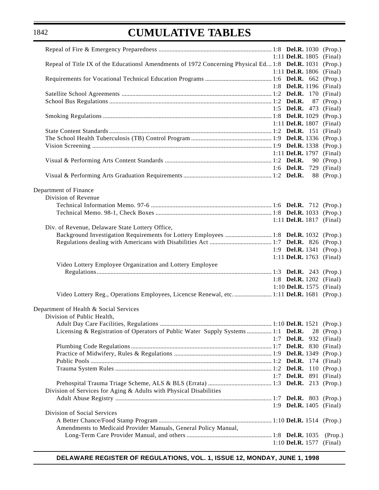|                                                                                                         |                      | 1:11 <b>Del.R.</b> 1805 (Final)             |
|---------------------------------------------------------------------------------------------------------|----------------------|---------------------------------------------|
| Repeal of Title IX of the Educationsl Amendments of 1972 Concerning Physical Ed 1:8 Del.R. 1031 (Prop.) |                      |                                             |
|                                                                                                         |                      | 1:11 <b>Del.R.</b> 1806 (Final)             |
|                                                                                                         |                      |                                             |
|                                                                                                         |                      | 1:8 <b>Del.R.</b> 1196 (Final)              |
|                                                                                                         |                      |                                             |
|                                                                                                         |                      | 87 (Prop.)<br>1:5 <b>Del.R.</b> 473 (Final) |
|                                                                                                         |                      |                                             |
|                                                                                                         |                      | 1:11 <b>Del.R.</b> 1807 (Final)             |
|                                                                                                         |                      |                                             |
|                                                                                                         |                      |                                             |
|                                                                                                         |                      |                                             |
|                                                                                                         |                      | 1:11 <b>Del.R.</b> 1797 (Final)             |
|                                                                                                         |                      | 90 (Prop.)                                  |
|                                                                                                         |                      | 1:6 <b>Del.R.</b> 729 (Final)               |
|                                                                                                         |                      |                                             |
|                                                                                                         |                      |                                             |
| Department of Finance                                                                                   |                      |                                             |
| Division of Revenue                                                                                     |                      |                                             |
|                                                                                                         |                      |                                             |
|                                                                                                         |                      | 1:11 Del.R. 1817 (Final)                    |
| Div. of Revenue, Delaware State Lottery Office,                                                         |                      |                                             |
| Background Investigation Requirements for Lottery Employees  1:8 Del.R. 1032 (Prop.)                    |                      |                                             |
|                                                                                                         |                      |                                             |
|                                                                                                         |                      | 1:9 Del.R. 1341 (Prop.)                     |
|                                                                                                         |                      | 1:11 Del.R. 1763 (Final)                    |
| Video Lottery Employee Organization and Lottery Employee                                                |                      |                                             |
|                                                                                                         |                      |                                             |
|                                                                                                         |                      | 1:8 <b>Del.R.</b> 1202 (Final)              |
|                                                                                                         |                      | 1:10 Del.R. 1575 (Final)                    |
| Video Lottery Reg., Operations Employees, Licencse Renewal, etc 1:11 Del.R. 1681 (Prop.)                |                      |                                             |
| Department of Health & Social Services                                                                  |                      |                                             |
| Division of Public Health,                                                                              |                      |                                             |
|                                                                                                         |                      |                                             |
| Licensing & Registration of Operators of Public Water Supply Systems  1:1 Del.R.                        |                      | 28 (Prop.)                                  |
|                                                                                                         |                      | 1:7 <b>Del.R.</b> 932 (Final)               |
|                                                                                                         |                      |                                             |
|                                                                                                         |                      |                                             |
|                                                                                                         |                      |                                             |
|                                                                                                         |                      |                                             |
|                                                                                                         |                      | 1:7 <b>Del.R.</b> 891 (Final)               |
|                                                                                                         |                      |                                             |
| Division of Services for Aging & Adults with Physical Disabilities                                      |                      |                                             |
|                                                                                                         |                      |                                             |
| Division of Social Services                                                                             |                      | 1:9 <b>Del.R.</b> 1405 (Final)              |
|                                                                                                         |                      |                                             |
| Amendments to Medicaid Provider Manuals, General Policy Manual,                                         |                      |                                             |
|                                                                                                         |                      | (Prop.)                                     |
|                                                                                                         | $1:10$ Del.R. $1577$ | (Final)                                     |
|                                                                                                         |                      |                                             |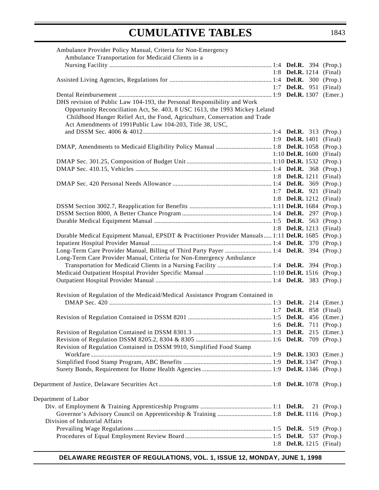| Ambulance Provider Policy Manual, Criteria for Non-Emergency<br>Ambulance Transportation for Medicaid Clients in a                                                                                                                                                                                |                                |         |
|---------------------------------------------------------------------------------------------------------------------------------------------------------------------------------------------------------------------------------------------------------------------------------------------------|--------------------------------|---------|
|                                                                                                                                                                                                                                                                                                   |                                |         |
|                                                                                                                                                                                                                                                                                                   | 1:8 <b>Del.R.</b> 1214 (Final) |         |
|                                                                                                                                                                                                                                                                                                   |                                |         |
|                                                                                                                                                                                                                                                                                                   | 1:7 <b>Del.R.</b> 951 (Final)  |         |
|                                                                                                                                                                                                                                                                                                   |                                |         |
| DHS revision of Public Law 104-193, the Personal Responsibility and Work<br>Opportunity Reconciliation Act, Se. 403, 8 USC 1613, the 1993 Mickey Leland<br>Childhood Hunger Relief Act, the Food, Agriculture, Conservation and Trade<br>Act Amendments of 1991Public Law 104-203, Title 38, USC, |                                |         |
|                                                                                                                                                                                                                                                                                                   | 1:9 <b>Del.R.</b> 1401         | (Final) |
|                                                                                                                                                                                                                                                                                                   |                                |         |
|                                                                                                                                                                                                                                                                                                   | 1:10 Del.R. 1600 (Final)       |         |
|                                                                                                                                                                                                                                                                                                   |                                |         |
|                                                                                                                                                                                                                                                                                                   |                                |         |
|                                                                                                                                                                                                                                                                                                   | 1:8 <b>Del.R.</b> 1211 (Final) |         |
|                                                                                                                                                                                                                                                                                                   |                                |         |
|                                                                                                                                                                                                                                                                                                   | 1:7 <b>Del.R.</b> 921 (Final)  |         |
|                                                                                                                                                                                                                                                                                                   | 1:8 <b>Del.R.</b> 1212 (Final) |         |
|                                                                                                                                                                                                                                                                                                   |                                |         |
|                                                                                                                                                                                                                                                                                                   |                                |         |
|                                                                                                                                                                                                                                                                                                   | 1:8 <b>Del.R.</b> 1213         | (Final) |
| Durable Medical Equipment Manual, EPSDT & Practitioner Provider Manuals 1:11 Del.R. 1685 (Prop.)                                                                                                                                                                                                  |                                |         |
|                                                                                                                                                                                                                                                                                                   |                                |         |
| Long-Term Care Provider Manual, Billing of Third Party Payer  1:4 Del.R. 394 (Prop.)                                                                                                                                                                                                              |                                |         |
| Long-Term Care Provider Manual, Criteria for Non-Emergency Ambulance                                                                                                                                                                                                                              |                                |         |
|                                                                                                                                                                                                                                                                                                   |                                |         |
|                                                                                                                                                                                                                                                                                                   |                                |         |
| Revision of Regulation of the Medicaid/Medical Assistance Program Contained in                                                                                                                                                                                                                    |                                |         |
|                                                                                                                                                                                                                                                                                                   | 1:7 <b>Del.R.</b> 858 (Final)  |         |
|                                                                                                                                                                                                                                                                                                   |                                |         |
|                                                                                                                                                                                                                                                                                                   | 1:6 <b>Del.R.</b> 711 (Prop.)  |         |
|                                                                                                                                                                                                                                                                                                   |                                |         |
|                                                                                                                                                                                                                                                                                                   |                                |         |
| Revision of Regulation Contained in DSSM 9910, Simplified Food Stamp                                                                                                                                                                                                                              |                                |         |
|                                                                                                                                                                                                                                                                                                   |                                |         |
|                                                                                                                                                                                                                                                                                                   |                                |         |
|                                                                                                                                                                                                                                                                                                   |                                |         |
|                                                                                                                                                                                                                                                                                                   |                                |         |
| Department of Labor                                                                                                                                                                                                                                                                               |                                |         |
|                                                                                                                                                                                                                                                                                                   |                                |         |
|                                                                                                                                                                                                                                                                                                   |                                |         |
| Division of Industrial Affairs                                                                                                                                                                                                                                                                    |                                |         |
|                                                                                                                                                                                                                                                                                                   |                                |         |
|                                                                                                                                                                                                                                                                                                   |                                |         |
|                                                                                                                                                                                                                                                                                                   | 1:8 <b>Del.R.</b> 1215 (Final) |         |

### **DELAWARE REGISTER OF REGULATIONS, VOL. 1, ISSUE 12, MONDAY, JUNE 1, 1998**

Ξ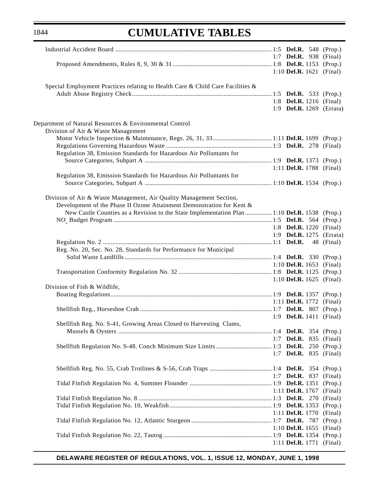# **CUMULATIVE TABLES**

|                                                                                              |  | 1:7 <b>Del.R.</b> 938 (Final)   |
|----------------------------------------------------------------------------------------------|--|---------------------------------|
|                                                                                              |  |                                 |
|                                                                                              |  | 1:10 Del.R. $1621$ (Final)      |
|                                                                                              |  |                                 |
|                                                                                              |  |                                 |
| Special Employment Practices relating to Health Care & Child Care Facilities &               |  |                                 |
|                                                                                              |  |                                 |
|                                                                                              |  | 1:8 <b>Del.R.</b> 1216 (Final)  |
|                                                                                              |  | 1:9 Del.R. 1269 (Errata)        |
|                                                                                              |  |                                 |
| Department of Natural Resources & Environmental Control                                      |  |                                 |
| Division of Air & Waste Management                                                           |  |                                 |
|                                                                                              |  |                                 |
|                                                                                              |  |                                 |
| Regulation 38, Emission Standards for Hazardous Air Polluntants for                          |  |                                 |
|                                                                                              |  |                                 |
|                                                                                              |  | 1:11 <b>Del.R.</b> 1788 (Final) |
| Regulation 38, Emission Standards for Hazardous Air Polluntants for                          |  |                                 |
|                                                                                              |  |                                 |
|                                                                                              |  |                                 |
| Division of Air & Waste Management, Air Quality Management Section,                          |  |                                 |
| Development of the Phase II Ozone Attainment Demonstration for Kent &                        |  |                                 |
| New Castle Counties as a Revision to the State Implementation Plan  1:10 Del.R. 1538 (Prop.) |  |                                 |
|                                                                                              |  |                                 |
|                                                                                              |  | 1:8 <b>Del.R.</b> 1220 (Final)  |
|                                                                                              |  | 1:9 <b>Del.R.</b> 1275 (Errata) |
|                                                                                              |  |                                 |
| Reg. No. 20, Sec. No. 28, Standards for Performance for Municipal                            |  |                                 |
|                                                                                              |  |                                 |
|                                                                                              |  | 1:10 <b>Del.R.</b> 1653 (Final) |
|                                                                                              |  |                                 |
|                                                                                              |  | 1:10 <b>Del.R.</b> 1625 (Final) |
| Division of Fish & Wildlife,                                                                 |  |                                 |
|                                                                                              |  |                                 |
|                                                                                              |  | 1:11 <b>Del.R.</b> 1772 (Final) |
|                                                                                              |  |                                 |
|                                                                                              |  | 1:9 <b>Del.R.</b> 1411 (Final)  |
| Shellfish Reg. No. S-41, Growing Areas Closed to Harvesting Clams,                           |  |                                 |
|                                                                                              |  |                                 |
|                                                                                              |  | 1:7 <b>Del.R.</b> 835 (Final)   |
|                                                                                              |  |                                 |
|                                                                                              |  | 1:7 Del.R. 835 (Final)          |
|                                                                                              |  |                                 |
|                                                                                              |  |                                 |
|                                                                                              |  | 1:7 <b>Del.R.</b> 837 (Final)   |
|                                                                                              |  |                                 |
|                                                                                              |  |                                 |
|                                                                                              |  | 1:11 <b>Del.R.</b> 1767 (Final) |
|                                                                                              |  |                                 |
|                                                                                              |  |                                 |
|                                                                                              |  | 1:11 Del.R. 1770 (Final)        |
|                                                                                              |  |                                 |
|                                                                                              |  | 1:10 <b>Del.R.</b> 1655 (Final) |
|                                                                                              |  |                                 |
|                                                                                              |  | 1:11 <b>Del.R.</b> 1771 (Final) |
|                                                                                              |  |                                 |

### **DELAWARE REGISTER OF REGULATIONS, VOL. 1, ISSUE 12, MONDAY, JUNE 1, 1998**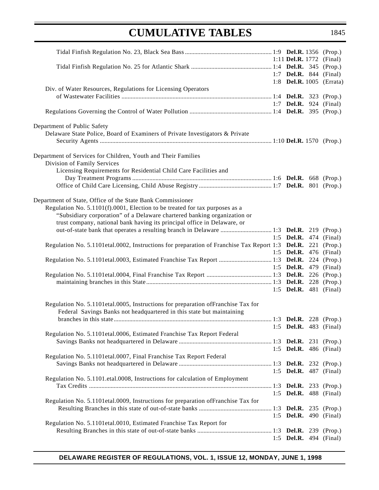|                                                                                                                                                         |  | 1:11 <b>Del.R.</b> 1772 (Final) |
|---------------------------------------------------------------------------------------------------------------------------------------------------------|--|---------------------------------|
|                                                                                                                                                         |  |                                 |
|                                                                                                                                                         |  | 1:7 <b>Del.R.</b> 844 (Final)   |
|                                                                                                                                                         |  | 1:8 Del.R. 1005 (Errata)        |
| Div. of Water Resources, Regulations for Licensing Operators                                                                                            |  |                                 |
|                                                                                                                                                         |  |                                 |
|                                                                                                                                                         |  | 1:7 <b>Del.R.</b> 924 (Final)   |
|                                                                                                                                                         |  |                                 |
| Department of Public Safety                                                                                                                             |  |                                 |
| Delaware State Police, Board of Examiners of Private Investigators & Private                                                                            |  |                                 |
|                                                                                                                                                         |  |                                 |
|                                                                                                                                                         |  |                                 |
| Department of Services for Children, Youth and Their Families                                                                                           |  |                                 |
| Division of Family Services                                                                                                                             |  |                                 |
| Licensing Requirements for Residential Child Care Facilities and                                                                                        |  |                                 |
|                                                                                                                                                         |  |                                 |
|                                                                                                                                                         |  |                                 |
|                                                                                                                                                         |  |                                 |
| Department of State, Office of the State Bank Commissioner                                                                                              |  |                                 |
| Regulation No. 5.1101(f).0001, Election to be treated for tax purposes as a<br>"Subsidiary corporation" of a Delaware chartered banking organization or |  |                                 |
| trust company, national bank having its principal office in Delaware, or                                                                                |  |                                 |
|                                                                                                                                                         |  |                                 |
|                                                                                                                                                         |  | 1:5 <b>Del.R.</b> 474 (Final)   |
| Regulation No. 5.1101etal.0002, Instructions for preparation of Franchise Tax Report 1:3 Del.R. 221 (Prop.)                                             |  |                                 |
|                                                                                                                                                         |  | 1:5 <b>Del.R.</b> 476 (Final)   |
|                                                                                                                                                         |  |                                 |
|                                                                                                                                                         |  | 1:5 <b>Del.R.</b> 479 (Final)   |
|                                                                                                                                                         |  |                                 |
|                                                                                                                                                         |  |                                 |
|                                                                                                                                                         |  | 1:5 <b>Del.R.</b> 481 (Final)   |
| Regulation No. 5.1101etal.0005, Instructions for preparation of Franchise Tax for                                                                       |  |                                 |
| Federal Savings Banks not headquartered in this state but maintaining                                                                                   |  |                                 |
|                                                                                                                                                         |  |                                 |
|                                                                                                                                                         |  | 1:5 <b>Del.R.</b> 483 (Final)   |
| Regulation No. 5.1101etal.0006, Estimated Franchise Tax Report Federal                                                                                  |  |                                 |
|                                                                                                                                                         |  |                                 |
|                                                                                                                                                         |  | 1:5 <b>Del.R.</b> 486 (Final)   |
| Regulation No. 5.1101etal.0007, Final Franchise Tax Report Federal                                                                                      |  |                                 |
|                                                                                                                                                         |  |                                 |
|                                                                                                                                                         |  | 1:5 <b>Del.R.</b> 487 (Final)   |
| Regulation No. 5.1101.etal.0008, Instructions for calculation of Employment                                                                             |  |                                 |
|                                                                                                                                                         |  |                                 |
|                                                                                                                                                         |  | 1:5 Del.R. 488 (Final)          |
| Regulation No. 5.1101etal.0009, Instructions for preparation of Franchise Tax for                                                                       |  |                                 |
|                                                                                                                                                         |  |                                 |
|                                                                                                                                                         |  | 1:5 <b>Del.R.</b> 490 (Final)   |
| Regulation No. 5.1101etal.0010, Estimated Franchise Tax Report for                                                                                      |  |                                 |
|                                                                                                                                                         |  |                                 |
|                                                                                                                                                         |  | 1:5 <b>Del.R.</b> 494 (Final)   |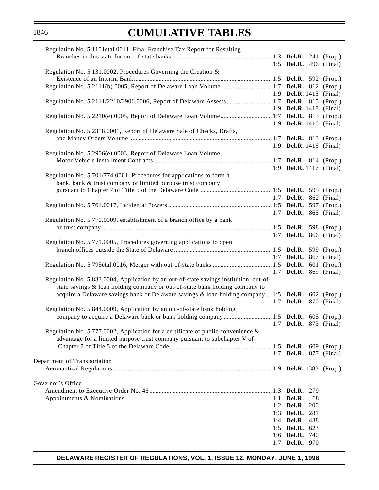# **CUMULATIVE TABLES**

| Regulation No. 5.1101 et al. 0011, Final Franchise Tax Report for Resulting                        |                                |     |  |
|----------------------------------------------------------------------------------------------------|--------------------------------|-----|--|
|                                                                                                    |                                |     |  |
|                                                                                                    | 1:5 <b>Del.R.</b> 496 (Final)  |     |  |
| Regulation No. 5.131.0002, Procedures Governing the Creation &                                     |                                |     |  |
|                                                                                                    |                                |     |  |
|                                                                                                    |                                |     |  |
|                                                                                                    | 1:9 <b>Del.R.</b> 1415 (Final) |     |  |
| Regulation No. 5.2111/2210/2906.0006, Report of Delaware Assests 1:7 Del.R. 815 (Prop.)            |                                |     |  |
|                                                                                                    | 1:9 <b>Del.R.</b> 1418 (Final) |     |  |
|                                                                                                    |                                |     |  |
|                                                                                                    | 1:9 Del.R. 1416 (Final)        |     |  |
| Regulation No. 5.2318.0001, Report of Delaware Sale of Checks, Drafts,                             |                                |     |  |
|                                                                                                    |                                |     |  |
|                                                                                                    |                                |     |  |
|                                                                                                    | 1:9 <b>Del.R.</b> 1416 (Final) |     |  |
| Regulation No. 5.2906(e).0003, Report of Delaware Loan Volume                                      |                                |     |  |
|                                                                                                    |                                |     |  |
|                                                                                                    | 1:9 <b>Del.R.</b> 1417 (Final) |     |  |
| Regulation No. 5.701/774.0001, Procedures for applications to form a                               |                                |     |  |
| bank, bank & trust company or limited purpose trust company                                        |                                |     |  |
|                                                                                                    |                                |     |  |
|                                                                                                    | 1:7 <b>Del.R.</b> 862 (Final)  |     |  |
|                                                                                                    |                                |     |  |
|                                                                                                    | 1:7 <b>Del.R.</b> 865 (Final)  |     |  |
| Regulation No. 5.770.0009, establishment of a branch office by a bank                              |                                |     |  |
|                                                                                                    |                                |     |  |
|                                                                                                    | 1:7 <b>Del.R.</b> 866 (Final)  |     |  |
|                                                                                                    |                                |     |  |
| Regulation No. 5.771.0005, Procedures governing applications to open                               |                                |     |  |
|                                                                                                    |                                |     |  |
|                                                                                                    | 1:7 <b>Del.R.</b> 867 (Final)  |     |  |
|                                                                                                    |                                |     |  |
|                                                                                                    | 1:7 <b>Del.R.</b> 869 (Final)  |     |  |
| Regulation No. 5.833.0004, Application by an out-of-state savings institution, out-of-             |                                |     |  |
| state savings & loan holding company or out-of-state bank holding company to                       |                                |     |  |
| acquire a Delaware savings bank or Delaware savings & loan holding company  1:5 Del.R. 602 (Prop.) |                                |     |  |
|                                                                                                    | 1:7 <b>Del.R.</b> 870 (Final)  |     |  |
| Regulation No. 5.844.0009, Application by an out-of-state bank holding                             |                                |     |  |
| company to acquire a Delaware bank or bank holding company  1:5 Del.R. 605 (Prop.)                 |                                |     |  |
| 1:7 <b>Del.R.</b> 873 (Final)                                                                      |                                |     |  |
| Regulation No. 5.777.0002, Application for a certificate of public convenience $\&$                |                                |     |  |
| advantage for a limited purpose trust company pursuant to subchapter V of                          |                                |     |  |
|                                                                                                    |                                |     |  |
|                                                                                                    |                                |     |  |
|                                                                                                    | 1:7 <b>Del.R.</b> 877 (Final)  |     |  |
| Department of Transportation                                                                       |                                |     |  |
|                                                                                                    |                                |     |  |
|                                                                                                    |                                |     |  |
| Governor's Office                                                                                  |                                |     |  |
|                                                                                                    |                                | 279 |  |
|                                                                                                    | Del.R.                         | 68  |  |
|                                                                                                    | $1:2$ Del.R.                   | 200 |  |
| 1:3                                                                                                | Del.R.                         | 281 |  |
|                                                                                                    | $1:4$ Del.R.                   | 438 |  |
|                                                                                                    | $1:5$ Del.R.                   | 623 |  |
|                                                                                                    | 1:6 <b>Del.R.</b>              | 740 |  |
|                                                                                                    |                                |     |  |
|                                                                                                    | $1:7$ Del.R.                   | 970 |  |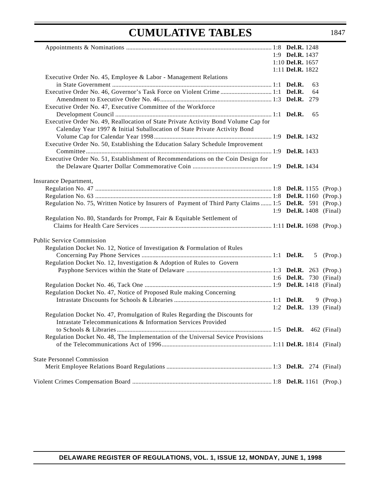|                                                                                                | 1:9 Del.R. 1437  |     |                                |
|------------------------------------------------------------------------------------------------|------------------|-----|--------------------------------|
|                                                                                                | 1:10 Del.R. 1657 |     |                                |
|                                                                                                | 1:11 Del.R. 1822 |     |                                |
| Executive Order No. 45, Employee & Labor - Management Relations                                |                  |     |                                |
|                                                                                                |                  | 63  |                                |
|                                                                                                |                  | 64  |                                |
|                                                                                                |                  | 279 |                                |
| Executive Order No. 47, Executive Committee of the Workforce                                   |                  |     |                                |
|                                                                                                |                  | 65  |                                |
| Executive Order No. 49, Reallocation of State Private Activity Bond Volume Cap for             |                  |     |                                |
| Calenday Year 1997 & Initial Suballocation of State Private Activity Bond                      |                  |     |                                |
|                                                                                                |                  |     |                                |
| Executive Order No. 50, Establishing the Education Salary Schedule Improvement                 |                  |     |                                |
|                                                                                                |                  |     |                                |
| Executive Order No. 51, Establishment of Recommendations on the Coin Design for                |                  |     |                                |
|                                                                                                |                  |     |                                |
|                                                                                                |                  |     |                                |
|                                                                                                |                  |     |                                |
| Insurance Department,                                                                          |                  |     |                                |
|                                                                                                |                  |     |                                |
|                                                                                                |                  |     | (Prop.)                        |
| Regulation No. 75, Written Notice by Insurers of Payment of Third Party Claims  1:5 Del.R. 591 |                  |     | (Prop.)                        |
|                                                                                                |                  |     | 1:9 <b>Del.R.</b> 1408 (Final) |
| Regulation No. 80, Standards for Prompt, Fair & Equitable Settlement of                        |                  |     |                                |
|                                                                                                |                  |     |                                |
|                                                                                                |                  |     |                                |
| <b>Public Service Commission</b>                                                               |                  |     |                                |
| Regulation Docket No. 12, Notice of Investigation & Formulation of Rules                       |                  |     |                                |
|                                                                                                |                  | 5   | (Prop.)                        |
| Regulation Docket No. 12, Investigation & Adoption of Rules to Govern                          |                  |     |                                |
|                                                                                                |                  |     |                                |
|                                                                                                |                  |     | 1:6 <b>Del.R.</b> 730 (Final)  |
|                                                                                                |                  |     |                                |
| Regulation Docket No. 47, Notice of Proposed Rule making Concerning                            |                  |     |                                |
|                                                                                                |                  |     | 9 (Prop.)                      |
|                                                                                                |                  |     | 1:2 <b>Del.R.</b> 139 (Final)  |
| Regulation Docket No. 47, Promulgation of Rules Regarding the Discounts for                    |                  |     |                                |
| Intrastate Telecommunications & Information Services Provided                                  |                  |     |                                |
|                                                                                                |                  |     |                                |
| Regulation Docket No. 48, The Implementation of the Universal Sevice Provisions                |                  |     |                                |
|                                                                                                |                  |     |                                |
|                                                                                                |                  |     |                                |
| <b>State Personnel Commission</b>                                                              |                  |     |                                |
|                                                                                                |                  |     |                                |
|                                                                                                |                  |     |                                |
|                                                                                                |                  |     |                                |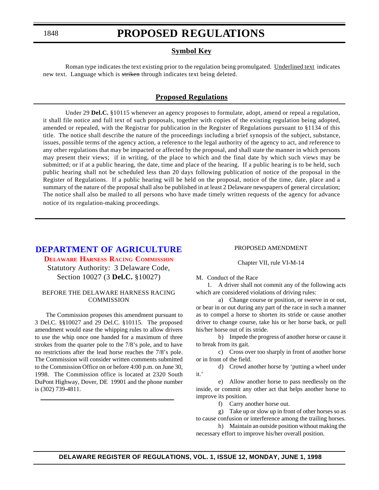#### **Symbol Key**

<span id="page-14-0"></span>Roman type indicates the text existing prior to the regulation being promulgated. Underlined text indicates new text. Language which is striken through indicates text being deleted.

#### **Proposed Regulations**

Under 29 **Del.C.** §10115 whenever an agency proposes to formulate, adopt, amend or repeal a regulation, it shall file notice and full text of such proposals, together with copies of the existing regulation being adopted, amended or repealed, with the Registrar for publication in the Register of Regulations pursuant to §1134 of this title. The notice shall describe the nature of the proceedings including a brief synopsis of the subject, substance, issues, possible terms of the agency action, a reference to the legal authority of the agency to act, and reference to any other regulations that may be impacted or affected by the proposal, and shall state the manner in which persons may present their views; if in writing, of the place to which and the final date by which such views may be submitted; or if at a public hearing, the date, time and place of the hearing. If a public hearing is to be held, such public hearing shall not be scheduled less than 20 days following publication of notice of the proposal in the Register of Regulations. If a public hearing will be held on the proposal, notice of the time, date, place and a summary of the nature of the proposal shall also be published in at least 2 Delaware newspapers of general circulation; The notice shall also be mailed to all persons who have made timely written requests of the agency for advance notice of its regulation-making proceedings.

### **[DEPARTMENT OF AGRICULTURE](http://www.state.de.us/deptagri/index.htm)**

#### **DELAWARE HARNESS RACING [COMMISSION](#page-3-0)**

Statutory Authority: 3 Delaware Code, Section 10027 (3 **Del.C.** §10027)

#### BEFORE THE DELAWARE HARNESS RACING **COMMISSION**

The Commission proposes this amendment pursuant to 3 Del.C. §§10027 and 29 Del.C. §10115. The proposed amendment would ease the whipping rules to allow drivers to use the whip once one handed for a maximum of three strokes from the quarter pole to the 7/8's pole, and to have no restrictions after the lead horse reaches the 7/8's pole. The Commission will consider written comments submitted to the Commission Office on or before 4:00 p.m. on June 30, 1998. The Commission office is located at 2320 South DuPont Highway, Dover, DE 19901 and the phone number is (302) 739-4811.

#### PROPOSED AMENDMENT

Chapter VII, rule VI-M-14

#### M. Conduct of the Race

1. A driver shall not commit any of the following acts which are considered violations of driving rules:

a) Change course or position, or swerve in or out, or bear in or out during any part of the race in such a manner as to compel a horse to shorten its stride or cause another driver to change course, take his or her horse back, or pull his/her horse out of its stride.

b) Impede the progress of another horse or cause it to break from its gait.

c) Cross over too sharply in front of another horse or in front of the field.

d) Crowd another horse by 'putting a wheel under it.'

e) Allow another horse to pass needlessly on the inside, or commit any other act that helps another horse to improve its position.

f) Carry another horse out.

g) Take up or slow up in front of other horses so as to cause confusion or interference among the trailing horses.

h) Maintain an outside position without making the necessary effort to improve his/her overall position.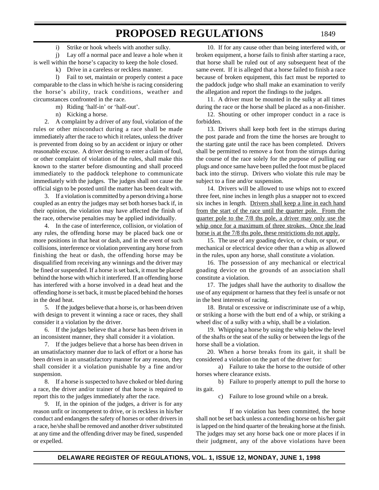1849

i) Strike or hook wheels with another sulky.

j) Lay off a normal pace and leave a hole when it is well within the horse's capacity to keep the hole closed.

k) Drive in a careless or reckless manner.

l) Fail to set, maintain or properly contest a pace comparable to the class in which he/she is racing considering the horse's ability, track conditions, weather and circumstances confronted in the race.

- m) Riding 'half-in' or 'half-out'.
- n) Kicking a horse.

2. A complaint by a driver of any foul, violation of the rules or other misconduct during a race shall be made immediately after the race to which it relates, unless the driver is prevented from doing so by an accident or injury or other reasonable excuse. A driver desiring to enter a claim of foul, or other complaint of violation of the rules, shall make this known to the starter before dismounting and shall proceed immediately to the paddock telephone to communicate immediately with the judges. The judges shall not cause the official sign to be posted until the matter has been dealt with.

3. If a violation is committed by a person driving a horse coupled as an entry the judges may set both horses back if, in their opinion, the violation may have affected the finish of the race, otherwise penalties may be applied individually.

4. In the case of interference, collision, or violation of any rules, the offending horse may be placed back one or more positions in that heat or dash, and in the event of such collisions, interference or violation preventing any horse from finishing the heat or dash, the offending horse may be disqualified from receiving any winnings and the driver may be fined or suspended. If a horse is set back, it must be placed behind the horse with which it interfered. If an offending horse has interfered with a horse involved in a dead heat and the offending horse is set back, it must be placed behind the horses in the dead heat.

5. If the judges believe that a horse is, or has been driven with design to prevent it winning a race or races, they shall consider it a violation by the driver.

6. If the judges believe that a horse has been driven in an inconsistent manner, they shall consider it a violation.

7. If the judges believe that a horse has been driven in an unsatisfactory manner due to lack of effort or a horse has been driven in an unsatisfactory manner for any reason, they shall consider it a violation punishable by a fine and/or suspension.

8. If a horse is suspected to have choked or bled during a race, the driver and/or trainer of that horse is required to report this to the judges immediately after the race.

9. If, in the opinion of the judges, a driver is for any reason unfit or incompetent to drive, or is reckless in his/her conduct and endangers the safety of horses or other drivers in a race, he/she shall be removed and another driver substituted at any time and the offending driver may be fined, suspended or expelled.

10. If for any cause other than being interfered with, or broken equipment, a horse fails to finish after starting a race, that horse shall be ruled out of any subsequent heat of the same event. If it is alleged that a horse failed to finish a race because of broken equipment, this fact must be reported to the paddock judge who shall make an examination to verify the allegation and report the findings to the judges.

11. A driver must be mounted in the sulky at all times during the race or the horse shall be placed as a non-finisher.

12. Shouting or other improper conduct in a race is forbidden.

13. Drivers shall keep both feet in the stirrups during the post parade and from the time the horses are brought to the starting gate until the race has been completed. Drivers shall be permitted to remove a foot from the stirrups during the course of the race solely for the purpose of pulling ear plugs and once same have been pulled the foot must be placed back into the stirrup. Drivers who violate this rule may be subject to a fine and/or suspension.

14. Drivers will be allowed to use whips not to exceed three feet, nine inches in length plus a snapper not to exceed six inches in length. Drivers shall keep a line in each hand from the start of the race until the quarter pole. From the quarter pole to the 7/8 ths pole, a driver may only use the whip once for a maximum of three strokes. Once the lead horse is at the 7/8 ths pole, these restrictions do not apply.

15. The use of any goading device, or chain, or spur, or mechanical or electrical device other than a whip as allowed in the rules, upon any horse, shall constitute a violation.

16. The possession of any mechanical or electrical goading device on the grounds of an association shall constitute a violation.

17. The judges shall have the authority to disallow the use of any equipment or harness that they feel is unsafe or not in the best interests of racing.

18. Brutal or excessive or indiscriminate use of a whip, or striking a horse with the butt end of a whip, or striking a wheel disc of a sulky with a whip, shall be a violation.

19. Whipping a horse by using the whip below the level of the shafts or the seat of the sulky or between the legs of the horse shall be a violation.

20. When a horse breaks from its gait, it shall be considered a violation on the part of the driver for:

a) Failure to take the horse to the outside of other horses where clearance exists.

b) Failure to properly attempt to pull the horse to its gait.

c) Failure to lose ground while on a break.

If no violation has been committed, the horse shall not be set back unless a contending horse on his/her gait is lapped on the hind quarter of the breaking horse at the finish. The judges may set any horse back one or more places if in their judgment, any of the above violations have been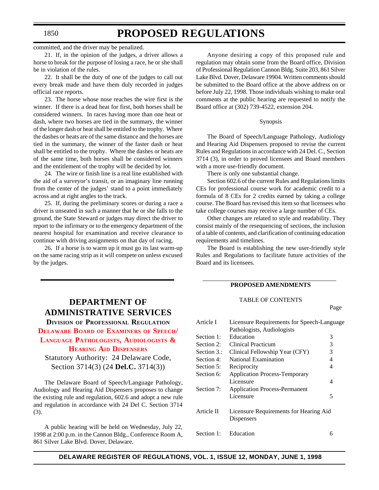### **PROPOSED REGULATIONS**

<span id="page-16-0"></span>committed, and the driver may be penalized.

21. If, in the opinion of the judges, a driver allows a horse to break for the purpose of losing a race, he or she shall be in violation of the rules.

22. It shall be the duty of one of the judges to call out every break made and have them duly recorded in judges official race reports.

23. The horse whose nose reaches the wire first is the winner. If there is a dead heat for first, both horses shall be considered winners. In races having more than one heat or dash, where two horses are tied in the summary, the winner of the longer dash or heat shall be entitled to the trophy. Where the dashes or heats are of the same distance and the horses are tied in the summary, the winner of the faster dash or heat shall be entitled to the trophy. Where the dashes or heats are of the same time, both horses shall be considered winners and the entitlement of the trophy will be decided by lot.

24. The wire or finish line is a real line established with the aid of a surveyor's transit, or an imaginary line running from the center of the judges' stand to a point immediately across and at right angles to the track.

25. If, during the preliminary scores or during a race a driver is unseated in such a manner that he or she falls to the ground, the State Steward or judges may direct the driver to report to the infirmary or to the emergency department of the nearest hospital for examination and receive clearance to continue with driving assignments on that day of racing.

26. If a horse is to warm up it must go its last warm-up on the same racing strip as it will compete on unless excused by the judges.

Anyone desiring a copy of this proposed rule and regulation may obtain some from the Board office, Division of Professional Regulation Cannon Bldg. Suite 203, 861 Silver Lake Blvd. Dover, Delaware 19904. Written comments should be submitted to the Board office at the above address on or before July 22, 1998. Those individuals wishing to make oral comments at the public hearing are requested to notify the Board office at (302) 739-4522, extension 204.

#### Synopsis

The Board of Speech/Language Pathology, Audiology and Hearing Aid Dispensers proposed to revise the current Rules and Regulations in accordance with 24 Del. C., Section 3714 (3), in order to proved licensees and Board members with a more use-friendly document.

There is only one substantial change.

Section 602.6 of the current Rules and Regulations limits CEs for professional course work for academic credit to a formula of 8 CEs for 2 credits earned by taking a college course. The Board has revised this item so that licensees who take college courses may receive a large number of CEs.

Other changes are related to style and readability. They consist mainly of the resequencing of sections, the inclusion of a table of contents, and clarification of continuing education requirements and timelines.

The Board is establishing the new user-friendly style Rules and Regulations to facilitate future activities of the Board and its licensees.

#### **PROPOSED AMENDMENTS**

#### TABLE OF CONTENTS

Page

| Article I   | Licensure Requirements for Speech-Language           |   |  |
|-------------|------------------------------------------------------|---|--|
|             | Pathologists, Audiologists                           |   |  |
| Section 1:  | Education                                            | 3 |  |
| Section 2:  | Clinical Practicum                                   | 3 |  |
| Section 3.: | Clinical Fellowship Year (CFY)                       | 3 |  |
| Section 4:  | National Examination                                 | 4 |  |
| Section 5:  | Reciprocity                                          | 4 |  |
| Section 6:  | <b>Application Process-Temporary</b>                 |   |  |
|             | Licensure                                            | 4 |  |
| Section 7:  | <b>Application Process-Permanent</b>                 |   |  |
|             | Licensure                                            | 5 |  |
| Article II  | Licensure Requirements for Hearing Aid<br>Dispensers |   |  |
| Section 1:  | Education                                            | 6 |  |

### **DEPARTMENT OF ADMINISTRATIVE SERVICES**

**DIVISION OF PROFESSIONAL REGULATION DELAWARE BOARD OF EXAMINERS OF SPEECH/ LANGUAGE [PATHOLOGISTS, AUDIOLOGISTS &](#page-3-0) HEARING AID DISPENSERS** Statutory Authority: 24 Delaware Code,

Section 3714(3) (24 **Del.C.** 3714(3))

The Delaware Board of Speech/Language Pathology, Audiology and Hearing Aid Dispensers proposes to change the existing rule and regulation, 602.6 and adopt a new rule and regulation in accordance with 24 Del C. Section 3714 (3).

A public hearing will be held on Wednesday, July 22, 1998 at 2:00 p.m. in the Cannon Bldg., Conference Room A, 861 Silver Lake Blvd. Dover, Delaware.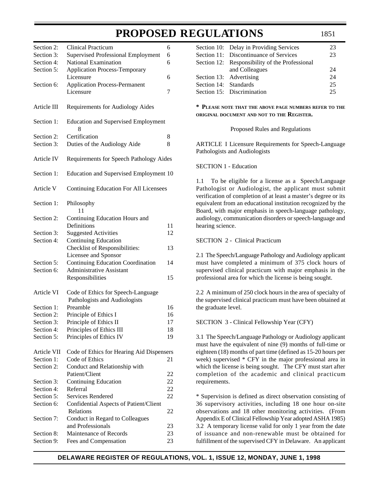| Section 2:  | <b>Clinical Practicum</b>                       | 6  |
|-------------|-------------------------------------------------|----|
| Section 3:  | <b>Supervised Professional Employment</b>       | 6  |
| Section 4:  | <b>National Examination</b>                     | 6  |
| Section 5:  | <b>Application Process-Temporary</b>            |    |
|             | Licensure                                       | 6  |
| Section 6:  | <b>Application Process-Permanent</b>            |    |
|             | Licensure                                       | 7  |
|             |                                                 |    |
| Article III | Requirements for Audiology Aides                |    |
| Section 1:  | <b>Education and Supervised Employment</b><br>8 |    |
| Section 2:  | Certification                                   | 8  |
| Section 3:  | Duties of the Audiology Aide                    | 8  |
|             |                                                 |    |
| Article IV  | Requirements for Speech Pathology Aides         |    |
| Section 1:  | Education and Supervised Employment 10          |    |
| Article V   | <b>Continuing Education For All Licensees</b>   |    |
| Section 1:  | Philosophy                                      |    |
|             | 11                                              |    |
| Section 2:  | Continuing Education Hours and                  |    |
|             | Definitions                                     | 11 |
| Section 3:  | <b>Suggested Activities</b>                     | 12 |
| Section 4:  | <b>Continuing Education</b>                     |    |
|             | Checklist of Responsibilities:                  | 13 |
|             | Licensee and Sponsor                            |    |
| Section 5:  | <b>Continuing Education Coordination</b>        | 14 |
| Section 6:  | <b>Administrative Assistant</b>                 |    |
|             | Responsibilities                                | 15 |
|             |                                                 |    |
| Article VI  | Code of Ethics for Speech-Language              |    |
|             | Pathologists and Audiologists                   |    |
| Section 1:  | Preamble                                        | 16 |
| Section 2:  | Principle of Ethics I                           | 16 |
| Section 3:  | Principle of Ethics II                          | 17 |
| Section 4:  | Principles of Ethics III                        | 18 |
| Section 5:  | Principles of Ethics IV                         | 19 |
| Article VII | Code of Ethics for Hearing Aid Dispensers       |    |
| Section 1:  | Code of Ethics                                  | 21 |
| Section 2:  | Conduct and Relationship with                   |    |
|             | Patient/Client                                  | 22 |
| Section 3:  | <b>Continuing Education</b>                     | 22 |
| Section 4:  | Referral                                        | 22 |
| Section 5:  | Services Rendered                               | 22 |
| Section 6:  | Confidential Aspects of Patient/Client          |    |
|             | Relations                                       | 22 |
| Section 7:  | Conduct in Regard to Colleagues                 |    |
|             | and Professionals                               | 23 |
| Section 8:  | Maintenance of Records                          | 23 |
| Section 9:  | Fees and Compensation                           | 23 |

|                       | Section 10: Delay in Providing Services        | 23 |
|-----------------------|------------------------------------------------|----|
|                       | Section 11: Discontinuance of Services         | 23 |
|                       | Section 12: Responsibility of the Professional |    |
|                       | and Colleagues                                 | 24 |
|                       | Section 13: Advertising                        | 24 |
| Section 14: Standards |                                                | 25 |
|                       | Section 15: Discrimination                     | 25 |

**\* PLEASE NOTE THAT THE ABOVE PAGE NUMBERS REFER TO THE ORIGINAL DOCUMENT AND NOT TO THE REGISTER.**

#### Proposed Rules and Regulations

ARTICLE I Licensure Requirements for Speech-Language Pathologists and Audiologists

#### SECTION 1 - Education

1.1 To be eligible for a license as a Speech/Language Pathologist or Audiologist, the applicant must submit verification of completion of at least a master's degree or its equivalent from an educational institution recognized by the Board, with major emphasis in speech-language pathology, audiology, communication disorders or speech-language and hearing science.

#### SECTION 2 - Clinical Practicum

2.1 The Speech/Language Pathology and Audiology applicant must have completed a minimum of 375 clock hours of supervised clinical practicum with major emphasis in the professional area for which the license is being sought.

2.2 A minimum of 250 clock hours in the area of specialty of the supervised clinical practicum must have been obtained at the graduate level.

SECTION 3 - Clinical Fellowship Year (CFY)

3.1 The Speech/Language Pathology or Audiology applicant must have the equivalent of nine (9) months of full-time or eighteen (18) months of part time (defined as 15-20 hours per week) supervised \* CFY in the major professional area in which the license is being sought. The CFY must start after completion of the academic and clinical practicum requirements.

\* Supervision is defined as direct observation consisting of 36 supervisory activities, including 18 one hour on-site observations and 18 other monitoring activities. (From Appendix E of Clinical Fellowship Year adopted ASHA 1985) 3.2 A temporary license valid for only 1 year from the date of issuance and non-renewable must be obtained for fulfillment of the supervised CFY in Delaware. An applicant

#### **DELAWARE REGISTER OF REGULATIONS, VOL. 1, ISSUE 12, MONDAY, JUNE 1, 1998**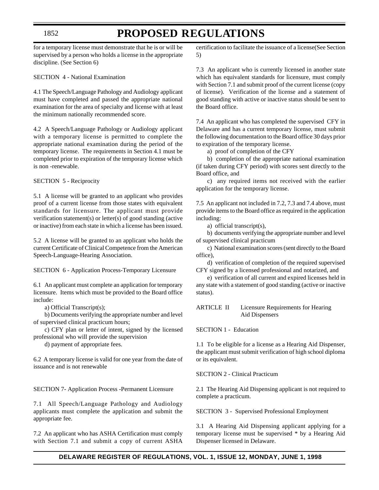# **PROPOSED REGULATIONS**

for a temporary license must demonstrate that he is or will be supervised by a person who holds a license in the appropriate discipline. (See Section 6)

SECTION 4 - National Examination

4.1 The Speech/Language Pathology and Audiology applicant must have completed and passed the appropriate national examination for the area of specialty and license with at least the minimum nationally recommended score.

4.2 A Speech/Language Pathology or Audiology applicant with a temporary license is permitted to complete the appropriate national examination during the period of the temporary license. The requirements in Section 4.1 must be completed prior to expiration of the temporary license which is non -renewable.

SECTION 5 - Reciprocity

5.1 A license will be granted to an applicant who provides proof of a current license from those states with equivalent standards for licensure. The applicant must provide verification statement(s) or letter(s) of good standing (active or inactive) from each state in which a license has been issued.

5.2 A license will be granted to an applicant who holds the current Certificate of Clinical Competence from the American Speech-Language-Hearing Association.

SECTION 6 - Application Process-Temporary Licensure

6.1 An applicant must complete an application for temporary licensure. Items which must be provided to the Board office include:

a) Official Transcript(s);

b) Documents verifying the appropriate number and level of supervised clinical practicum hours;

c) CFY plan or letter of intent, signed by the licensed professional who will provide the supervision

d) payment of appropriate fees.

6.2 A temporary license is valid for one year from the date of issuance and is not renewable

SECTION 7- Application Process -Permanent Licensure

7.1 All Speech/Language Pathology and Audiology applicants must complete the application and submit the appropriate fee.

7.2 An applicant who has ASHA Certification must comply with Section 7.1 and submit a copy of current ASHA

certification to facilitate the issuance of a license(See Section 5)

7.3 An applicant who is currently licensed in another state which has equivalent standards for licensure, must comply with Section 7.1 and submit proof of the current license (copy of license). Verification of the license and a statement of good standing with active or inactive status should be sent to the Board office.

7.4 An applicant who has completed the supervised CFY in Delaware and has a current temporary license, must submit the following documentation to the Board office 30 days prior to expiration of the temporary license.

a) proof of completion of the CFY

b) completion of the appropriate national examination (if taken during CFY period) with scores sent directly to the Board office, and

c) any required items not received with the earlier application for the temporary license.

7.5 An applicant not included in 7.2, 7.3 and 7.4 above, must provide items to the Board office as required in the application including:

a) official transcript(s),

b) documents verifying the appropriate number and level of supervised clinical practicum

c) National examination scores (sent directly to the Board office),

d) verification of completion of the required supervised CFY signed by a licensed professional and notarized, and

e) verification of all current and expired licenses held in any state with a statement of good standing (active or inactive status).

ARTICLE II Licensure Requirements for Hearing Aid Dispensers

SECTION 1 - Education

1.1 To be eligible for a license as a Hearing Aid Dispenser, the applicant must submit verification of high school diploma or its equivalent.

SECTION 2 - Clinical Practicum

2.1 The Hearing Aid Dispensing applicant is not required to complete a practicum.

SECTION 3 - Supervised Professional Employment

3.1 A Hearing Aid Dispensing applicant applying for a temporary license must be supervised \* by a Hearing Aid Dispenser licensed in Delaware.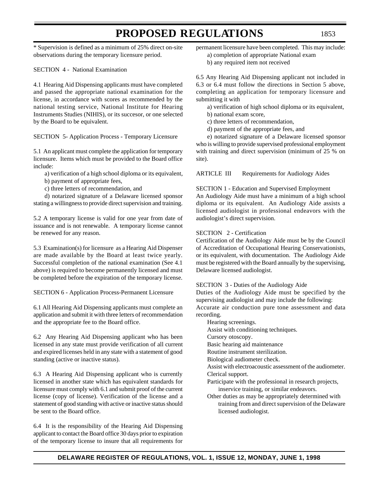\* Supervision is defined as a minimum of 25% direct on-site observations during the temporary licensure period.

SECTION 4 - National Examination

4.1 Hearing Aid Dispensing applicants must have completed and passed the appropriate national examination for the license, in accordance with scores as recommended by the national testing service, National Institute for Hearing Instruments Studies (NIHIS), or its succesor, or one selected by the Board to be equivalent.

SECTION 5- Application Process - Temporary Licensure

5.1 An applicant must complete the application for temporary licensure. Items which must be provided to the Board office include:

a) verification of a high school diploma or its equivalent,

b) payment of appropriate fees,

c) three letters of recommendation, and

d) notarized signature of a Delaware licensed sponsor stating a willingness to provide direct supervision and training.

5.2 A temporary license is valid for one year from date of issuance and is not renewable. A temporary license cannot be renewed for any reason.

5.3 Examination(s) for licensure as a Hearing Aid Dispenser are made available by the Board at least twice yearly. Successful completion of the national examination (See 4.1 above) is required to become permanently licensed and must be completed before the expiration of the temporary license.

SECTION 6 - Application Process-Permanent Licensure

6.1 All Hearing Aid Dispensing applicants must complete an application and submit it with three letters of recommendation and the appropriate fee to the Board office.

6.2 Any Hearing Aid Dispensing applicant who has been licensed in any state must provide verification of all current and expired licenses held in any state with a statement of good standing (active or inactive status).

6.3 A Hearing Aid Dispensing applicant who is currently licensed in another state which has equivalent standards for licensure must comply with 6.1 and submit proof of the current license (copy of license). Verification of the license and a statement of good standing with active or inactive status should be sent to the Board office.

6.4 It is the responsibility of the Hearing Aid Dispensing applicant to contact the Board office 30 days prior to expiration of the temporary license to insure that all requirements for permanent licensure have been completed. This may include: a) completion of appropriate National exam

b) any required item not received

6.5 Any Hearing Aid Dispensing applicant not included in 6.3 or 6.4 must follow the directions in Section 5 above, completing an application for temporary licensure and submitting it with

a) verification of high school diploma or its equivalent,

- b) national exam score,
- c) three letters of recommendation,
- d) payment of the appropriate fees, and

e) notarized signature of a Delaware licensed sponsor who is willing to provide supervised professional employment with training and direct supervision (minimum of 25 % on site).

ARTICLE III Requirements for Audiology Aides

SECTION 1 - Education and Supervised Employment An Audiology Aide must have a minimum of a high school diploma or its equivalent. An Audiology Aide assists a licensed audiologist in professional endeavors with the audiologist's direct supervision.

#### SECTION 2 - Certification

Certification of the Audiology Aide must be by the Council of Accreditation of Occupational Hearing Conservationists, or its equivalent, with documentation. The Audiology Aide must be registered with the Board annually by the supervising, Delaware licensed audiologist.

SECTION 3 - Duties of the Audiology Aide

Duties of the Audiology Aide must be specified by the supervising audiologist and may include the following:

Accurate air conduction pure tone assessment and data recording.

- Hearing screenings.
- Assist with conditioning techniques.
- Cursory otoscopy.

Basic hearing aid maintenance

Routine instrument sterilization.

Biological audiometer check.

Assist with electroacoustic assessment of the audiometer. Clerical support.

- Participate with the professional in research projects, inservice training, or similar endeavors.
- Other duties as may be appropriately determined with training from and direct supervision of the Delaware licensed audiologist.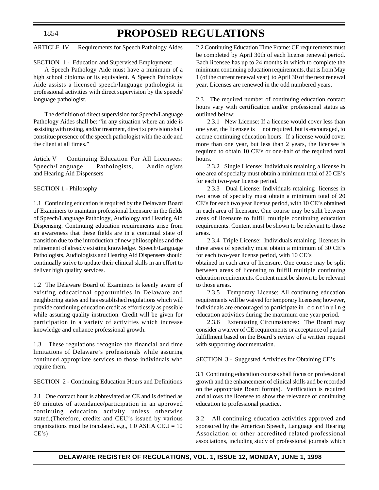#### ARTICLE IV Requirements for Speech Pathology Aides

SECTION 1 - Education and Supervised Employment:

A Speech Pathology Aide must have a minimum of a high school diploma or its equivalent. A Speech Pathology Aide assists a licensed speech/language pathologist in professional activities with direct supervision by the speech/ language pathologist.

The definition of direct supervision for Speech/Language Pathology Aides shall be: "in any situation where an aide is assisting with testing, and/or treatment, direct supervision shall constitue presence of the speech pathologist with the aide and the client at all times."

Article V Continuing Education For All Licensees: Speech/Language Pathologists, Audiologists and Hearing Aid Dispensers

#### SECTION 1 - Philosophy

1.1 Continuing education is required by the Delaware Board of Examiners to maintain professional licensure in the fields of Speech/Language Pathology, Audiology and Hearing Aid Dispensing. Continuing education requirements arise from an awareness that these fields are in a continual state of transition due to the introduction of new philosophies and the refinement of already existing knowledge. Speech/Language Pathologists, Audiologists and Hearing Aid Dispensers should continually strive to update their clinical skills in an effort to deliver high quality services.

1.2 The Delaware Board of Examiners is keenly aware of existing educational opportunities in Delaware and neighboring states and has established regulations which will provide continuing education credit as effortlessly as possible while assuring quality instruction. Credit will be given for participation in a variety of activities which increase knowledge and enhance professional growth.

1.3 These regulations recognize the financial and time limitations of Delaware's professionals while assuring continued appropriate services to those individuals who require them.

SECTION 2 - Continuing Education Hours and Definitions

2.1 One contact hour is abbreviated as CE and is defined as 60 minutes of attendance/participation in an approved continuing education activity unless otherwise stated.(Therefore, credits and CEU's issued by various organizations must be translated. e.g.,  $1.0$  ASHA CEU =  $10$ CE's)

2.2 Continuing Education Time Frame: CE requirements must be completed by April 30th of each license renewal period. Each licensee has up to 24 months in which to complete the minimum continuing education requirements, that is from May 1 (of the current renewal year) to April 30 of the next renewal year. Licenses are renewed in the odd numbered years.

2.3 The required number of continuing education contact hours vary with certification and/or professional status as outlined below:

2.3.1 New License: If a license would cover less than one year, the licensee is not required, but is encouraged, to accrue continuing education hours. If a license would cover more than one year, but less than 2 years, the licensee is required to obtain 10 CE's or one-half of the required total hours.

2.3.2 Single License: Individuals retaining a license in one area of specialty must obtain a minimum total of 20 CE's for each two-year license period.

2.3.3 Dual License: Individuals retaining licenses in two areas of specialty must obtain a minimum total of 20 CE's for each two year license period, with 10 CE's obtained in each area of licensure. One course may be split between areas of licensure to fulfill multiple continuing education requirements. Content must be shown to be relevant to those areas.

2.3.4 Triple License: Individuals retaining licenses in three areas of specialty must obtain a minimum of 30 CE's for each two-year license period, with 10 CE's

obtained in each area of licensure. One course may be split between areas of licensing to fulfill multiple continuing education requirements. Content must be shown to be relevant to those areas.

2.3.5 Temporary License: All continuing education requirements will be waived for temporary licensees; however, individuals are encouraged to participate in continuing education activities during the maximum one year period.

2.3.6 Extenuating Circumstances: The Board may consider a waiver of CE requirements or acceptance of partial fulfillment based on the Board's review of a written request with supporting documentation.

SECTION 3 - Suggested Activities for Obtaining CE's

3.1 Continuing education courses shall focus on professional growth and the enhancement of clinical skills and be recorded on the appropriate Board form(s). Verification is required and allows the licensee to show the relevance of continuing education to professional practice.

3.2 All continuing education activities approved and sponsored by the American Speech, Language and Hearing Association or other accredited related professional associations, including study of professional journals which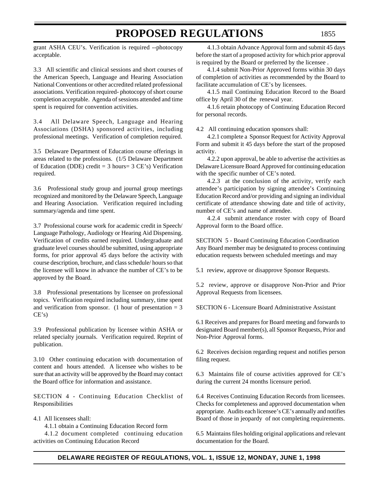grant ASHA CEU's. Verification is required --photocopy acceptable.

3.3 All scientific and clinical sessions and short courses of the American Speech, Language and Hearing Association National Conventions or other accredited related professional associations. Verification required- photocopy of short course completion acceptable. Agenda of sessions attended and time spent is required for convention activities.

3.4 All Delaware Speech, Language and Hearing Associations (DSHA) sponsored activities, including professional meetings. Verification of completion required.

3.5 Delaware Department of Education course offerings in areas related to the professions. (1/5 Delaware Department of Education (DDE) credit =  $3$  hours=  $3$  CE's) Verification required.

3.6 Professional study group and journal group meetings recognized and monitored by the Delaware Speech, Language and Hearing Association. Verification required including summary/agenda and time spent.

3.7 Professional course work for academic credit in Speech/ Language Pathology, Audiology or Hearing Aid Dispensing. Verification of credits earned required. Undergraduate and graduate level courses should be submitted, using appropriate forms, for prior approval 45 days before the activity with course description, brochure, and class schedule/ hours so that the licensee will know in advance the number of CE's to be approved by the Board.

3.8 Professional presentations by licensee on professional topics. Verification required including summary, time spent and verification from sponsor. (1 hour of presentation  $= 3$ CE's)

3.9 Professional publication by licensee within ASHA or related specialty journals. Verification required. Reprint of publication.

3.10 Other continuing education with documentation of content and hours attended. A licensee who wishes to be sure that an activity will be approved by the Board may contact the Board office for information and assistance.

SECTION 4 - Continuing Education Checklist of Responsibilities

4.1 All licensees shall:

4.1.1 obtain a Continuing Education Record form

4.1.2 document completed continuing education activities on Continuing Education Record

4.1.3 obtain Advance Approval form and submit 45 days before the start of a proposed activity for which prior approval is required by the Board or preferred by the licensee .

4.1.4 submit Non-Prior Approved forms within 30 days of completion of activities as recommended by the Board to facilitate accumulation of CE's by licensees.

4.1.5 mail Continuing Education Record to the Board office by April 30 of the renewal year.

4.1.6 retain photocopy of Continuing Education Record for personal records.

4.2 All continuing education sponsors shall:

4.2.1 complete a Sponsor Request for Activity Approval Form and submit it 45 days before the start of the proposed activity.

4.2.2 upon approval, be able to advertise the activities as Delaware Licensure Board Approved for continuing education with the specific number of CE's noted.

4.2.3 at the conclusion of the activity, verify each attendee's participation by signing attendee's Continuing Education Record and/or providing and signing an individual certificate of attendance showing date and title of activity, number of CE's and name of attendee.

4.2.4 submit attendance roster with copy of Board Approval form to the Board office.

SECTION 5 - Board Continuing Education Coordination Any Board member may be designated to process continuing education requests between scheduled meetings and may

5.1 review, approve or disapprove Sponsor Requests.

5.2 review, approve or disapprove Non-Prior and Prior Approval Requests from licensees.

SECTION 6 - Licensure Board Administrative Assistant

6.1 Receives and prepares for Board meeting and forwards to designated Board member(s), all Sponsor Requests, Prior and Non-Prior Approval forms.

6.2 Receives decision regarding request and notifies person filing request.

6.3 Maintains file of course activities approved for CE's during the current 24 months licensure period.

6.4 Receives Continuing Education Records from licensees. Checks for completeness and approved documentation when appropriate. Audits each licensee's CE's annually and notifies Board of those in jeopardy of not completing requirements.

6.5 Maintains files holding original applications and relevant documentation for the Board.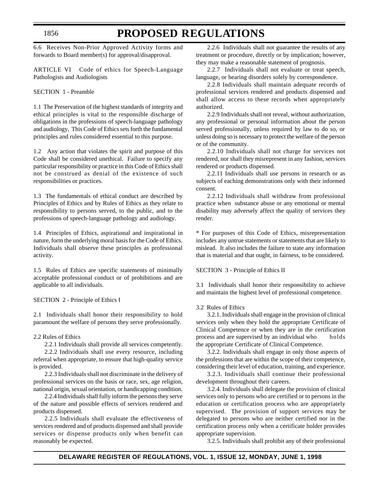6.6 Receives Non-Prior Approved Activity forms and forwards to Board member(s) for approval/disapproval.

ARTICLE VI Code of ethics for Speech-Language Pathologists and Audiologists

SECTION 1 - Preamble

1.1 The Preservation of the highest standards of integrity and ethical principles is vital to the responsible discharge of obligations in the professions of speech-language pathology and audiology, This Code of Ethics sets forth the fundamental principles and rules considered essential to this purpose.

1.2 Any action that violates the spirit and purpose of this Code shall be considered unethical. Failure to specify any particular responsibility or practice in this Code of Ethics shall not be construed as denial of the existence of such responsibilities or practices.

1.3 The fundamentals of ethical conduct are described by Principles of Ethics and by Rules of Ethics as they relate to responsibility to persons served, to the public, and to the professions of speech-language pathology and audiology.

1.4 Principles of Ethics, aspirational and inspirational in nature, form the underlying moral basis for the Code of Ethics. Individuals shall observe these principles as professional activity.

1.5 Rules of Ethics are specific statements of minimally acceptable professional conduct or of prohibitions and are applicable to all individuals.

SECTION 2 - Principle of Ethics I

2.1 Individuals shall honor their responsibility to hold paramount the welfare of persons they serve professionally.

#### 2.2 Rules of Ethics

2.2.1 Individuals shall provide all services competently.

2.2.2 Individuals shall use every resource, including referral when appropriate, to ensure that high-quality service is provided.

2.2.3 Individuals shall not discriminate in the delivery of professional services on the basis or race, sex, age religion, national origin, sexual orientation, or handicapping condition.

2.2.4 Individuals shall fully inform the persons they serve of the nature and possible effects of services rendered and products dispensed.

2.2.5 Individuals shall evaluate the effectiveness of services rendered and of products dispensed and shall provide services or dispense products only when benefit can reasonably be expected.

2.2.6 Individuals shall not guarantee the results of any treatment or procedure, directly or by implication; however, they may make a reasonable statement of prognosis.

2.2.7 Individuals shall not evaluate or treat speech, language, or hearing disorders solely by correspondence.

2.2.8 Individuals shall maintain adequate records of professional services rendered and products dispensed and shall allow access to these records when appropriately authorized.

2.2.9 Individuals shall not reveal, without authorization, any professional or personal information about the person served professionally, unless required by law to do so, or unless doing so is necessary to protect the welfare of the person or of the community.

2.2.10 Individuals shall not charge for services not rendered, nor shall they misrepresent in any fashion, services rendered or products dispensed.

2.2.11 Individuals shall use persons in research or as subjects of eaching demonstrations only with their informed consent.

2.2.12 Individuals shall withdraw from professional practice when substance abuse or any emotional or mental disability may adversely affect the quality of services they render.

\* For purposes of this Code of Ethics, misrepresentation includes any untrue statements or statements that are likely to mislead. It also includes the failure to state any information that is material and that ought, in fairness, to be considered.

SECTION 3 - Principle of Ethics II

3.1 Individuals shall honor their responsibility to achieve and maintain the highest level of professional competence.

#### 3.2 Rules of Ethics

3.2.1. Individuals shall engage in the provision of clinical services only when they hold the appropriate Certificate of Clinical Competence or when they are in the certification process and are supervised by an individual who holds the appropriate Certificate of Clinical Competence.

3.2.2. Individuals shall engage in only those aspects of the professions that are within the scope of their competence, considering their level of education, training, and experience.

3.2.3. Individuals shall continue their professional development throughout their careers.

3.2.4. Individuals shall delegate the provision of clinical services only to persons who are certified or to persons in the education or certification process who are appropriately supervised. The provision of support services may be delegated to persons who are neither certified nor in the certification process only when a certificate holder provides appropriate supervision.

3.2.5. Individuals shall prohibit any of their professional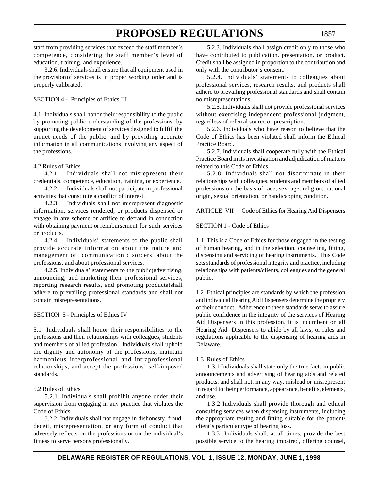staff from providing services that exceed the staff member's competence, considering the staff member's level of education, training, and experience.

3.2.6. Individuals shall ensure that all equipment used in the provision of services is in proper working order and is properly calibrated.

SECTION 4 - Principles of Ethics III

4.1 Individuals shall honor their responsibility to the public by promoting public understanding of the professions, by supporting the development of services designed to fulfill the unmet needs of the public, and by providing accurate information in all communications involving any aspect of the professions.

#### 4.2 Rules of Ethics

4.2.1. Individuals shall not misrepresent their credentials, competence, education, training, or experience.

4.2.2. Individuals shall not participate in professional activities that constitute a conflict of interest.

4.2.3. Individuals shall not misrepresent diagnostic information, services rendered, or products dispensed or engage in any scheme or artifice to defraud in connection with obtaining payment or reimbursement for such services or products.

4.2.4. Individuals' statements to the public shall provide accurate information about the nature and management of communication disorders, about the professions, and about professional services.

4.2.5. Individuals' statements to the public(advertising, announcing, and marketing their professional services, reporting research results, and promoting products)shall adhere to prevailing professional standards and shall not contain misrepresentations.

#### SECTION 5 - Principles of Ethics IV

5.1 Individuals shall honor their responsibilities to the professions and their relationships with colleagues, students and members of allied profession. Individuals shall uphold the dignity and autonomy of the professions, maintain harmonious interprofessional and intraprofessional relationships, and accept the professions' self-imposed standards.

#### 5.2 Rules of Ethics

5.2.1. Individuals shall prohibit anyone under their supervision from engaging in any practice that violates the Code of Ethics.

5.2.2. Individuals shall not engage in dishonesty, fraud, deceit, misrepresentation, or any form of conduct that adversely reflects on the professions or on the individual's fitness to serve persons professionally.

5.2.3. Individuals shall assign credit only to those who have contributed to publication, presentation, or product. Credit shall be assigned in proportion to the contribution and only with the contributor's consent.

5.2.4. Individuals' statements to colleagues about professional services, research results, and products shall adhere to prevailing professional standards and shall contain no misrepresentations.

5.2.5. Individuals shall not provide professional services without exercising independent professional judgment, regardless of referral source or prescription.

5.2.6. Individuals who have reason to believe that the Code of Ethics has been violated shall inform the Ethical Practice Board.

5.2.7. Individuals shall cooperate fully with the Ethical Practice Board in its investigation and adjudication of matters related to this Code of Ethics.

5.2.8. Individuals shall not discriminate in their relationships with colleagues, students and members of allied professions on the basis of race, sex, age, religion, national origin, sexual orientation, or handicapping condition.

ARTICLE VII Code of Ethics for Hearing Aid Dispensers

#### SECTION 1 - Code of Ethics

1.1 This is a Code of Ethics for those engaged in the testing of human hearing, and in the selection, counseling, fitting, dispensing and servicing of hearing instruments. This Code sets standards of professional integrity and practice, including relationships with patients/clients, colleagues and the general public.

1.2 Ethical principles are standards by which the profession and individual Hearing Aid Dispensers determine the propriety of their conduct. Adherence to these standards serve to assure public confidence in the integrity of the services of Hearing Aid Dispensers in this profession. It is incumbent on all Hearing Aid Dispensers to abide by all laws, or rules and regulations applicable to the dispensing of hearing aids in Delaware.

#### 1.3 Rules of Ethics

1.3.1 Individuals shall state only the true facts in public announcements and advertising of hearing aids and related products, and shall not, in any way, mislead or misrepresent in regard to their performance, appearance, benefits, elements, and use.

1.3.2 Individuals shall provide thorough and ethical consulting services when dispensing instruments, including the appropriate testing and fitting suitable for the patient/ client's particular type of hearing loss.

1.3.3 Individuals shall, at all times, provide the best possible service to the hearing impaired, offering counsel,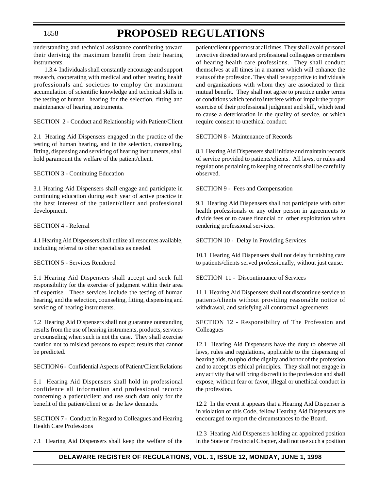# **PROPOSED REGULATIONS**

understanding and technical assistance contributing toward their deriving the maximum benefit from their hearing instruments.

1.3.4 Individuals shall constantly encourage and support research, cooperating with medical and other hearing health professionals and societies to employ the maximum accumulation of scientific knowledge and technical skills in the testing of human hearing for the selection, fitting and maintenance of hearing instruments.

SECTION 2 - Conduct and Relationship with Patient/Client

2.1 Hearing Aid Dispensers engaged in the practice of the testing of human hearing, and in the selection, counseling, fitting, dispensing and servicing of hearing instruments, shall hold paramount the welfare of the patient/client.

SECTION 3 - Continuing Education

3.1 Hearing Aid Dispensers shall engage and participate in continuing education during each year of active practice in the best interest of the patient/client and professional development.

SECTION 4 - Referral

4.1 Hearing Aid Dispensers shall utilize all resources available, including referral to other specialists as needed.

#### SECTION 5 - Services Rendered

5.1 Hearing Aid Dispensers shall accept and seek full responsibility for the exercise of judgment within their area of expertise. These services include the testing of human hearing, and the selection, counseling, fitting, dispensing and servicing of hearing instruments.

5.2 Hearing Aid Dispensers shall not guarantee outstanding results from the use of hearing instruments, products, services or counseling when such is not the case. They shall exercise caution not to mislead persons to expect results that cannot be predicted.

SECTION 6 - Confidential Aspects of Patient/Client Relations

6.1 Hearing Aid Dispensers shall hold in professional confidence all information and professional records concerning a patient/client and use such data only for the benefit of the patient/client or as the law demands.

SECTION 7 - Conduct in Regard to Colleagues and Hearing Health Care Professions

7.1 Hearing Aid Dispensers shall keep the welfare of the

patient/client uppermost at all times. They shall avoid personal invective directed toward professional colleagues or members of hearing health care professions. They shall conduct themselves at all times in a manner which will enhance the status of the profession. They shall be supportive to individuals and organizations with whom they are associated to their mutual benefit. They shall not agree to practice under terms or conditions which tend to interfere with or impair the proper exercise of their professional judgment and skill, which tend to cause a deterioration in the quality of service, or which require consent to unethical conduct.

SECTION 8 - Maintenance of Records

8.1 Hearing Aid Dispensers shall initiate and maintain records of service provided to patients/clients. All laws, or rules and regulations pertaining to keeping of records shall be carefully observed.

SECTION 9 - Fees and Compensation

9.1 Hearing Aid Dispensers shall not participate with other health professionals or any other person in agreements to divide fees or to cause financial or other exploitation when rendering professional services.

SECTION 10 - Delay in Providing Services

10.1 Hearing Aid Dispensers shall not delay furnishing care to patients/clients served professionally, without just cause.

SECTION 11 - Discontinuance of Services

11.1 Hearing Aid Dispensers shall not discontinue service to patients/clients without providing reasonable notice of withdrawal, and satisfying all contractual agreements.

SECTION 12 - Responsibility of The Profession and Colleagues

12.1 Hearing Aid Dispensers have the duty to observe all laws, rules and regulations, applicable to the dispensing of hearing aids, to uphold the dignity and honor of the profession and to accept its ethical principles. They shall not engage in any activity that will bring discredit to the profession and shall expose, without fear or favor, illegal or unethical conduct in the profession.

12.2 In the event it appears that a Hearing Aid Dispenser is in violation of this Code, fellow Hearing Aid Dispensers are encouraged to report the circumstances to the Board.

12.3 Hearing Aid Dispensers holding an appointed position in the State or Provincial Chapter, shall not use such a position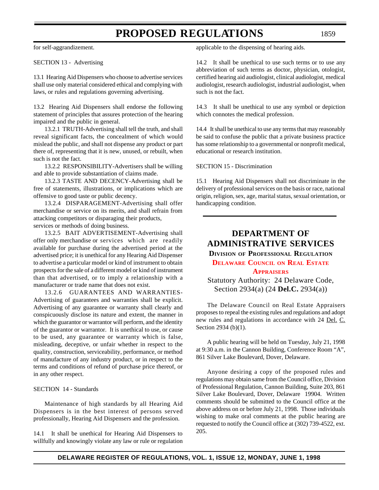<span id="page-25-0"></span>for self-aggrandizement.

SECTION 13 - Advertising

13.1 Hearing Aid Dispensers who choose to advertise services shall use only material considered ethical and complying with laws, or rules and regulations governing advertising.

13.2 Hearing Aid Dispensers shall endorse the following statement of principles that assures protection of the hearing impaired and the public in general.

13.2.1 TRUTH-Advertising shall tell the truth, and shall reveal significant facts, the concealment of which would mislead the public, and shall not dispense any product or part there of, representing that it is new, unused, or rebuilt, when such is not the fact.

13.2.2 RESPONSIBILITY-Advertisers shall be willing and able to provide substantiation of claims made.

13.2.3 TASTE AND DECENCY-Advertising shall be free of statements, illustrations, or implications which are offensive to good taste or public decency.

13.2.4 DISPARAGEMENT-Advertising shall offer merchandise or service on its merits, and shall refrain from attacking competitors or disparaging their products, services or methods of doing business.

13.2.5 BAIT ADVERTISEMENT-Advertising shall offer only merchandise or services which are readily available for purchase during the advertised period at the advertised price; it is unethical for any Hearing Aid Dispenser to advertise a particular model or kind of instrument to obtain prospects for the sale of a different model or kind of instrument than that advertised, or to imply a relationship with a manufacturer or trade name that does not exist.

13.2.6 GUARANTEES AND WARRANTIES-Advertising of guarantees and warranties shall be explicit. Advertising of any guarantee or warranty shall clearly and conspicuously disclose its nature and extent, the manner in which the guarantor or warrantor will perform, and the identity of the guarantor or warrantor. It is unethical to use, or cause to be used, any guarantee or warranty which is false, misleading, deceptive, or unfair whether in respect to the quality, construction, serviceability, performance, or method of manufacture of any industry product, or in respect to the terms and conditions of refund of purchase price thereof, or in any other respect.

#### SECTION 14 - Standards

Maintenance of high standards by all Hearing Aid Dispensers is in the best interest of persons served professionally, Hearing Aid Dispensers and the profession.

14.1 It shall be unethical for Hearing Aid Dispensers to willfully and knowingly violate any law or rule or regulation applicable to the dispensing of hearing aids.

14.2 It shall be unethical to use such terms or to use any abbreviation of such terms as doctor, physician, otologist, certified hearing aid audiologist, clinical audiologist, medical audiologist, research audiologist, industrial audiologist, when such is not the fact.

14.3 It shall be unethical to use any symbol or depiction which connotes the medical profession.

14.4 It shall be unethical to use any terms that may reasonably be said to confuse the public that a private business practice has some relationship to a governmental or nonprofit medical, educational or research institution.

SECTION 15 - Discrimination

15.1 Hearing Aid Dispensers shall not discriminate in the delivery of professional services on the basis or race, national origin, religion, sex, age, marital status, sexual orientation, or handicapping condition.

### **DEPARTMENT OF ADMINISTRATIVE SERVICES DIVISION OF PROFESSIONAL REGULATION**

### **[DELAWARE](#page-3-0) COUNCIL ON REAL ESTATE APPRAISERS**

Statutory Authority: 24 Delaware Code, Section 2934(a) (24 **Del.C.** 2934(a))

The Delaware Council on Real Estate Appraisers proposes to repeal the existing rules and regulations and adopt new rules and regulations in accordance with 24 Del. C. Section 2934 (b)(1).

A public hearing will be held on Tuesday, July 21, 1998 at 9:30 a.m. in the Cannon Building, Conference Room "A", 861 Silver Lake Boulevard, Dover, Delaware.

Anyone desiring a copy of the proposed rules and regulations may obtain same from the Council office, Division of Professional Regulation, Cannon Building, Suite 203, 861 Silver Lake Boulevard, Dover, Delaware 19904. Written comments should be submitted to the Council office at the above address on or before July 21, 1998. Those individuals wishing to make oral comments at the public hearing are requested to notify the Council office at (302) 739-4522, ext. 205.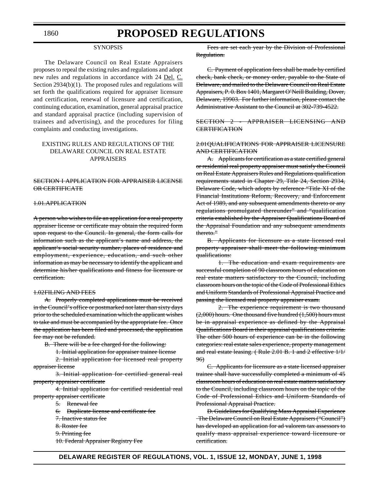### **PROPOSED REGULATIONS**

#### **SYNOPSIS**

The Delaware Council on Real Estate Appraisers proposes to repeal the existing rules and regulations and adopt new rules and regulations in accordance with 24 Del. C. Section 2934(b)(1). The proposed rules and regulations will set forth the qualifications required for appraiser licensure and certification, renewal of licensure and certification, continuing education, examination, general appraisal practice and standard appraisal practice (including supervision of trainees and advertising), and the procedures for filing complaints and conducting investigations.

#### EXISTING RULES AND REGULATIONS OF THE DELAWARE COUNCIL ON REAL ESTATE APPRAISERS

#### SECTION I APPLICATION FOR APPRAISER LICENSE OR CERTIFICATE

#### 1.01.APPLICATION

A person who wishes to file an application for a real property appraiser license or certificate may obtain the required form upon request to the Council. In general, the form calls for information such as the applicant's name and address, the applicant's social security number, places of residence and employment, experience, education, and such other information as may be necessary to identify the applicant and determine his/her qualifications and fitness for licensure or certification.

#### 1.02FILING AND FEES

A. Properly completed applications must be received in the Council's office or postmarked not later than sixty days prior to the scheduled examination which the applicant wishes to take and must be accompanied by the appropriate fee. Once the application has been filed and processed, the application fee may not be refunded.

B. There will be a fee charged for the following:

1. Initial application for appraiser trainee license

2. Initial application for licensed real property appraiser license

3. Initial application for certified general real property appraiser certificate

4. Initial application for certified residential real property appraiser certificate

- 5. Renewal fee
- 6. Duplicate license and certificate fee
- 7. Inactive status fee
- 8. Roster fee
- 9. Printing fee

10. Federal Appraiser Registry Fee

Fees are set each year by the Division of Professional Regulation.

C. Payment of application fees shall be made by certified check, bank check, or money order, payable to the State of Delaware, and mailed to the Delaware Council on Real Estate Appraisers, P. 0. Box 1401, Margaret O'Neill Building, Dover, Delaware, 19903. For further information, please contact the Administrative Assistant to the Council at 302-739-4522.

#### SECTION 2 - APPRAISER LICENSING AND **CERTIFICATION**

#### 2.01QUALIFICATIONS FOR APPRAISER LICENSURE AND CERTIFICATION

A. Applicants for certification as a state certified general or residential real property appraiser must satisfy the Council on Real Estate Appraisers Rules and Regulations qualification requirements stated in Chapter 29, Title 24, Section 2934, Delaware Code, which adopts by reference "Title XI of the Financial Institutions Reform, Recovery, and Enforcement Act of 1989, and any subsequent amendments thereto or any regulations promulgated thereunder" and "qualification criteria established by the Appraiser Qualifications Board of the Appraisal Foundation and any subsequent amendments thereto."

B. Applicants for licensure as a state licensed real property appraiser shall meet the following minimum qualifications:

1. The education and exam requirements are successful completion of 90 classroom hours of education on real estate matters satisfactory to the Council, including classroom hours on the topic of the Code of Professional Ethics and Uniform Standards of Professional Appraisal Practice and passing the licensed real property appraiser exam.

2. The experience requirement is two thousand (2,000) hours. One thousand five hundred (1,500) hours must be in appraisal experience as defined by the Appraisal Qualifications Board in their appraisal qualifications criteria. The other 500 hours of experience can be in the following categories: real estate sales experience, property management and real estate leasing. ( Rule 2.01 B. 1 and 2 effective 1/1/ 96)

C. Applicants for licensure as a state licensed appraiser trainee shall have successfully completed a minimum of 45 classroom hours of education on real estate matters satisfactory to the Council, including classroom hours on the topic of the Code of Professional Ethics and Uniform Standards of Professional Appraisal Practice.

D. Guidelines for Qualifying Mass Appraisal Experience The Delaware Council on Real Estate Appraisers ("Council") has developed an application for ad valorem tax assessors to qualify mass appraisal experience toward licensure or certification.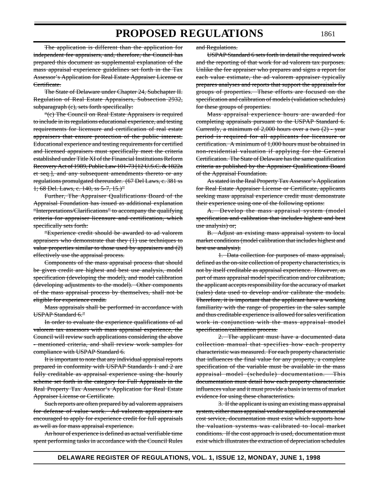The application is different than the application for independent fee appraisers, and, therefore, the Council has prepared this document as supplemental explanation of the mass appraisal experience guidelines set forth in the Tax Assessor's Application for Real Estate Appraiser License or Certificate.

The State of Delaware under Chapter 24, Subchapter II. Regulation of Real Estate Appraisers, Subsection 2932, subparagraph (c), sets forth specifically:

"(c) The Council on Real Estate Appraisers is required to include in its regulations educational experience, and testing requirements for licensure and certification of real estate appraisers that ensure protection of the public interest. Educational experience and testing requirements for certified and licensed appraisers must specifically meet the criteria established under Title XI of the Financial Institutions Reform Recovery Act of 1989, Public Law 101-73 [12 U.S.C. & 1822a et seq.], and any subsequent amendments thereto or any regulations promulgated thereunder. (67 Del Laws, c. 381 ss 1; 68 Del. Laws, c. 140, ss 5-7, 15.)"

Further, The Appraiser Qualifications Board of the Appraisal Foundation has issued as additional explanation "Interpretations/Clarifications" to accompany the qualifying criteria for appraiser licensure and certification, which specifically sets forth:

"Experience credit should be awarded to ad valorem appraisers who demonstrate that they (1) use techniques to value properties similar to those used by appraisers and  $(2)$ effectively use the appraisal process.

Components of the mass appraisal process that should be given credit are highest and best use analysis, model specification (developing the model), and model calibration (developing adjustments to the model). Other components of the mass appraisal process by themselves, shall not be eligible for experience credit.

Mass appraisals shall be performed in accordance with USPAP Standard 6."

In order to evaluate the experience qualifications of ad valorem tax assessors with mass appraisal experience, the Council will review such applications considering the above - mentioned criteria, and shall review work samples for compliance with USPAP Standard 6.

It is important to note that any individual appraisal reports prepared in conformity with USPAP Standards 1 and 2 are fully creditable as appraisal experience using the hourly scheme set forth in the category for Full Appraisals in the Real Property Tax Assessor's Application for Real Estate Appraiser License or Certificate.

Such reports are often prepared by ad valorem appraisers for defense of value work. Ad valorem appraisers are encouraged to apply for experience credit for full appraisals as well as for mass appraisal experience.

An hour of experience is defined as actual verifiable time spent performing tasks in accordance with the Council Rules and Regulations.

USPAP Standard 6 sets forth in detail the required work and the reporting of that work for ad valorem tax purposes. Unlike the fee appraiser who prepares and signs a report for each value estimate, the ad valorem appraiser typically prepares analyses and reports that support the appraisals for groups of properties. These efforts are focused on the specification and calibration of models (validation schedules) for these groups of properties.

Mass appraisal experience hours are awarded for completing appraisals pursuant to the USPAP Standard 6. Currently, a minimum of 2,000 hours over a two (2) - year period is required for all applicants for licensure or certification. A minimum of 1,000 hours must be obtained in non-residential valuation if applying for the General Certification. The State of Delaware has the same qualification criteria as published by the Appraiser Qualifications Board of the Appraisal Foundation.

As stated in the Real Property Tax Assessor's Application for Real Estate Appraiser License or Certificate, applicants seeking mass appraisal experience credit must demonstrate their experience using one of the following options:

A. Develop the mass appraisal system (model specification and calibration that includes highest and best use analysis) or;

B. Adjust an existing mass appraisal system to local market conditions (model calibration that includes highest and best use analysis).

1. Data collection for purposes of mass appraisal, defined as the on-site collection of property characteristics, is not by itself creditable as appraisal experience. However, as part of mass appraisal model specification and/or calibration, the applicant accepts responsibility for the accuracy of market (sales) data used to develop and/or calibrate the models. Therefore, it is important that the applicant have a working familiarity with the range of properties in the sales sample and thus creditable experience is allowed for sales verification work in conjunction with the mass appraisal model specification/calibration process.

2. The applicant must have a documented data collection manual that specifies how each property characteristic was measured. For each property characteristic that influences the final value for any property, a complete specification of the variable must be available in the mass appraisal model (schedule) documentation. This documentation must detail how each property characteristic influences value and it must provide a basis in terms of market evidence for using these characteristics.

3. If the applicant is using an existing mass appraisal system, either mass appraisal vendor supplied or a commercial cost service, documentation must exist which supports how the valuation systems was calibrated to local market conditions. If the cost approach is used, documentation must exist which illustrates the extraction of depreciation schedules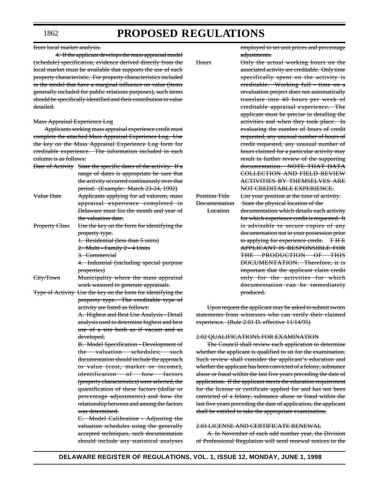### **PROPOSED REGULATIONS**

#### from local market analysis.

4. If the applicant develops the mass appraisal model (schedule) specification, evidence derived directly from the local market must be available that supports the use of each property characteristic. For property characteristics included in the model that have a marginal influence on value (items generally included for public relations purposes), such items should be specifically identified and their contribution to value detailed.

#### Mass Appraisal Experience Log

Applicants seeking mass appraisal experience credit must complete the attached Mass Appraisal Experience Log. Use the key on the Mass Appraisal Experience Log form for creditable experience. The information included in each column is as follows:

| Date of Activity | State the specific dates of the activity. If a |
|------------------|------------------------------------------------|
|                  | range of dates is appropriate be sure that     |
|                  | the activity occurred continuously over that   |
|                  | period. (Example: March 23-24, 1992)           |
| Value Date       | Applicants applying for ad valorem, mass       |
|                  | appraisal experience completed in              |
|                  | Delaware must list the month and year of       |
|                  | the valuation date.                            |
| Property Class   | Use the key on the form for identifying the    |
|                  | property type.                                 |
|                  | 1. Residential (less than 5 units)             |
|                  | 2. Multi - Family 2 - 4 Units                  |
|                  | 3. Commercial                                  |
|                  | 4. Industrial (including special purpose       |
|                  |                                                |

properties)

- City/Town Municipality where the mass appraisal work wasused to generate appraisals.
- Type of Activity Use the key on the form for identifying the property type. The creditable type of activity are listed as follows:

A. Highest and Best Use Analysis - Detail analysis used to determine highest and best use of a site both as if vacant and as developed.

B. Model Specification - Development of the valuation schedules; such documentation should include the approach to value (cost, market or income), identification of how factors (property characteristics) were selected, the quantification of these factors (dollar or percentage adjustments) and how the relationship between and among the factors was determined.

C. Model Calibration - Adjusting the valuation schedules using the generally accepted techniques, such documentation should include any statistical analyses

employed to set unit prices and percentage adjustments.

Hours Only the actual working hours on the associated activity are creditable. Only time specifically spent on the activity is creditable. Working full - time on a revaluation project does not automatically translate into 40 hours per week of creditable appraisal experience. The applicant must be precise in detailing the activities and when they took place. In evaluating the number of hours of credit requested, any unusual number of hours of credit requested, any unusual number of hours claimed for a particular activity may result in further review of the supporting documentation. NOTE THAT DATA COLLECTION AND FIELD REVIEW ACTIVITIES BY THEMSELVES ARE NOT CREDITABLE EXPERIENCE. Position Title Eist your position at the time of activity.

Documentation State the physical location of the

Location documentation which details each activity for which experience credit is requested. It is advisable to secure copies of any documentation not in your possession prior to applying for experience credit. THE APPLICANT IS RESPONSIBLE FOR THE PRODUCTION OF THIS DOCUMENTATION. Therefore, it is important that the applicant claim credit only for the activities for which documentation can be immediately produced.

Upon request the applicant may be asked to submit sworn statements from witnesses who can verify their claimed experience. (Rule 2.01 D. effective 11/14/95)

#### 2.02 QUALIFICATIONS FOR EXAMINATION

The Council shall review each application to determine whether the applicant is qualified to sit for the examination. Such review shall consider the applicant's education and whether the applicant has been convicted of a felony, substance abuse or fraud within the last five years preceding the date of application. If the applicant meets the education requirement for the license or certificate applied for and has not been convicted of a felony, substance abuse or fraud within the last five years preceding the date of application, the applicant shall be entitled to take the appropriate examination.

#### 2.03 LICENSE AND CERTIFICATE RENEWAL

A. In November of each odd number year, the Division of Professional Regulation will send renewal notices to the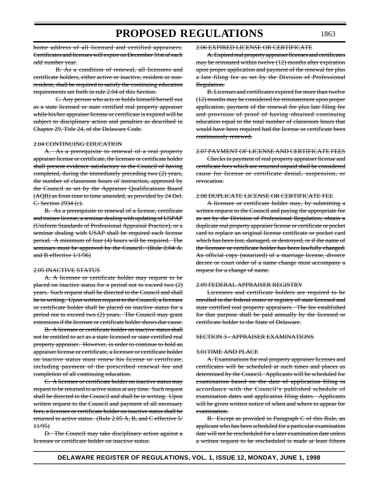home address of all licensed and certified appraisers. Certificates and licenses will expire on December 31st of each odd number year.

B. As a condition of renewal, all licensees and certificate holders, either active or inactive, resident or nonresident, shall be required to satisfy the continuing education requirements set forth in rule 2.04 of this Section.

C. Any person who acts or holds himself/herself out as a state licensed or state certified real property appraiser while his/her appraiser license or certificate is expired will be subject to disciplinary action and penalties as described in Chapter 29, Title 24, of the Delaware Code.

#### 2.04 CONTINUING EDUCATION

A. As a prerequisite to renewal of a real property appraiser license or certificate, the licensee or certificate holder shall present evidence satisfactory to the Council of having completed, during the immediately preceding two (2) years, the number of classroom hours of instruction, approved by the Council as set by the Appraiser Qualifications Board (AQB) as from time to time amended, as provided by 24 Del. C. Section 2934 (c).

B. As a prerequisite to renewal of a license, certificate and trainee license, a seminar dealing with updating of USPAP (Uniform Standards of Professional Appraisal Practice), or a seminar dealing with USAP shall be required each license period. A minimum of four (4) hours will be required. The seminars must be approved by the Council. (Rule 2.04 A. and B effective 1/1/96)

#### 2.05 INACTIVE STATUS

A. A licensee or certificate holder may request to be placed on inactive status for a period not to exceed two (2) years. Such request shall be directed to the Council and shall be in writing. Upon written request to the Council, a licensee or certificate holder shall be placed on inactive status for a period not to exceed two (2) years. The Council may grant extensions if the licensee or certificate holder shows due cause.

B. A licensee or certificate holder on inactive status shall not be entitled to act as a state licensed or state certified real property appraiser. However, in order to continue to hold an appraiser license or certificate, a licensee or certificate holder on inactive status must renew his license or certificate, including payment of the prescribed renewal fee and completion of all continuing education.

C. A licensee or certificate holder on inactive status may request to be returned to active status at any time. Such request shall be directed to the Council and shall be in writing. Upon written request to the Council and payment of all necessary fees, a licensee or certificate holder on inactive status shall be returned to active status. (Rule 2.05 A, B, and C effective 5/  $H/95$ 

D. The Council may take disciplinary action against a licensee or certificate holder on inactive status.

#### 2.06 EXPIRED LICENSE OR CERTIFICATE

A. Expired real property appraiser licenses and certificates may be reinstated within twelve (12) months after expiration upon proper application and payment of the renewal fee plus a late filing fee as set by the Division of Professional Regulation.

B. Licenses and certificates expired for more than twelve (12) months may be considered for reinstatement upon proper application, payment of the renewal fee plus late filing fee and provision of proof of having obtained continuing education equal to the total number of classroom hours that would have been required had the license or certificate been continuously renewed.

#### 2.07 PAYMENT OF LICENSE AND CERTIFICATE FEES

Checks in payment of real property appraiser license and certificate fees which are returned unpaid shall be considered cause for license or certificate denial, suspension, or revocation.

#### 2.08 DUPLICATE LICENSE OR CERTIFICATE FEE

A licensee or certificate holder may, by submitting a written request to the Council and paying the appropriate fee as set by the Division of Professional Regulation, obtain a duplicate real property appraiser license or certificate or pocket card to replace an original license certificate or pocket card which has been lost, damaged, or destroyed, or if the name of the licensee or certificate holder has been lawfully changed. An official copy (notarized) of a marriage license, divorce decree or court order of a name change must accompany a request for a change of name.

#### 2.09 FEDERAL APPRAISER REGISTRY

Licensees and certificate holders are required to be enrolled in the federal roster or registry of state licensed and state certified real property appraisers. The fee established for that purpose shall be paid annually by the licensed or certificate holder to the State of Delaware.

#### SECTION 3 - APPRAISER EXAMINATIONS

#### 3.01TIME AND PLACE

A. Examinations for real property appraiser licenses and certificates will be scheduled at such times and places as determined by the Council. Applicants will be scheduled for examination based on the date of application filing in accordance with the Council's published schedule of examination dates and application filing dates. Applicants will be given written notice of when and where to appear for examination.

B. Except as provided in Paragraph C of this Rule, an applicant who has been scheduled for a particular examination date will not be rescheduled for a later examination date unless a written request to be rescheduled is made at least fifteen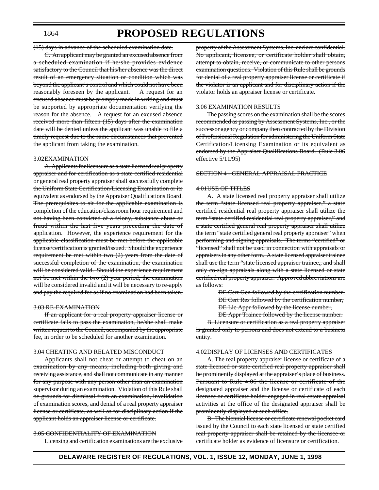### **PROPOSED REGULATIONS**

(15) days in advance of the scheduled examination date.

C. An applicant may be granted an excused absence from a scheduled examination if he/she provides evidence satisfactory to the Council that his/her absence was the direct result of an emergency situation or condition which was beyond the applicant's control and which could not have been reasonably foreseen by the applicant. A request for an excused absence must be promptly made in writing and must be supported by appropriate documentation verifying the reason for the absence. A request for an excused absence received more than fifteen (15) days after the examination date will be denied unless the applicant was unable to file a timely request due to the same circumstances that prevented the applicant from taking the examination.

#### 3.02EXAMINATION

A. Applicants for licensure as a state licensed real property appraiser and for certification as a state certified residential or general real property appraiser shall successfully complete the Uniform State Certification/Licensing Examination or its equivalent as endorsed by the Appraiser Qualifications Board. The prerequisites to sit for the applicable examination is completion of the education/classroom hour requirement and not having been convicted of a felony, substance abuse or fraud within the last five years preceding the date of application. However, the experience requirement for the applicable classification must be met before the applicable license/certification is granted/issued. Should the experience requirement be met within two  $(2)$  years from the date of successful completion of the examination, the examination will be considered valid. Should the experience requirement not be met within the two (2) year period, the examination will be considered invalid and it will be necessary to re-apply and pay the required fee as if no examination had been taken.

#### 3.03 RE-EXAMINATION

If an applicant for a real property appraiser license or certificate fails to pass the examination, he/she shall make written request to the Council, accompanied by the appropriate fee, in order to be scheduled for another examination.

#### 3.04 CHEATING AND RELATED MISCONDUCT

Applicants shall not cheat or attempt to cheat on an examination by any means, including both giving and receiving assistance, and shall not communicate in any manner for any purpose with any person other than an examination supervisor during an examination. Violation of this Rule shall be grounds for dismissal from an examination, invalidation of examination scores, and denial of a real property appraiser license or certificate, as well as for disciplinary action if the applicant holds an appraiser license or certificate.

#### 3.05 CONFIDENTIALITY OF EXAMINATION

Licensing and certification examinations are the exclusive

property of the Assessment Systems, Inc. and are confidential. No applicant, licensee, or certificate holder shall obtain, attempt to obtain, receive, or communicate to other persons examination questions. Violation of this Rule shall be grounds for denial of a real property appraiser license or certificate if the violator is an applicant and for disciplinary action if the violator holds an appraiser license or certificate.

#### 3.06 EXAMINATION RESULTS

The passing scores on the examination shall be the scores recommended as passing by Assessment Systems, Inc., or the successor agency or company then contracted by the Division of Professional Regulation for administering the Uniform State Certification/Licensing Examination or its equivalent as endorsed by the Appraiser Qualifications Board. (Rule 3.06 effective  $5/11/95$ 

#### SECTION 4 - GENERAL APPRAISAL PRACTICE

#### 4.01USE OF TITLES

A. A state licensed real property appraiser shall utilize the term "state licensed real property appraiser," a state certified residential real property appraiser shall utilize the term "state certified residential real property appraiser," and a state certified general real property appraiser shall utilize the term "state certified general real property appraiser" when performing and signing appraisals. The terms "certified" or "licensed" shall not be used in connection with appraisals or appraisers in any other form. A state licensed appraiser trainee shall use the term "state licensed appraiser trainee,, and shall only co-sign appraisals along with a state licensed or state certified real property appraiser. Approved abbreviations are as follows:

> DE Cert Gen followed by the certification number, DE Cert Res followed by the certification number, DE Lic Appr followed by the license number,

DE Appr Trainee followed by the license number. B. Licensure or certification as a real property appraiser is granted only to persons and does not extend to a business entity.

#### 4.02DISPLAY OF LICENSES AND CERTIFICATES

A. The real property appraiser license or certificate of a state licensed or state certified real property appraiser shall be prominently displayed at the appraiser's place of business. Pursuant to Rule 4.06 the license or certificate of the designated appraiser and the license or certificate of each licensee or certificate holder engaged in real estate appraisal activities at the office of the designated appraiser shall be prominently displayed at such office.

B. The biennial license or certificate renewal pocket card issued by the Council to each state licensed or state certified real property appraiser shall be retained by the licensee or certificate holder as evidence of licensure or certification.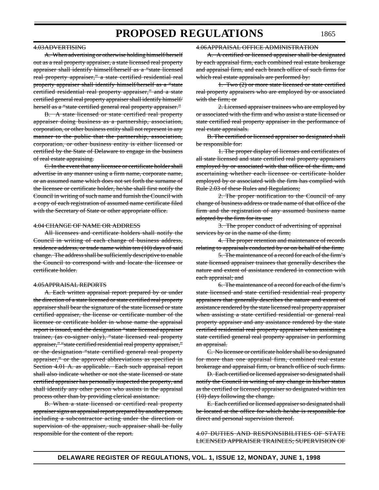#### 4.03ADVERTISING

A. When advertising or otherwise holding himself/herself out as a real property appraiser, a state licensed real property appraiser shall identify himself/herself as a "state licensed real property appraiser," a state certified residential real property appraiser shall identify himself/herself as a "state certified residential real property appraiser," and a state certified general real property appraiser shall identify himself/ herself as a "state certified general real property appraiser."

B. A state licensed or state certified real property appraiser doing business as a partnership, association, corporation, or other business entity shall not represent in any manner to the public that the partnership, association, corporation, or other business entity is either licensed or certified by the State of Delaware to engage in the business of real estate appraising.

C. In the event that any licensee or certificate holder shall advertise in any manner using a firm name, corporate name, or an assumed name which does not set forth the surname of the licensee or certificate holder, he/she shall first notify the Council in writing of such name and furnish the Council with a copy of each registration of assumed name certificate filed with the Secretary of State or other appropriate office.

#### 4.04 CHANGE OF NAME OR ADDRESS

All licensees and certificate holders shall notify the Council in writing of each change of business address, residence address, or trade name within ten (10) days of said change. The address shall be sufficiently descriptive to enable the Council to correspond with and locate the licensee or certificate holder.

#### 4.05APPRAISAL REPORTS

A. Each written appraisal report prepared by or under the direction of a state licensed or state certified real property appraiser shall bear the signature of the state licensed or state certified appraiser, the license or certificate number of the licensee or certificate holder in whose name the appraisal report is issued, and the designation "state licensed appraiser trainee, (as co-signer only), "state licensed real property appraiser," "state certified residential real property appraiser," or the designation "state certified general real property appraiser," or the approved abbreviations as specified in Section 4.01 A. as applicable. Each such appraisal report shall also indicate whether or not the state licensed or state certified appraiser has personally inspected the property, and shall identify any other person who assists in the appraisal process other than by providing clerical assistance.

B. When a state licensed or certified real property appraiser signs an appraisal report prepared by another person, including a subcontractor acting under the direction or supervision of the appraiser, such appraiser shall be fully responsible for the content of the report.

#### 4.06APPRAISAL OFFICE ADMINISTRATION

A. A certified or licensed appraiser shall be designated by each appraisal firm, each combined real estate brokerage and appraisal firm, and each branch office of such firms for which real estate appraisals are performed by:

1. Two (2) or more state licensed or state certified real property appraisers who are employed by or associated with the firm; or

2. Licensed appraiser trainees who are employed by or associated with the firm and who assist a state licensed or state certified real property appraiser in the performance of real estate appraisals.

B. The certified or licensed appraiser so designated shall be responsible for:

1. The proper display of licenses and certificates of all state licensed and state certified real property appraisers employed by or associated with that office of the firm, and ascertaining whether each licensee or certificate holder employed by or associated with the firm has complied with Rule 2.03 of these Rules and Regulations;

2. The proper notification to the Council of any change of business address or trade name of that office of the firm and the registration of any assumed business name adopted by the firm for its use;

3. The proper conduct of advertising of appraisal services by or in the name of the firm;

4. The proper retention and maintenance of records relating to appraisals conducted by or on behalf of the firm;

5. The maintenance of a record for each of the firm's state licensed appraiser trainees that generally describes the nature and extent of assistance rendered in connection with each appraisal; and

6. The maintenance of a record for each of the firm's state licensed and state certified residential real property appraisers that generally describes the nature and extent of assistance rendered by the state licensed real property appraiser when assisting a state certified residential or general real property appraiser and any assistance rendered by the state certified residential real property appraiser when assisting a state certified general real property appraiser in performing an appraisal.

C. No licensee or certificate holder shall be so designated for more than one appraisal firm, combined real estate brokerage and appraisal firm, or branch office of such firms.

D. Each certified or licensed appraiser so designated shall notify the Council in writing of any change in his/her status as the certified or licensed appraiser so designated within ten (10) days following the change.

E. Each certified or licensed appraiser so designated shall be located at the office for which he/she is responsible for direct and personal supervision thereof.

4.07 DUTIES AND RESPONSIBILITIES OF STATE LICENSED APPRAISER TRAINEES; SUPERVISION OF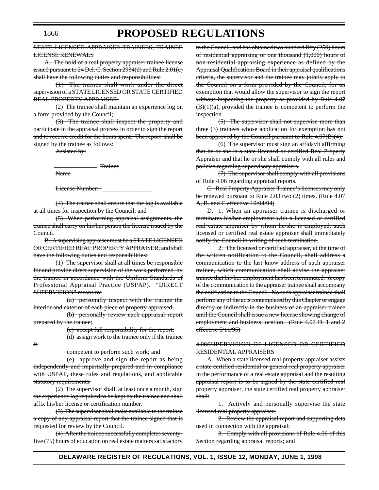STATE LICENSED APPRAISER TRAINEES; TRAINEE LICENSE RENEWALS

A. The hold of a real property appraiser trainee license issued pursuant to 24 Del. C. Section 2934(d) and Rule 2.01(c) shall have the following duties and responsibilities:

(1) The trainee shall work under the direct supervision of a STATE LICENSED OR STATE CERTIFIED REAL PROPERTY APPRAISER;

(2) The trainee shall maintain an experience log on a form provided by the Council;

(3) The trainee shall inspect the property and participate in the appraisal process in order to sign the report and to receive credit for the hours spent. The report shall be signed by the trainee as follows:

Assisted by:

- <del>Trainee</del>

Name

License Number:

(4) The trainee shall ensure that the log is available at all times for inspection by the Council; and

(5) When performing appraisal assignments, the trainee shall carry on his/her person the license issued by the Council.

B. A supervising appraiser must be a STATE LICENSED OR CERTIFIED REAL PROPERTY APPRAISER, and shall have the following duties and responsibilities:

(1) The supervisor shall at all times be responsible for and provide direct supervision of the work performed by the trainee in accordance with the Uniform Standards of Professional Appraisal Practice (USPAP). "DIRECT SUPERVISION" means to:

(a) personally inspect with the trainee the interior and exterior of each piece of property appraised;

(b) personally review each appraisal report prepared by the trainee;

(c) accept full responsibility for the report;

(d) assign work to the trainee only if the trainee

is

competent to perform such work; and

(e) approve and sign the report as being independently and impartially prepared and in compliance with USPAP, these rules and regulations, and applicable statutory requirements.

(2) The supervisor shall, at least once a month, sign the experience log required to be kept by the trainee and shall affix his/her license or certification number.

(3) The supervisor shall make available to the trainee a copy of any appraisal report that the trainee signed that is requested for review by the Council.

(4) After the trainee successfully completes seventyfive (75) hours of education on real estate matters satisfactory to the Council, and has obtained two hundred fifty (250) hours of residential appraising or one thousand (1,000) hours of non-residential appraising experience as defined by the Appraisal Qualifications Board in their appraisal qualifications criteria, the supervisor and the trainee may jointly apply to the Council on a form provided by the Council, for an exemption that would allow the supervisor to sign the report without inspecting the property as provided by Rule 4.07  $(B)(1)(a)$ , provided the trainee is competent to perform the inspection.

(5) The supervisor shall not supervise more than three (3) trainees whose application for exemption has not been approved by the Council pursuant to Rule 4.07(B)(4).

(6) The supervisor must sign an affidavit affirming that he or she is a state licensed or certified Real Property Appraiser and that he or she shall comply with all rules and policies regarding supervisory appraisers.

(7) The supervisor shall comply with all provisions of Rule 4.06 regarding appraisal reports.

C. Real Property Appraiser Trainee's licenses may only be renewed pursuant to Rule 2.03 two (2) times. (Rule 4.07 A, B. and C effective 10/04/94)

D. 1. When an appraiser trainee is discharged or terminates his/her employment with a licensed or certified real estate appraiser by whom he/she is employed, such licensed or certified real estate appraiser shall immediately notify the Council in writing of such termination.

2. The licensed or certified appraiser, at the time of the written notification to the Council, shall address a communication to the last know address of such appraiser trainee, which communication shall advise the appraiser trainee that his/her employment has been terminated. A copy of the communication to the appraiser trainee shall accompany the notification to the Council. No such appraiser trainee shall perform any of the acts contemplated by this Chapter or engage directly or indirectly in the business of an appraiser trainee until the Council shall issue a new license showing change of employment and business location. (Rule 4.07 D. 1 and 2 effective 5/11/95)

4.08SUPERVISION OF LICENSED OR CERTIFIED RESIDENTIAL APPRAISERS

A.When a state licensed real property appraiser assists a state certified residential or general real property appraiser in the performance of a real estate appraisal and the resulting appraisal report is to be signed by the state certified real property appraiser, the state certified real property appraiser shall:

1. Actively and personally supervise the state licensed real property appraiser;

2. Review the appraisal report and supporting data used in connection with the appraisal;

3. Comply with all provisions of Rule 4.06 of this Section regarding appraisal reports; and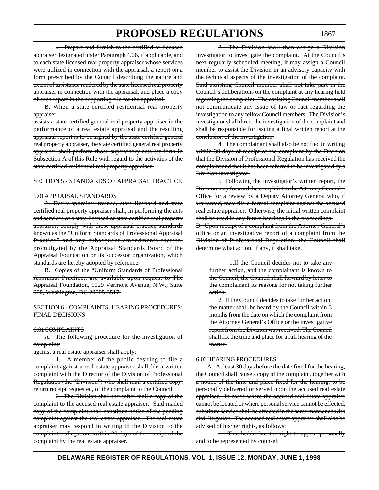4. Prepare and furnish to the certified or licensed appraiser designated under Paragraph 4.06, if applicable, and to each state licensed real property appraiser whose services were utilized in connection with the appraisal, a report on a form prescribed by the Council describing the nature and extent of assistance rendered by the state licensed real property appraiser in connection with the appraisal, and place a copy of such report in the supporting file for the appraisal.

B. When a state certified residential real property appraiser

assists a state certified general real property appraiser in the performance of a real estate appraisal and the resulting appraisal report is to be signed by the state certified general real property appraiser, the state certified general real property appraiser shall perform those supervisory acts set forth in Subsection A of this Rule with regard to the activities of the state certified residential real property appraiser.

#### SECTION 5 - STANDARDS OF APPRAISAL PRACTICE

#### 5.01APPRAISAL STANDARDS

A. Every appraiser trainee, state licensed and state certified real property appraiser shall, in performing the acts and services of a state licensed or state certified real property appraiser, comply with those appraisal practice standards known as the "Uniform Standards of Professional Appraisal Practice" and any subsequent amendments thereto, promulgated by the Appraisal Standards Board of the Appraisal Foundation or its successor organization, which standards are hereby adopted by reference.

B. Copies of the "Uniform Standards of Professional Appraisal Practice,, are available upon request to The Appraisal Foundation, 1029 Vermont Avenue, N.W., Suite 900, Washington, DC 20005-3517.

#### SECTION 6 - COMPLAINTS; HEARING PROCEDURES; FINAL DECISIONS

#### 6.01COMPLAINTS

A. The following procedure for the investigation of complaints

against a real estate appraiser shall apply:

1. A member of the public desiring to file a complaint against a real estate appraiser shall file a written complaint with the Director of the Division of Professional Regulation (the "Division") who shall mail a certified copy, return receipt requested, of the complaint to the Council.

2. The Division shall thereafter mail a copy of the complaint to the accused real estate appraiser. Said mailed copy of the complaint shall constitute notice of the pending complaint against the real estate appraiser. The real estate appraiser may respond in writing to the Division to the complaint's allegations within 20 days of the receipt of the complaint by the real estate appraiser.

3. The Division shall then assign a Division investigator to investigate the complaint. At the Council's next regularly scheduled meeting, it may assign a Council member to assist the Division in an advisory capacity with the technical aspects of the investigation of the complaint. Said assisting Council member shall not take part in the Council's deliberations on the complaint at any hearing held regarding the complaint. The assisting Council member shall not communicate any issue of law or fact regarding the investigation to any fellow Council members. The Division's investigator shall direct the investigation of the complaint and shall be responsible for issuing a final written report at the conclusion of the investigation.

4. The complainant shall also be notified in writing within 30 days of receipt of the complaint by the Division that the Division of Professional Regulation has received the complaint and that it has been referred to be investigated by a Division investigator.

5. Following the investigator's written report, the Division may forward the complaint to the Attorney General's Office for a review by a Deputy Attorney General who, if warranted, may file a formal complaint against the accused real estate appraiser. Otherwise, the initial written complaint shall be used in any future hearings in the proceedings. B. Upon receipt of a complaint from the Attorney General's office or an investigative report of a complaint from the Division of Professional Regulation, the Council shall determine what action, if any, it shall take.

1.If the Council decides not to take any further action, and the complainant is known to the Council, the Council shall forward by letter to the complainant its reasons for not taking further action.

2. If the Council decides to take further action, the matter shall be heard by the Council within 3 months from the date on which the complaint from the Attorney General's Office or the investigative report from the Division was received. The Council shall fix the time and place for a full hearing of the matter.

#### 6.02HEARING PROCEDURES

A. At least 30 days before the date fixed for the hearing, the Council shall cause a copy of the complaint, together with a notice of the time and place fixed for the hearing, to be personally delivered or served upon the accused real estate appraiser. In cases where the accused real estate appraiser cannot be located or where personal service cannot be effected, substitute service shall be effected in the same manner as with civil litigation. The accused real estate appraiser shall also be advised of his/her rights, as follows:

1. That he/she has the right to appear personally and to be represented by counsel;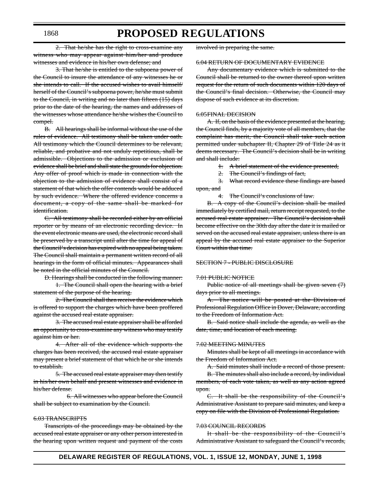### **PROPOSED REGULATIONS**

2. That he/she has the right to cross-examine any witness who may appear against him/her and produce witnesses and evidence in his/her own defense; and

3. That he/she is entitled to the subpoena power of the Council to insure the attendance of any witnesses he or she intends to call. If the accused wishes to avail himself/ herself of the Council's subpoena power, he/she must submit to the Council, in writing and no later than fifteen (15) days prior to the date of the hearing, the names and addresses of the witnesses whose attendance he/she wishes the Council to compel.

B. All hearings shall be informal without the use of the rules of evidence. All testimony shall be taken under oath. All testimony which the Council determines to be relevant, reliable, and probative and not unduly repetitious, shall be admissible. Objections to the admission or exclusion of evidence shall be brief and shall state the grounds for objection. Any offer of proof which is made in connection with the objection to the admission of evidence shall consist of a statement of that which the offer contends would be adduced by such evidence. Where the offered evidence concerns a document, a copy of the same shall be marked for identification.

C. All testimony shall be recorded either by an official reporter or by means of an electronic recording device. In the event electronic means are used, the electronic record shall be preserved by a transcript until after the time for appeal of the Council's decision has expired with no appeal being taken. The Council shall maintain a permanent written record of all hearings in the form of official minutes. Appearances shall be noted in the official minutes of the Council.

D. Hearings shall be conducted in the following manner:

1. The Council shall open the hearing with a brief statement of the purpose of the hearing.

2. The Council shall then receive the evidence which is offered to support the charges which have been proffered against the accused real estate appraiser.

3. The accused real estate appraiser shall be afforded an opportunity to cross-examine any witness who may testify against him or her.

4. After all of the evidence which supports the charges has been received, the accused real estate appraiser may present a brief statement of that which he or she intends to establish.

5. The accused real estate appraiser may then testify in his/her own behalf and present witnesses and evidence in his/her defense.

6. All witnesses who appear before the Council shall be subject to examination by the Council.

#### 6.03 TRANSCRIPTS

Transcripts of the proceedings may be obtained by the accused real estate appraiser or any other person interested in the hearing upon written request and payment of the costs involved in preparing the same.

#### 6.04 RETURN OF DOCUMENTARY EVIDENCE

Any documentary evidence which is submitted to the Council shall be returned to the owner thereof upon written request for the return of such documents within 120 days of the Council's final decision. Otherwise, the Council may dispose of such evidence at its discretion.

#### 6.05FINAL DECISION

A. If, on the basis of the evidence presented at the hearing, the Council finds, by a majority vote of all members, that the complaint has merit, the Council shall take such action permitted under subchapter II, Chapter 29 of Title 24 as it deems necessary. The Council's decision shall be in writing and shall include:

1. A brief statement of the evidence presented,

2. The Council's findings of fact,

3. What record evidence these findings are based upon, and

4. The Council's conclusions of law.

B. A copy of the Council's decision shall be mailed immediately by certified mail, return receipt requested, to the accused real estate appraiser. The Council's decision shall become effective on the 30th day after the date it is mailed or served on the accused real estate appraiser, unless there is an appeal by the accused real estate appraiser to the Superior Court within that time.

#### SECTION 7 - PUBLIC DISCLOSURE

#### 7.01 PUBLIC NOTICE

Public notice of all meetings shall be given seven (7) days prior to all meetings.

A. The notice will be posted at the Division of Professional Regulation Office in Dover, Delaware, according to the Freedom of Information Act.

B. Said notice shall include the agenda, as well as the date, time, and location of each meeting.

#### 7.02 MEETING MINUTES

Minutes shall be kept of all meetings in accordance with the Freedom of Information Act.

A. Said minutes shall include a record of those present.

B. The minutes shall also include a record, by individual members, of each vote taken, as well as any action agreed upon.

C. It shall be the responsibility of the Council's Administrative Assistant to prepare said minutes, and keep a copy on file with the Division of Professional Regulation.

#### 7.03 COUNCIL RECORDS

It shall be the responsibility of the Council's Administrative Assistant to safeguard the Council's records,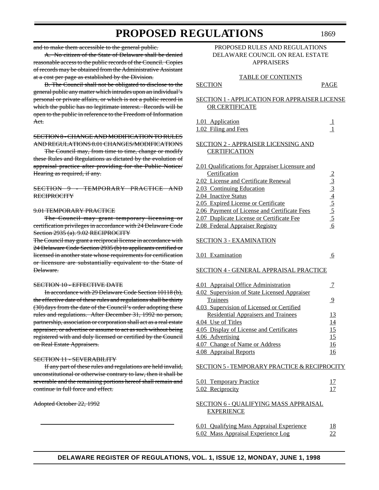1869

#### and to make them accessible to the general public.

A. No citizen of the State of Delaware shall be denied reasonable access to the public records of the Council. Copies of records may be obtained from the Administrative Assistant at a cost per page as established by the Division.

B. The Council shall not be obligated to disclose to the general public any matter which intrudes upon an individual's personal or private affairs, or which is not a public record in which the public has no legitimate interest. Records will be open to the public in reference to the Freedom of Information Act.

#### SECTION 8 - CHANGE AND MODIFICATION TO RULES AND REGULATIONS 8.01 CHANGES/MODIFICATIONS

The Council may, from time to time, change or modify these Rules and Regulations as dictated by the evolution of appraisal practice after providing for the Public Notice/ Hearing as required, if any.

SECTION 9 - TEMPORARY PRACTICE AND **RECIPROCITY** 

#### 9.01 TEMPORARY PRACTICE

The Council may grant temporary licensing or certification privileges in accordance with 24 Delaware Code Section 2935 (a). 9.02 RECIPROCITY

The Council may grant a reciprocal license in accordance with 24 Delaware Code Section 2935 (b) to applicants certified or licensed in another state whose requirements for certification or licensure are substantially equivalent to the State of Delaware.

#### SECTION 10 - EFFECTIVE DATE

In accordance with 29 Delaware Code Section 10118 (b), the effective date of these rules and regulations shall be thirty  $(30)$  days from the date of the Council's order adopting these rules and regulations. After December 31, 1992 no person, partnership, association or corporation shall act as a real estate appraiser, or advertise or assume to act as such without being registered with and duly licensed or certified by the Council on Real Estate Appraisers.

#### SECTION 11 - SEVERABILITY

If any part of these rules and regulations are held invalid, unconstitutional or otherwise contrary to law, then it shall be severable and the remaining portions hereof shall remain and continue in full force and effect.

Adopted October 22, 1992

#### PROPOSED RULES AND REGULATIONS DELAWARE COUNCIL ON REAL ESTATE APPRAISERS

| <b>TABLE OF CONTENTS</b><br><b>SECTION</b>                         | <b>PAGE</b>                                                                       |
|--------------------------------------------------------------------|-----------------------------------------------------------------------------------|
|                                                                    |                                                                                   |
| SECTION 1 - APPLICATION FOR APPRAISER LICENSE                      |                                                                                   |
| OR CERTIFICATE                                                     |                                                                                   |
| 1.01 Application                                                   | $\overline{\mathbf{1}}$                                                           |
| 1.02 Filing and Fees                                               | $\mathbf{1}$                                                                      |
|                                                                    |                                                                                   |
| <b>SECTION 2 - APPRAISER LICENSING AND</b><br><b>CERTIFICATION</b> |                                                                                   |
|                                                                    |                                                                                   |
| 2.01 Qualifications for Appraiser Licensure and                    |                                                                                   |
| Certification                                                      |                                                                                   |
| 2.02 License and Certificate Renewal                               | $\frac{2}{3}$<br>$\frac{3}{4}$<br>$\frac{4}{5}$<br>$\frac{5}{5}$<br>$\frac{5}{6}$ |
| 2.03 Continuing Education                                          |                                                                                   |
| 2.04 Inactive Status                                               |                                                                                   |
| 2.05 Expired License or Certificate                                |                                                                                   |
| 2.06 Payment of License and Certificate Fees                       |                                                                                   |
| 2.07 Duplicate License or Certificate Fee                          |                                                                                   |
| 2.08 Federal Appraiser Registry                                    |                                                                                   |
| <b>SECTION 3 - EXAMINATION</b>                                     |                                                                                   |
|                                                                    |                                                                                   |
| 3.01 Examination                                                   | 6                                                                                 |
| SECTION 4 - GENERAL APPRAISAL PRACTICE                             |                                                                                   |
|                                                                    |                                                                                   |
| 4.01 Appraisal Office Administration                               | 7                                                                                 |
| 4.02 Supervision of State Licensed Appraiser                       |                                                                                   |
| Trainees                                                           | 9                                                                                 |
| 4.03 Supervision of Licensed or Certified                          |                                                                                   |

| 4.01 Appraisal Office Administration         |                |
|----------------------------------------------|----------------|
| 4.02 Supervision of State Licensed Appraiser |                |
| <b>Trainees</b>                              | $\overline{9}$ |
| 4.03 Supervision of Licensed or Certified    |                |
| <b>Residential Appraisers and Trainees</b>   | 13             |
| 4.04 Use of Titles                           | 14             |
| 4.05 Display of License and Certificates     | 15             |
| 4.06 Advertising                             | 15             |
| 4.07 Change of Name or Address               | 16             |
| 4.08 Appraisal Reports                       | 16             |

#### SECTION 5 - TEMPORARY PRACTICE & RECIPROCITY

| 5.01 Temporary Practice |  |
|-------------------------|--|
| 5.02 Reciprocity        |  |

#### SECTION 6 - QUALIFYING MASS APPRAISAL **EXPERIENCE**

| 6.01 Qualifying Mass Appraisal Experience |  |
|-------------------------------------------|--|
| 6.02 Mass Appraisal Experience Log        |  |

#### **DELAWARE REGISTER OF REGULATIONS, VOL. 1, ISSUE 12, MONDAY, JUNE 1, 1998**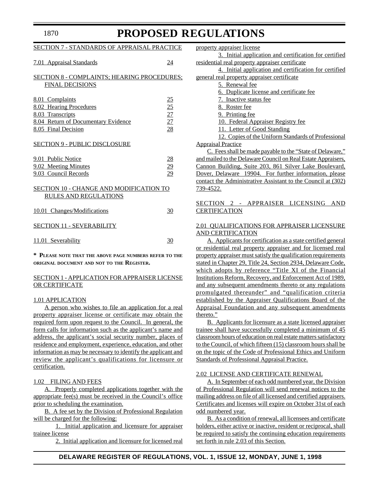## **PROPOSED REGULATIONS**

739-4522.

| SECTION 7 - STANDARDS OF APPRAISAL PRACTICE                                                                                  |                                          |
|------------------------------------------------------------------------------------------------------------------------------|------------------------------------------|
| 7.01 Appraisal Standards                                                                                                     | <u>24</u>                                |
| SECTION 8 - COMPLAINTS; HEARING PROCEDURES;<br><b>FINAL DECISIONS</b>                                                        |                                          |
| 8.01 Complaints<br>8.02 Hearing Procedures<br>8.03 Transcripts<br>8.04 Return of Documentary Evidence<br>8.05 Final Decision | 25<br>25<br>27<br>27<br>28               |
| <b>SECTION 9 - PUBLIC DISCLOSURE</b>                                                                                         |                                          |
| 9.01 Public Notice<br>9.02 Meeting Minutes<br>9.03 Council Records                                                           | $\frac{28}{1}$<br>$\underline{29}$<br>29 |
| SECTION 10 - CHANGE AND MODIFICATION TO<br><b>RULES AND REGULATIONS</b>                                                      |                                          |
| 10.01 Changes/Modifications                                                                                                  | <u>30</u>                                |
| CECTION 11 CEVED ADILITY                                                                                                     |                                          |

#### SECTION 11 - SEVERABILITY

11.01 Severability 30

**\* PLEASE NOTE THAT THE ABOVE PAGE NUMBERS REFER TO THE ORIGINAL DOCUMENT AND NOT TO THE REGISTER.**

#### SECTION 1 - APPLICATION FOR APPRAISER LICENSE OR CERTIFICATE

#### 1.01 APPLICATION

A person who wishes to file an application for a real property appraiser license or certificate may obtain the required form upon request to the Council. In general, the form calls for information such as the applicant's name and address, the applicant's social security number, places of residence and employment, experience, education, and other information as may be necessary to identify the applicant and review the applicant's qualifications for licensure or certification.

## 1.02 FILING AND FEES

A. Properly completed applications together with the appropriate fee(s) must be received in the Council's office prior to scheduling the examination.

B. A fee set by the Division of Professional Regulation will be charged for the following:

1. Initial application and licensure for appraiser trainee license

2. Initial application and licensure for licensed real

property appraiser license

## SECTION 2 - APPRAISER LICENSING AND **CERTIFICATION**

## 2.01 QUALIFICATIONS FOR APPRAISER LICENSURE AND CERTIFICATION

A. Applicants for certification as a state certified general or residential real property appraiser and for licensed real property appraiser must satisfy the qualification requirements stated in Chapter 29, Title 24, Section 2934, Delaware Code, which adopts by reference "Title XI of the Financial Institutions Reform, Recovery, and Enforcement Act of 1989, and any subsequent amendments thereto or any regulations promulgated thereunder" and "qualification criteria established by the Appraiser Qualifications Board of the Appraisal Foundation and any subsequent amendments thereto."

B. Applicants for licensure as a state licensed appraiser trainee shall have successfully completed a minimum of 45 classroom hours of education on real estate matters satisfactory to the Council, of which fifteen (15) classroom hours shall be on the topic of the Code of Professional Ethics and Uniform Standards of Professional Appraisal Practice.

## 2.02 LICENSE AND CERTIFICATE RENEWAL

A. In September of each odd numbered year, the Division of Professional Regulation will send renewal notices to the mailing address on file of all licensed and certified appraisers. Certificates and licenses will expire on October 31st of each odd numbered year.

B. As a condition of renewal, all licensees and certificate holders, either active or inactive, resident or reciprocal, shall be required to satisfy the continuing education requirements set forth in rule 2.03 of this Section.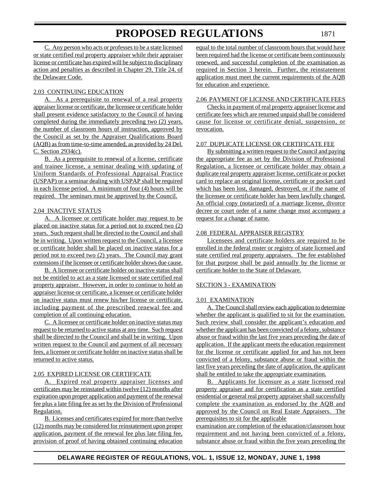C. Any person who acts or professes to be a state licensed or state certified real property appraiser while their appraiser license or certificate has expired will be subject to disciplinary action and penalties as described in Chapter 29, Title 24, of the Delaware Code.

## 2.03 CONTINUING EDUCATION

A. As a prerequisite to renewal of a real property appraiser license or certificate, the licensee or certificate holder shall present evidence satisfactory to the Council of having completed during the immediately preceding two (2) years, the number of classroom hours of instruction, approved by the Council as set by the Appraiser Qualifications Board (AQB) as from time-to-time amended, as provided by 24 Del. C. Section 2934(c).

B. As a prerequisite to renewal of a license, certificate and trainee license, a seminar dealing with updating of Uniform Standards of Professional Appraisal Practice (USPAP) or a seminar dealing with USPAP shall be required in each license period. A minimum of four (4) hours will be required. The seminars must be approved by the Council.

### 2.04 INACTIVE STATUS

A. A licensee or certificate holder may request to be placed on inactive status for a period not to exceed two (2) years. Such request shall be directed to the Council and shall be in writing. Upon written request to the Council, a licensee or certificate holder shall be placed on inactive status for a period not to exceed two (2) years. The Council may grant extensions if the licensee or certificate holder shows due cause.

B. A licensee or certificate holder on inactive status shall not be entitled to act as a state licensed or state certified real property appraiser. However, in order to continue to hold an appraiser license or certificate, a licensee or certificate holder on inactive status must renew his/her license or certificate, including payment of the prescribed renewal fee and completion of all continuing education.

C. A licensee or certificate holder on inactive status may request to be returned to active status at any time. Such request shall be directed to the Council and shall be in writing. Upon written request to the Council and payment of all necessary fees, a licensee or certificate holder on inactive status shall be returned to active status.

#### 2.05 EXPIRED LICENSE OR CERTIFICATE

A. Expired real property appraiser licenses and certificates may be reinstated within twelve (12) months after expiration upon proper application and payment of the renewal fee plus a late filing fee as set by the Division of Professional Regulation.

B. Licenses and certificates expired for more than twelve (12) months may be considered for reinstatement upon proper application, payment of the renewal fee plus late filing fee, provision of proof of having obtained continuing education

equal to the total number of classroom hours that would have been required had the license or certificate been continuously renewed, and successful completion of the examination as required in Section 3 herein. Further, the reinstatement application must meet the current requirements of the AQB for education and experience.

#### 2.06 PAYMENT OF LICENSE AND CERTIFICATE FEES

Checks in payment of real property appraiser license and certificate fees which are returned unpaid shall be considered cause for license or certificate denial, suspension, or revocation.

#### 2.07 DUPLICATE LICENSE OR CERTIFICATE FEE

By submitting a written request to the Council and paying the appropriate fee as set by the Division of Professional Regulation, a licensee or certificate holder may obtain a duplicate real property appraiser license, certificate or pocket card to replace an original license, certificate or pocket card which has been lost, damaged, destroyed, or if the name of the licensee or certificate holder has been lawfully changed. An official copy (notarized) of a marriage license, divorce decree or court order of a name change must accompany a request for a change of name.

## 2.08 FEDERAL APPRAISER REGISTRY

Licensees and certificate holders are required to be enrolled in the federal roster or registry of state licensed and state certified real property appraisers. The fee established for that purpose shall be paid annually by the license or certificate holder to the State of Delaware.

## SECTION 3 - EXAMINATION

#### 3.01 EXAMINATION

A. The Council shall review each application to determine whether the applicant is qualified to sit for the examination. Such review shall consider the applicant's education and whether the applicant has been convicted of a felony, substance abuse or fraud within the last five years preceding the date of application. If the applicant meets the education requirement for the license or certificate applied for and has not been convicted of a felony, substance abuse or fraud within the last five years preceding the date of application, the applicant shall be entitled to take the appropriate examination.

B. Applicants for licensure as a state licensed real property appraiser and for certification as a state certified residential or general real property appraiser shall successfully complete the examination as endorsed by the AQB and approved by the Council on Real Estate Appraisers. The prerequisites to sit for the applicable

examination are completion of the education/classroom hour requirement and not having been convicted of a felony, substance abuse or fraud within the five years preceding the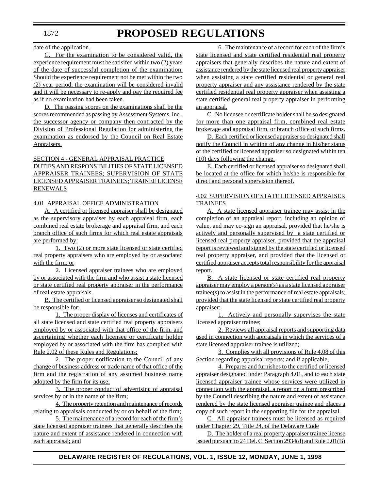date of the application.

C. For the examination to be considered valid, the experience requirement must be satisifed within two (2) years of the date of successful completion of the examination. Should the experience requirement not be met within the two (2) year period, the examination will be considered invalid and it will be necessary to re-apply and pay the required fee as if no examination had been taken.

D. The passing scores on the examinations shall be the scores recommended as passing by Assessment Systems, Inc., the successor agency or company then contracted by the Division of Professional Regulation for administering the examination as endorsed by the Council on Real Estate Appraisers.

## SECTION 4 - GENERAL APPRAISAL PRACTICE DUTIES AND RESPONSIBILITIES OF STATE LICENSED APPRAISER TRAINEES; SUPERVISION OF STATE LICENSED APPRAISER TRAINEES; TRAINEE LICENSE RENEWALS

### 4.01 APPRAISAL OFFICE ADMINISTRATION

A. A certified or licensed appraiser shall be designated as the supervisory appraiser by each appraisal firm, each combined real estate brokerage and appraisal firm, and each branch office of such firms for which real estate appraisals are performed by:

1. Two (2) or more state licensed or state certified real property appraisers who are employed by or associated with the firm; or

2. Licensed appraiser trainees who are employed by or associated with the firm and who assist a state licensed or state certified real property appraiser in the performance of real estate appraisals.

B. The certified or licensed appraiser so designated shall be responsible for:

1. The proper display of licenses and certificates of all state licensed and state certified real property appraisers employed by or associated with that office of the firm, and ascertaining whether each licensee or certificate holder employed by or associated with the firm has complied with Rule 2.02 of these Rules and Regulations;

2. The proper notification to the Council of any change of business address or trade name of that office of the firm and the registration of any assumed business name adopted by the firm for its use;

3. The proper conduct of advertising of appraisal services by or in the name of the firm;

4. The property retention and maintenance of records relating to appraisals conducted by or on behalf of the firm;

5. The maintenance of a record for each of the firm's state licensed appraiser trainees that generally describes the nature and extent of assistance rendered in connection with each appraisal; and

6. The maintenance of a record for each of the firm's state licensed and state certified residential real property appraisers that generally describes the nature and extent of assistance rendered by the state licensed real property appraiser when assisting a state certified residential or general real property appraiser and any assistance rendered by the state certified residential real property appraiser when assisting a state certified general real property appraiser in performing an appraisal.

C. No licensee or certificate holder shall be so designated for more than one appraisal firm, combined real estate brokerage and appraisal firm, or branch office of such firms.

D. Each certified or licensed appraiser so designated shall notify the Council in writing of any change in his/her status of the certified or licensed appraiser so designated within ten (10) days following the change.

E. Each certified or licensed appraiser so designated shall be located at the office for which he/she is responsible for direct and personal supervision thereof.

## 4.02 SUPERVISION OF STATE LICENSED APPRAISER TRAINEES

A. A state licensed appraiser trainee may assist in the completion of an appraisal report, including an opinion of value, and may co-sign an appraisal, provided that he/she is actively and personally supervised by a state certified or licensed real property appraiser, provided that the appraisal report is reviewed and signed by the state certified or licensed real property appraiser, and provided that the licensed or certified appraiser accepts total responsibility for the appraisal report.

B. A state licensed or state certified real property appraiser may employ a person(s) as a state licensed appraiser trainee(s) to assist in the performance of real estate appraisals, provided that the state licensed or state certified real property appraiser:

1. Actively and personally supervises the state licensed appraiser trainee;

2. Reviews all appraisal reports and supporting data used in connection with appraisals in which the services of a state licensed appraiser trainee is utilized;

3. Complies with all provisions of Rule 4.08 of this Section regarding appraisal reports; and if applicable,

4. Prepares and furnishes to the certified or licensed appraiser designated under Paragraph 4.01, and to each state licensed appraiser trainee whose services were utilized in connection with the appraisal, a report on a form prescribed by the Council describing the nature and extent of assistance rendered by the state licensed appraiser trainee and places a copy of such report in the supporting file for the appraisal.

C. All appraiser trainees must be licensed as required under Chapter 29, Title 24, of the Delaware Code

D. The holder of a real property appraiser trainee license issued pursuant to 24 Del. C. Section 2934(d) and Rule 2.01(B)

## 1872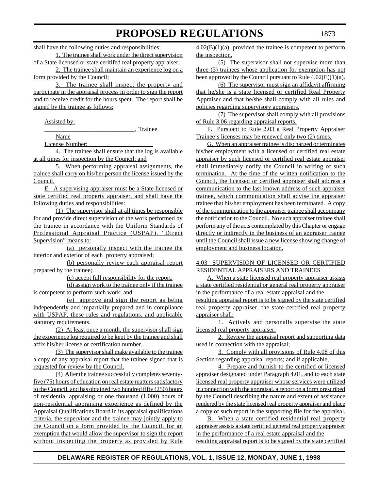shall have the following duties and responsibilities:

1. The trainee shall work under the direct supervision of a State licensed or state ceritifed real property appraiser;

2. The trainee shall maintain an experience log on a form provided by the Council;

3. The trainee shall inspect the property and participate in the appraisal process in order to sign the report and to receive credit for the hours spent. The report shall be signed by the trainee as follows:

Assisted by:

\_\_\_\_\_\_\_\_\_\_\_\_\_\_\_\_\_\_\_\_\_\_\_\_\_\_\_\_\_, Trainee

Name License Number:

4. The trainee shall ensure that the log is available at all times for inspection by the Council; and

5. When performing appraisal assignments, the trainee shall carry on his/her person the license issued by the Council.

E. A supervising appraiser must be a State licensed or state certified real property appraiser, and shall have the following duties and responsibilities:

(1) The supervisor shall at all times be responsible for and provide direct supervision of the work performed by the trainee in accordance with the Uniform Standards of Professional Appraisal Practice (USPAP). "Direct Supervision" means to:

(a) personally inspect with the trainee the interior and exterior of each property appraised;

(b) personally review each appraisal report prepared by the trainee;

(c) accept full responsibility for the report;

(d) assign work to the trainee only if the trainee is competent to perform such work; and

(e) approve and sign the report as being independently and impartially prepared and in compliance with USPAP, these rules and regulations, and applicable statutory requirements.

(2) At least once a month, the supervisor shall sign the experience log required to be kept by the trainee and shall affix his/her license or certification number.

(3) The supervisor shall make available to the trainee a copy of any appraisal report that the trainee signed that is requested for review by the Council.

(4) After the trainee successfully completes seventyfive (75) hours of education on real estate matters satisfactory to the Council, and has obtained two hundred fifty (250) hours of residential appraising or one thousand (1,000) hours of non-residential appraising experience as defined by the Appraisal Qualifications Board in its appraisal qualifications criteria, the supervisor and the trainee may jointly apply to the Council on a form provided by the Council, for an exemption that would allow the supervisor to sign the report without inspecting the property as provided by Rule 4.02(B)(1)(a), provided the trainee is competent to perform the inspection.

(5) The supervisor shall not supervise more than three (3) trainees whose application for exemption has not been approved by the Council pursuant to Rule 4.02(E)(1)(a).

(6) The supervisor must sign an affidavit affirming that he/she is a state licensed or certified Real Property Appraiser and that he/she shall comply with all rules and policies regarding supervisory appraisers.

(7) The supervisor shall comply with all provisions of Rule 3.06 regarding appraisal reports.

F. Pursuant to Rule 2.03 a Real Property Appraiser Trainee's licenses may be renewed only two (2) times.

G. When an appraiser trainee is discharged or terminates his/her employment with a licensed or certified real estate appraiser by such licensed or certified real estate appraiser shall immediately notify the Council in writing of such termination. At the time of the written notification to the Council, the licensed or certified appraiser shall address a communication to the last known address of such appraiser trainee, which communication shall advise the appraiser trainee that his/her employment has been terminated. A copy of the communication to the appraiser trainee shall accompany the notification to the Council. No such appraiser trainee shall perform any of the acts contemplated by this Chapter or engage directly or indirectly in the business of an appraiser trainee until the Council shall issue a new license showing change of employment and business location.

## 4.03 SUPERVISION OF LICENSED OR CERTIFIED RESIDENTIAL APPRAISERS AND TRAINEES

A. When a state licensed real property appraiser assists a state certified residential or general real property appraiser in the performance of a real estate appraisal and the resulting appraisal report is to be signed by the state certified real property appraiser, the state certified real property appraiser shall:

1. Actively and personally supervise the state licensed real property appraiser;

2. Review the appraisal report and supporting data used in connection with the appraisal;

3. Comply with all provisions of Rule 4.08 of this Section regarding appraisal reports; and if applicable,

4. Prepare and furnish to the certified or licensed appraiser designated under Paragraph 4.01, and to each state licensed real property appraiser whose services were utilized in connection with the appraisal, a report on a form prescribed by the Council describing the nature and extent of assistance rendered by the state licensed real property appraiser and place a copy of such report in the supporting file for the appraisal.

B. When a state certified residential real property appraiser assists a state certified general real property appraiser in the performance of a real estate appraisal and the resulting appraisal report is to be signed by the state certified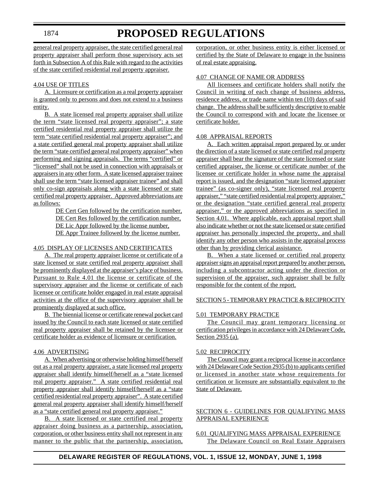general real property appraiser, the state certified general real property appraiser shall perform those supervisory acts set forth in Subsection A of this Rule with regard to the activities of the state certified residential real property appraiser.

## 4.04 USE OF TITLES

A. Licensure or certification as a real property appraiser is granted only to persons and does not extend to a business entity.

B. A state licensed real property appraiser shall utilize the term "state licensed real property appraiser"; a state certified residential real property appraiser shall utilize the term "state certified residential real property appraiser"; and a state certified general real property appraiser shall utilize the term "state certified general real property appraiser" when performing and signing appraisals. The terms "certified" or "licensed" shall not be used in connection with appraisals or appraisers in any other form. A state licensed appraiser trainee shall use the term "state licensed appraiser trainee" and shall only co-sign appraisals along with a state licensed or state certified real property appraiser. Approved abbreviations are as follows:

> DE Cert Gen followed by the certification number, DE Cert Res followed by the certification number, DE Lic Appr followed by the license number, DE Appr Trainee followed by the license number.

## 4.05 DISPLAY OF LICENSES AND CERTIFICATES

A. The real property appraiser license or certificate of a state licensed or state certified real property appraiser shall be prominently displayed at the appraiser's place of business. Pursuant to Rule 4.01 the license or certificate of the supervisory appraiser and the license or certificate of each licensee or certificate holder engaged in real estate appraisal activities at the office of the supervisory appraiser shall be prominently displayed at such office.

B. The biennial license or certificate renewal pocket card issued by the Council to each state licensed or state certified real property appraiser shall be retained by the licensee or certificate holder as evidence of licensure or certification.

## 4.06 ADVERTISING

A. When advertising or otherwise holding himself/herself out as a real property appraiser, a state licensed real property appraiser shall identify himself/herself as a "state licensed real property appraiser." A state certified residential real property appraiser shall identify himself/herself as a "state certified residential real property appraiser". A state certified general real property appraiser shall identify himself/herself as a "state certified general real property appraiser."

B. A state licensed or state certified real property appraiser doing business as a partnership, association, corporation, or other business entity shall not represent in any manner to the public that the partnership, association,

corporation, or other business entity is either licensed or certified by the State of Delaware to engage in the business of real estate appraising.

#### 4.07 CHANGE OF NAME OR ADDRESS

All licensees and certificate holders shall notify the Council in writing of each change of business address, residence address, or trade name within ten (10) days of said change. The address shall be sufficiently descriptive to enable the Council to correspond with and locate the licensee or certificate holder.

## 4.08 APPRAISAL REPORTS

A. Each written appraisal report prepared by or under the direction of a state licensed or state certified real property appraiser shall bear the signature of the state licensed or state certified appraiser, the license or certificate number of the licensee or certificate holder in whose name the appraisal report is issued, and the designation "state licensed appraiser trainee" (as co-signer only), "state licensed real property appraiser," "state certified residential real property appraiser," or the designation "state certified general real property appraiser," or the approved abbreviations as specified in Section 4.01. Where applicable, each appraisal report shall also indicate whether or not the state licensed or state certified appraiser has personally inspected the property, and shall identify any other person who assists in the appraisal process other than by providing clerical assistance.

B. When a state licensed or certified real property appraiser signs an appraisal report prepared by another person, including a subcontractor acting under the direction or supervision of the appraiser, such appraiser shall be fully responsible for the content of the report.

## SECTION 5 - TEMPORARY PRACTICE & RECIPROCITY

## 5.01 TEMPORARY PRACTICE

The Council may grant temporary licensing or certification privileges in accordance with 24 Delaware Code, Section 2935 (a).

## 5.02 RECIPROCITY

The Council may grant a reciprocal license in accordance with 24 Delaware Code Section 2935 (b) to applicants certified or licensed in another state whose requirements for certification or licensure are substantially equivalent to the State of Delaware.

## SECTION 6 - GUIDELINES FOR QUALIFYING MASS APPRAISAL EXPERIENCE

## 6.01 QUALIFYING MASS APPRAISAL EXPERIENCE The Delaware Council on Real Estate Appraisers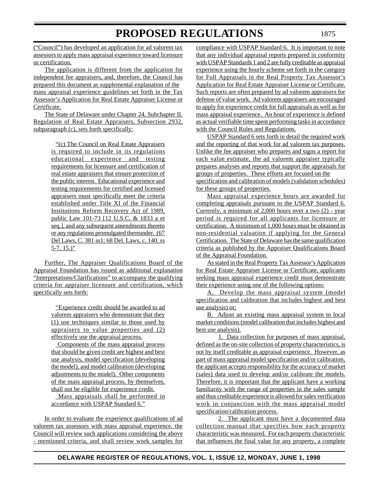("Council") has developed an application for ad valorem tax assessors to apply mass appraisal experience toward licensure or certification.

The application is different from the application for independent fee appraisers, and, therefore, the Council has prepared this document as supplemental explanation of the mass appraisal experience guidelines set forth in the Tax Assessor's Application for Real Estate Appraiser License or Certificate.

The State of Delaware under Chapter 24, Subchapter II. Regulation of Real Estate Appraisers, Subsection 2932, subparagraph (c), sets forth specifically:

> "(c) The Council on Real Estate Appraisers is required to include in its regulations educational experience and testing requirements for licensure and certification of real estate appraisers that ensure protection of the public interest. Educational experience and testing requirements for certified and licensed appraisers must specifically meet the criteria established under Title XI of the Financial Institutions Reform Recovery Act of 1989, public Law 101-73 [12 U.S.C. & 1833 a et seq.], and any subsequent amendments thereto or any regulations promulgated thereunder. (67 Del Laws, C. 381 ss1; 68 Del. Laws, c. 140, ss  $5-7, 15.$ "

Further, The Appraiser Qualifications Board of the Appraisal Foundation has issued as additional explanation "Interpretations/Clarifications" to accompany the qualifying criteria for appraiser licensure and certification, which specifically sets forth:

> "Experience credit should be awarded to ad valorem appraisers who demonstrate that they (1) use techniques similar to those used by appraisers to value properties and (2) effectively use the appraisal process.

> Components of the mass appraisal process that should be given credit are highest and best use analysis, model specification (developing the model), and model calibration (developing adjustments to the model). Other components of the mass appraisal process, by themselves, shall not be eligible for experience credit.

> Mass appraisals shall be performed in accordance with USPAP Standard 6."

In order to evaluate the experience qualifications of ad valorem tax assessors with mass appraisal experience, the Council will review such applications considering the above - mentioned criteria, and shall review work samples for compliance with USPAP Standard 6. It is important to note that any individual appraisal reports prepared in conformity with USPAP Standards 1 and 2 are fully creditable as appraisal experience using the hourly scheme set forth in the category for Full Appraisals in the Real Property Tax Assessor's Application for Real Estate Appraiser License or Certificate. Such reports are often prepared by ad valorem appraisers for defense of value work. Ad valorem appraisers are encouraged to apply for experience credit for full appraisals as well as for mass appraisal experience. An hour of experience is defined as actual verifiable time spent performing tasks in accordance with the Council Rules and Regulations.

USPAP Standard 6 sets forth in detail the required work and the reporting of that work for ad valorem tax purposes. Unlike the fee appraiser who prepares and signs a report for each value estimate, the ad valorem appraiser typically prepares analyses and reports that support the appraisals for groups of properties. These efforts are focused on the specification and calibration of models (validation schedules) for these groups of properties.

Mass appraisal experience hours are awarded for completing appraisals pursuant to the USPAP Standard 6. Currently, a minimum of 2,000 hours over a two (2) - year period is required for all applicants for licensure or certification. A minimum of 1,000 hours must be obtained in non-residential valuation if applying for the General Certification. The State of Delaware has the same qualification criteria as published by the Appraiser Qualifications Board of the Appraisal Foundation.

As stated in the Real Property Tax Assessor's Application for Real Estate Appraiser License or Certificate, applicants seeking mass appraisal experience credit must demonstrate their experience using one of the following options:

A. Develop the mass appraisal system (model specification and calibration that includes highest and best use analysis) or;

B. Adjust an existing mass appraisal system to local market conditions (model calibration that includes highest and best use analysis).

1. Data collection for purposes of mass appraisal, defined as the on-site collection of property characteristics, is not by itself creditable as appraisal experience. However, as part of mass appraisal model specification and/or calibration, the applicant accepts responsibility for the accuracy of market (sales) data used to develop and/or calibrate the models. Therefore, it is important that the applicant have a working familiarity with the range of properties in the sales sample and thus creditable experience is allowed for sales verification work in conjunction with the mass appraisal model specification/calibration process.

2. The applicant must have a documented data collection manual that specifies how each property characteristic was measured. For each property characteristic that influences the final value for any property, a complete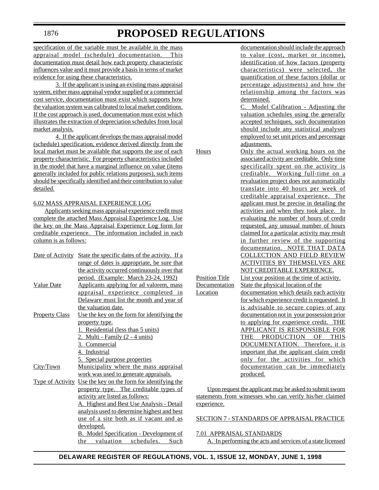## **PROPOSED REGULATIONS**

specification of the variable must be available in the mass appraisal model (schedule) documentation. This documentation must detail how each property characteristic influences value and it must provide a basis in terms of market evidence for using these characteristics.

3. If the applicant is using an existing mass appraisal system, either mass appraisal vendor supplied or a commercial cost service, documentation must exist which supports how the valuation system was calibrated to local market conditions. If the cost approach is used, documentation must exist which illustrates the extraction of depreciation schedules from local market analysis.

4. If the applicant develops the mass appraisal model (schedule) specification, evidence derived directly from the local market must be available that supports the use of each property characteristic. For property characteristics included in the model that have a marginal influence on value (items generally included for public relations purposes), such items should be specifically identified and their contribution to value detailed.

## 6.02 MASS APPRAISAL EXPERIENCE LOG

Applicants seeking mass appraisal experience credit must complete the attached Mass Appraisal Experience Log. Use the key on the Mass Appraisal Experience Log form for creditable experience. The information included in each column is as follows:

|                       | Date of Activity State the specific dates of the activity. If a |  |
|-----------------------|-----------------------------------------------------------------|--|
|                       | range of dates is appropriate, be sure that                     |  |
|                       | the activity occurred continuously over that                    |  |
|                       | period. (Example: March 23-24, 1992)                            |  |
| <b>Value Date</b>     | Applicants applying for ad valorem, mass                        |  |
|                       | appraisal experience completed in                               |  |
|                       | Delaware must list the month and year of                        |  |
|                       | the valuation date.                                             |  |
| <b>Property Class</b> | Use the key on the form for identifying the                     |  |
|                       | property type.                                                  |  |
|                       | 1. Residential (less than 5 units)                              |  |
|                       | 2. Multi - Family (2 - 4 units)                                 |  |
|                       | 3. Commercial                                                   |  |
|                       | 4. Industrial                                                   |  |
|                       | 5. Special purpose properties                                   |  |
| City/Town             | Municipality where the mass appraisal                           |  |
|                       | work was used to generate appraisals.                           |  |
|                       | Type of Activity Use the key on the form for identifying the    |  |
|                       | property type. The creditable types of                          |  |
|                       | activity are listed as follows:                                 |  |
|                       | A. Highest and Best Use Analysis - Detail                       |  |
|                       | analysis used to determine highest and best                     |  |
|                       | use of a site both as if vacant and as                          |  |
|                       | developed.                                                      |  |
|                       | <b>B.</b> Model Specification - Development of                  |  |
|                       | the valuation schedules. Such                                   |  |

documentation should include the approach to value (cost, market or income), identification of how factors (property characteristics) were selected, the quantification of these factors (dollar or percentage adjustments) and how the relationship among the factors was determined.

C. Model Calibration - Adjusting the valuation schedules using the generally accepted techniques, such documentation should include any statistical analyses employed to set unit prices and percentage adjustments.

Hours Only the actual working hours on the associated activity are creditable. Only time specifically spent on the activity is creditable. Working full-time on a revaluation project does not automatically translate into 40 hours per week of creditable appraisal experience. The applicant must be precise in detailing the activities and when they took place. In evaluating the number of hours of credit requested, any unusual number of hours claimed for a particular activity may result in further review of the supporting documentation. NOTE THAT DATA COLLECTION AND FIELD REVIEW ACTIVITIES BY THEMSELVES ARE NOT CREDITABLE EXPERIENCE. Position Title List your position at the time of activity. Documentation State the physical location of the Location documentation which details each activity for which experience credit is requested. It is advisable to secure copies of any documentation not in your possession prior to applying for experience credit. THE APPLICANT IS RESPONSIBLE FOR THE PRODUCTION OF THIS DOCUMENTATION. Therefore, it is important that the applicant claim credit only for the activities for which documentation can be immediately produced.

Upon request the applicant may be asked to submit sworn statements from witnesses who can verify his/her claimed experience.

## SECTION 7 - STANDARDS OF APPRAISAL PRACTICE

#### 7.01 APPRAISAL STANDARDS

A. In performing the acts and services of a state licensed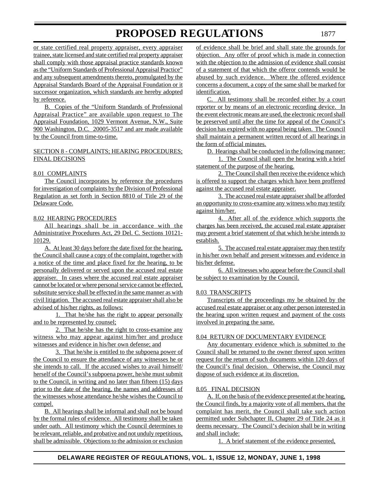or state certified real property appraiser, every appraiser trainee, state licensed and state certified real property appraiser shall comply with those appraisal practice standards known as the "Uniform Standards of Professional Appraisal Practice" and any subsequent amendments thereto, promulgated by the Appraisal Standards Board of the Appraisal Foundation or it successor organization, which standards are hereby adopted by reference.

B. Copies of the "Uniform Standards of Professional Appraisal Practice" are available upon request to The Appraisal Foundation, 1029 Vermont Avenue, N.W., Suite 900 Washington, D.C. 20005-3517 and are made available by the Council from time-to-time.

## SECTION 8 - COMPLAINTS; HEARING PROCEDURES; FINAL DECISIONS

## 8.01 COMPLAINTS

The Council incorporates by reference the procedures for investigation of complaints by the Division of Professional Regulation as set forth in Section 8810 of Title 29 of the Delaware Code.

### 8.02 HEARING PROCEDURES

All hearings shall be in accordance with the Administrative Procedures Act, 29 Del. C. Sections 10121- 10129.

A. At least 30 days before the date fixed for the hearing, the Council shall cause a copy of the complaint, together with a notice of the time and place fixed for the hearing, to be personally delivered or served upon the accused real estate appraiser. In cases where the accused real estate appraiser cannot be located or where personal service cannot be effected, substitute service shall be effected in the same manner as with civil litigation. The accused real estate appraiser shall also be advised of his/her rights, as follows:

1. That he/she has the right to appear personally and to be represented by counsel;

2. That he/she has the right to cross-examine any witness who may appear against him/her and produce witnesses and evidence in his/her own defense; and

3. That he/she is entitled to the subpoena power of the Council to ensure the attendance of any witnesses he or she intends to call. If the accused wishes to avail himself/ herself of the Council's subpoena power, he/she must submit to the Council, in writing and no later than fifteen (15) days prior to the date of the hearing, the names and addresses of the witnesses whose attendance he/she wishes the Council to compel.

B. All hearings shall be informal and shall not be bound by the formal rules of evidence. All testimony shall be taken under oath. All testimony which the Council determines to be relevant, reliable, and probative and not unduly repetitious, shall be admissible. Objections to the admission or exclusion of evidence shall be brief and shall state the grounds for objection. Any offer of proof which is made in connection with the objection to the admission of evidence shall consist of a statement of that which the offeror contends would be abused by such evidence. Where the offered evidence concerns a document, a copy of the same shall be marked for identification.

C. All testimony shall be recorded either by a court reporter or by means of an electronic recording device. In the event electronic means are used, the electronic record shall be preserved until after the time for appeal of the Council's decision has expired with no appeal being taken. The Council shall maintain a permanent written record of all hearings in the form of official minutes.

D. Hearings shall be conducted in the following manner:

1. The Council shall open the hearing with a brief statement of the purpose of the hearing.

2. The Council shall then receive the evidence which is offered to support the charges which have been proffered against the accused real estate appraiser.

3. The accused real estate appraiser shall be afforded an opportunity to cross-examine any witness who may testify against him/her.

4. After all of the evidence which supports the charges has been received, the accused real estate appraiser may present a brief statement of that which he/she intends to establish.

5. The accused real estate appraiser may then testify in his/her own behalf and present witnesses and evidence in his/her defense.

6. All witnesses who appear before the Council shall be subject to examination by the Council.

#### 8.03 TRANSCRIPTS

Transcripts of the proceedings my be obtained by the accused real estate appraiser or any other person interested in the hearing upon written request and payment of the costs involved in preparing the same.

#### 8.04 RETURN OF DOCUMENTARY EVIDENCE

Any documentary evidence which is submitted to the Council shall be returned to the owner thereof upon written request for the return of such documents within 120 days of the Council's final decision. Otherwise, the Council may dispose of such evidence at its discretion.

### 8.05 FINAL DECISION

A. If, on the basis of the evidence presented at the hearing, the Council finds, by a majority vote of all members, that the complaint has merit, the Council shall take such action permitted under Subchapter II, Chapter 29 of Title 24 as it deems necessary. The Council's decision shall be in writing and shall include:

1. A brief statement of the evidence presented,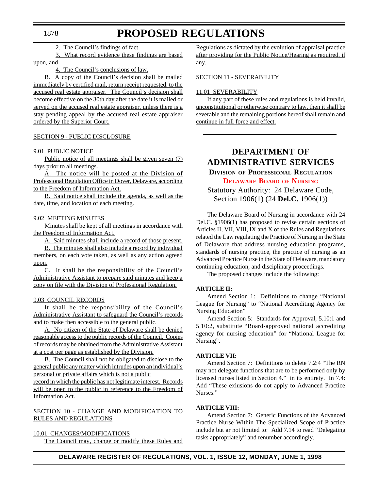## **PROPOSED REGULATIONS**

2. The Council's findings of fact,

3. What record evidence these findings are based upon, and

4. The Council's conclusions of law.

B. A copy of the Council's decision shall be mailed immediately by certified mail, return receipt requested, to the accused real estate appraiser. The Council's decision shall become effective on the 30th day after the date it is mailed or served on the accused real estate appraiser, unless there is a stay pending appeal by the accused real estate appraiser ordered by the Superior Court.

## SECTION 9 - PUBLIC DISCLOSURE

## 9.01 PUBLIC NOTICE

Public notice of all meetings shall be given seven (7) days prior to all meetings.

A. The notice will be posted at the Division of Professional Regulation Office in Dover, Delaware, according to the Freedom of Information Act.

B. Said notice shall include the agenda, as well as the date, time, and location of each meeting.

### 9.02 MEETING MINUTES

Minutes shall be kept of all meetings in accordance with the Freedom of Information Act.

A. Said minutes shall include a record of those present.

B. The minutes shall also include a record by individual members, on each vote taken, as well as any action agreed upon.

C. It shall be the responsibility of the Council's Administrative Assistant to prepare said minutes and keep a copy on file with the Division of Professional Regulation.

## 9.03 COUNCIL RECORDS

It shall be the responsibility of the Council's Administrative Assistant to safeguard the Council's records and to make then accessible to the general public.

A. No citizen of the State of Delaware shall be denied reasonable access to the public records of the Council. Copies of records may be obtained from the Administrative Assistant at a cost per page as established by the Division.

B. The Council shall not be obligated to disclose to the general public any matter which intrudes upon an individual's personal or private affairs which is not a public

record in which the public has not legitimate interest. Records will be open to the public in reference to the Freedom of Information Act.

## SECTION 10 - CHANGE AND MODIFICATION TO RULES AND REGULATIONS

## 10.01 CHANGES/MODIFICATIONS

The Council may, change or modify these Rules and

Regulations as dictated by the evolution of appraisal practice after providing for the Public Notice/Hearing as required, if any.

#### SECTION 11 - SEVERABILITY

## 11.01 SEVERABILITY

If any part of these rules and regulations is held invalid, unconstitutional or otherwise contrary to law, then it shall be severable and the remaining portions hereof shall remain and continue in full force and effect.

## **DEPARTMENT OF ADMINISTRATIVE SERVICES DIVISION OF PROFESSIONAL REGULATION**

## **[DELAWARE](#page-3-0) BOARD OF NURSING**

Statutory Authority: 24 Delaware Code, Section 1906(1) (24 **Del.C.** 1906(1))

The Delaware Board of Nursing in accordance with 24 Del.C. §1906(1) has proposed to revise certain sections of Articles II, VII, VIII, IX and X of the Rules and Regulations related the Law regulating the Practice of Nursing in the State of Delaware that address nursing education programs, standards of nursing practice, the practice of nursing as an Advanced Practice Nurse in the State of Delaware, mandatory continuing education, and disciplinary proceedings.

The proposed changes include the following:

## **ARTICLE II:**

Amend Section 1: Definitions to change "National League for Nursing" to "National Accrediting Agency for Nursing Education"

Amend Section 5: Standards for Approval, 5.10:1 and 5.10:2, substitute "Board-approved national accrediting agency for nursing education" for "National League for Nursing".

#### **ARTICLE VII:**

Amend Section 7: Definitions to delete 7.2:4 "The RN may not delegate functions that are to be performed only by licensed nurses listed in Section 4." in its entirety. In 7.4: Add "These exlusions do not apply to Advanced Practice Nurses."

#### **ARTICLE VIII:**

Amend Section 7: Generic Functions of the Advanced Practice Nurse Within The Specialized Scope of Practice include but ar not limited to: Add 7.14 to read "Delegating tasks appropriately" and renumber accordingly.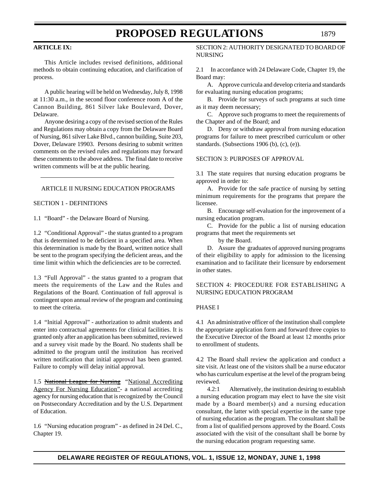## **ARTICLE IX:**

This Article includes revised definitions, additional methods to obtain continuing education, and clarification of process.

A public hearing will be held on Wednesday, July 8, 1998 at 11:30 a.m., in the second floor conference room A of the Cannon Building, 861 Silver lake Boulevard, Dover, Delaware.

Anyone desiring a copy of the revised section of the Rules and Regulations may obtain a copy from the Delaware Board of Nursing, 861 silver Lake Blvd., cannon building, Suite 203, Dover, Delaware 19903. Persons desiring to submit written comments on the revised rules and regulations may forward these comments to the above address. The final date to receive written comments will be at the public hearing.

#### ARTICLE II NURSING EDUCATION PROGRAMS

#### SECTION 1 - DEFINITIONS

1.1 "Board" - the Delaware Board of Nursing.

1.2 "Conditional Approval" - the status granted to a program that is determined to be deficient in a specified area. When this determination is made by the Board, written notice shall be sent to the program specifying the deficient areas, and the time limit within which the deficiencies are to be corrected.

1.3 "Full Approval" - the status granted to a program that meets the requirements of the Law and the Rules and Regulations of the Board. Continuation of full approval is contingent upon annual review of the program and continuing to meet the criteria.

1.4 "Initial Approval" - authorization to admit students and enter into contractual agreements for clinical facilities. It is granted only after an application has been submitted, reviewed and a survey visit made by the Board. No students shall be admitted to the program until the institution has received written notification that initial approval has been granted. Failure to comply will delay initial approval.

1.5 National League for Nursing "National Accrediting Agency For Nursing Education"- a national accrediting agency for nursing education that is recognized by the Council on Postsecondary Accreditation and by the U.S. Department of Education.

1.6 "Nursing education program" - as defined in 24 Del. C., Chapter 19.

SECTION 2: AUTHORITY DESIGNATED TO BOARD OF NURSING

2.1 In accordance with 24 Delaware Code, Chapter 19, the Board may:

A. Approve curricula and develop criteria and standards for evaluating nursing education programs;

B. Provide for surveys of such programs at such time as it may deem necessary;

C. Approve such programs to meet the requirements of the Chapter and of the Board; and

D. Deny or withdraw approval from nursing education programs for failure to meet prescribed curriculum or other standards. (Subsections 1906 (b), (c), (e)).

### SECTION 3: PURPOSES OF APPROVAL

3.1 The state requires that nursing education programs be approved in order to:

A. Provide for the safe practice of nursing by setting minimum requirements for the programs that prepare the licensee.

B. Encourage self-evaluation for the improvement of a nursing education program.

C. Provide for the public a list of nursing education programs that meet the requirements set

by the Board.

D. Assure the graduates of approved nursing programs of their eligibility to apply for admission to the licensing examination and to facilitate their licensure by endorsement in other states.

## SECTION 4: PROCEDURE FOR ESTABLISHING A NURSING EDUCATION PROGRAM

## PHASE I

4.1 An administrative officer of the institution shall complete the appropriate application form and forward three copies to the Executive Director of the Board at least 12 months prior to enrollment of students.

4.2 The Board shall review the application and conduct a site visit. At least one of the visitors shall be a nurse educator who has curriculum expertise at the level of the program being reviewed.

4.2:1 Alternatively, the institution desiring to establish a nursing education program may elect to have the site visit made by a Board member(s) and a nursing education consultant, the latter with special expertise in the same type of nursing education as the program. The consultant shall be from a list of qualified persons approved by the Board. Costs associated with the visit of the consultant shall be borne by the nursing education program requesting same.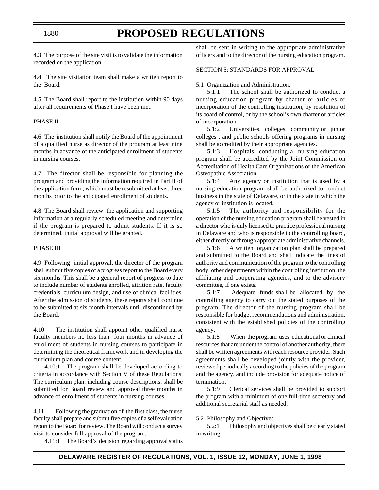4.3 The purpose of the site visit is to validate the information recorded on the application.

4.4 The site visitation team shall make a written report to the Board.

4.5 The Board shall report to the institution within 90 days after all requirements of Phase I have been met.

#### PHASE II

4.6 The institution shall notify the Board of the appointment of a qualified nurse as director of the program at least nine months in advance of the anticipated enrollment of students in nursing courses.

4.7 The director shall be responsible for planning the program and providing the information required in Part II of the application form, which must be resubmitted at least three months prior to the anticipated enrollment of students.

4.8 The Board shall review the application and supporting information at a regularly scheduled meeting and determine if the program is prepared to admit students. If it is so determined, initial approval will be granted.

#### PHASE III

4.9 Following initial approval, the director of the program shall submit five copies of a progress report to the Board every six months. This shall be a general report of progress to date to include number of students enrolled, attrition rate, faculty credentials, curriculum design, and use of clinical facilities. After the admission of students, these reports shall continue to be submitted at six month intervals until discontinued by the Board.

4.10 The institution shall appoint other qualified nurse faculty members no less than four months in advance of enrollment of students in nursing courses to participate in determining the theoretical framework and in developing the curriculum plan and course content.

4.10:1 The program shall be developed according to criteria in accordance with Section V of these Regulations. The curriculum plan, including course descriptions, shall be submitted for Board review and approval three months in advance of enrollment of students in nursing courses.

4.11 Following the graduation of the first class, the nurse faculty shall prepare and submit five copies of a self evaluation report to the Board for review. The Board will conduct a survey visit to consider full approval of the program.

4.11:1 The Board's decision regarding approval status

shall be sent in writing to the appropriate administrative officers and to the director of the nursing education program.

## SECTION 5: STANDARDS FOR APPROVAL

## 5.1 Organization and Administration.

5.1:1 The school shall be authorized to conduct a nursing education program by charter or articles or incorporation of the controlling institution, by resolution of its board of control, or by the school's own charter or articles of incorporation.

5.1:2 Universities, colleges, community or junior colleges , and public schools offering programs in nursing shall be accredited by their appropriate agencies.

5.1:3 Hospitals conducting a nursing education program shall be accredited by the Joint Commission on Accreditation of Health Care Organizations or the American Osteopathic Association.

5.1:4 Any agency or institution that is used by a nursing education program shall be authorized to conduct business in the state of Delaware, or in the state in which the agency or institution is located.

5.1:5 The authority and responsibility for the operation of the nursing education program shall be vested in a director who is duly licensed to practice professional nursing in Delaware and who is responsible to the controlling board, either directly or through appropriate administrative channels.

5.1:6 A written organization plan shall be prepared and submitted to the Board and shall indicate the lines of authority and communication of the program to the controlling body, other departments within the controlling institution, the affiliating and cooperating agencies, and to the advisory committee, if one exists.

5.1:7 Adequate funds shall be allocated by the controlling agency to carry out the stated purposes of the program. The director of the nursing program shall be responsible for budget recommendations and administration, consistent with the established policies of the controlling agency.

5.1:8 When the program uses educational or clinical resources that are under the control of another authority, there shall be written agreements with each resource provider. Such agreements shall be developed jointly with the provider, reviewed periodically according to the policies of the program and the agency, and include provision for adequate notice of termination.

5.1:9 Clerical services shall be provided to support the program with a minimum of one full-time secretary and additional secretarial staff as needed.

## 5.2 Philosophy and Objectives

5.2:1 Philosophy and objectives shall be clearly stated in writing.

## 1880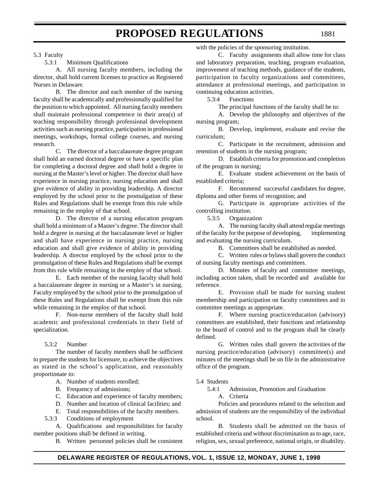#### 5.3 Faculty

5.3:1 Minimum Qualifications

A. All nursing faculty members, including the director, shall hold current licenses to practice as Registered Nurses in Delaware.

B. The director and each member of the nursing faculty shall be academically and professionally qualified for the position to which appointed. All nursing faculty members shall maintain professional competence in their area(s) of teaching responsibility through professional development activities such as nursing practice, participation in professional meetings, workshops, formal college courses, and nursing research.

C. The director of a baccalaureate degree program shall hold an earned doctoral degree or have a specific plan for completing a doctoral degree and shall hold a degree in nursing at the Master's level or higher. The director shall have experience in nursing practice, nursing education and shall give evidence of ability in providing leadership. A director employed by the school prior to the promulgation of these Rules and Regulations shall be exempt from this rule while remaining in the employ of that school.

D. The director of a nursing education program shall hold a minimum of a Master's degree. The director shall hold a degree in nursing at the baccalaureate level or higher and shall have experience in nursing practice, nursing education and shall give evidence of ability in providing leadership. A director employed by the school prior to the promulgation of these Rules and Regulations shall be exempt from this rule while remaining in the employ of that school.

E. Each member of the nursing faculty shall hold a baccalaureate degree in nursing or a Master's in nursing. Faculty employed by the school prior to the promulgation of these Rules and Regulations shall be exempt from this rule while remaining in the employ of that school.

F. Non-nurse members of the faculty shall hold academic and professional credentials in their field of specialization.

#### 5.3:2 Number

The number of faculty members shall be sufficient to prepare the students for licensure, to achieve the objectives as stated in the school's application, and reasonably proportionate to:

- A. Number of students enrolled;
- B. Frequency of admissions;
- C. Education and experience of faculty members;
- D. Number and location of clinical facilities; and
- E. Total responsibilities of the faculty members.
- 5.3:3 Conditions of employment

A. Qualifications and responsibilities for faculty member positions shall be defined in writing.

B. Written personnel policies shall be consistent

with the policies of the sponsoring institution.

C. Faculty assignments shall allow time for class and laboratory preparation, teaching, program evaluation, improvement of teaching methods, guidance of the students, participation in faculty organizations and committees, attendance at professional meetings, and participation in continuing education activities.

5.3:4 Functions

The principal functions of the faculty shall be to:

A. Develop the philosophy and objectives of the nursing program;

B. Develop, implement, evaluate and revise the curriculum;

C. Participate in the recruitment, admission and retention of students in the nursing program;

D. Establish criteria for promotion and completion of the program in nursing;

E. Evaluate student achievement on the basis of established criteria;

F. Recommend successful candidates for degree, diploma and other forms of recognition; and

G. Participate in appropriate activities of the controlling institution.

5.3:5 Organization

A. The nursing faculty shall attend regular meetings of the faculty for the purpose of developing, implementing and evaluating the nursing curriculum.

B. Committees shall be established as needed.

C. Written rules or bylaws shall govern the conduct of nursing faculty meetings and committees.

D. Minutes of faculty and committee meetings, including action taken, shall be recorded and available for reference.

E. Provision shall be made for nursing student membership and participation on faculty committees and in committee meetings as appropriate.

F. Where nursing practice/education (advisory) committees are established, their functions and relationship to the board of control and to the program shall be clearly defined.

G. Written rules shall govern the activities of the nursing practice/education (advisory) committee(s) and minutes of the meetings shall be on file in the administrative office of the program.

#### 5.4 Students

5.4:1 Admission, Promotion and Graduation

A. Criteria

Policies and procedures related to the selection and admission of students are the responsibility of the individual school.

B. Students shall be admitted on the basis of established criteria and without discrimination as to age, race, religion, sex, sexual preference, national origin, or disability.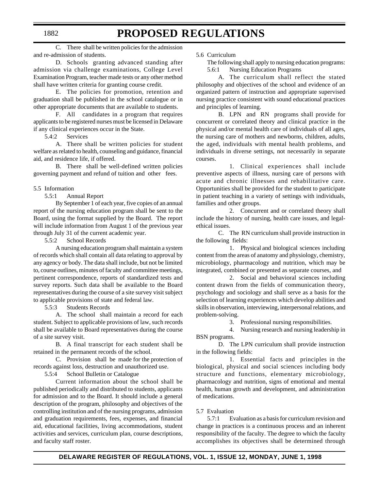C. There shall be written policies for the admission and re-admission of students.

D. Schools granting advanced standing after admission via challenge examinations, College Level Examination Program, teacher made tests or any other method shall have written criteria for granting course credit.

E. The policies for promotion, retention and graduation shall be published in the school catalogue or in other appropriate documents that are available to students.

F. All candidates in a program that requires applicants to be registered nurses must be licensed in Delaware if any clinical experiences occur in the State.

5.4:2 Services

A. There shall be written policies for student welfare as related to health, counseling and guidance, financial aid, and residence life, if offered.

B. There shall be well-defined written policies governing payment and refund of tuition and other fees.

## 5.5 Information

5.5:1 Annual Report

By September 1 of each year, five copies of an annual report of the nursing education program shall be sent to the Board, using the format supplied by the Board. The report will include information from August 1 of the previous year through July 31 of the current academic year.

5.5:2 School Records

A nursing education program shall maintain a system of records which shall contain all data relating to approval by any agency or body. The data shall include, but not be limited to, course outlines, minutes of faculty and committee meetings, pertinent correspondence, reports of standardized tests and survey reports. Such data shall be available to the Board representatives during the course of a site survey visit subject to applicable provisions of state and federal law.

5.5:3 Students Records

A. The school shall maintain a record for each student. Subject to applicable provisions of law, such records shall be available to Board representatives during the course of a site survey visit.

B. A final transcript for each student shall be retained in the permanent records of the school.

C. Provision shall be made for the protection of records against loss, destruction and unauthorized use.

5.5:4 School Bulletin or Catalogue

Current information about the school shall be published periodically and distributed to students, applicants for admission and to the Board. It should include a general description of the program, philosophy and objectives of the controlling institution and of the nursing programs, admission and graduation requirements, fees, expenses, and financial aid, educational facilities, living accommodations, student activities and services, curriculum plan, course descriptions, and faculty staff roster.

5.6 Curriculum

The following shall apply to nursing education programs: 5.6:1 Nursing Education Programs

A. The curriculum shall reflect the stated philosophy and objectives of the school and evidence of an organized pattern of instruction and appropriate supervised nursing practice consistent with sound educational practices and principles of learning.

B. LPN and RN programs shall provide for concurrent or correlated theory and clinical practice in the physical and/or mental health care of individuals of all ages, the nursing care of mothers and newborns, children, adults, the aged, individuals with mental health problems, and individuals in diverse settings, not necessarily in separate courses.

1. Clinical experiences shall include preventive aspects of illness, nursing care of persons with acute and chronic illnesses and rehabilitative care. Opportunities shall be provided for the student to participate in patient teaching in a variety of settings with individuals, families and other groups.

2. Concurrent and or correlated theory shall include the history of nursing, health care issues, and legalethical issues.

C. The RN curriculum shall provide instruction in the following fields:

1. Physical and biological sciences including content from the areas of anatomy and physiology, chemistry, microbiology, pharmacology and nutrition, which may be integrated, combined or presented as separate courses, and

2. Social and behavioral sciences including content drawn from the fields of communication theory, psychology and sociology and shall serve as a basis for the selection of learning experiences which develop abilities and skills in observation, interviewing, interpersonal relations, and problem-solving.

3. Professional nursing responsibilities.

4. Nursing research and nursing leadership in BSN programs.

D. The LPN curriculum shall provide instruction in the following fields:

1. Essential facts and principles in the biological, physical and social sciences including body structure and functions, elementary microbiology, pharmacology and nutrition, signs of emotional and mental health, human growth and development, and administration of medications.

5.7 Evaluation

5.7:1 Evaluation as a basis for curriculum revision and change in practices is a continuous process and an inherent responsibility of the faculty. The degree to which the faculty accomplishes its objectives shall be determined through

## 1882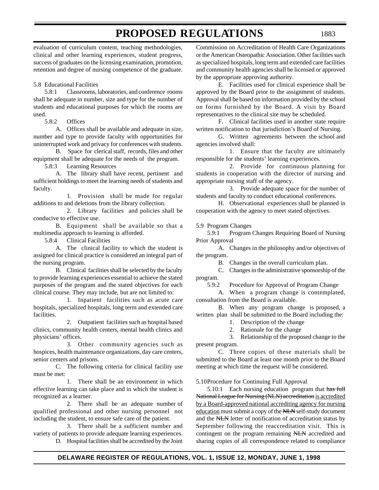evaluation of curriculum content, teaching methodologies, clinical and other learning experiences, student progress, success of graduates on the licensing examination, promotion, retention and degree of nursing competence of the graduate.

### 5.8 Educational Facilities

5.8:1 Classrooms, laboratories, and conference rooms shall be adequate in number, size and type for the number of students and educational purposes for which the rooms are used.

## 5.8:2 Offices

A. Offices shall be available and adequate in size, number and type to provide faculty with opportunities for uninterrupted work and privacy for conferences with students.

B. Space for clerical staff, records, files and other equipment shall be adequate for the needs of the program.

5.8:3 Learning Resources

A. The library shall have recent, pertinent and sufficient holdings to meet the learning needs of students and faculty.

1. Provision shall be made for regular additions to and deletions from the library collection.

2. Library facilities and policies shall be conducive to effective use.

B. Equipment shall be available so that a multimedia approach to learning is afforded.

5.8:4 Clinical Facilities

A. The clinical facility to which the student is assigned for clinical practice is considered an integral part of the nursing program.

B. Clinical facilities shall be selected by the faculty to provide learning experiences essential to achieve the stated purposes of the program and the stated objectives for each clinical course. They may include, but are not limited to:

1. Inpatient facilities such as acute care hospitals, specialized hospitals, long term and extended care facilities.

2. Outpatient facilities such as hospital based clinics, community health centers, mental health clinics and physicians' offices.

3. Other community agencies such as hospices, health maintenance organizations, day care centers, senior centers and prisons.

C. The following criteria for clinical facility use must be met:

1. There shall be an environment in which effective learning can take place and in which the student is recognized as a learner.

2. There shall be an adequate number of qualified professional and other nursing personnel not including the student, to ensure safe care of the patient.

3. There shall be a sufficient number and variety of patients to provide adequate learning experiences.

D. Hospital facilities shall be accredited by the Joint

Commission on Accreditation of Health Care Organizations or the American Osteopathic Association. Other facilities such as specialized hospitals, long term and extended care facilities and community health agencies shall be licensed or approved by the appropriate approving authority.

E. Facilities used for clinical experience shall be approved by the Board prior to the assignment of students. Approval shall be based on information provided by the school on forms furnished by the Board. A visit by Board representatives to the clinical site may be scheduled.

F. Clinical facilities used in another state require written notification to that jurisdiction's Board of Nursing.

G. Written agreements between the school and agencies involved shall:

1. Ensure that the faculty are ultimately responsible for the students' learning experiences.

2. Provide for continuous planning for students in cooperation with the director of nursing and appropriate nursing staff of the agency.

3. Provide adequate space for the number of students and faculty to conduct educational conferences.

H. Observational experiences shall be planned in cooperation with the agency to meet stated objectives.

5.9 Program Changes

5.9:1 Program Changes Requiring Board of Nursing Prior Approval

A. Changes in the philosophy and/or objectives of the program.

B. Changes in the overall curriculum plan.

C. Changes in the administrative sponsorship of the program.

5.9:2 Procedure for Approval of Program Change

A. When a program change is contemplated, consultation from the Board is available.

B. When any program change is proposed, a written plan shall be submitted to the Board including the:

1. Description of the change

2. Rationale for the change

3. Relationship of the proposed change to the present program.

C. Three copies of these materials shall be submitted to the Board at least one month prior to the Board meeting at which time the request will be considered.

5.10Procedure for Continuing Full Approval

5.10:1 Each nursing education program that has full National League for Nursing (NLN) accreditation is accredited by a Board-approved national accrediting agency for nursing education must submit a copy of the NLN self-study document and the NLN letter of notification of accreditation status by September following the reaccreditation visit. This is contingent on the program remaining NLN accredited and sharing copies of all correspondence related to compliance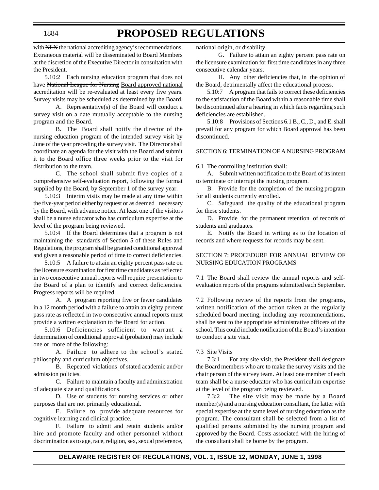## **PROPOSED REGULATIONS**

## with NLN the national accrediting agency's recommendations. Extraneous material will be disseminated to Board Members at the discretion of the Executive Director in consultation with the President.

5.10:2 Each nursing education program that does not have National League for Nursing Board approved national accreditation will be re-evaluated at least every five years. Survey visits may be scheduled as determined by the Board.

A. Representative(s) of the Board will conduct a survey visit on a date mutually acceptable to the nursing program and the Board.

B. The Board shall notify the director of the nursing education program of the intended survey visit by June of the year preceding the survey visit. The Director shall coordinate an agenda for the visit with the Board and submit it to the Board office three weeks prior to the visit for distribution to the team.

C. The school shall submit five copies of a comprehensive self-evaluation report, following the format supplied by the Board, by September 1 of the survey year.

5.10:3 Interim visits may be made at any time within the five-year period either by request or as deemed necessary by the Board, with advance notice. At least one of the visitors shall be a nurse educator who has curriculum expertise at the level of the program being reviewed.

5.10:4 If the Board determines that a program is not maintaining the standards of Section 5 of these Rules and Regulations, the program shall be granted conditional approval and given a reasonable period of time to correct deficiencies.

5.10:5 A failure to attain an eighty percent pass rate on the licensure examination for first time candidates as reflected in two consecutive annual reports will require presentation to the Board of a plan to identify and correct deficiencies. Progress reports will be required.

A. A program reporting five or fewer candidates in a 12 month period with a failure to attain an eighty percent pass rate as reflected in two consecutive annual reports must provide a written explanation to the Board for action.

5.10:6 Deficiencies sufficient to warrant a determination of conditional approval (probation) may include one or more of the following:

A. Failure to adhere to the school's stated philosophy and curriculum objectives.

B. Repeated violations of stated academic and/or admission policies.

C. Failure to maintain a faculty and administration of adequate size and qualifications.

D. Use of students for nursing services or other purposes that are not primarily educational.

E. Failure to provide adequate resources for cognitive learning and clinical practice.

F. Failure to admit and retain students and/or hire and promote faculty and other personnel without discrimination as to age, race, religion, sex, sexual preference,

national origin, or disability.

G. Failure to attain an eighty percent pass rate on the licensure examination for first time candidates in any three consecutive calendar years.

H. Any other deficiencies that, in the opinion of the Board, detrimentally affect the educational process.

5.10:7 A program that fails to correct these deficiencies to the satisfaction of the Board within a reasonable time shall be discontinued after a hearing in which facts regarding such deficiencies are established.

5.10:8 Provisions of Sections 6.1 B., C., D., and E. shall prevail for any program for which Board approval has been discontinued.

#### SECTION 6: TERMINATION OF A NURSING PROGRAM

6.1 The controlling institution shall:

A. Submit written notification to the Board of its intent to terminate or interrupt the nursing program.

B. Provide for the completion of the nursing program for all students currently enrolled.

C. Safeguard the quality of the educational program for these students.

D. Provide for the permanent retention of records of students and graduates.

E. Notify the Board in writing as to the location of records and where requests for records may be sent.

SECTION 7: PROCEDURE FOR ANNUAL REVIEW OF NURSING EDUCATION PROGRAMS

7.1 The Board shall review the annual reports and selfevaluation reports of the programs submitted each September.

7.2 Following review of the reports from the programs, written notification of the action taken at the regularly scheduled board meeting, including any recommendations, shall be sent to the appropriate administrative officers of the school. This could include notification of the Board's intention to conduct a site visit.

#### 7.3 Site Visits

7.3:1 For any site visit, the President shall designate the Board members who are to make the survey visits and the chair person of the survey team. At least one member of each team shall be a nurse educator who has curriculum expertise at the level of the program being reviewed.

7.3:2 The site visit may be made by a Board member(s) and a nursing education consultant, the latter with special expertise at the same level of nursing education as the program. The consultant shall be selected from a list of qualified persons submitted by the nursing program and approved by the Board. Costs associated with the hiring of the consultant shall be borne by the program.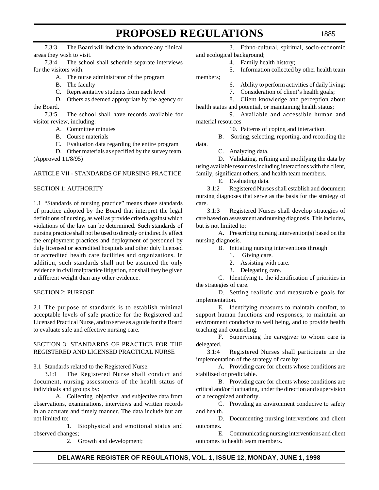7.3:3 The Board will indicate in advance any clinical areas they wish to visit.

7.3:4 The school shall schedule separate interviews for the visitors with:

- A. The nurse administrator of the program
- B. The faculty
- C. Representative students from each level

D. Others as deemed appropriate by the agency or the Board.

7.3:5 The school shall have records available for visitor review, including:

- A. Committee minutes
- B. Course materials
- C. Evaluation data regarding the entire program

D. Other materials as specified by the survey team. (Approved 11/8/95)

## ARTICLE VII - STANDARDS OF NURSING PRACTICE

#### SECTION 1: AUTHORITY

1.1 "Standards of nursing practice" means those standards of practice adopted by the Board that interpret the legal definitions of nursing, as well as provide criteria against which violations of the law can be determined. Such standards of nursing practice shall not be used to directly or indirectly affect the employment practices and deployment of personnel by duly licensed or accredited hospitals and other duly licensed or accredited health care facilities and organizations. In addition, such standards shall not be assumed the only evidence in civil malpractice litigation, nor shall they be given a different weight than any other evidence.

#### SECTION 2: PURPOSE

2.1 The purpose of standards is to establish minimal acceptable levels of safe practice for the Registered and Licensed Practical Nurse, and to serve as a guide for the Board to evaluate safe and effective nursing care.

## SECTION 3: STANDARDS OF PRACTICE FOR THE REGISTERED AND LICENSED PRACTICAL NURSE

3.1 Standards related to the Registered Nurse.

3.1:1 The Registered Nurse shall conduct and document, nursing assessments of the health status of individuals and groups by:

A. Collecting objective and subjective data from observations, examinations, interviews and written records in an accurate and timely manner. The data include but are not limited to:

1. Biophysical and emotional status and observed changes;

2. Growth and development;

3. Ethno-cultural, spiritual, socio-economic and ecological background;

- 4. Family health history;
- 5. Information collected by other health team members;
	- 6. Ability to perform activities of daily living;
	- 7. Consideration of client's health goals;

8. Client knowledge and perception about health status and potential, or maintaining health status;

9. Available and accessible human and material resources

10. Patterns of coping and interaction.

B. Sorting, selecting, reporting, and recording the

data.

C. Analyzing data.

D. Validating, refining and modifying the data by using available resources including interactions with the client, family, significant others, and health team members.

E. Evaluating data.

3.1:2 Registered Nurses shall establish and document nursing diagnoses that serve as the basis for the strategy of care.

3.1:3 Registered Nurses shall develop strategies of care based on assessment and nursing diagnosis. This includes, but is not limited to:

A. Prescribing nursing intervention(s) based on the nursing diagnosis.

B. Initiating nursing interventions through

- 1. Giving care.
- 2. Assisting with care.
- 3. Delegating care.

C. Identifying to the identification of priorities in the strategies of care.

D. Setting realistic and measurable goals for implementation.

E. Identifying measures to maintain comfort, to support human functions and responses, to maintain an environment conducive to well being, and to provide health teaching and counseling.

F. Supervising the caregiver to whom care is delegated.

3.1:4 Registered Nurses shall participate in the implementation of the strategy of care by:

A. Providing care for clients whose conditions are stabilized or predictable.

B. Providing care for clients whose conditions are critical and/or fluctuating, under the direction and supervision of a recognized authority.

C. Providing an environment conducive to safety and health.

D. Documenting nursing interventions and client outcomes.

E. Communicating nursing interventions and client outcomes to health team members.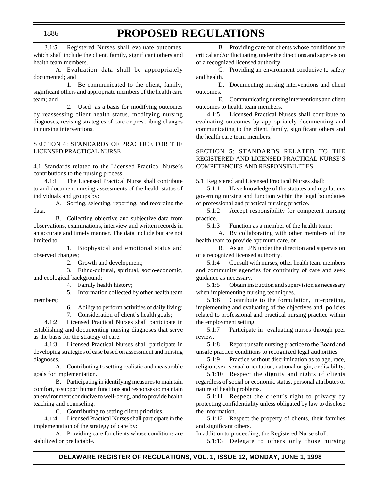## **PROPOSED REGULATIONS**

3.1:5 Registered Nurses shall evaluate outcomes, which shall include the client, family, significant others and health team members.

A. Evaluation data shall be appropriately documented; and

1. Be communicated to the client, family, significant others and appropriate members of the health care team; and

2. Used as a basis for modifying outcomes by reassessing client health status, modifying nursing diagnoses, revising strategies of care or prescribing changes in nursing interventions.

SECTION 4: STANDARDS OF PRACTICE FOR THE LICENSED PRACTICAL NURSE

4.1 Standards related to the Licensed Practical Nurse's contributions to the nursing process.

4.1:1 The Licensed Practical Nurse shall contribute to and document nursing assessments of the health status of individuals and groups by:

A. Sorting, selecting, reporting, and recording the data.

B. Collecting objective and subjective data from observations, examinations, interview and written records in an accurate and timely manner. The data include but are not limited to:

1. Biophysical and emotional status and observed changes;

2. Growth and development;

3. Ethno-cultural, spiritual, socio-economic, and ecological background;

4. Family health history;

5. Information collected by other health team members;

6. Ability to perform activities of daily living;

7. Consideration of client's health goals;

4.1:2 Licensed Practical Nurses shall participate in establishing and documenting nursing diagnoses that serve as the basis for the strategy of care.

4.1:3 Licensed Practical Nurses shall participate in developing strategies of case based on assessment and nursing diagnoses.

A. Contributing to setting realistic and measurable goals for implementation.

B. Participating in identifying measures to maintain comfort, to support human functions and responses to maintain an environment conducive to well-being, and to provide health teaching and counseling.

C. Contributing to setting client priorities.

4.1:4 Licensed Practical Nurses shall participate in the implementation of the strategy of care by:

A. Providing care for clients whose conditions are stabilized or predictable.

B. Providing care for clients whose conditions are critical and/or fluctuating, under the directions and supervision of a recognized licensed authority.

C. Providing an environment conducive to safety and health.

D. Documenting nursing interventions and client outcomes.

E. Communicating nursing interventions and client outcomes to health team members.

4.1:5 Licensed Practical Nurses shall contribute to evaluating outcomes by appropriately documenting and communicating to the client, family, significant others and the health care team members.

SECTION 5: STANDARDS RELATED TO THE REGISTERED AND LICENSED PRACTICAL NURSE'S COMPETENCIES AND RESPONSIBILITIES.

5.1 Registered and Licensed Practical Nurses shall:

5.1:1 Have knowledge of the statutes and regulations governing nursing and function within the legal boundaries of professional and practical nursing practice.

5.1:2 Accept responsibility for competent nursing practice.

5.1:3 Function as a member of the health team:

A. By collaborating with other members of the health team to provide optimum care, or

B. As an LPN under the direction and supervision of a recognized licensed authority.

5.1:4 Consult with nurses, other health team members and community agencies for continuity of care and seek guidance as necessary.

5.1:5 Obtain instruction and supervision as necessary when implementing nursing techniques.

5.1:6 Contribute to the formulation, interpreting, implementing and evaluating of the objectives and policies related to professional and practical nursing practice within the employment setting.

5.1:7 Participate in evaluating nurses through peer review.

5.1:8 Report unsafe nursing practice to the Board and unsafe practice conditions to recognized legal authorities.

5.1:9 Practice without discrimination as to age, race, religion, sex, sexual orientation, national origin, or disability.

5.1:10 Respect the dignity and rights of clients regardless of social or economic status, personal attributes or nature of health problems.

5.1:11 Respect the client's right to privacy by protecting confidentiality unless obligated by law to disclose the information.

5.1:12 Respect the property of clients, their families and significant others.

In addition to proceeding, the Registered Nurse shall:

5.1:13 Delegate to others only those nursing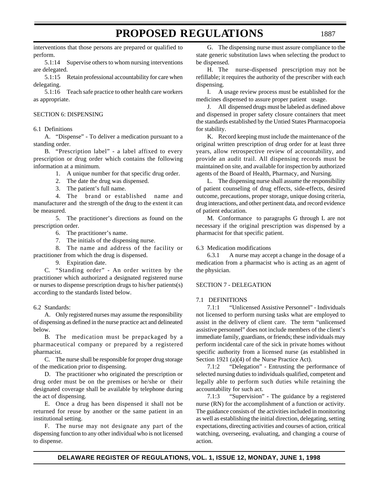interventions that those persons are prepared or qualified to perform.

5.1:14 Supervise others to whom nursing interventions are delegated.

5.1:15 Retain professional accountability for care when delegating.

5.1:16 Teach safe practice to other health care workers as appropriate.

#### SECTION 6: DISPENSING

6.1 Definitions

A. "Dispense" - To deliver a medication pursuant to a standing order.

B. "Prescription label" - a label affixed to every prescription or drug order which contains the following information at a minimum.

- 1. A unique number for that specific drug order.
- 2. The date the drug was dispensed.
- 3. The patient's full name.

4. The brand or established name and manufacturer and the strength of the drug to the extent it can be measured.

5. The practitioner's directions as found on the prescription order.

- 6. The practitioner's name.
- 7. The initials of the dispensing nurse.

8. The name and address of the facility or practitioner from which the drug is dispensed.

9. Expiration date.

C. "Standing order" - An order written by the practitioner which authorized a designated registered nurse or nurses to dispense prescription drugs to his/her patients(s) according to the standards listed below.

#### 6.2 Standards:

A. Only registered nurses may assume the responsibility of dispensing as defined in the nurse practice act and delineated below.

B. The medication must be prepackaged by a pharmaceutical company or prepared by a registered pharmacist.

C. The nurse shall be responsible for proper drug storage of the medication prior to dispensing.

D. The practitioner who originated the prescription or drug order must be on the premises or he/she or their designated coverage shall be available by telephone during the act of dispensing.

E. Once a drug has been dispensed it shall not be returned for reuse by another or the same patient in an institutional setting.

F. The nurse may not designate any part of the dispensing function to any other individual who is not licensed to dispense.

G. The dispensing nurse must assure compliance to the state generic substitution laws when selecting the product to be dispensed.

H. The nurse-dispensed prescription may not be refillable; it requires the authority of the prescriber with each dispensing.

I. A usage review process must be established for the medicines dispensed to assure proper patient usage.

J. All dispensed drugs must be labeled as defined above and dispensed in proper safety closure containers that meet the standards established by the Untied States Pharmacopoeia for stability.

K. Record keeping must include the maintenance of the original written prescription of drug order for at least three years, allow retrospective review of accountability, and provide an audit trail. All dispensing records must be maintained on site, and available for inspection by authorized agents of the Board of Health, Pharmacy, and Nursing.

L. The dispensing nurse shall assume the responsibility of patient counseling of drug effects, side-effects, desired outcome, precautions, proper storage, unique dosing criteria, drug interactions, and other pertinent data, and record evidence of patient education.

M. Conformance to paragraphs G through L are not necessary if the original prescription was dispensed by a pharmacist for that specific patient.

#### 6.3 Medication modifications

6.3.1 A nurse may accept a change in the dosage of a medication from a pharmacist who is acting as an agent of the physician.

## SECTION 7 - DELEGATION

#### 7.1 DEFINITIONS

7.1:1 "Unlicensed Assistive Personnel" - Individuals not licensed to perform nursing tasks what are employed to assist in the delivery of client care. The term "unlicensed assistive personnel" does not include members of the client's immediate family, guardians, or friends; these individuals may perform incidental care of the sick in private homes without specific authority from a licensed nurse (as established in Section 1921 (a)(4) of the Nurse Practice Act).

7.1:2 "Delegation" - Entrusting the performance of selected nursing duties to individuals qualified, competent and legally able to perform such duties while retaining the accountability for such act.

7.1:3 "Supervision" - The guidance by a registered nurse (RN) for the accomplishment of a function or activity. The guidance consists of the activities included in monitoring as well as establishing the initial direction, delegating, setting expectations, directing activities and courses of action, critical watching, overseeing, evaluating, and changing a course of action.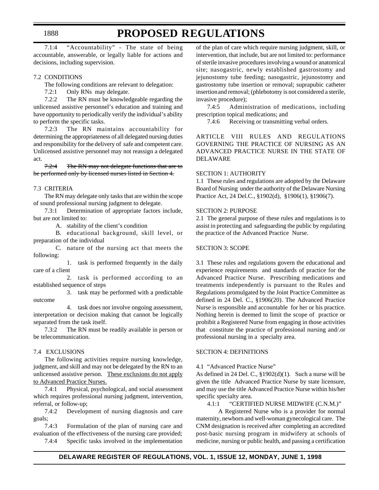## **PROPOSED REGULATIONS**

7.1:4 "Accountability" - The state of being accountable, answerable, or legally liable for actions and decisions, including supervision.

#### 7.2 CONDITIONS

The following conditions are relevant to delegation:

7.2:1 Only RNs may delegate.

7.2:2 The RN must be knowledgeable regarding the unlicensed assistive personnel's education and training and have opportunity to periodically verify the individual's ability to perform the specific tasks.

7.2:3 The RN maintains accountability for determining the appropriateness of all delegated nursing duties and responsibility for the delivery of safe and competent care. Unlicensed assistive personnel may not reassign a delegated act.

7.2:4 The RN may not delegate functions that are to be performed only by licensed nurses listed in Section 4.

#### 7.3 CRITERIA

The RN may delegate only tasks that are within the scope of sound professional nursing judgment to delegate.

7.3:1 Determination of appropriate factors include, but are not limited to:

A. stability of the client's condition

B. educational background, skill level, or preparation of the individual

C. nature of the nursing act that meets the following:

1. task is performed frequently in the daily care of a client

2. task is performed according to an established sequence of steps

3. task may be performed with a predictable outcome

4. task does not involve ongoing assessment, interpretation or decision making that cannot be logically separated from the task itself.

7.3:2 The RN must be readily available in person or be telecommunication.

#### 7.4 EXCLUSIONS

The following activities require nursing knowledge, judgment, and skill and may not be delegated by the RN to an unlicensed assistive person. These exclusions do not apply to Advanced Practice Nurses.

7.4:1 Physical, psychological, and social assessment which requires professional nursing judgment, intervention, referral, or follow-up;

7.4:2 Development of nursing diagnosis and care goals;

7.4:3 Formulation of the plan of nursing care and evaluation of the effectiveness of the nursing care provided;

7.4:4 Specific tasks involved in the implementation

of the plan of care which require nursing judgment, skill, or intervention, that include, but are not limited to: performance of sterile invasive procedures involving a wound or anatomical site; nasogastric, newly established gastrostomy and jejunostomy tube feeding; nasogastric, jejunostomy and gastrostomy tube insertion or removal; suprapubic catheter insertionand removal; (phlebotomy is not considered a sterile, invasive procedure);

7.4:5 Administration of medications, including prescription topical medications; and

7.4:6 Receiving or transmitting verbal orders.

ARTICLE VIII RULES AND REGULATIONS GOVERNING THE PRACTICE OF NURSING AS AN ADVANCED PRACTICE NURSE IN THE STATE OF DELAWARE

#### SECTION 1: AUTHORITY

1.1 These rules and regulations are adopted by the Delaware Board of Nursing under the authority of the Delaware Nursing Practice Act, 24 Del.C., §1902(d), §1906(1), §1906(7).

### SECTION 2: PURPOSE

2.1 The general purpose of these rules and regulations is to assist in protecting and safeguarding the public by regulating the practice of the Advanced Practice Nurse.

#### SECTION 3: SCOPE

3.1 These rules and regulations govern the educational and experience requirements and standards of practice for the Advanced Practice Nurse. Prescribing medications and treatments independently is pursuant to the Rules and Regulations promulgated by the Joint Practice Committee as defined in 24 Del. C., §1906(20). The Advanced Practice Nurse is responsible and accountable for her or his practice. Nothing herein is deemed to limit the scope of practice or prohibit a Registered Nurse from engaging in those activities that constitute the practice of professional nursing and/.or professional nursing in a specialty area.

### SECTION 4: DEFINITIONS

#### 4.1 "Advanced Practice Nurse"

As defined in 24 Del. C.,  $\S 1902(d)(1)$ . Such a nurse will be given the title Advanced Practice Nurse by state licensure, and may use the title Advanced Practice Nurse within his/her specific specialty area.

4.1:1 "CERTIFIED NURSE MIDWIFE (C.N.M.)"

A Registered Nurse who is a provider for normal maternity, newborn and well-woman gynecological care. The CNM designation is received after completing an accredited post-basic nursing program in midwifery at schools of medicine, nursing or public health, and passing a certification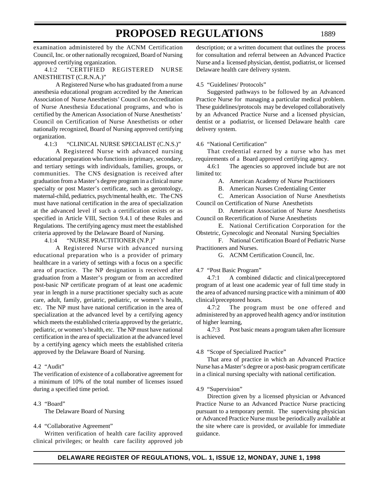examination administered by the ACNM Certification Council, Inc. or other nationally recognized, Board of Nursing approved certifying organization.

4.1:2 "CERTIFIED REGISTERED NURSE ANESTHETIST (C.R.N.A.)"

A Registered Nurse who has graduated from a nurse anesthesia educational program accredited by the American Association of Nurse Anesthetists' Council on Accreditation of Nurse Anesthesia Educational programs, and who is certified by the American Association of Nurse Anesthetists' Council on Certification of Nurse Anesthetists or other nationally recognized, Board of Nursing approved certifying organization.

4.1:3 "CLINICAL NURSE SPECIALIST (C.N.S.)"

A Registered Nurse with advanced nursing educational preparation who functions in primary, secondary, and tertiary settings with individuals, families, groups, or communities. The CNS designation is received after graduation from a Master's degree program in a clinical nurse specialty or post Master's certificate, such as gerontology, maternal-child, pediatrics, psych/mental health, etc. The CNS must have national certification in the area of specialization at the advanced level if such a certification exists or as specified in Article VIII, Section 9.4.1 of these Rules and Regulations. The certifying agency must meet the established criteria approved by the Delaware Board of Nursing.

4.1:4 "NURSE PRACTITIONER (N.P.)"

A Registered Nurse with advanced nursing educational preparation who is a provider of primary healthcare in a variety of settings with a focus on a specific area of practice. The NP designation is received after graduation from a Master's program or from an accredited post-basic NP certificate program of at least one academic year in length in a nurse practitioner specialty such as acute care, adult, family, geriatric, pediatric, or women's health, etc. The NP must have national certification in the area of specialization at the advanced level by a certifying agency which meets the established criteria approved by the geriatric, pediatric, or women's health, etc. The NP must have national certification in the area of specialization at the advanced level by a certifying agency which meets the established criteria approved by the Delaware Board of Nursing.

#### 4.2 "Audit"

The verification of existence of a collaborative agreement for a minimum of 10% of the total number of licenses issued during a specified time period.

### 4.3 "Board"

The Delaware Board of Nursing

#### 4.4 "Collaborative Agreement"

Written verification of health care facility approved clinical privileges; or health care facility approved job

description; or a written document that outlines the process for consultation and referral between an Advanced Practice Nurse and a licensed physician, dentist, podiatrist, or licensed Delaware health care delivery system.

#### 4.5 "Guidelines/ Protocols"

Suggested pathways to be followed by an Advanced Practice Nurse for managing a particular medical problem. These guidelines/protocols may be developed collaboratively by an Advanced Practice Nurse and a licensed physician, dentist or a podiatrist, or licensed Delaware health care delivery system.

#### 4.6 "National Certification"

That credential earned by a nurse who has met requirements of a Board approved certifying agency.

4.6:1 The agencies so approved include but are not limited to:

A. American Academy of Nurse Practitioners

B. American Nurses Credentialing Center

C. American Association of Nurse Anesthetists Council on Certification of Nurse Anesthetists

D. American Association of Nurse Anesthetists Council on Recertification of Nurse Anesthetists

E. National Certification Corporation for the Obstetric, Gynecologic and Neonatal Nursing Specialties

F. National Certification Board of Pediatric Nurse Practitioners and Nurses.

G. ACNM Certification Council, Inc.

#### 4.7 "Post Basic Program"

4.7:1 A combined didactic and clinical/preceptored program of at least one academic year of full time study in the area of advanced nursing practice with a minimum of 400 clinical/preceptored hours.

4.7:2 The program must be one offered and administered by an approved health agency and/or institution of higher learning,

4.7:3 Post basic means a program taken after licensure is achieved.

4.8 "Scope of Specialized Practice"

That area of practice in which an Advanced Practice Nurse has a Master's degree or a post-basic program certificate in a clinical nursing specialty with national certification.

#### 4.9 "Supervision"

Direction given by a licensed physician or Advanced Practice Nurse to an Advanced Practice Nurse practicing pursuant to a temporary permit. The supervising physician or Advanced Practice Nurse must be periodically available at the site where care is provided, or available for immediate guidance.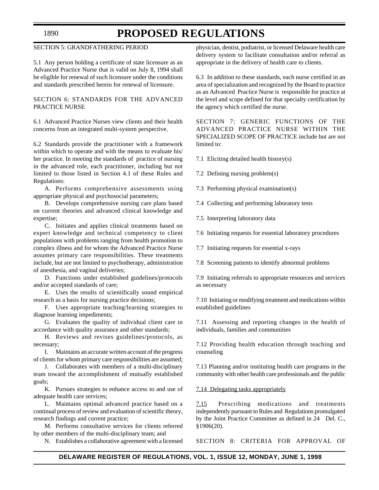## **PROPOSED REGULATIONS**

#### SECTION 5: GRANDFATHERING PERIOD

5.1 Any person holding a certificate of state licensure as an Advanced Practice Nurse that is valid on July 8, 1994 shall be eligible for renewal of such licensure under the conditions and standards prescribed herein for renewal of licensure.

#### SECTION 6: STANDARDS FOR THE ADVANCED PRACTICE NURSE

6.1 Advanced Practice Nurses view clients and their health concerns from an integrated multi-system perspective.

6.2 Standards provide the practitioner with a framework within which to operate and with the means to evaluate his/ her practice. In meeting the standards of practice of nursing in the advanced role, each practitioner, including but not limited to those listed in Section 4.1 of these Rules and Regulations:

A. Performs comprehensive assessments using appropriate physical and psychosocial parameters;

B. Develops comprehensive nursing care plans based on current theories and advanced clinical knowledge and expertise;

C. Initiates and applies clinical treatments based on expert knowledge and technical competency to client populations with problems ranging from health promotion to complex illness and for whom the Advanced Practice Nurse assumes primary care responsibilities. These treatments include, but are not limited to psychotherapy, administration of anesthesia, and vaginal deliveries;

D. Functions under established guidelines/protocols and/or accepted standards of care;

E. Uses the results of scientifically sound empirical research as a basis for nursing practice decisions;

F. Uses appropriate teaching/learning strategies to diagnose learning impediments;

G. Evaluates the quality of individual client care in accordance with quality assurance and other standards;

H. Reviews and revises guidelines/protocols, as necessary;

I. Maintains an accurate written account of the progress of clients for whom primary care responsibilities are assumed;

J. Collaborates with members of a multi-disciplinary team toward the accomplishment of mutually established goals;

K. Pursues strategies to enhance access to and use of adequate health care services;

L. Maintains optimal advanced practice based on a continual process of review and evaluation of scientific theory, research findings and current practice;

M. Performs consultative services for clients referred by other members of the multi-disciplinary team; and

N. Establishes a collaborative agreement with a licensed

physician, dentist, podiatrist, or licensed Delaware health care delivery system to facilitate consultation and/or referral as appropriate in the delivery of health care to clients.

6.3 In addition to these standards, each nurse certified in an area of specialization and recognized by the Board to practice as an Advanced Practice Nurse is responsible for practice at the level and scope defined for that specialty certification by the agency which certified the nurse.

SECTION 7: GENERIC FUNCTIONS OF THE ADVANCED PRACTICE NURSE WITHIN THE SPECIALIZED SCOPE OF PRACTICE include but are not limited to:

- 7.1 Eliciting detailed health history(s)
- 7.2 Defining nursing problem(s)
- 7.3 Performing physical examination(s)
- 7.4 Collecting and performing laboratory tests
- 7.5 Interpreting laboratory data
- 7.6 Initiating requests for essential laboratory procedures
- 7.7 Initiating requests for essential x-rays

7.8 Screening patients to identify abnormal problems

7.9 Initiating referrals to appropriate resources and services as necessary

7.10 Initiating or modifying treatment and medications within established guidelines

7.11 Assessing and reporting changes in the health of individuals, families and communities

7.12 Providing health education through teaching and counseling

7.13 Planning and/or instituting health care programs in the community with other health care professionals and the public

#### 7.14 Delegating tasks appropriately

7.15 Prescribing medications and treatments independently pursuant to Rules and Regulations promulgated by the Joint Practice Committee as defined in 24 Del. C., §1906(20).

SECTION 8: CRITERIA FOR APPROVAL OF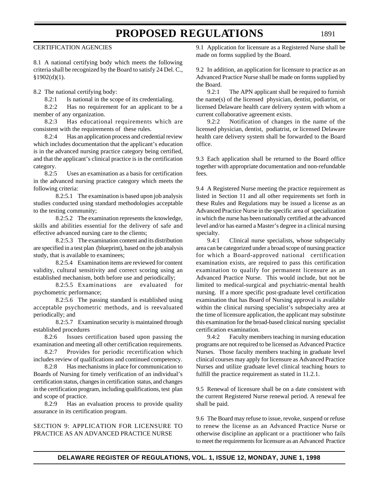CERTIFICATION AGENCIES

8.1 A national certifying body which meets the following criteria shall be recognized by the Board to satisfy 24 Del. C.,  $§1902(d)(1).$ 

8.2 The national certifying body:

8.2:1 Is national in the scope of its credentialing.

8.2:2 Has no requirement for an applicant to be a member of any organization.

8.2:3 Has educational requirements which are consistent with the requirements of these rules.

8.2:4 Has an application process and credential review which includes documentation that the applicant's education is in the advanced nursing practice category being certified, and that the applicant's clinical practice is in the certification category.

8.2:5 Uses an examination as a basis for certification in the advanced nursing practice category which meets the following criteria:

8.2:5.1 The examination is based upon job analysis studies conducted using standard methodologies acceptable to the testing community;

8.2:5.2 The examination represents the knowledge, skills and abilities essential for the delivery of safe and effective advanced nursing care to the clients;

8.2:5.3 The examination content and its distribution are specified in a test plan (blueprint), based on the job analysis study, that is available to examinees;

8.2:5.4 Examination items are reviewed for content validity, cultural sensitivity and correct scoring using an established mechanism, both before use and periodically;

8.2:5.5 Examinations are evaluated for psychometric performance;

8.2:5.6 The passing standard is established using acceptable psychometric methods, and is reevaluated periodically; and

8.2:5.7 Examination security is maintained through established procedures

8.2:6 Issues certification based upon passing the examination and meeting all other certification requirements.

8.2:7 Provides for periodic recertification which includes review of qualifications and continued competency.

8.2:8 Has mechanisms in place for communication to Boards of Nursing for timely verification of an individual's certification status, changes in certification status, and changes in the certification program, including qualifications, test plan and scope of practice.

8.2:9 Has an evaluation process to provide quality assurance in its certification program.

SECTION 9: APPLICATION FOR LICENSURE TO PRACTICE AS AN ADVANCED PRACTICE NURSE

9.1 Application for licensure as a Registered Nurse shall be made on forms supplied by the Board.

9.2 In addition, an application for licensure to practice as an Advanced Practice Nurse shall be made on forms supplied by the Board.

9.2:1 The APN applicant shall be required to furnish the name(s) of the licensed physician, dentist, podiatrist, or licensed Delaware health care delivery system with whom a current collaborative agreement exists.

9.2:2 Notification of changes in the name of the licensed physician, dentist, podiatrist, or licensed Delaware health care delivery system shall be forwarded to the Board office.

9.3 Each application shall be returned to the Board office together with appropriate documentation and non-refundable fees.

9.4 A Registered Nurse meeting the practice requirement as listed in Section 11 and all other requirements set forth in these Rules and Regulations may be issued a license as an Advanced Practice Nurse in the specific area of specialization in which the nurse has been nationally certified at the advanced level and/or has earned a Master's degree in a clinical nursing specialty.

9.4:1 Clinical nurse specialists, whose subspecialty area can be categorized under a broad scope of nursing practice for which a Board-approved national certification examination exists, are required to pass this certification examination to qualify for permanent licensure as an Advanced Practice Nurse. This would include, but not be limited to medical-surgical and psychiatric-mental health nursing. If a more specific post-graduate level certification examination that has Board of Nursing approval is available within the clinical nursing specialist's subspecialty area at the time of licensure application, the applicant may substitute this examination for the broad-based clinical nursing specialist certification examination.

9.4:2 Faculty members teaching in nursing education programs are not required to be licensed as Advanced Practice Nurses. Those faculty members teaching in graduate level clinical courses may apply for licensure as Advanced Practice Nurses and utilize graduate level clinical teaching hours to fulfill the practice requirement as stated in 11.2.1.

9.5 Renewal of licensure shall be on a date consistent with the current Registered Nurse renewal period. A renewal fee shall be paid.

9.6 The Board may refuse to issue, revoke, suspend or refuse to renew the license as an Advanced Practice Nurse or otherwise discipline an applicant or a practitioner who fails to meet the requirements for licensure as an Advanced Practice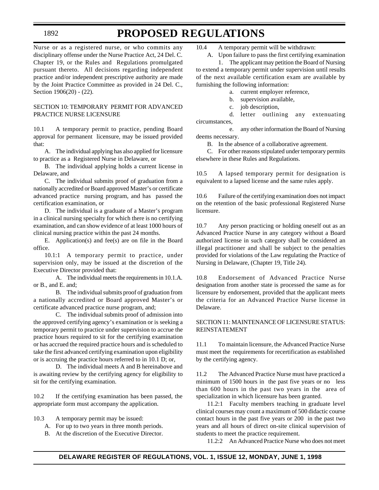## **PROPOSED REGULATIONS**

Nurse or as a registered nurse, or who commits any disciplinary offense under the Nurse Practice Act, 24 Del. C. Chapter 19, or the Rules and Regulations promulgated pursuant thereto. All decisions regarding independent practice and/or independent prescriptive authority are made by the Joint Practice Committee as provided in 24 Del. C., Section 1906(20) - (22).

## SECTION 10: TEMPORARY PERMIT FOR ADVANCED PRACTICE NURSE LICENSURE

10.1 A temporary permit to practice, pending Board approval for permanent licensure, may be issued provided that:

A. The individual applying has also applied for licensure to practice as a Registered Nurse in Delaware, or

B. The individual applying holds a current license in Delaware, and

C. The individual submits proof of graduation from a nationally accredited or Board approved Master's or certificate advanced practice nursing program, and has passed the certification examination, or

D. The individual is a graduate of a Master's program in a clinical nursing specialty for which there is no certifying examination, and can show evidence of at least 1000 hours of clinical nursing practice within the past 24 months.

E. Application(s) and fee(s) are on file in the Board office.

10.1:1 A temporary permit to practice, under supervision only, may be issued at the discretion of the Executive Director provided that:

A. The individual meets the requirements in 10.1.A. or B., and E. and;

B. The individual submits proof of graduation from a nationally accredited or Board approved Master's or certificate advanced practice nurse program, and;

C. The individual submits proof of admission into the approved certifying agency's examination or is seeking a temporary permit to practice under supervision to accrue the practice hours required to sit for the certifying examination or has accrued the required practice hours and is scheduled to take the first advanced certifying examination upon eligibility or is accruing the practice hours referred to in 10.1 D; or,

D. The individual meets A and B hereinabove and is awaiting review by the certifying agency for eligibility to sit for the certifying examination.

10.2 If the certifying examination has been passed, the appropriate form must accompany the application.

## 10.3 A temporary permit may be issued:

- A. For up to two years in three month periods.
- B. At the discretion of the Executive Director.

10.4 A temporary permit will be withdrawn:

A. Upon failure to pass the first certifying examination 1. The applicant may petition the Board of Nursing to extend a temporary permit under supervision until results of the next available certification exam are available by furnishing the following information:

a. current employer reference,

- b. supervision available,
- c. job description,

d. letter outlining any extenuating circumstances,

e. any other information the Board of Nursing deems necessary.

B. In the absence of a collaborative agreement.

C. For other reasons stipulated under temporary permits elsewhere in these Rules and Regulations.

10.5 A lapsed temporary permit for designation is equivalent to a lapsed license and the same rules apply.

10.6 Failure of the certifying examination does not impact on the retention of the basic professional Registered Nurse licensure.

10.7 Any person practicing or holding oneself out as an Advanced Practice Nurse in any category without a Board authorized license in such category shall be considered an illegal practitioner and shall be subject to the penalties provided for violations of the Law regulating the Practice of Nursing in Delaware, (Chapter 19, Title 24).

10.8 Endorsement of Advanced Practice Nurse designation from another state is processed the same as for licensure by endorsement, provided that the applicant meets the criteria for an Advanced Practice Nurse license in Delaware.

## SECTION 11: MAINTENANCE OF LICENSURE STATUS: REINSTATEMENT

11.1 To maintain licensure, the Advanced Practice Nurse must meet the requirements for recertification as established by the certifying agency.

11.2 The Advanced Practice Nurse must have practiced a minimum of 1500 hours in the past five years or no less than 600 hours in the past two years in the area of specialization in which licensure has been granted.

11.2:1 Faculty members teaching in graduate level clinical courses may count a maximum of 500 didactic course contact hours in the past five years or 200 in the past two years and all hours of direct on-site clinical supervision of students to meet the practice requirement.

11.2:2 An Advanced Practice Nurse who does not meet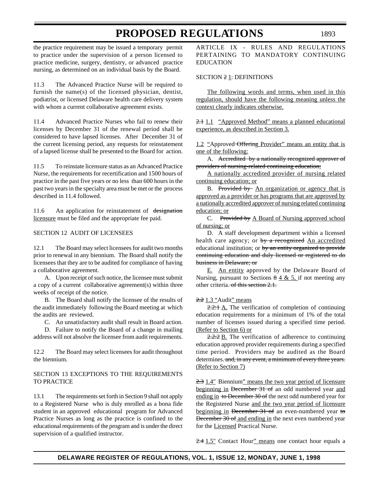the practice requirement may be issued a temporary permit to practice under the supervision of a person licensed to practice medicine, surgery, dentistry, or advanced practice nursing, as determined on an individual basis by the Board.

11.3 The Advanced Practice Nurse will be required to furnish the name(s) of the licensed physician, dentist, podiatrist, or licensed Delaware health care delivery system with whom a current collaborative agreement exists.

11.4 Advanced Practice Nurses who fail to renew their licenses by December 31 of the renewal period shall be considered to have lapsed licenses. After December 31 of the current licensing period, any requests for reinstatement of a lapsed license shall be presented to the Board for action.

11.5 To reinstate licensure status as an Advanced Practice Nurse, the requirements for recertification and 1500 hours of practice in the past five years or no less than 600 hours in the past two years in the specialty area must be met or the process described in 11.4 followed.

11.6 An application for reinstatement of designation licensure must be filed and the appropriate fee paid.

## SECTION 12 AUDIT OF LICENSEES

12.1 The Board may select licensees for audit two months prior to renewal in any biennium. The Board shall notify the licensees that they are to be audited for compliance of having a collaborative agreement.

A. Upon receipt of such notice, the licensee must submit a copy of a current collaborative agreement(s) within three weeks of receipt of the notice.

B. The Board shall notify the licensee of the results of the audit immediately following the Board meeting at which the audits are reviewed.

C. An unsatisfactory audit shall result in Board action.

D. Failure to notify the Board of a change in mailing address will not absolve the licensee from audit requirements.

12.2 The Board may select licensees for audit throughout the biennium.

## SECTION 13 EXCEPTIONS TO THE REQUIREMENTS TO PRACTICE

13.1 The requirements set forth in Section 9 shall not apply to a Registered Nurse who is duly enrolled as a bona fide student in an approved educational program for Advanced Practice Nurses as long as the practice is confined to the educational requirements of the program and is under the direct supervision of a qualified instructor.

ARTICLE IX - RULES AND REGULATIONS PERTAINING TO MANDATORY CONTINUING EDUCATION

#### SECTION 2 1: DEFINITIONS

The following words and terms, when used in this regulation, should have the following meaning unless the context clearly indicates otherwise.

2.1 1.1 "Approved Method" means a planned educational experience, as described in Section 3.

1.2 "Approved-Offering Provider" means an entity that is one of the following:

A. Accredited by a nationally recognized approver of providers of nursing-related continuing education;

A nationally accredited provider of nursing related continuing education; or

B. Provided by An organization or agency that is approved as a provider or has programs that are approved by a nationally accredited approver of nursing related continuing education; or

C. Provided by A Board of Nursing approved school of nursing; or

D. A staff development department within a licensed health care agency; or by a recognized An accredited educational institution; or by an entity organized to provide continuing education and duly licensed or registered to do business in Delaware; or

E. An entity approved by the Delaware Board of Nursing, pursuant to Sections  $8 \frac{4 \& 5}{1}$  if not meeting any other criteria. of this section 2.1.

#### 2.2 1.3 "Audit" means

 $2.2:1$  A. The verification of completion of continuing education requirements for a minimum of 1% of the total number of licenses issued during a specified time period. (Refer to Section 6) or

 $2.2:2 \underline{B}$ . The verification of adherence to continuing education approved provider requirements during a specified time period. Providers may be audited as the Board determines. and, in any event, a minimum of every three years. (Refer to Section 7)

2.3 1.4" Biennium" means the two year period of licensure beginning in December 31 of an odd numbered year and ending in to December 30 of the next odd numbered year for the Registered Nurse and the two year period of licensure beginning in <del>December 31 of</del> an even-numbered year to December 30 of and ending in the next even numbered year for the Licensed Practical Nurse.

2.4 1.5" Contact Hour" means one contact hour equals a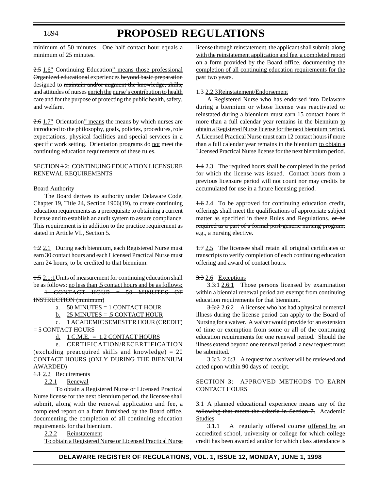## **PROPOSED REGULATIONS**

minimum of 50 minutes. One half contact hour equals a minimum of 25 minutes.

2.5 1.6" Continuing Education" means those professional Organized educational experiences beyond basic preparation designed to maintain and/or augment the knowledge, skills, and attitudes of nurses enrich the nurse's contribution to health care and for the purpose of protecting the public health, safety, and welfare.

2.6 1.7" Orientation" means the means by which nurses are introduced to the philosophy, goals, policies, procedures, role expectations, physical facilities and special services in a specific work setting. Orientation programs do not meet the continuing education requirements of these rules.

## SECTION + 2: CONTINUING EDUCATION LICENSURE RENEWAL REQUIREMENTS

#### Board Authority

The Board derives its authority under Delaware Code, Chapter 19, Title 24, Section 1906(19), to create continuing education requirements as a prerequisite to obtaining a current license and to establish an audit system to assure compliance. This requirement is in addition to the practice requirement as stated in Article VI., Section 5.

1.2 2.1 During each biennium, each Registered Nurse must earn 30 contact hours and each Licensed Practical Nurse must earn 24 hours, to be credited to that biennium.

1.5 2.1:1Units of measurement for continuing education shall be as follows: no less than .5 contact hours and be as follows:

1 CONTACT HOUR = 50 MINUTES OF INSTRUCTION (minimum)

a.  $50$  MINUTES = 1 CONTACT HOUR

 $b.$  25 MINUTES = .5 CONTACT HOUR

c. 1 ACADEMIC SEMESTER HOUR (CREDIT) = 5 CONTACT HOURS

d.  $1$  C.M.E. = 1.2 CONTACT HOURS

e. CERTIFICATION/RECERTIFICATION (excluding preacquired skills and knowledge) = 20 CONTACT HOURS (ONLY DURING THE BIENNIUM AWARDED)

1.1 2.2 Requirements

2.2.1 Renewal

To obtain a Registered Nurse or Licensed Practical Nurse license for the next biennium period, the licensee shall submit, along with the renewal application and fee, a completed report on a form furnished by the Board office, documenting the completion of all continuing education requirements for that biennium.

2.2.2 Reinstatement

To obtain a Registered Nurse or Licensed Practical Nurse

license through reinstatement, the applicant shall submit, along with the reinstatement application and fee, a completed report on a form provided by the Board office, documenting the completion of all continuing education requirements for the past two years.

## 1.3 2.2.3Reinstatement/Endorsement

A Registered Nurse who has endorsed into Delaware during a biennium or whose license was reactivated or reinstated during a biennium must earn 15 contact hours if more than a full calendar year remains in the biennium to obtain a Registered Nurse license for the next biennium period. A Licensed Practical Nurse must earn 12 contact hours if more than a full calendar year remains in the biennium to obtain a Licensed Practical Nurse license for the next biennium period.

1.4 2.3 The required hours shall be completed in the period for which the license was issued. Contact hours from a previous licensure period will not count nor may credits be accumulated for use in a future licensing period.

1.6 2.4 To be approved for continuing education credit, offerings shall meet the qualifications of appropriate subject matter as specified in these Rules and Regulations. or be required as a part of a formal post-generic nursing program, e.g., a nursing elective.

1.7 2.5 The licensee shall retain all original certificates or transcripts to verify completion of each continuing education offering and award of contact hours.

## 3.3 2.6 Exceptions

3.3:1 2.6:1 Those persons licensed by examination within a biennial renewal period are exempt from continuing education requirements for that biennium.

3.3:2 2.6:2 A licensee who has had a physical or mental illness during the license period can apply to the Board of Nursing for a waiver. A waiver would provide for an extension of time or exemption from some or all of the continuing education requirements for one renewal period. Should the illness extend beyond one renewal period, a new request must be submitted.

3.3:3 2.6:3 A request for a waiver will be reviewed and acted upon within 90 days of receipt.

## SECTION 3: APPROVED METHODS TO EARN CONTACT HOURS

3.1 A planned educational experience means any of the following that meets the criteria in Section 7. Academic **Studies** 

3.1.1 A regularly offered course offered by an accredited school, university or college for which college credit has been awarded and/or for which class attendance is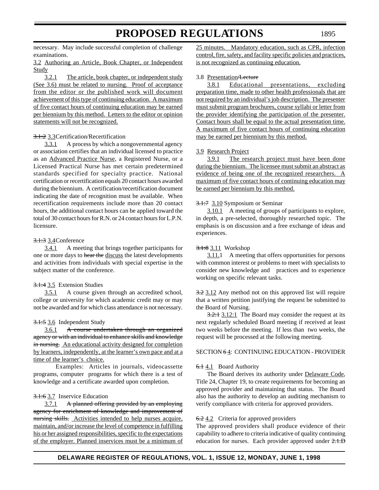necessary. May include successful completion of challenge examinations.

### 3.2 Authoring an Article, Book Chapter, or Independent **Study**

3.2.1 The article, book chapter, or independent study (See 3.6) must be related to nursing. Proof of acceptance from the editor or the published work will document achievement of this type of continuing education. A maximum of five contact hours of continuing education may be earned per biennium by this method. Letters to the editor or opinion statements will not be recognized.

## 3.1:2 3.3Certification/Recertification

3.3.1 A process by which a nongovernmental agency or association certifies that an individual licensed to practice as an Advanced Practice Nurse, a Registered Nurse, or a Licensed Practical Nurse has met certain predetermined standards specified for specialty practice. National certification or recertification equals 20 contact hours awarded during the biennium. A certification/recertification document indicating the date of recognition must be available. When recertification requirements include more than 20 contact hours, the additional contact hours can be applied toward the total of 30 contact hours for R.N. or 24 contact hours for L.P.N. licensure.

#### 3.1:3 3.4Conference

3.4.1 A meeting that brings together participants for one or more days to hear the discuss the latest developments and activities from individuals with special expertise in the subject matter of the conference.

## 3.1:4 3.5 Extension Studies

3.5.1 A course given through an accredited school, college or university for which academic credit may or may not be awarded and for which class attendance is not necessary.

#### 3.1:5 3.6 Independent Study

3.6.1 A course undertaken through an organized agency or with an individual to enhance skills and knowledge in nursing. An educational activity designed for completion by learners, independently, at the learner's own pace and at a time of the learner's choice.

Examples: Articles in journals, videocassette programs, computer programs for which there is a test of knowledge and a certificate awarded upon completion.

#### 3.1:6 3.7 Inservice Education

3.7.1 A planned offering provided by an employing agency for enrichment of knowledge and improvement of nursing skills. Activities intended to help nurses acquire, maintain, and/or increase the level of competence in fulfilling his or her assigned responsibilities, specific to the expectations of the employer. Planned inservices must be a minimum of

25 minutes. Mandatory education, such as CPR, infection control, fire, safety, and facility specific policies and practices, is not recognized as continuing education.

#### 3.8 Presentation/Lecture

3.8.1 Educational presentations, excluding preparation time, made to other health professionals that are not required by an individual's job description. The presenter must submit program brochures, course syllabi or letter from the provider identifying the participation of the presenter. Contact hours shall be equal to the actual presentation time. A maximum of five contact hours of continuing education may be earned per biennium by this method.

#### 3.9 Research Project

3.9.1 The research project must have been done during the biennium. The licensee must submit an abstract as evidence of being one of the recognized researchers. A maximum of five contact hours of continuing education may be earned per biennium by this method.

### 3.1:7 3.10 Symposium or Seminar

3.10.1 A meeting of groups of participants to explore, in depth, a pre-selected, thoroughly researched topic. The emphasis is on discussion and a free exchange of ideas and experiences.

#### 3.1:8 3.11 Workshop

3.11.1 A meeting that offers opportunities for persons with common interest or problems to meet with specialists to consider new knowledge and practices and to experience working on specific relevant tasks.

3.2 3.12 Any method not on this approved list will require that a written petition justifying the request be submitted to the Board of Nursing.

3.2:1 3.12:1 The Board may consider the request at its next regularly scheduled Board meeting if received at least two weeks before the meeting. If less than two weeks, the request will be processed at the following meeting.

#### SECTION 6 4: CONTINUING EDUCATION - PROVIDER

## 6.1 4.1 Board Authority

The Board derives its authority under Delaware Code, Title 24, Chapter 19, to create requirements for becoming an approved provider and maintaining that status. The Board also has the authority to develop an auditing mechanism to verify compliance with criteria for approved providers.

#### 6.2 4.2 Criteria for approved providers

The approved providers shall produce evidence of their capability to adhere to criteria indicative of quality continuing education for nurses. Each provider approved under 2.1.D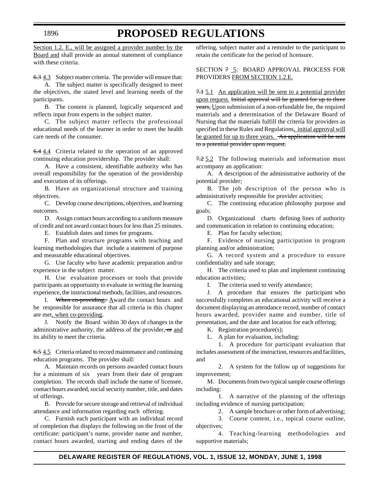Section 1.2. E., will be assigned a provider number by the Board and shall provide an annual statement of compliance with these criteria.

6.3 4.3 Subject matter criteria. The provider will ensure that:

A. The subject matter is specifically designed to meet the objectives, the stated level and learning needs of the participants.

B. The content is planned, logically sequenced and reflects input from experts in the subject matter.

C. The subject matter reflects the professional educational needs of the learner in order to meet the health care needs of the consumer.

6.4 4.4 Criteria related to the operation of an approved continuing education providership. The provider shall:

A. Have a consistent, identifiable authority who has overall responsibility for the operation of the providership and execution of its offerings.

B. Have an organizational structure and training objectives.

C. Develop course descriptions, objectives, and learning outcomes.

D. Assign contact hours according to a uniform measure of credit and not award contact hours for less than 25 minutes.

E. Establish dates and times for programs.

F. Plan and structure programs with teaching and learning methodologies that include a statement of purpose and measurable educational objectives.

G. Use faculty who have academic preparation and/or experience in the subject matter.

H. Use evaluation processes or tools that provide participants an opportunity to evaluate in writing the learning experience, the instructional methods, facilities, and resources.

I. When co-providing, Award the contact hours and be responsible for assurance that all criteria in this chapter are met, when co-providing.

J. Notify the Board within 30 days of changes in the administrative authority, the address of the provider, or and its ability to meet the criteria.

6.5 4.5 Criteria related to record maintenance and continuing education programs. The provider shall:

A. Maintain records on persons awarded contact hours for a minimum of six years from their date of program completion. The records shall include the name of licensee, contact hours awarded, social security number, title, and dates of offerings.

B. Provide for secure storage and retrieval of individual attendance and information regarding each offering.

C. Furnish each participant with an individual record of completion that displays the following on the front of the certificate: participant's name, provider name and number, contact hours awarded, starting and ending dates of the

offering, subject matter and a reminder to the participant to retain the certificate for the period of licensure.

## SECTION 7 5: BOARD APPROVAL PROCESS FOR PROVIDERS FROM SECTION 1.2.E.

7.1 5.1 An application will be sent to a potential provider upon request. Initial approval will be granted for up to three years, Upon submission of a non-refundable fee, the required materials and a determination of the Delaware Board of Nursing that the materials fulfill the criteria for providers as specified in these Rules and Regulations, initial approval will be granted for up to three years. An application will be sent to a potential provider upon request.

7.2 5.2 The following materials and information must accompany an application:

A. A description of the administrative authority of the potential provider;

B. The job description of the person who is administratively responsible for provider activities;

C. The continuing education philosophy purpose and goals;

D. Organizational charts defining lines of authority and communication in relation to continuing education;

E. Plan for faculty selection;

F. Evidence of nursing participation in program planning and/or administration;

G. A record system and a procedure to ensure confidentiality and safe storage;

H. The criteria used to plan and implement continuing education activities;

I. The criteria used to verify attendance;

J. A procedure that ensures the participant who successfully completes an educational activity will receive a document displaying an attendance record, number of contact hours awarded, provider name and number, title of presentation, and the date and location for each offering;

K. Registration procedure(s);

L. A plan for evaluation, including:

1. A procedure for participant evaluation that includes assessment of the instruction, resources and facilities, and

2. A system for the follow up of suggestions for improvement;

M. Documents from two typical sample course offerings including:

1. A narrative of the planning of the offerings including evidence of nursing participation;

2. A sample brochure or other form of advertising;

3. Course content, i.e., topical course outline, objectives;

4. Teaching-learning methodologies and supportive materials;

#### 1896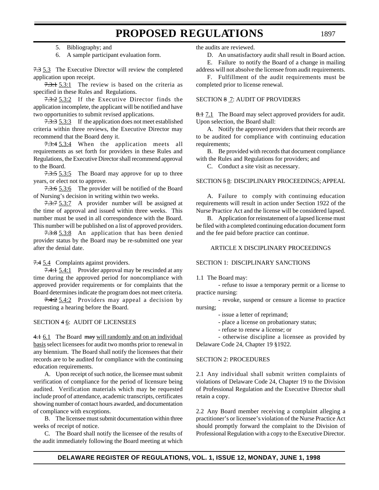5. Bibliography; and

6. A sample participant evaluation form.

7.3 5.3 The Executive Director will review the completed application upon receipt.

7.3:1 5.3:1 The review is based on the criteria as specified in these Rules and Regulations.

7.3:2 5.3:2 If the Executive Director finds the application incomplete, the applicant will be notified and have two opportunities to submit revised applications.

7.3:3 5.3:3 If the application does not meet established criteria within three reviews, the Executive Director may recommend that the Board deny it.

7.3:4 5.3:4 When the application meets all requirements as set forth for providers in these Rules and Regulations, the Executive Director shall recommend approval to the Board.

7.3:5 5.3:5 The Board may approve for up to three years, or elect not to approve.

7.3:6 5.3:6 The provider will be notified of the Board of Nursing's decision in writing within two weeks.

7.3:7 5.3:7 A provider number will be assigned at the time of approval and issued within three weeks. This number must be used in all correspondence with the Board. This number will be published on a list of approved providers.

7.3:8 5.3:8 An application that has been denied provider status by the Board may be re-submitted one year after the denial date.

7.4 5.4 Complaints against providers.

7.4:1 5.4:1 Provider approval may be rescinded at any time during the approved period for noncompliance with approved provider requirements or for complaints that the Board determines indicate the program does not meet criteria.

7.4:2 5.4:2 Providers may appeal a decision by requesting a hearing before the Board.

SECTION 4 6: AUDIT OF LICENSEES

4.1 6.1 The Board may will randomly and on an individual basis select licensees for audit two months prior to renewal in any biennium. The Board shall notify the licensees that their records are to be audited for compliance with the continuing education requirements.

A. Upon receipt of such notice, the licensee must submit verification of compliance for the period of licensure being audited. Verification materials which may be requested include proof of attendance, academic transcripts, certificates showing number of contact hours awarded, and documentation of compliance with exceptions.

B. The licensee must submit documentation within three weeks of receipt of notice.

C. The Board shall notify the licensee of the results of the audit immediately following the Board meeting at which

the audits are reviewed.

D. An unsatisfactory audit shall result in Board action.

E. Failure to notify the Board of a change in mailing address will not absolve the licensee from audit requirements.

F. Fulfillment of the audit requirements must be completed prior to license renewal.

#### SECTION  $8$  7: AUDIT OF PROVIDERS

8.1 7.1 The Board may select approved providers for audit. Upon selection, the Board shall:

A. Notify the approved providers that their records are to be audited for compliance with continuing education requirements;

B. Be provided with records that document compliance with the Rules and Regulations for providers; and

C. Conduct a site visit as necessary.

SECTION 5 8: DISCIPLINARY PROCEEDINGS; APPEAL

A. Failure to comply with continuing education requirements will result in action under Section 1922 of the Nurse Practice Act and the license will be considered lapsed.

B. Application for reinstatement of a lapsed license must be filed with a completed continuing education document form and the fee paid before practice can continue.

#### ARTICLE X DISCIPLINARY PROCEEDINGS

#### SECTION 1: DISCIPLINARY SANCTIONS

#### 1.1 The Board may:

- refuse to issue a temporary permit or a license to practice nursing:

- revoke, suspend or censure a license to practice nursing;

- issue a letter of reprimand;

- place a license on probationary status;

- refuse to renew a license; or

- otherwise discipline a licensee as provided by Delaware Code 24, Chapter 19 §1922.

#### SECTION 2: PROCEDURES

2.1 Any individual shall submit written complaints of violations of Delaware Code 24, Chapter 19 to the Division of Professional Regulation and the Executive Director shall retain a copy.

2.2 Any Board member receiving a complaint alleging a practitioner's or licensee's violation of the Nurse Practice Act should promptly forward the complaint to the Division of Professional Regulation with a copy to the Executive Director.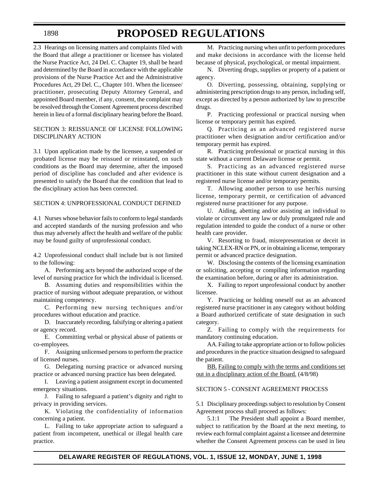## **PROPOSED REGULATIONS**

2.3 Hearings on licensing matters and complaints filed with the Board that allege a practitioner or licensee has violated the Nurse Practice Act, 24 Del. C. Chapter 19, shall be heard and determined by the Board in accordance with the applicable provisions of the Nurse Practice Act and the Administrative Procedures Act, 29 Del. C., Chapter 101. When the licensee/ practitioner, prosecuting Deputy Attorney General, and appointed Board member, if any, consent, the complaint may be resolved through the Consent Agreement process described herein in lieu of a formal disciplinary hearing before the Board.

## SECTION 3: REISSUANCE OF LICENSE FOLLOWING DISCIPLINARY ACTION

3.1 Upon application made by the licensee, a suspended or probated license may be reissued or reinstated, on such conditions as the Board may determine, after the imposed period of discipline has concluded and after evidence is presented to satisfy the Board that the condition that lead to the disciplinary action has been corrected.

### SECTION 4: UNPROFESSIONAL CONDUCT DEFINED

4.1 Nurses whose behavior fails to conform to legal standards and accepted standards of the nursing profession and who thus may adversely affect the health and welfare of the public may be found guilty of unprofessional conduct.

4.2 Unprofessional conduct shall include but is not limited to the following:

A. Performing acts beyond the authorized scope of the level of nursing practice for which the individual is licensed.

B. Assuming duties and responsibilities within the practice of nursing without adequate preparation, or without maintaining competency.

C. Performing new nursing techniques and/or procedures without education and practice.

D. Inaccurately recording, falsifying or altering a patient or agency record.

E. Committing verbal or physical abuse of patients or co-employees.

F. Assigning unlicensed persons to perform the practice of licensed nurses.

G. Delegating nursing practice or advanced nursing practice or advanced nursing practice has been delegated.

I. Leaving a patient assignment except in documented emergency situations.

J. Failing to safeguard a patient's dignity and right to privacy in providing services.

K. Violating the confidentiality of information concerning a patient.

L. Failing to take appropriate action to safeguard a patient from incompetent, unethical or illegal health care practice.

M. Practicing nursing when unfit to perform procedures and make decisions in accordance with the license held because of physical, psychological, or mental impairment.

N. Diverting drugs, supplies or property of a patient or agency.

O. Diverting, possessing, obtaining, supplying or administering prescription drugs to any person, including self, except as directed by a person authorized by law to prescribe drugs.

P. Practicing professional or practical nursing when license or temporary permit has expired.

Q. Practicing as an advanced registered nurse practitioner when designation and/or certification and/or temporary permit has expired.

R. Practicing professional or practical nursing in this state without a current Delaware license or permit.

S. Practicing as an advanced registered nurse practitioner in this state without current designation and a registered nurse license and/or temporary permits.

T. Allowing another person to use her/his nursing license, temporary permit, or certification of advanced registered nurse practitioner for any purpose.

U. Aiding, abetting and/or assisting an individual to violate or circumvent any law or duly promulgated rule and regulation intended to guide the conduct of a nurse or other health care provider.

V. Resorting to fraud, misrepresentation or deceit in taking NCLEX-RN or PN, or in obtaining a license, temporary permit or advanced practice designation.

W. Disclosing the contents of the licensing examination or soliciting, accepting or compiling information regarding the examination before, during or after its administration.

X. Failing to report unprofessional conduct by another licensee.

Y. Practicing or holding oneself out as an advanced registered nurse practitioner in any category without holding a Board authorized certificate of state designation in such category.

Z. Failing to comply with the requirements for mandatory continuing education.

AA.Failing to take appropriate action or to follow policies and procedures in the practice situation designed to safeguard the patient.

BB. Failing to comply with the terms and conditions set out in a disciplinary action of the Board. (4/8/98)

## SECTION 5 - CONSENT AGREEMENT PROCESS

5.1 Disciplinary proceedings subject to resolution by Consent Agreement process shall proceed as follows:

5.1:1 The President shall appoint a Board member, subject to ratification by the Board at the next meeting, to review each formal complaint against a licensee and determine whether the Consent Agreement process can be used in lieu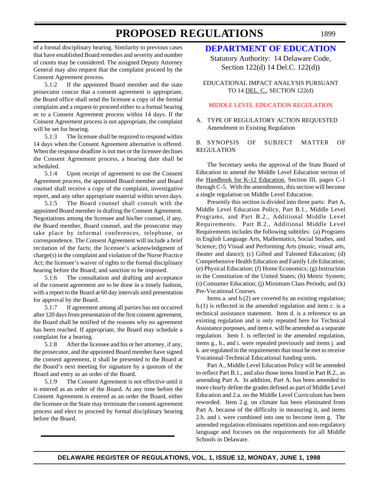of a formal disciplinary hearing. Similarity to previous cases that have established Board remedies and severity and number of counts may be considered. The assigned Deputy Attorney General may also request that the complaint proceed by the Consent Agreement process.

5.1:2 If the appointed Board member and the state prosecutor concur that a consent agreement is appropriate, the Board office shall send the licensee a copy of the formal complaint and a request to proceed either to a formal hearing or to a Consent Agreement process within 14 days. If the Consent Agreement process is not appropriate, the complaint will be set for hearing.

5.1:3 The licensee shall be required to respond within 14 days when the Consent Agreement alternative is offered. When the response deadline is not met or the licensee declines the Consent Agreement process, a hearing date shall be scheduled.

5.1:4 Upon receipt of agreement to use the Consent Agreement process, the appointed Board member and Board counsel shall receive a copy of the complaint, investigative report, and any other appropriate material within seven days.

5.1:5 The Board counsel shall consult with the appointed Board member in drafting the Consent Agreement. Negotiations among the licensee and his/her counsel, if any, the Board member, Board counsel, and the prosecutor may take place by informal conferences, telephone, or correspondence. The Consent Agreement will include a brief recitation of the facts; the licensee's acknowledgment of charge(s) in the complaint and violation of the Nurse Practice Act; the licensee's waiver of rights to the formal disciplinary hearing before the Board; and sanction to be imposed.

5.1:6 The consultation and drafting and acceptance of the consent agreement are to be done in a timely fashion, with a report to the Board at 60 day intervals until presentation for approval by the Board.

5.1:7 If agreement among all parties has not occurred after 120 days from presentation of the first consent agreement, the Board shall be notified of the reasons why no agreement has been reached. If appropriate, the Board may schedule a complaint for a hearing.

5.1:8 After the licensee and his or her attorney, if any, the prosecutor, and the appointed Board member have signed the consent agreement, it shall be presented to the Board at the Board's next meeting for signature by a quorum of the Board and entry as an order of the Board.

5.1:9 The Consent Agreement is not effective until it is entered as an order of the Board. At any time before the Consent Agreement is entered as an order the Board, either the licensee or the State may terminate the consent agreement process and elect to proceed by formal disciplinary hearing before the Board.

## **[DEPARTMENT OF EDUCATION](http://www.doe.state.de.us/docs/index_js.asp)**

Statutory Authority: 14 Delaware Code, Section 122(d) 14 Del.C. 122(d))

EDUCATIONAL IMPACT ANALYSIS PURSUANT TO 14 DEL. C., SECTION 122(d)

## [MIDDLE LEVEL EDUCATION REGULATION](#page-3-0)

## A. TYPE OF REGULATORY ACTION REQUESTED Amendment to Existing Regulation

## B. SYNOPSIS OF SUBJECT MATTER OF REGULATION

The Secretary seeks the approval of the State Board of Education to amend the Middle Level Education section of the Handbook for K-12 Education, Section III, pages C-1 through C-5. With the amendments, this section will become a single regulation on Middle Level Education.

Presently this section is divided into three parts: Part A, Middle Level Education Policy, Part B.1., Middle Level Programs, and Part B.2., Additional Middle Level Requirements. Part B.2., Additional Middle Level Requirements includes the following subtitles: (a) Programs in English Language Arts, Mathematics, Social Studies, and Science; (b) Visual and Performing Arts (music, visual arts, theater and dance); (c) Gifted and Talented Education; (d) Comprehensive Health Education and Family Life Education; (e) Physical Education; (f) Home Economics; (g) Instruction in the Constitution of the United States; (h) Metric System; (i) Consumer Education; (j) Minimum Class Periods; and (k) Pre-Vocational Courses.

Items a. and b.(2) are covered by an existing regulation; b.(1) is reflected in the amended regulation and item c. is a technical assistance statement. Item d. is a reference to an existing regulation and is only repeated here for Technical Assistance purposes, and item e. will be amended as a separate regulation. Item f. is reflected in the amended regulation, items g., h., and i. were repealed previously and items j. and k. are regulated in the requirements that must be met to receive Vocational-Technical Educational funding units.

Part A., Middle Level Education Policy will be amended to reflect Part B.1., and also those items listed in Part B.2., as amending Part A. In addition, Part A. has been amended to more clearly define the grades defined as part of Middle Level Education and 2.a. on the Middle Level Curriculum has been reworded. Item 2.g. on climate has been eliminated from Part A. because of the difficulty in measuring it, and items 2.h. and i. were combined into one to become item g. The amended regulation eliminates repetition and non-regulatory language and focuses on the requirements for all Middle Schools in Delaware.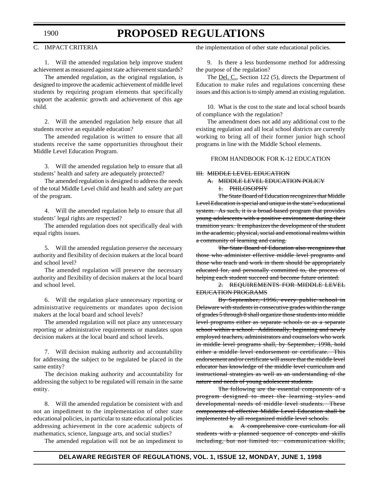#### C. IMPACT CRITERIA

1. Will the amended regulation help improve student achievement as measured against state achievement standards?

The amended regulation, as the original regulation, is designed to improve the academic achievement of middle level students by requiring program elements that specifically support the academic growth and achievement of this age child.

2. Will the amended regulation help ensure that all students receive an equitable education?

The amended regulation is written to ensure that all students receive the same opportunities throughout their Middle Level Education Program.

3. Will the amended regulation help to ensure that all students' health and safety are adequately protected?

The amended regulation is designed to address the needs of the total Middle Level child and health and safety are part of the program.

4. Will the amended regulation help to ensure that all students' legal rights are respected?

The amended regulation does not specifically deal with equal rights issues.

5. Will the amended regulation preserve the necessary authority and flexibility of decision makers at the local board and school level?

The amended regulation will preserve the necessary authority and flexibility of decision makers at the local board and school level.

6. Will the regulation place unnecessary reporting or administrative requirements or mandates upon decision makers at the local board and school levels?

The amended regulation will not place any unnecessary reporting or administrative requirements or mandates upon decision makers at the local board and school levels.

7. Will decision making authority and accountability for addressing the subject to be regulated be placed in the same entity?

The decision making authority and accountability for addressing the subject to be regulated will remain in the same entity.

8. Will the amended regulation be consistent with and not an impediment to the implementation of other state educational policies, in particular to state educational policies addressing achievement in the core academic subjects of mathematics, science, language arts, and social studies?

The amended regulation will not be an impediment to

the implementation of other state educational policies.

9. Is there a less burdensome method for addressing the purpose of the regulation?

The <u>Del. C.,</u> Section 122 (5), directs the Department of Education to make rules and regulations concerning these issues and this action is to simply amend an existing regulation.

10. What is the cost to the state and local school boards of compliance with the regulation?

The amendment does not add any additional cost to the existing regulation and all local school districts are currently working to bring all of their former junior high school programs in line with the Middle School elements.

FROM HANDBOOK FOR K-12 EDUCATION

#### III. MIDDLE LEVEL EDUCATION

#### A. MIDDLE LEVEL EDUCATION POLICY 1. PHILOSOPHY

The State Board of Education recognizes that Middle Level Education is special and unique in the state's educational system. As such, it is a broad-based program that provides young adolescents with a positive environment during their transition years. It emphasizes the development of the student in the academic, physical, social and emotional realms within a community of learning and caring.

The State Board of Education also recognizes that those who administer effective middle level programs and those who teach and work in them should be appropriately educated for, and personally committed to, the process of helping each student succeed and become future oriented.

2. REQUIREMENTS FOR MIDDLE LEVEL EDUCATION PROGRAMS

By September, 1996, every public school in Delaware with students in consecutive grades within the range of grades 5 through 8 shall organize those students into middle level programs either as separate schools or as a separate school within a school. Additionally, beginning and newly employed teachers, administrators and counselors who work in middle level programs shall, by September, 1998, hold either a middle level endorsement or certificate. This endorsement and/or certificate will assure that the middle level educator has knowledge of the middle level curriculum and instructional strategies as well as an understanding of the nature and needs of young adolescent students.

The following are the essential components of a program designed to meet the learning styles and developmental needs of middle level students. These components of effective Middle Level Education shall be implemented by all reorganized middle level schools.

a. A comprehensive core curriculum for all students with a planned sequence of concepts and skills including, but not limited to: communication skills,

1900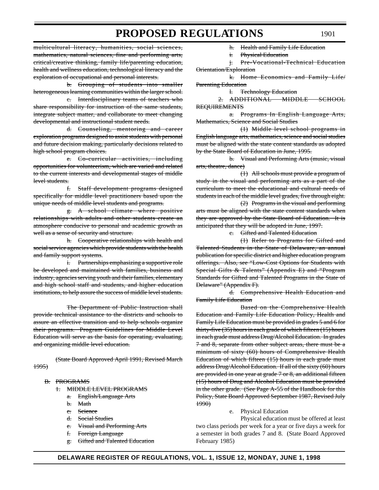multicultural literacy, humanities, social sciences, mathematics, natural sciences, fine and performing arts, critical/creative thinking, family life/parenting education, health and wellness education, technological literacy and the exploration of occupational and personal interests.

b. Grouping of students into smaller heterogeneous learning communities within the larger school.

c. Interdisciplinary teams of teachers who share responsibility for instruction of the same students, integrate subject matter, and collaborate to meet changing developmental and instructional student needs.

d. Counseling, mentoring and career exploration programs designed to assist students with personal and future decision making, particularly decisions related to high school program choices.

e. Co-curricular activities, including opportunities for volunteerism, which are varied and related to the current interests and developmental stages of middle level students.

f. Staff development programs designed specifically for middle level practitioners based upon the unique needs of middle level students and programs.

g. A school climate where positive relationships with adults and other students create an atmosphere conducive to personal and academic growth as well as a sense of security and structure.

h. Cooperative relationships with health and social service agencies which provide students with the health and family support systems.

i. Partnerships emphasizing a supportive role be developed and maintained with families, business and industry, agencies serving youth and their families, elementary and high school staff and students, and higher education institutions, to help assure the success of middle level students.

The Department of Public Instruction shall provide technical assistance to the districts and schools to assure an effective transition and to help schools organize their programs. Program Guidelines for Middle Level Education will serve as the basis for operating, evaluating, and organizing middle level education.

(State Board Approved April 1991, Revised March 1995)

- B. PROGRAMS
	- 1. MIDDLE LEVEL PROGRAMS
		- a. English/Language Arts
		- b. Math
		- c. Science
		- d. Social Studies
		- e. Visual and Performing Arts
		- f. Foreign Language
		- g. Gifted and Talented Education

h. Health and Family Life Education

i. Physical Education

j. Pre-Vocational-Technical Education Orientation/Exploration

k. Home Economics and Family Life/ Parenting Education

l. Technology Education

2. ADDITIONAL MIDDLE SCHOOL REQUIREMENTS

a. Programs In English Language Arts, Mathematics, Science and Social Studies

(1) Middle level school programs in English language arts, mathematics, science and social studies must be aligned with the state content standards as adopted by the State Board of Education in June, 1995.

b. Visual and Performing Arts (music, visual arts, theatre, dance)

(1) All schools must provide a program of study in the visual and performing arts as a part of the curriculum to meet the educational and cultural needs of students in each of the middle level grades, five through eight.

(2) Programs in the visual and performing arts must be aligned with the state content standards when they are approved by the State Board of Education. It is anticipated that they will be adopted in June, 1997.

c. Gifted and Talented Education

(1) Refer to Programs for Gifted and Talented Students in the State of Delaware, an annual publication for specific district and higher education program offerings. Also, see "Low-Cost Options for Students with Special Gifts & Talents" (Appendix E) and "Program Standards for Gifted and Talented Programs in the State of Delaware" (Appendix F).

d. Comprehensive Health Education and Family Life Education

Based on the Comprehensive Health Education and Family Life Education Policy, Health and Family Life Education must be provided in grades 5 and 6 for thirty-five (35) hours in each grade of which fifteen (15) hours in each grade must address Drug/Alcohol Education. In grades 7 and 8, separate from other subject areas, there must be a minimum of sixty (60) hours of Comprehensive Health Education of which fifteen (15) hours in each grade must address Drug/Alcohol Education. If all of the sixty (60) hours are provided in one year at grade 7 or 8, an additional fifteen (15) hours of Drug and Alcohol Education must be provided in the other grade. (See Page A-55 of the Handbook for this Policy, State Board Approved September 1987, Revised July 1990)

e. Physical Education

Physical education must be offered at least two class periods per week for a year or five days a week for a semester in both grades 7 and 8. (State Board Approved February 1985)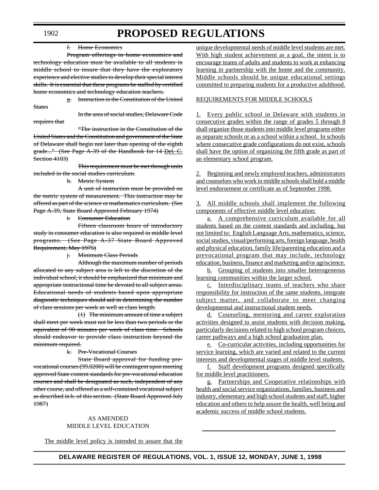## **PROPOSED REGULATIONS**

#### f. Home Economics

Program offerings in home economics and technology education must be available to all students in middle school to insure that they have the exploratory experience and elective studies to develop their special interest skills. It is essential that these programs be staffed by certified home economics and technology education teachers.

g. Instruction in the Constitution of the United **States** 

requires that

In the area of social studies, Delaware Code

"The instruction in the Constitution of the United States and the Constitution and government of the State of Delaware shall begin not later than opening of the eighth grade..." (See Page A-39 of the Handbook for 14 Del. C. Section 4103)

This requirement must be met through units included in the social studies curriculum.

h. Metric System

A unit of instruction must be provided on the metric system of measurement. This instruction may be offered as part of the science or mathematics curriculum. (See Page A-39, State Board Approved February 1974)

i. Consumer Education

Fifteen classroom hours of introductory study in consumer education is also required in middle level programs. (See Page A-37 State Board Approved Requirement, May 1975)

j. Minimum Class Periods

Although the maximum number of periods allocated to any subject area is left to the discretion of the individual school, it should be emphasized that minimum and appropriate instructional time be devoted to all subject areas. Educational needs of students based upon appropriate diagnostic techniques should aid in determining the number of class sessions per week as well as class length.

(1) The minimum amount of time a subject shall meet per week must not be less than two periods or the equivalent of 90 minutes per week of class time. Schools should endeavor to provide class instruction beyond the minimum required.

k. Pre-Vocational Courses

State Board approval for funding prevocational courses (99.0200) will be contingent upon meeting approved State content standards for pre-vocational education courses and shall be designated as such, independent of any other course, and offered as a self-contained vocational subject as described in b. of this section. (State Board Approved July 1987)

## AS AMENDED MIDDLE LEVEL EDUCATION

The middle level policy is intended to assure that the

unique developmental needs of middle level students are met. With high student achievement as a goal, the intent is to encourage teams of adults and students to work at enhancing learning in partnership with the home and the community. Middle schools should be unique educational settings committed to preparing students for a productive adulthood.

## REQUIREMENTS FOR MIDDLE SCHOOLS

1. Every public school in Delaware with students in consecutive grades within the range of grades 5 through 8 shall organize those students into middle level programs either as separate schools or as a school within a school. In schools where consecutive grade configurations do not exist, schools shall have the option of organizing the fifth grade as part of an elementary school program.

2. Beginning and newly employed teachers, administrators and counselors who work in middle schools shall hold a middle level endorsement or certificate as of September 1998.

3. All middle schools shall implement the following components of effective middle level education:

a. A comprehensive curriculum available for all students based on the content standards and including, but not limited to: English Language Arts, mathematics, science, social studies, visual/performing arts, foreign language, health and physical education, family life/parenting education and a prevocational program that may include, technology education, business, finance and marketing and/or agriscience.

b. Grouping of students into smaller heterogeneous learning communities within the larger school.

c. Interdisciplinary teams of teachers who share responsibility for instruction of the same students, integrate subject matter, and collaborate to meet changing developmental and instructional student needs.

d. Counseling, mentoring and career exploration activities designed to assist students with decision making, particularly decisions related to high school program choices, career pathways and a high school graduation plan.

e. Co-curricular activities, including opportunities for service learning, which are varied and related to the current interests and developmental stages of middle level students.

f. Staff development programs designed specifically for middle level practitioners.

g. Partnerships and Cooperative relationships with health and social service organizations, families, business and industry, elementary and high school students and staff, higher education and others to help assure the health, well being and academic success of middle school students.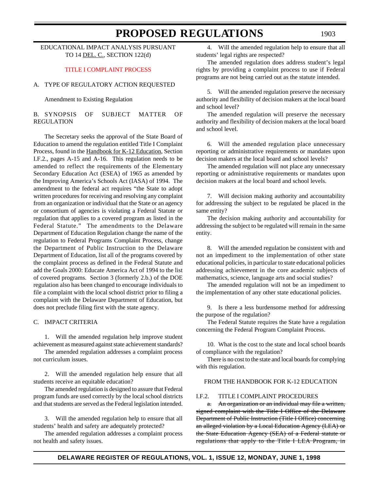## EDUCATIONAL IMPACT ANALYSIS PURSUANT TO 14 DEL. C., SECTION 122(d)

#### [TITLE I COMPLAINT PROCESS](#page-3-0)

#### A. TYPE OF REGULATORY ACTION REQUESTED

#### Amendment to Existing Regulation

B. SYNOPSIS OF SUBJECT MATTER OF REGULATION

The Secretary seeks the approval of the State Board of Education to amend the regulation entitled Title I Complaint Process, found in the Handbook for K-12 Education, Section I.F.2., pages A-15 and A-16. This regulation needs to be amended to reflect the requirements of the Elementary Secondary Education Act (ESEA) of 1965 as amended by the Improving America's Schools Act (IASA) of 1994. The amendment to the federal act requires "the State to adopt written procedures for receiving and resolving any complaint from an organization or individual that the State or an agency or consortium of agencies is violating a Federal Statute or regulation that applies to a covered program as listed in the Federal Statute." The amendments to the Delaware Department of Education Regulation change the name of the regulation to Federal Programs Complaint Process, change the Department of Public Instruction to the Delaware Department of Education, list all of the programs covered by the complaint process as defined in the Federal Statute and add the Goals 2000: Educate America Act of 1994 to the list of covered programs. Section 3 (formerly 2.b.) of the DOE regulation also has been changed to encourage individuals to file a complaint with the local school district prior to filing a complaint with the Delaware Department of Education, but does not preclude filing first with the state agency.

#### C. IMPACT CRITERIA

1. Will the amended regulation help improve student achievement as measured against state achievement standards?

The amended regulation addresses a complaint process not curriculum issues.

2. Will the amended regulation help ensure that all students receive an equitable education?

The amended regulation is designed to assure that Federal program funds are used correctly by the local school districts and that students are served as the Federal legislation intended.

3. Will the amended regulation help to ensure that all students' health and safety are adequately protected?

The amended regulation addresses a complaint process not health and safety issues.

4. Will the amended regulation help to ensure that all students' legal rights are respected?

The amended regulation does address student's legal rights by providing a complaint process to use if Federal programs are not being carried out as the statute intended.

5. Will the amended regulation preserve the necessary authority and flexibility of decision makers at the local board and school level?

The amended regulation will preserve the necessary authority and flexibility of decision makers at the local board and school level.

6. Will the amended regulation place unnecessary reporting or administrative requirements or mandates upon decision makers at the local board and school levels?

The amended regulation will not place any unnecessary reporting or administrative requirements or mandates upon decision makers at the local board and school levels.

7. Will decision making authority and accountability for addressing the subject to be regulated be placed in the same entity?

The decision making authority and accountability for addressing the subject to be regulated will remain in the same entity.

8. Will the amended regulation be consistent with and not an impediment to the implementation of other state educational policies, in particular to state educational policies addressing achievement in the core academic subjects of mathematics, science, language arts and social studies?

The amended regulation will not be an impediment to the implementation of any other state educational policies.

9. Is there a less burdensome method for addressing the purpose of the regulation?

The Federal Statute requires the State have a regulation concerning the Federal Program Complaint Process.

10. What is the cost to the state and local school boards of compliance with the regulation?

There is no cost to the state and local boards for complying with this regulation.

### FROM THE HANDBOOK FOR K-12 EDUCATION

#### I.F.2. TITLE I COMPLAINT PROCEDURES

a. An organization or an individual may file a written, signed complaint with the Title I Office of the Delaware Department of Public Instruction (Title I Office) concerning an alleged violation by a Local Education Agency (LEA) or the State Education Agency (SEA) of a Federal statute or regulations that apply to the Title I LEA Program, in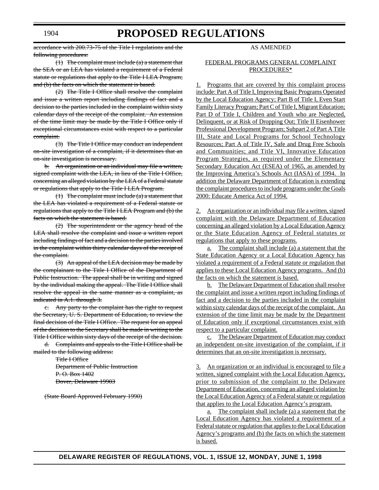## **PROPOSED REGULATIONS**

accordance with 200.73-75 of the Title I regulations and the following procedures:

## AS AMENDED

(1) The complaint must include  $(a)$  a statement that the SEA or an LEA has violated a requirement of a Federal statute or regulations that apply to the Title I LEA Program; and (b) the facts on which the statement is based.

(2) The Title I Office shall resolve the complaint and issue a written report including findings of fact and a decision to the parties included in the complaint within sixty calendar days of the receipt of the complaint. An extension of the time limit may be made by the Title I Office only if exceptional circumstances exist with respect to a particular complaint.

(3) The Title I Office may conduct an independent on-site investigation of a complaint, if it determines that an on-site investigation is necessary.

b. An organization or an individual may file a written, signed complaint with the LEA, in lieu of the Title I Office, concerning an alleged violation by the LEA of a Federal statute or regulations that apply to the Title I LEA Program.

(1) The complaint must include  $(a)$  a statement that the LEA has violated a requirement of a Federal statute or regulations that apply to the Title I LEA Program and (b) the facts on which the statement is based.

(2) The superintendent or the agency head of the LEA shall resolve the complaint and issue a written report including findings of fact and a decision to the parties involved in the complaint within thirty calendar days of the receipt of the complaint.

 $(3)$  An appeal of the LEA decision may be made by the complainant to the Title I Office of the Department of Public Instruction. The appeal shall be in writing and signed by the individual making the appeal. The Title I Office shall resolve the appeal in the same manner as a complaint, as indicated in A.1. through 3.

c. Any party to the complaint has the right to request the Secretary, U. S. Department of Education, to review the final decision of the Title I Office. The request for an appeal of the decision to the Secretary shall be made in writing to the Title I Office within sixty days of the receipt of the decision.

d. Complaints and appeals to the Title I Office shall be mailed to the following address:

> Title I Office Department of Public Instruction P. O. Box 1402 Dover, Delaware 19903

(State Board Approved February 1990)

#### FEDERAL PROGRAMS GENERAL COMPLAINT PROCEDURES\*

1. Programs that are covered by this complaint process include: Part A of Title I, Improving Basic Programs Operated by the Local Education Agency; Part B of Title I, Even Start Family Literacy Program; Part C of Title I, Migrant Education; Part D of Title I, Children and Youth who are Neglected, Delinquent, or at Risk of Dropping Out; Title II Eisenhower Professional Development Program; Subpart 2 of Part A Title III, State and Local Programs for School Technology Resources; Part A of Title IV, Safe and Drug Free Schools and Communities; and Title VI, Innovative Education Program Strategies, as required under the Elementary Secondary Education Act (ESEA) of 1965, as amended by the Improving America's Schools Act (IASA) of 1994. In addition the Delaware Department of Education is extending the complaint procedures to include programs under the Goals 2000: Educate America Act of 1994.

2. An organization or an individual may file a written, signed complaint with the Delaware Department of Education concerning an alleged violation by a Local Education Agency or the State Education Agency of Federal statutes or regulations that apply to these programs.

a. The complaint shall include (a) a statement that the State Education Agency or a Local Education Agency has violated a requirement of a Federal statute or regulation that applies to these Local Education Agency programs. And (b) the facts on which the statement is based.

b. The Delaware Department of Education shall resolve the complaint and issue a written report including findings of fact and a decision to the parties included in the complaint within sixty calendar days of the receipt of the complaint. An extension of the time limit may be made by the Department of Education only if exceptional circumstances exist with respect to a particular complaint.

c. The Delaware Department of Education may conduct an independent on-site investigation of the complaint, if it determines that an on-site investigation is necessary.

3. An organization or an individual is encouraged to file a written, signed complaint with the Local Education Agency, prior to submission of the complaint to the Delaware Department of Education, concerning an alleged violation by the Local Education Agency of a Federal statute or regulation that applies to the Local Education Agency's program.

a. The complaint shall include (a) a statement that the Local Education Agency has violated a requirement of a Federal statute or regulation that applies to the Local Education Agency's programs and (b) the facts on which the statement is based.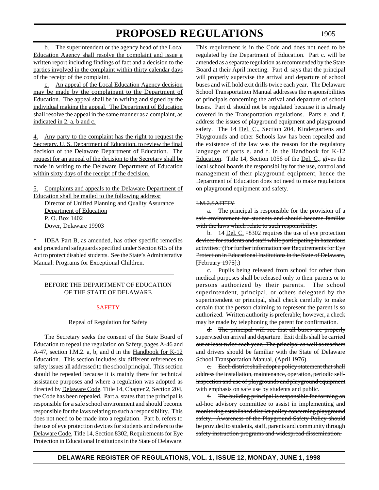b. The superintendent or the agency head of the Local Education Agency shall resolve the complaint and issue a written report including findings of fact and a decision to the parties involved in the complaint within thirty calendar days of the receipt of the complaint.

c. An appeal of the Local Education Agency decision may be made by the complainant to the Department of Education. The appeal shall be in writing and signed by the individual making the appeal. The Department of Education shall resolve the appeal in the same manner as a complaint, as indicated in 2. a, b and c.

4. Any party to the complaint has the right to request the Secretary, U.S. Department of Education, to review the final decision of the Delaware Department of Education. The request for an appeal of the decision to the Secretary shall be made in writing to the Delaware Department of Education within sixty days of the receipt of the decision.

5. Complaints and appeals to the Delaware Department of Education shall be mailed to the following address:

Director of Unified Planning and Quality Assurance Department of Education P. O. Box 1402 Dover, Delaware 19903

\* IDEA Part B, as amended, has other specific remedies and procedural safeguards specified under Section 615 of the Act to protect disabled students. See the State's Administrative Manual: Programs for Exceptional Children.

## BEFORE THE DEPARTMENT OF EDUCATION OF THE STATE OF DELAWARE

#### **[SAFETY](#page-3-0)**

#### Repeal of Regulation for Safety

The Secretary seeks the consent of the State Board of Education to repeal the regulation on Safety, pages A-46 and A-47, section I.M.2. a, b, and d in the Handbook for K-12 Education. This section includes six different references to safety issues all addressed to the school principal. This section should be repealed because it is mainly there for technical assistance purposes and where a regulation was adopted as directed by Delaware Code, Title 14, Chapter 2, Section 204, the Code has been repealed. Part a. states that the principal is responsible for a safe school environment and should become responsible for the laws relating to such a responsibility. This does not need to be made into a regulation. Part b. refers to the use of eye protection devices for students and refers to the Delaware Code, Title 14, Section 8302, Requirements for Eye Protection in Educational Institutions in the State of Delaware.

This requirement is in the Code and does not need to be regulated by the Department of Education. Part c. will be amended as a separate regulation as recommended by the State Board at their April meeting. Part d. says that the principal will properly supervise the arrival and departure of school buses and will hold exit drills twice each year. The Delaware School Transportation Manual addresses the responsibilities of principals concerning the arrival and departure of school buses. Part d. should not be regulated because it is already covered in the Transportation regulations. Parts e. and f. address the issues of playground equipment and playground safety. The 14 Del. C., Section 204, Kindergartens and Playgrounds and other Schools law has been repealed and the existence of the law was the reason for the regulatory language of parts e. and f. in the Handbook for K-12 Education. Title 14, Section 1056 of the Del. C., gives the local school boards the responsibility for the use, control and management of their playground equipment, hence the Department of Education does not need to make regulations on playground equipment and safety.

#### I.M.2.SAFETY

a. The principal is responsible for the provision of a safe environment for students and should become familiar with the laws which relate to such responsibility.

b. 14 Del. C. ¤8302 requires the use of eye protection devices for students and staff while participating in hazardous activities. (For further information see Requirements for Eye Protection in Educational Institutions in the State of Delaware,  $[February 1975]$ .)

c. Pupils being released from school for other than medical purposes shall be released only to their parents or to persons authorized by their parents. The school superintendent, principal, or others delegated by the superintendent or principal, shall check carefully to make certain that the person claiming to represent the parent is so authorized. Written authority is preferable; however, a check may be made by telephoning the parent for confirmation.

d. The principal will see that all buses are properly supervised on arrival and departure. Exit drills shall be carried out at least twice each year. The principal as well as teachers and drivers should be familiar with the State of Delaware School Transportation Manual, (April 1976).

e. Each district shall adopt a policy statement that shall address the installation, maintenance, operation, periodic selfinspection and use of playgrounds and playground equipment with emphasis on safe use by students and public.

f. The building principal is responsible for forming an ad-hoc advisory committee to assist in implementing and monitoring established district policy concerning playground safety. Awareness of the Playground Safety Policy should be provided to students, staff, parents and community through safety instruction programs and widespread dissemination.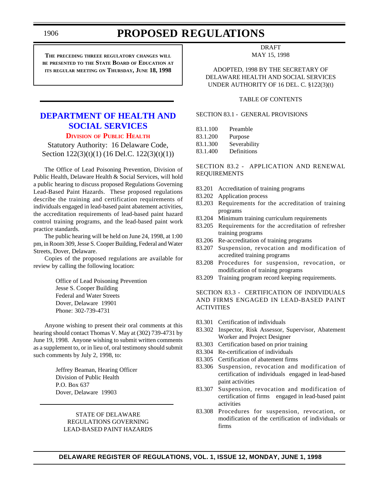**THE PRECEDING THREEE REGULATORY CHANGES WILL BE PRESENTED TO THE STATE BOARD OF EDUCATION AT ITS REGULAR MEETING ON THURSDAY, JUNE 18, 1998**

# **[DEPARTMENT OF HEALTH AND](http://www.state.de.us/govern/agencies/dhss/irm/dph/dphhome.htm) SOCIAL SERVICES**

# **[DIVISION](#page-3-0) OF PUBLIC HEALTH**

Statutory Authority: 16 Delaware Code, Section 122(3)(t)(1) (16 Del.C. 122(3)(t)(1))

The Office of Lead Poisoning Prevention, Division of Public Health, Delaware Health & Social Services, will hold a public hearing to discuss proposed Regulations Governing Lead-Based Paint Hazards. These proposed regulations describe the training and certification requirements of individuals engaged in lead-based paint abatement activities, the accreditation requirements of lead-based paint hazard control training programs, and the lead-based paint work practice standards.

The public hearing will be held on June 24, 1998, at 1:00 pm, in Room 309, Jesse S. Cooper Building, Federal and Water Streets, Dover, Delaware.

Copies of the proposed regulations are available for review by calling the following location:

> Office of Lead Poisoning Prevention Jesse S. Cooper Building Federal and Water Streets Dover, Delaware 19901 Phone: 302-739-4731

Anyone wishing to present their oral comments at this hearing should contact Thomas V. May at (302) 739-4731 by June 19, 1998. Anyone wishing to submit written comments as a supplement to, or in lieu of, oral testimony should submit such comments by July 2, 1998, to:

> Jeffrey Beaman, Hearing Officer Division of Public Health P.O. Box 637 Dover, Delaware 19903

STATE OF DELAWARE REGULATIONS GOVERNING LEAD-BASED PAINT HAZARDS

#### DRAFT MAY 15, 1998

ADOPTED, 1998 BY THE SECRETARY OF DELAWARE HEALTH AND SOCIAL SERVICES UNDER AUTHORITY OF 16 DEL. C. §122(3)(t)

#### TABLE OF CONTENTS

#### SECTION 83.1 - GENERAL PROVISIONS

| 83.1.100 | Preamble     |
|----------|--------------|
| 83.1.200 | Purpose      |
| 83.1.300 | Severability |
| 83.1.400 | Definitions  |

SECTION 83.2 - APPLICATION AND RENEWAL REQUIREMENTS

- 83.201 Accreditation of training programs
- 83.202 Application process
- 83.203 Requirements for the accreditation of training programs
- 83.204 Minimum training curriculum requirements
- 83.205 Requirements for the accreditation of refresher training programs
- 83.206 Re-accreditation of training programs
- 83.207 Suspension, revocation and modification of accredited training programs
- 83.208 Procedures for suspension, revocation, or modification of training programs
- 83.209 Training program record keeping requirements.

### SECTION 83.3 - CERTIFICATION OF INDIVIDUALS AND FIRMS ENGAGED IN LEAD-BASED PAINT ACTIVITIES

- 83.301 Certification of individuals
- 83.302 Inspector, Risk Assessor, Supervisor, Abatement Worker and Project Designer
- 83.303 Certification based on prior training
- 83.304 Re-certification of individuals
- 83.305 Certification of abatement firms
- 83.306 Suspension, revocation and modification of certification of individuals engaged in lead-based paint activities
- 83.307 Suspension, revocation and modification of certification of firms engaged in lead-based paint activities
- 83.308 Procedures for suspension, revocation, or modification of the certification of individuals or firms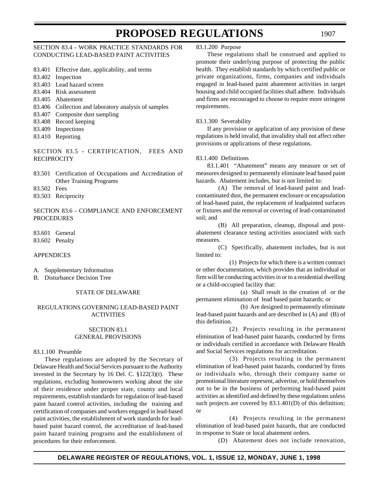### 1907

### SECTION 83.4 - WORK PRACTICE STANDARDS FOR CONDUCTING LEAD-BASED PAINT ACTIVITIES

- 83.401 Effective date, applicability, and terms
- 83.402 Inspection
- 83.403 Lead hazard screen
- 83.404 Risk assessment
- 83.405 Abatement
- 83.406 Collection and laboratory analysis of samples
- 83.407 Composite dust sampling
- 83.408 Record keeping
- 83.409 Inspections
- 83.410 Reporting

#### SECTION 83.5 - CERTIFICATION, FEES AND **RECIPROCITY**

- 83.501 Certification of Occupations and Accreditation of Other Training Programs
- 83.502 Fees
- 83.503 Reciprocity

### SECTION 83.6 - COMPLIANCE AND ENFORCEMENT PROCEDURES

- 83.601 General
- 83.602 Penalty

### APPENDICES

- A. Supplementary Information
- B. Disturbance Decision Tree

### STATE OF DELAWARE

### REGULATIONS GOVERNING LEAD-BASED PAINT **ACTIVITIES**

#### SECTION 83.1 GENERAL PROVISIONS

#### 83.1.100 Preamble

These regulations are adopted by the Secretary of Delaware Health and Social Services pursuant to the Authority invested in the Secretary by 16 Del. C. §122(3)(t). These regulations, excluding homeowners working about the site of their residence under proper state, county and local requirements, establish standards for regulation of lead-based paint hazard control activities, including the training and certification of companies and workers engaged in lead-based paint activities, the establishment of work standards for leadbased paint hazard control, the accreditation of lead-based paint hazard training programs and the establishment of procedures for their enforcement.

#### 83.1.200 Purpose

promote their underlying purpose of protecting the public health. They establish standards by which certified public or private organizations, firms, companies and individuals engaged in lead-based paint abatement activities in target housing and child occupied facilities shall adhere. Individuals and firms are encouraged to choose to require more stringent requirements.

#### 83.1.300 Severability

If any provision or application of any provision of these regulations is held invalid, that invalidity shall not affect other provisions or applications of these regulations.

#### 83.1.400 Definitions

83.1.401 "Abatement" means any measure or set of measures designed to permanently eliminate lead based paint hazards. Abatement includes, but is not limited to:

(A) The removal of lead-based paint and leadcontaminated dust, the permanent enclosure or encapsulation of lead-based paint, the replacement of leadpainted surfaces or fixtures and the removal or covering of lead-contaminated soil; and

(B) All preparation, cleanup, disposal and postabatement clearance testing activities associated with such measures.

(C) Specifically, abatement includes, but is not limited to:

(1) Projects for which there is a written contract or other documentation, which provides that an individual or firm will be conducting activities in or to a residential dwelling or a child-occupied facility that:

(a) Shall result in the creation of or the permanent elimination of lead based paint hazards; or

(b) Are designed to permanently eliminate lead-based paint hazards and are described in (A) and (B) of this definition.

(2) Projects resulting in the permanent elimination of lead-based paint hazards, conducted by firms or individuals certified in accordance with Delaware Health and Social Services regulations for accreditation.

(3) Projects resulting in the permanent elimination of lead-based paint hazards, conducted by firms or individuals who, through their company name or promotional literature represent, advertise, or hold themselves out to be in the business of performing lead-based paint activities as identified and defined by these regulations unless such projects are covered by 83.1.401(D) of this definition; or

(4) Projects resulting in the permanent elimination of lead-based paint hazards, that are conducted in response to State or local abatement orders.

(D) Abatement does not include renovation,

These regulations shall be construed and applied to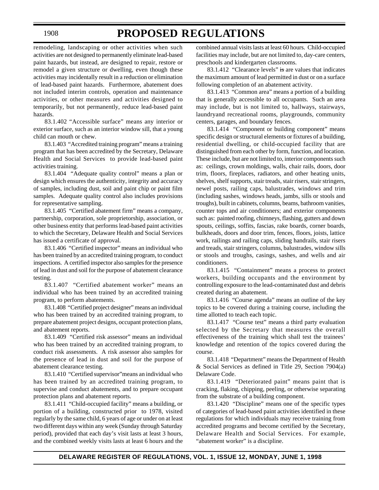# **PROPOSED REGULATIONS**

remodeling, landscaping or other activities when such activities are not designed to permanently eliminate lead-based paint hazards, but instead, are designed to repair, restore or remodel a given structure or dwelling, even though these activities may incidentally result in a reduction or elimination of lead-based paint hazards. Furthermore, abatement does not included interim controls, operation and maintenance activities, or other measures and activities designed to temporarily, but not permanently, reduce lead-based paint hazards.

83.1.402 "Accessible surface" means any interior or exterior surface, such as an interior window sill, that a young child can mouth or chew.

83.1.403 "Accredited training program" means a training program that has been accredited by the Secretary, Delaware Health and Social Services to provide lead-based paint activities training.

83.1.404 "Adequate quality control" means a plan or design which ensures the authenticity, integrity and accuracy of samples, including dust, soil and paint chip or paint film samples. Adequate quality control also includes provisions for representative sampling.

83.1.405 "Certified abatement firm" means a company, partnership, corporation, sole proprietorship, association, or other business entity that performs lead-based paint activities to which the Secretary, Delaware Health and Social Services has issued a certificate of approval.

83.1.406 "Certified inspector" means an individual who has been trained by an accredited training program, to conduct inspections. A certified inspector also samples for the presence of lead in dust and soil for the purpose of abatement clearance testing.

83.1.407 "Certified abatement worker" means an individual who has been trained by an accredited training program, to perform abatements.

83.1.408 "Certified project designer" means an individual who has been trained by an accredited training program, to prepare abatement project designs, occupant protection plans, and abatement reports.

83.1.409 "Certified risk assessor" means an individual who has been trained by an accredited training program, to conduct risk assessments. A risk assessor also samples for the presence of lead in dust and soil for the purpose of abatement clearance testing.

83.1.410 "Certified supervisor"means an individual who has been trained by an accredited training program, to supervise and conduct abatements, and to prepare occupant protection plans and abatement reports.

83.1.411 "Child-occupied facility" means a building, or portion of a building, constructed prior to 1978, visited regularly by the same child, 6 years of age or under on at least two different days within any week (Sunday through Saturday period), provided that each day's visit lasts at least 3 hours, and the combined weekly visits lasts at least 6 hours and the

combined annual visits lasts at least 60 hours. Child-occupied facilities may include, but are not limited to, day-care centers, preschools and kindergarten classrooms.

83.1.412 "Clearance levels" is are values that indicates the maximum amount of lead permitted in dust or on a surface following completion of an abatement activity.

83.1.413 "Common area" means a portion of a building that is generally accessible to all occupants. Such an area may include, but is not limited to, hallways, stairways, laundryand recreational rooms, playgrounds, community centers, garages, and boundary fences.

83.1.414 "Component or building component" means specific design or structural elements or fixtures of a building, residential dwelling, or child-occupied facility that are distinguished from each other by form, function, and location. These include, but are not limited to, interior components such as: ceilings, crown moldings, walls, chair rails, doors, door trim, floors, fireplaces, radiators, and other heating units, shelves, shelf supports, stair treads, stair risers, stair stringers, newel posts, railing caps, balustrades, windows and trim (including sashes, windows heads, jambs, sills or stools and troughs), built in cabinets, columns, beams, bathroom vanities, counter tops and air conditioners; and exterior components such as: painted roofing, chimneys, flashing, gutters and down spouts, ceilings, soffits, fascias, rake boards, corner boards, bulkheads, doors and door trim, fences, floors, joists, lattice work, railings and railing caps, sliding handrails, stair risers and treads, stair stringers, columns, balustrades, window sills or stools and troughs, casings, sashes, and wells and air conditioners.

83.1.415 "Containment" means a process to protect workers, building occupants and the environment by controlling exposure to the lead-contaminated dust and debris created during an abatement.

83.1.416 "Course agenda" means an outline of the key topics to be covered during a training course, including the time allotted to teach each topic.

83.1.417 "Course test" means a third party evaluation selected by the Secretary that measures the overall effectiveness of the training which shall test the trainees' knowledge and retention of the topics covered during the course.

83.1.418 "Department" means the Department of Health & Social Services as defined in Title 29, Section 7904(a) Delaware Code.

83.1.419 "Deteriorated paint" means paint that is cracking, flaking, chipping, peeling, or otherwise separating from the substrate of a building component.

83.1.420 "Discipline" means one of the specific types of categories of lead-based paint activities identified in these regulations for which individuals may receive training from accredited programs and become certified by the Secretary, Delaware Health and Social Services. For example, "abatement worker" is a discipline.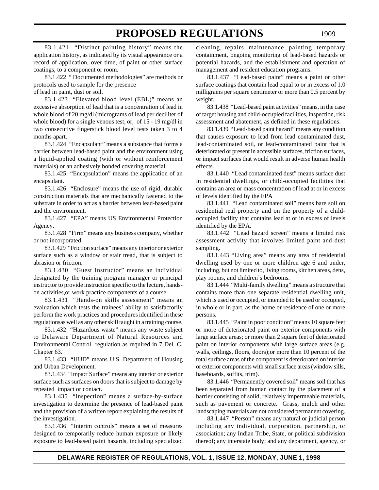83.1.421 "Distinct painting history" means the application history, as indicated by its visual appearance or a record of application, over time, of paint or other surface coatings, to a component or room.

83.1.422 " Documented methodologies" are methods or protocols used to sample for the presence

of lead in paint, dust or soil.

83.1.423 "Elevated blood level (EBL)" means an excessive absorption of lead that is a concentration of lead in whole blood of 20 mg/dl (micrograms of lead per deciliter of whole blood) for a single venous test, or, of 15 - 19 mg/dl in two consecutive fingerstick blood level tests taken 3 to 4 months apart.

83.1.424 "Encapsulant" means a substance that forms a barrier between lead-based paint and the environment using a liquid-applied coating (with or without reinforcement materials) or an adhesively bonded covering material.

83.1.425 "Encapsulation" means the application of an encapsulant.

83.1.426 "Enclosure" means the use of rigid, durable construction materials that are mechanically fastened to the substrate in order to act as a barrier between lead-based paint and the environment.

83.1.427 "EPA" means US Environmental Protection Agency.

83.1.428 "Firm" means any business company, whether or not incorporated.

83.1.429 "Friction surface" means any interior or exterior surface such as a window or stair tread, that is subject to abrasion or friction.

83.1.430 "Guest Instructor" means an individual designated by the training program manager or principal instructor to provide instruction specific to the lecture, handson activities,or work practice components of a course.

83.1.431 "Hands-on skills assessment" means an evaluation which tests the trainees' ability to satisfactorily perform the work practices and procedures identified in these regulationsas well as any other skill taught in a training course.

83.1.432 "Hazardous waste" means any waste subject to Delaware Department of Natural Resources and Environmental Control regulation as required in 7 Del. C. Chapter 63.

83.1.433 "HUD" means U.S. Department of Housing and Urban Development.

83.1.434 "Impact Surface" means any interior or exterior surface such as surfaces on doors that is subject to damage by repeated impact or contact.

83.1.435 "Inspection" means a surface-by-surface investigation to determine the presence of lead-based paint and the provision of a written report explaining the results of the investigation.

83.1.436 "Interim controls" means a set of measures designed to temporarily reduce human exposure or likely exposure to lead-based paint hazards, including specialized cleaning, repairs, maintenance, painting, temporary containment, ongoing monitoring of lead-based hazards or potential hazards, and the establishment and operation of management and resident education programs.

83.1.437 "Lead-based paint" means a paint or other surface coatings that contain lead equal to or in excess of 1.0 milligrams per square centimeter or more than 0.5 percent by weight.

83.1.438 "Lead-based paint activities" means, in the case of target housing and child-occupied facilities, inspection, risk assessment and abatement, as defined in these regulations.

83.1.439 "Lead-based paint hazard" means any condition that causes exposure to lead from lead contaminated dust, lead-contaminated soil, or lead-contaminated paint that is deteriorated or present in accessible surfaces, friction surfaces, or impact surfaces that would result in adverse human health effects.

83.1.440 "Lead contaminated dust" means surface dust in residential dwellings, or child-occupied facilities that contains an area or mass concentration of lead at or in excess of levels identified by the EPA

83.1.441 "Lead contaminated soil" means bare soil on residential real property and on the property of a childoccupied facility that contains lead at or in excess of levels identified by the EPA.

83.1.442 "Lead hazard screen" means a limited risk assessment activity that involves limited paint and dust sampling.

83.1.443 "Living area" means any area of residential dwelling used by one or more children age 6 and under, including, but not limited to, living rooms, kitchen areas, dens, play rooms, and children's bedrooms.

83.1.444 "Multi-family dwelling" means a structure that contains more than one separate residential dwelling unit, which is used or occupied, or intended to be used or occupied, in whole or in part, as the home or residence of one or more persons.

83.1.445 "Paint in poor condition" means 10 square feet or more of deteriorated paint on exterior components with large surface areas; or more than 2 square feet of deteriorated paint on interior components with large surface areas (e.g. walls, ceilings, floors, doors);or more than 10 percent of the total surface areas of the component is deteriorated on interior or exterior components with small surface areas (window sills, baseboards, soffits, trim).

83.1.446 "Permanently covered soil" means soil that has been separated from human contact by the placement of a barrier consisting of solid, relatively impermeable materials, such as pavement or concrete. Grass, mulch and other landscaping materials are not considered permanent covering.

83.1.447 "Person" means any natural or judicial person including any individual, corporation, partnership, or association; any Indian Tribe, State, or political subdivision thereof; any interstate body; and any department, agency, or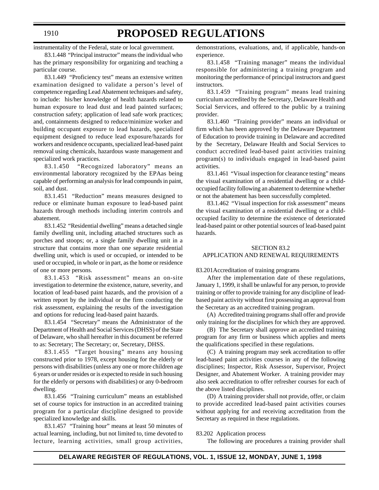# **PROPOSED REGULATIONS**

instrumentality of the Federal, state or local government.

83.1.448 "Principal instructor" means the individual who has the primary responsibility for organizing and teaching a particular course.

83.1.449 "Proficiency test" means an extensive written examination designed to validate a person's level of competence regarding Lead Abatement techniques and safety, to include: his/her knowledge of health hazards related to human exposure to lead dust and lead painted surfaces; construction safety; application of lead safe work practices; and, containments designed to reduce/minimize worker and building occupant exposure to lead hazards, specialized equipment designed to reduce lead exposure/hazards for workers and residence occupants, specialized lead-based paint removal using chemicals, hazardous waste management and specialized work practices.

83.1.450 "Recognized laboratory" means an environmental laboratory recognized by the EPAas being capable of performing an analysis for lead compounds in paint, soil, and dust.

83.1.451 "Reduction" means measures designed to reduce or eliminate human exposure to lead-based paint hazards through methods including interim controls and abatement.

83.1.452 "Residential dwelling" means a detached single family dwelling unit, including attached structures such as porches and stoops; or, a single family dwelling unit in a structure that contains more than one separate residential dwelling unit, which is used or occupied, or intended to be used or occupied, in whole or in part, as the home or residence of one or more persons.

83.1.453 "Risk assessment" means an on-site investigation to determine the existence, nature, severity, and location of lead-based paint hazards, and the provision of a written report by the individual or the firm conducting the risk assessment, explaining the results of the investigation and options for reducing lead-based paint hazards.

83.1.454 "Secretary" means the Administrator of the Department of Health and Social Services (DHSS) of the State of Delaware, who shall hereafter in this document be referred to as: Secretary; The Secretary; or, Secretary, DHSS.

83.1.455 "Target housing" means any housing constructed prior to 1978, except housing for the elderly or persons with disabilities (unless any one or more children age 6 years or under resides or is expected to reside in such housing for the elderly or persons with disabilities) or any 0-bedroom dwelling.

83.1.456 "Training curriculum" means an established set of course topics for instruction in an accredited training program for a particular discipline designed to provide specialized knowledge and skills.

83.1.457 "Training hour" means at least 50 minutes of actual learning, including, but not limited to, time devoted to lecture, learning activities, small group activities,

demonstrations, evaluations, and, if applicable, hands-on experience.

83.1.458 "Training manager" means the individual responsible for administering a training program and monitoring the performance of principal instructors and guest instructors.

83.1.459 "Training program" means lead training curriculum accredited by the Secretary, Delaware Health and Social Services, and offered to the public by a training provider.

83.1.460 "Training provider" means an individual or firm which has been approved by the Delaware Department of Education to provide training in Delaware and accredited by the Secretary, Delaware Health and Social Services to conduct accredited lead-based paint activities training program(s) to individuals engaged in lead-based paint activities.

83.1.461 "Visual inspection for clearance testing" means the visual examination of a residential dwelling or a childoccupied facility following an abatement to determine whether or not the abatement has been successfully completed.

83.1.462 "Visual inspection for risk assessment" means the visual examination of a residential dwelling or a childoccupied facility to determine the existence of deteriorated lead-based paint or other potential sources of lead-based paint hazards.

#### SECTION 83.2 APPLICATION AND RENEWAL REQUIREMENTS

83.201Accreditation of training programs

After the implementation date of these regulations, January 1, 1999, it shall be unlawful for any person, to provide training or offer to provide training for any discipline of leadbased paint activity without first possessing an approval from the Secretary as an accredited training program.

(A) Accredited training programs shall offer and provide only training for the disciplines for which they are approved.

(B) The Secretary shall approve an accredited training program for any firm or business which applies and meets the qualifications specified in these regulations.

(C) A training program may seek accreditation to offer lead-based paint activities courses in any of the following disciplines; Inspector, Risk Assessor, Supervisor, Project Designer, and Abatement Worker. A training provider may also seek accreditation to offer refresher courses for each of the above listed disciplines.

(D) A training provider shall not provide, offer, or claim to provide accredited lead-based paint activities courses without applying for and receiving accreditation from the Secretary as required in these regulations.

#### 83.202 Application process

The following are procedures a training provider shall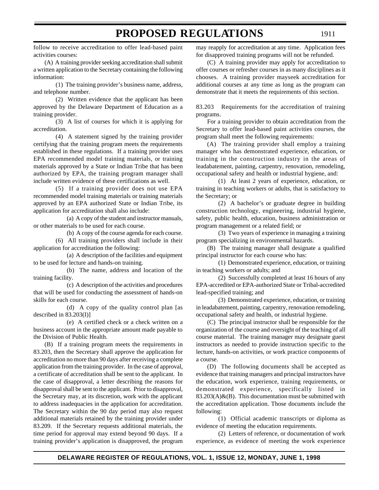follow to receive accreditation to offer lead-based paint activities courses:

(A) A training provider seeking accreditation shall submit a written application to the Secretary containing the following information:

(1) The training provider's business name, address, and telephone number.

(2) Written evidence that the applicant has been approved by the Delaware Department of Education as a training provider.

(3) A list of courses for which it is applying for accreditation.

(4) A statement signed by the training provider certifying that the training program meets the requirements established in these regulations. If a training provider uses EPA recommended model training materials, or training materials approved by a State or Indian Tribe that has been authorized by EPA, the training program manager shall include written evidence of these certifications as well.

(5) If a training provider does not use EPA recommended model training materials or training materials approved by an EPA authorized State or Indian Tribe, its application for accreditation shall also include:

(a) A copy of the student and instructor manuals, or other materials to be used for each course.

(b) A copy of the course agenda for each course. (6) All training providers shall include in their

application for accreditation the following:

(a) A description of the facilities and equipment to be used for lecture and hands-on training.

(b) The name, address and location of the training facility.

(c) A description of the activities and procedures that will be used for conducting the assessment of hands-on skills for each course.

(d) A copy of the quality control plan [as described in 83.203(I)]

(e) A certified check or a check written on a business account in the appropriate amount made payable to the Division of Public Health.

(B) If a training program meets the requirements in 83.203, then the Secretary shall approve the application for accreditation no more than 90 days after receiving a complete application from the training provider. In the case of approval, a certificate of accreditation shall be sent to the applicant. In the case of disapproval, a letter describing the reasons for disapproval shall be sent to the applicant. Prior to disapproval, the Secretary may, at its discretion, work with the applicant to address inadequacies in the application for accreditation. The Secretary within the 90 day period may also request additional materials retained by the training provider under 83.209. If the Secretary requests additional materials, the time period for approval may extend beyond 90 days. If a training provider's application is disapproved, the program may reapply for accreditation at any time. Application fees for disapproved training programs will not be refunded.

(C) A training provider may apply for accreditation to offer courses or refresher courses in as many disciplines as it chooses. A training provider mayseek accreditation for additional courses at any time as long as the program can demonstrate that it meets the requirements of this section.

83.203 Requirements for the accreditation of training programs.

For a training provider to obtain accreditation from the Secretary to offer lead-based paint activities courses, the program shall meet the following requirements:

(A) The training provider shall employ a training manager who has demonstrated experience, education, or training in the construction industry in the areas of leadabatement, painting, carpentry, renovation, remodeling, occupational safety and health or industrial hygiene, and:

(1) At least 2 years of experience, education, or training in teaching workers or adults, that is satisfactory to the Secretary; or

(2) A bachelor's or graduate degree in building construction technology, engineering, industrial hygiene, safety, public health, education, business administration or program management or a related field; or

(3) Two years of experience in managing a training program specializing in environmental hazards.

(B) The training manager shall designate a qualified principal instructor for each course who has:

(1) Demonstrated experience, education, or training in teaching workers or adults; and

(2) Successfully completed at least 16 hours of any EPA-accredited or EPA-authorized State or Tribal-accredited lead-specified training; and

(3) Demonstrated experience, education, or training in leadabatement, painting, carpentry, renovation remodeling, occupational safety and health, or industrial hygiene.

(C) The principal instructor shall be responsible for the organization of the course and oversight of the teaching of all course material. The training manager may designate guest instructors as needed to provide instruction specific to the lecture, hands-on activities, or work practice components of a course.

(D) The following documents shall be accepted as evidence that training managers and principal instructors have the education, work experience, training requirements, or demonstrated experience, specifically listed in 83.203(A) $\&$ (B). This documentation must be submitted with the accreditation application. Those documents include the following:

(1) Official academic transcripts or diploma as evidence of meeting the education requirements.

(2) Letters of reference, or documentation of work experience, as evidence of meeting the work experience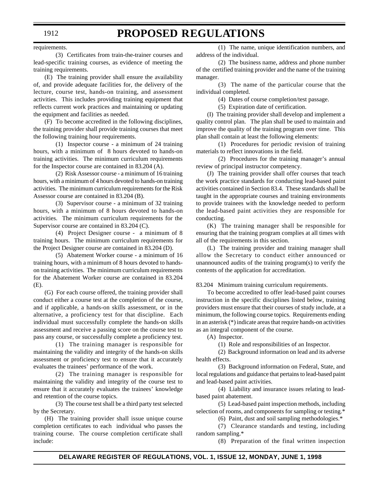#### requirements.

(3) Certificates from train-the-trainer courses and lead-specific training courses, as evidence of meeting the training requirements.

(E) The training provider shall ensure the availability of, and provide adequate facilities for, the delivery of the lecture, course test, hands-on training, and assessment activities. This includes providing training equipment that reflects current work practices and maintaining or updating the equipment and facilities as needed.

(F) To become accredited in the following disciplines, the training provider shall provide training courses that meet the following training hour requirements.

(1) Inspector course - a minimum of 24 training hours, with a minimum of 8 hours devoted to hands-on training activities. The minimum curriculum requirements for the Inspector course are contained in 83.204 (A).

(2) Risk Assessor course - a minimum of 16 training hours, with a minimum of 4 hours devoted to hands-on training activities. The minimum curriculum requirements for the Risk Assessor course are contained in 83.204 (B).

(3) Supervisor course - a minimum of 32 training hours, with a minimum of 8 hours devoted to hands-on activities. The minimum curriculum requirements for the Supervisor course are contained in 83.204 (C).

(4) Project Designer course - a minimum of 8 training hours. The minimum curriculum requirements for the Project Designer course are contained in 83.204 (D).

(5) Abatement Worker course - a minimum of 16 training hours, with a minimum of 8 hours devoted to handson training activities. The minimum curriculum requirements for the Abatement Worker course are contained in 83.204 (E).

(G) For each course offered, the training provider shall conduct either a course test at the completion of the course, and if applicable, a hands-on skills assessment, or in the alternative, a proficiency test for that discipline. Each individual must successfully complete the hands-on skills assessment and receive a passing score on the course test to pass any course, or successfully complete a proficiency test.

(1) The training manager is responsible for maintaining the validity and integrity of the hands-on skills assessment or proficiency test to ensure that it accurately evaluates the trainees' performance of the work.

(2) The training manager is responsible for maintaining the validity and integrity of the course test to ensure that it accurately evaluates the trainees' knowledge and retention of the course topics.

(3) The course test shall be a third party test selected by the Secretary.

(H) The training provider shall issue unique course completion certificates to each individual who passes the training course. The course completion certificate shall include:

(1) The name, unique identification numbers, and address of the individual.

(2) The business name, address and phone number of the certified training provider and the name of the training manager.

(3) The name of the particular course that the individual completed.

(4) Dates of course completion/test passage.

(5) Expiration date of certification.

(I) The training provider shall develop and implement a quality control plan. The plan shall be used to maintain and improve the quality of the training program over time. This plan shall contain at least the following elements:

(1) Procedures for periodic revision of training materials to reflect innovations in the field.

(2) Procedures for the training manager's annual review of principal instructor competency.

(J) The training provider shall offer courses that teach the work practice standards for conducting lead-based paint activities contained in Section 83.4. These standards shall be taught in the appropriate courses and training environments to provide trainees with the knowledge needed to perform the lead-based paint activities they are responsible for conducting.

(K) The training manager shall be responsible for ensuring that the training program complies at all times with all of the requirements in this section.

(L) The training provider and training manager shall allow the Secretary to conduct either announced or unannounced audits of the training program(s) to verify the contents of the application for accreditation.

83.204 Minimum training curriculum requirements.

To become accredited to offer lead-based paint courses instruction in the specific disciplines listed below, training providers must ensure that their courses of study include, at a minimum, the following course topics. Requirements ending in an asterisk (\*) indicate areas that require hands-on activities as an integral component of the course.

(A) Inspector.

(1) Role and responsibilities of an Inspector.

(2) Background information on lead and its adverse health effects.

(3) Background information on Federal, State, and local regulations and guidance that pertains to lead-based paint and lead-based paint activities.

(4) Liability and insurance issues relating to leadbased paint abatement.

(5) Lead-based paint inspection methods, including selection of rooms, and components for sampling or testing.\*

(6) Paint, dust and soil sampling methodologies.\*

(7) Clearance standards and testing, including random sampling.\*

(8) Preparation of the final written inspection

#### 1912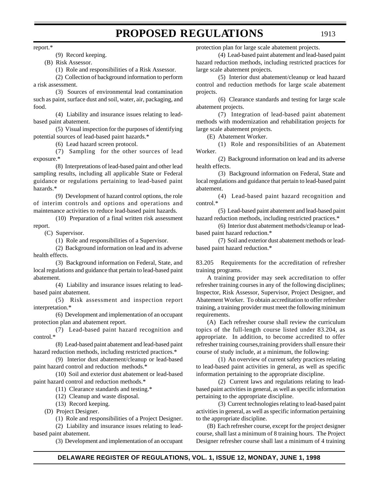report.\*

(9) Record keeping.

(B) Risk Assessor.

(1) Role and responsibilities of a Risk Assessor.

(2) Collection of background information to perform a risk assessment.

(3) Sources of environmental lead contamination such as paint, surface dust and soil, water, air, packaging, and food.

(4) Liability and insurance issues relating to leadbased paint abatement.

(5) Visual inspection for the purposes of identifying potential sources of lead-based paint hazards.\*

(6) Lead hazard screen protocol.

(7) Sampling for the other sources of lead exposure.\*

(8) Interpretations of lead-based paint and other lead sampling results, including all applicable State or Federal guidance or regulations pertaining to lead-based paint hazards.\*

(9) Development of hazard control options, the role of interim controls and options and operations and maintenance activities to reduce lead-based paint hazards.

(10) Preparation of a final written risk assessment report.

(C) Supervisor.

(1) Role and responsibilities of a Supervisor.

(2) Background information on lead and its adverse health effects.

(3) Background information on Federal, State, and local regulations and guidance that pertain to lead-based paint abatement.

(4) Liability and insurance issues relating to leadbased paint abatement.

(5) Risk assessment and inspection report interpretation.\*

(6) Development and implementation of an occupant protection plan and abatement report.

(7) Lead-based paint hazard recognition and control.\*

(8) Lead-based paint abatement and lead-based paint hazard reduction methods, including restricted practices.\*

(9) Interior dust abatement/cleanup or lead-based paint hazard control and reduction methods.\*

(10) Soil and exterior dust abatement or lead-based paint hazard control and reduction methods.\*

(11) Clearance standards and testing.\*

(12) Cleanup and waste disposal.

(13) Record keeping.

(D) Project Designer.

(1) Role and responsibilities of a Project Designer.

(2) Liability and insurance issues relating to leadbased paint abatement.

(3) Development and implementation of an occupant

protection plan for large scale abatement projects.

(4) Lead-based paint abatement and lead-based paint hazard reduction methods, including restricted practices for large scale abatement projects.

(5) Interior dust abatement/cleanup or lead hazard control and reduction methods for large scale abatement projects.

(6) Clearance standards and testing for large scale abatement projects.

(7) Integration of lead-based paint abatement methods with modernization and rehabilitation projects for large scale abatement projects.

(E) Abatement Worker.

(1) Role and responsibilities of an Abatement Worker.

(2) Background information on lead and its adverse health effects.

(3) Background information on Federal, State and local regulations and guidance that pertain to lead-based paint abatement.

(4) Lead-based paint hazard recognition and control.\*

(5) Lead-based paint abatement and lead-based paint hazard reduction methods, including restricted practices.\*

(6) Interior dust abatement methods/cleanup or leadbased paint hazard reduction.\*

(7) Soil and exterior dust abatement methods or leadbased paint hazard reduction.\*

83.205 Requirements for the accreditation of refresher training programs.

A training provider may seek accreditation to offer refresher training courses in any of the following disciplines; Inspector, Risk Assessor, Supervisor, Project Designer, and Abatement Worker. To obtain accreditation to offer refresher training, a training provider must meet the following minimum requirements.

(A) Each refresher course shall review the curriculum topics of the full-length course listed under 83.204, as appropriate. In addition, to become accredited to offer refresher training courses,training providers shall ensure their course of study include, at a minimum, the following:

(1) An overview of current safety practices relating to lead-based paint activities in general, as well as specific information pertaining to the appropriate discipline.

(2) Current laws and regulations relating to leadbased paint activities in general, as well as specific information pertaining to the appropriate discipline.

(3) Current technologies relating to lead-based paint activities in general, as well as specific information pertaining to the appropriate discipline.

(B) Each refresher course, except for the project designer course, shall last a minimum of 8 training hours. The Project Designer refresher course shall last a minimum of 4 training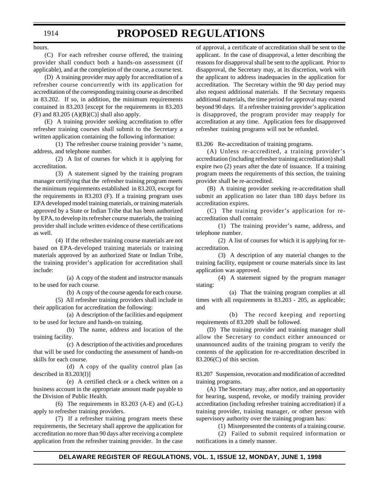1914

hours.

(C) For each refresher course offered, the training provider shall conduct both a hands-on assessment (if applicable), and at the completion of the course, a course test.

(D) A training provider may apply for accreditation of a refresher course concurrently with its application for accreditation of the corresponding training course as described in 83.202. If so, in addition, the minimum requirements contained in 83.203 [except for the requirements in 83.203  $(F)$  and 83.205  $(A)(B)(C)$ ] shall also apply.

(E) A training provider seeking accreditation to offer refresher training courses shall submit to the Secretary a written application containing the following information:

(1) The refresher course training provider 's name, address, and telephone number.

(2) A list of courses for which it is applying for accreditation.

(3) A statement signed by the training program manager certifying that the refresher training program meets the minimum requirements established in 83.203, except for the requirements in 83.203 (F). If a training program uses EPA developed model training materials, or training materials approved by a State or Indian Tribe that has been authorized by EPA, to develop its refresher course materials, the training provider shall include written evidence of these certifications as well.

(4) If the refresher training course materials are not based on EPA-developed training materials or training materials approved by an authorized State or Indian Tribe, the training provider's application for accreditation shall include:

(a) A copy of the student and instructor manuals to be used for each course.

(b) A copy of the course agenda for each course.

(5) All refresher training providers shall include in their application for accreditation the following:

(a) A description of the facilities and equipment to be used for lecture and hands-on training.

(b) The name, address and location of the training facility.

(c) A description of the activities and procedures that will be used for conducting the assessment of hands-on skills for each course.

(d) A copy of the quality control plan [as described in 83.203(I)]

(e) A certified check or a check written on a business account in the appropriate amount made payable to the Division of Public Health.

(6) The requirements in 83.203 (A-E) and (G-L) apply to refresher training providers.

(7) If a refresher training program meets these requirements, the Secretary shall approve the application for accreditation no more than 90 days after receiving a complete application from the refresher training provider. In the case

of approval, a certificate of accreditation shall be sent to the applicant. In the case of disapproval, a letter describing the reasons for disapproval shall be sent to the applicant. Prior to disapproval, the Secretary may, at its discretion, work with the applicant to address inadequacies in the application for accreditation. The Secretary within the 90 day period may also request additional materials. If the Secretary requests additional materials, the time period for approval may extend beyond 90 days. If a refresher training provider's application is disapproved, the program provider may reapply for accreditation at any time. Application fees for disapproved refresher training programs will not be refunded.

83.206 Re-accreditation of training programs.

(A) Unless re-accredited, a training provider's accreditation (including refresher training accreditation) shall expire two (2) years after the date of issuance. If a training program meets the requirements of this section, the training provider shall be re-accredited.

(B) A training provider seeking re-accreditation shall submit an application no later than 180 days before its accreditation expires.

(C) The training provider's application for reaccreditation shall contain:

(1) The training provider's name, address, and telephone number.

(2) A list of courses for which it is applying for reaccreditation.

(3) A description of any material changes to the training facility, equipment or course materials since its last application was approved.

(4) A statement signed by the program manager stating:

(a) That the training program complies at all times with all requirements in 83.203 - 205, as applicable; and

(b) The record keeping and reporting requirements of 83.209 shall be followed.

(D) The training provider and training manager shall allow the Secretary to conduct either announced or unannounced audits of the training program to verify the contents of the application for re-accreditation described in 83.206(C) of this section.

83.207 Suspension, revocation and modification of accredited training programs.

(A) The Secretary may, after notice, and an opportunity for hearing, suspend, revoke, or modify training provider accreditation (including refresher training accreditation) if a training provider, training manager, or other person with supervisory authority over the training program has:

(1) Misrepresented the contents of a training course.

(2) Failed to submit required information or notifications in a timely manner.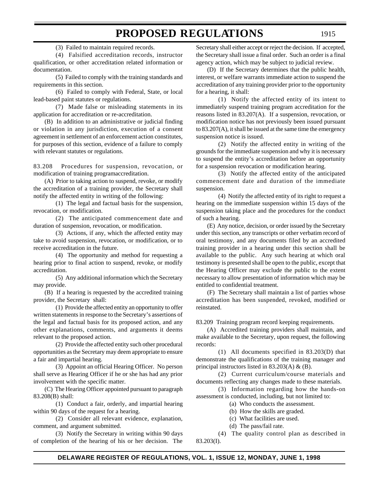(3) Failed to maintain required records.

(4) Falsified accreditation records, instructor qualification, or other accreditation related information or documentation.

(5) Failed to comply with the training standards and requirements in this section.

(6) Failed to comply with Federal, State, or local lead-based paint statutes or regulations.

(7) Made false or misleading statements in its application for accreditation or re-accreditation.

(B) In addition to an administrative or judicial finding or violation in any jurisdiction, execution of a consent agreement in settlement of an enforcement action constitutes, for purposes of this section, evidence of a failure to comply with relevant statutes or regulations.

83.208 Procedures for suspension, revocation, or modification of training programaccreditation.

(A) Prior to taking action to suspend, revoke, or modify the accreditation of a training provider, the Secretary shall notify the affected entity in writing of the following:

(1) The legal and factual basis for the suspension, revocation, or modification.

(2) The anticipated commencement date and duration of suspension, revocation, or modification.

(3) Actions, if any, which the affected entity may take to avoid suspension, revocation, or modification, or to receive accreditation in the future.

(4) The opportunity and method for requesting a hearing prior to final action to suspend, revoke, or modify accreditation.

(5) Any additional information which the Secretary may provide.

(B) If a hearing is requested by the accredited training provider, the Secretary shall:

(1) Provide the affected entity an opportunity to offer written statements in response to the Secretary's assertions of the legal and factual basis for its proposed action, and any other explanations, comments, and arguments it deems relevant to the proposed action.

(2) Provide the affected entity such other procedural opportunities as the Secretary may deem appropriate to ensure a fair and impartial hearing.

(3) Appoint an official Hearing Officer. No person shall serve as Hearing Officer if he or she has had any prior involvement with the specific matter.

(C) The Hearing Officer appointed pursuant to paragraph 83.208(B) shall:

(1) Conduct a fair, orderly, and impartial hearing within 90 days of the request for a hearing.

(2) Consider all relevant evidence, explanation, comment, and argument submitted.

(3) Notify the Secretary in writing within 90 days of completion of the hearing of his or her decision. The

Secretary shall either accept or reject the decision. If accepted, the Secretary shall issue a final order. Such an order is a final agency action, which may be subject to judicial review.

(D) If the Secretary determines that the public health, interest, or welfare warrants immediate action to suspend the accreditation of any training provider prior to the opportunity for a hearing, it shall:

(1) Notify the affected entity of its intent to immediately suspend training program accreditation for the reasons listed in 83.207(A). If a suspension, revocation, or modification notice has not previously been issued pursuant to 83.207(A), it shall be issued at the same time the emergency suspension notice is issued.

(2) Notify the affected entity in writing of the grounds for the immediate suspension and why it is necessary to suspend the entity's accreditation before an opportunity for a suspension revocation or modification hearing.

(3) Notify the affected entity of the anticipated commencement date and duration of the immediate suspension.

(4) Notify the affected entity of its right to request a hearing on the immediate suspension within 15 days of the suspension taking place and the procedures for the conduct of such a hearing.

(E) Any notice, decision, or order issued by the Secretary under this section, any transcripts or other verbatim record of oral testimony, and any documents filed by an accredited training provider in a hearing under this section shall be available to the public. Any such hearing at which oral testimony is presented shall be open to the public, except that the Hearing Officer may exclude the public to the extent necessary to allow presentation of information which may be entitled to confidential treatment.

(F) The Secretary shall maintain a list of parties whose accreditation has been suspended, revoked, modified or reinstated.

83.209 Training program record keeping requirements.

(A) Accredited training providers shall maintain, and make available to the Secretary, upon request, the following records:

(1) All documents specified in 83.203(D) that demonstrate the qualifications of the training manager and principal instructors listed in 83.203(A) & (B).

(2) Current curriculum/course materials and documents reflecting any changes made to these materials.

(3) Information regarding how the hands-on assessment is conducted, including, but not limited to:

- (a) Who conducts the assessment.
- (b) How the skills are graded.
- (c) What facilities are used.
- (d) The pass/fail rate.

(4) The quality control plan as described in 83.203(I).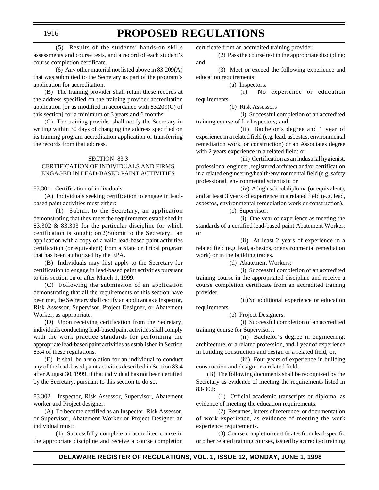(5) Results of the students' hands-on skills assessments and course tests, and a record of each student's course completion certificate.

(6) Any other material not listed above in 83.209(A) that was submitted to the Secretary as part of the program's application for accreditation.

(B) The training provider shall retain these records at the address specified on the training provider accreditation application [or as modified in accordance with 83.209(C) of this section] for a minimum of 3 years and 6 months.

(C) The training provider shall notify the Secretary in writing within 30 days of changing the address specified on its training program accreditation application or transferring the records from that address.

#### SECTION 83.3 CERTIFICATION OF INDIVIDUALS AND FIRMS ENGAGED IN LEAD-BASED PAINT ACTIVITIES

83.301 Certification of individuals.

(A) Individuals seeking certification to engage in leadbased paint activities must either:

(1) Submit to the Secretary, an application demonstrating that they meet the requirements established in 83.302 & 83.303 for the particular discipline for which certification is sought; or(2)Submit to the Secretary, an application with a copy of a valid lead-based paint activities certification (or equivalent) from a State or Tribal program that has been authorized by the EPA.

(B) Individuals may first apply to the Secretary for certification to engage in lead-based paint activities pursuant to this section on or after March 1, 1999.

(C) Following the submission of an application demonstrating that all the requirements of this section have been met, the Secretary shall certify an applicant as a Inspector, Risk Assessor, Supervisor, Project Designer, or Abatement Worker, as appropriate.

(D) Upon receiving certification from the Secretary, individuals conducting lead-based paint activities shall comply with the work practice standards for performing the appropriate lead-based paint activities as established in Section 83.4 of these regulations.

(E) It shall be a violation for an individual to conduct any of the lead-based paint activities described in Section 83.4 after August 30, 1999, if that individual has not been certified by the Secretary, pursuant to this section to do so.

83.302 Inspector, Risk Assessor, Supervisor, Abatement worker and Project designer.

(A) To become certified as an Inspector, Risk Assessor, or Supervisor, Abatement Worker or Project Designer an individual must:

(1) Successfully complete an accredited course in the appropriate discipline and receive a course completion

certificate from an accredited training provider.

(2) Pass the course test in the appropriate discipline; and,

(3) Meet or exceed the following experience and education requirements:

(a) Inspectors.

(i) No experience or education requirements.

(b) Risk Assessors

(i) Successful completion of an accredited training course of for Inspectors; and

(ii) Bachelor's degree and 1 year of experience in a related field (e.g. lead, asbestos, environmental remediation work, or construction) or an Associates degree with 2 years experience in a related field; or

(iii) Certification as an industrial hygienist, professional engineer, registered architect and/or certification in a related engineering/health/environmental field (e.g. safety professional, environmental scientist); or

(iv) A high school diploma (or equivalent), and at least 3 years of experience in a related field (e.g. lead, asbestos, environmental remediation work or construction).

(c) Supervisor:

(i) One year of experience as meeting the standards of a certified lead-based paint Abatement Worker; or

(ii) At least 2 years of experience in a related field (e.g. lead, asbestos, or environmental remediation work) or in the building trades.

(d) Abatement Workers:

(i) Successful completion of an accredited training course in the appropriated discipline and receive a course completion certificate from an accredited training provider.

(ii)No additional experience or education requirements.

(e) Project Designers:

(i) Successful completion of an accredited training course for Supervisors.

(ii) Bachelor's degree in engineering, architecture, or a related profession, and 1 year of experience in building construction and design or a related field; or,

(iii) Four years of experience in building construction and design or a related field.

(B) The following documents shall be recognized by the Secretary as evidence of meeting the requirements listed in 83-302:

(1) Official academic transcripts or diploma, as evidence of meeting the education requirements.

(2) Resumes, letters of reference, or documentation of work experience, as evidence of meeting the work experience requirements.

(3) Course completion certificates from lead-specific or other related training courses, issued by accredited training

#### 1916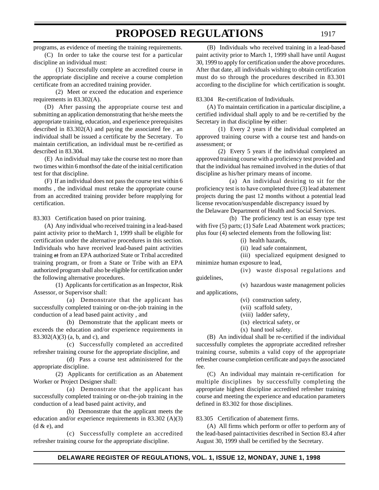programs, as evidence of meeting the training requirements.

(C) In order to take the course test for a particular discipline an individual must:

(1) Successfully complete an accredited course in the appropriate discipline and receive a course completion certificate from an accredited training provider.

(2) Meet or exceed the education and experience requirements in 83.302(A).

(D) After passing the appropriate course test and submitting an application demonstrating that he/she meets the appropriate training, education, and experience prerequisites described in 83.302(A) and paying the associated fee , an individual shall be issued a certificate by the Secretary. To maintain certification, an individual must be re-certified as described in 83.304.

(E) An individual may take the course test no more than two times within 6 monthsof the date of the initial certification test for that discipline.

(F) If an individual does not pass the course test within 6 months , the individual must retake the appropriate course from an accredited training provider before reapplying for certification.

83.303 Certification based on prior training.

(A) Any individual who received training in a lead-based paint activity prior to theMarch 1, 1999 shall be eligible for certification under the alternative procedures in this section. Individuals who have received lead-based paint activities training at from an EPA authorized State or Tribal accredited training program, or from a State or Tribe with an EPA authorized program shall also be eligible for certification under the following alternative procedures.

(1) Applicants for certification as an Inspector, Risk Assessor, or Supervisor shall:

(a) Demonstrate that the applicant has successfully completed training or on-the-job training in the conduction of a lead based paint activity , and

(b) Demonstrate that the applicant meets or exceeds the education and/or experience requirements in 83.302(A)(3) (a, b, and c), and

(c) Successfully completed an accredited refresher training course for the appropriate discipline, and

(d) Pass a course test administered for the appropriate discipline.

(2) Applicants for certification as an Abatement Worker or Project Designer shall:

(a) Demonstrate that the applicant has successfully completed training or on-the-job training in the conduction of a lead based paint activity, and

(b) Demonstrate that the applicant meets the education and/or experience requirements in 83.302 (A)(3)  $(d \& e)$ , and

(c) Successfully complete an accredited refresher training course for the appropriate discipline.

(B) Individuals who received training in a lead-based paint activity prior to March 1, 1999 shall have until August 30, 1999 to apply for certification under the above procedures. After that date, all individuals wishing to obtain certification must do so through the procedures described in 83.301 according to the discipline for which certification is sought.

83.304 Re-certification of Individuals.

(A) To maintain certification in a particular discipline, a certified individual shall apply to and be re-certified by the Secretary in that discipline by either:

(1) Every 2 years if the individual completed an approved training course with a course test and hands-on assessment; or

(2) Every 5 years if the individual completed an approved training course with a proficiency test provided and that the individual has remained involved in the duties of that discipline as his/her primary means of income.

(a) An individual desiring to sit for the proficiency test is to have completed three (3) lead abatement projects during the past 12 months without a potential lead license revocation/suspendable discrepancy issued by the Delaware Department of Health and Social Services.

(b) The proficiency test is an essay type test with five (5) parts; (1) Safe Lead Abatement work practices; plus four (4) selected elements from the following list:

(i) health hazards,

(ii) lead safe containment,

(iii) specialized equipment designed to minimize human exposure to lead,

(iv) waste disposal regulations and guidelines,

(v) hazardous waste management policies and applications,

(vi) construction safety,

- (vii) scaffold safety,
- (viii) ladder safety,
- (ix) electrical safety, or

(x) hand tool safety.

(B) An individual shall be re-certified if the individual successfully completes the appropriate accredited refresher training course, submits a valid copy of the appropriate refresher course completion certificate and pays the associated fee.

(C) An individual may maintain re-certification for multiple disciplines by successfully completing the appropriate highest discipline accredited refresher training course and meeting the experience and education parameters defined in 83.302 for those disciplines.

83.305 Certification of abatement firms.

(A) All firms which perform or offer to perform any of the lead-based paintactivities described in Section 83.4 after August 30, 1999 shall be certified by the Secretary.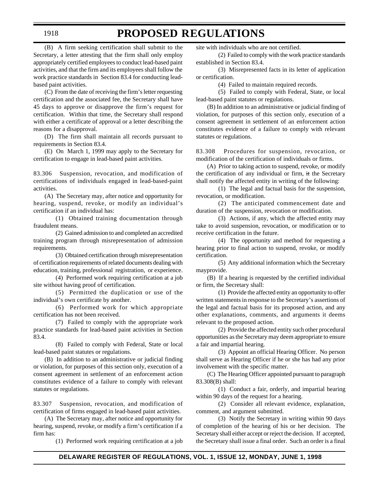# **PROPOSED REGULATIONS**

(B) A firm seeking certification shall submit to the Secretary, a letter attesting that the firm shall only employ appropriately certified employees to conduct lead-based paint activities, and that the firm and its employees shall follow the work practice standards in Section 83.4 for conducting leadbased paint activities.

(C) From the date of receiving the firm's letter requesting certification and the associated fee, the Secretary shall have 45 days to approve or disapprove the firm's request for certification. Within that time, the Secretary shall respond with either a certificate of approval or a letter describing the reasons for a disapproval.

(D) The firm shall maintain all records pursuant to requirements in Section 83.4.

(E) On March 1, 1999 may apply to the Secretary for certification to engage in lead-based paint activities.

83.306 Suspension, revocation, and modification of certifications of individuals engaged in lead-based-paint activities.

(A) The Secretary may, after notice and opportunity for hearing, suspend, revoke, or modify an individual's certification if an individual has:

(1) Obtained training documentation through fraudulent means.

(2) Gained admission to and completed an accredited training program through misrepresentation of admission requirements.

(3) Obtained certification through misrepresentation of certification requirements of related documents dealing with education, training, professional registration, or experience.

(4) Performed work requiring certification at a job site without having proof of certification.

(5) Permitted the duplication or use of the individual's own certificate by another.

(6) Performed work for which appropriate certification has not been received.

(7) Failed to comply with the appropriate work practice standards for lead-based paint activities in Section 83.4.

(8) Failed to comply with Federal, State or local lead-based paint statutes or regulations.

(B) In addition to an administrative or judicial finding or violation, for purposes of this section only, execution of a consent agreement in settlement of an enforcement action constitutes evidence of a failure to comply with relevant statutes or regulations.

83.307 Suspension, revocation, and modification of certification of firms engaged in lead-based paint activities.

(A) The Secretary may, after notice and opportunity for hearing, suspend, revoke, or modify a firm's certification if a firm has:

(1) Performed work requiring certification at a job

site with individuals who are not certified.

(2) Failed to comply with the work practice standards established in Section 83.4.

(3) Misrepresented facts in its letter of application or certification.

(4) Failed to maintain required records.

(5) Failed to comply with Federal, State, or local lead-based paint statutes or regulations.

(B) In addition to an administrative or judicial finding of violation, for purposes of this section only, execution of a consent agreement in settlement of an enforcement action constitutes evidence of a failure to comply with relevant statutes or regulations.

83.308 Procedures for suspension, revocation, or modification of the certification of individuals or firms.

(A) Prior to taking action to suspend, revoke, or modify the certification of any individual or firm, it the Secretary shall notify the affected entity in writing of the following:

(1) The legal and factual basis for the suspension, revocation, or modification.

(2) The anticipated commencement date and duration of the suspension, revocation or modification.

(3) Actions, if any, which the affected entity may take to avoid suspension, revocation, or modification or to receive certification in the future.

(4) The opportunity and method for requesting a hearing prior to final action to suspend, revoke, or modify certification.

(5) Any additional information which the Secretary mayprovide.

(B) If a hearing is requested by the certified individual or firm, the Secretary shall:

(1) Provide the affected entity an opportunity to offer written statements in response to the Secretary's assertions of the legal and factual basis for its proposed action, and any other explanations, comments, and arguments it deems relevant to the proposed action.

(2) Provide the affected entity such other procedural opportunities as the Secretary may deem appropriate to ensure a fair and impartial hearing.

(3) Appoint an official Hearing Officer. No person shall serve as Hearing Officer if he or she has had any prior involvement with the specific matter.

(C) The Hearing Officer appointed pursuant to paragraph 83.308(B) shall:

(1) Conduct a fair, orderly, and impartial hearing within 90 days of the request for a hearing.

(2) Consider all relevant evidence, explanation, comment, and argument submitted.

(3) Notify the Secretary in writing within 90 days of completion of the hearing of his or her decision. The Secretary shall either accept or reject the decision. If accepted, the Secretary shall issue a final order. Such an order is a final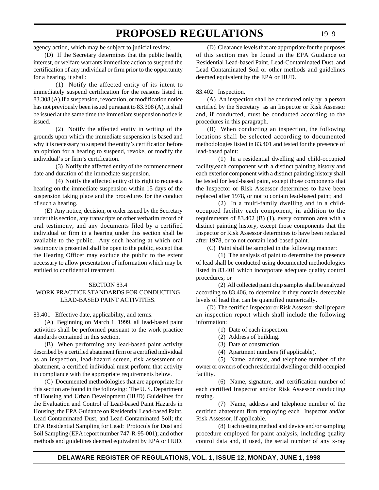agency action, which may be subject to judicial review.

(D) If the Secretary determines that the public health, interest, or welfare warrants immediate action to suspend the certification of any individual or firm prior to the opportunity for a hearing, it shall:

(1) Notify the affected entity of its intent to immediately suspend certification for the reasons listed in 83.308 (A).If a suspension, revocation, or modification notice has not previously been issued pursuant to 83.308 (A), it shall be issued at the same time the immediate suspension notice is issued.

(2) Notify the affected entity in writing of the grounds upon which the immediate suspension is based and why it is necessary to suspend the entity's certification before an opinion for a hearing to suspend, revoke, or modify the individual's or firm's certification.

(3) Notify the affected entity of the commencement date and duration of the immediate suspension.

(4) Notify the affected entity of its right to request a hearing on the immediate suspension within 15 days of the suspension taking place and the procedures for the conduct of such a hearing.

(E) Any notice, decision, or order issued by the Secretary under this section, any transcripts or other verbatim record of oral testimony, and any documents filed by a certified individual or firm in a hearing under this section shall be available to the public. Any such hearing at which oral testimony is presented shall be open to the public, except that the Hearing Officer may exclude the public to the extent necessary to allow presentation of information which may be entitled to confidential treatment.

#### SECTION 83.4

# WORK PRACTICE STANDARDS FOR CONDUCTING LEAD-BASED PAINT ACTIVITIES.

83.401 Effective date, applicability, and terms.

(A) Beginning on March 1, 1999, all lead-based paint activities shall be performed pursuant to the work practice standards contained in this section.

(B) When performing any lead-based paint activity described by a certified abatement firm or a certified individual as an inspection, lead-hazard screen, risk assessment or abatement, a certified individual must perform that activity in compliance with the appropriate requirements below.

(C) Documented methodologies that are appropriate for this section are found in the following: The U. S. Department of Housing and Urban Development (HUD) Guidelines for the Evaluation and Control of Lead-based Paint Hazards in Housing; the EPA Guidance on Residential Lead-based Paint, Lead Contaminated Dust, and Lead-Contaminated Soil; the EPA Residential Sampling for Lead: Protocols for Dust and Soil Sampling (EPA report number 747-R-95-001); and other methods and guidelines deemed equivalent by EPA or HUD.

(D) Clearance levels that are appropriate for the purposes of this section may be found in the EPA Guidance on Residential Lead-based Paint, Lead-Contaminated Dust, and Lead Contaminated Soil or other methods and guidelines deemed equivalent by the EPA or HUD.

#### 83.402 Inspection.

(A) An inspection shall be conducted only by a person certified by the Secretary as an Inspector or Risk Assessor and, if conducted, must be conducted according to the procedures in this paragraph.

(B) When conducting an inspection, the following locations shall be selected according to documented methodologies listed in 83.401 and tested for the presence of lead-based paint:

(1) In a residential dwelling and child-occupied facility,each component with a distinct painting history and each exterior component with a distinct painting history shall be tested for lead-based paint, except those components that the Inspector or Risk Assessor determines to have been replaced after 1978, or not to contain lead-based paint; and

(2) In a multi-family dwelling and in a childoccupied facility each component, in addition to the requirements of 83.402 (B) (1), every common area with a distinct painting history, except those components that the Inspector or Risk Assessor determines to have been replaced after 1978, or to not contain lead-based paint.

(C) Paint shall be sampled in the following manner:

(1) The analysis of paint to determine the presence of lead shall be conducted using documented methodologies listed in 83.401 which incorporate adequate quality control procedures; or

(2) All collected paint chip samples shall be analyzed according to 83.406, to determine if they contain detectable levels of lead that can be quantified numerically.

(D) The certified Inspector or Risk Assessor shall prepare an inspection report which shall include the following information:

(1) Date of each inspection.

- (2) Address of building.
- (3) Date of construction.
- (4) Apartment numbers (if applicable).

(5) Name, address, and telephone number of the owner or owners of each residential dwelling or child-occupied facility.

(6) Name, signature, and certification number of each certified Inspector and/or Risk Assessor conducting testing.

(7) Name, address and telephone number of the certified abatement firm employing each Inspector and/or Risk Assessor, if applicable.

(8) Each testing method and device and/or sampling procedure employed for paint analysis, including quality control data and, if used, the serial number of any x-ray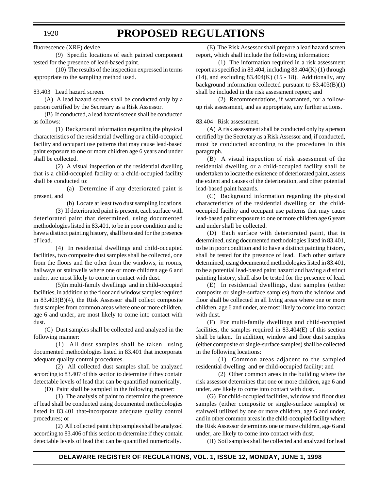fluorescence (XRF) device.

(9) Specific locations of each painted component tested for the presence of lead-based paint.

(10) The results of the inspection expressed in terms appropriate to the sampling method used.

### 83.403 Lead hazard screen.

(A) A lead hazard screen shall be conducted only by a person certified by the Secretary as a Risk Assessor.

(B) If conducted, a lead hazard screen shall be conducted as follows:

(1) Background information regarding the physical characteristics of the residential dwelling or a child-occupied facility and occupant use patterns that may cause lead-based paint exposure to one or more children age 6 years and under shall be collected.

(2) A visual inspection of the residential dwelling that is a child-occupied facility or a child-occupied facility shall be conducted to:

(a) Determine if any deteriorated paint is present, and

(b) Locate at least two dust sampling locations.

(3) If deteriorated paint is present, each surface with deteriorated paint that determined, using documented methodologies listed in 83.401, to be in poor condition and to have a distinct painting history, shall be tested for the presence of lead.

(4) In residential dwellings and child-occupied facilities, two composite dust samples shall be collected, one from the floors and the other from the windows, in rooms, hallways or stairwells where one or more children age 6 and under, are most likely to come in contact with dust.

(5)In multi-family dwellings and in child-occupied facilities, in addition to the floor and window samples required in 83.403(B)(4), the Risk Assessor shall collect composite dust samples from common areas where one or more children, age 6 and under, are most likely to come into contact with dust.

(C) Dust samples shall be collected and analyzed in the following manner:

(1) All dust samples shall be taken using documented methodologies listed in 83.401 that incorporate adequate quality control procedures.

(2) All collected dust samples shall be analyzed according to 83.407 of this section to determine if they contain detectable levels of lead that can be quantified numerically.

(D) Paint shall be sampled in the following manner:

(1) The analysis of paint to determine the presence of lead shall be conducted using documented methodologies listed in 83.401 that-incorporate adequate quality control procedures; or

(2) All collected paint chip samples shall be analyzed according to 83.406 of this section to determine if they contain detectable levels of lead that can be quantified numerically.

(E) The Risk Assessor shall prepare a lead hazard screen report, which shall include the following information:

(1) The information required in a risk assessment report as specified in 83.404, including 83.404(K) (1) through (14), and excluding  $83.404(K)$  (15 - 18). Additionally, any background information collected pursuant to 83.403(B)(1) shall be included in the risk assessment report; and

(2) Recommendations, if warranted, for a followup risk assessment, and as appropriate, any further actions.

#### 83.404 Risk assessment.

(A) A risk assessment shall be conducted only by a person certified by the Secretary as a Risk Assessor and, if conducted, must be conducted according to the procedures in this paragraph.

(B) A visual inspection of risk assessment of the residential dwelling or a child-occupied facility shall be undertaken to locate the existence of deteriorated paint, assess the extent and causes of the deterioration, and other potential lead-based paint hazards.

(C) Background information regarding the physical characteristics of the residential dwelling or the childoccupied facility and occupant use patterns that may cause lead-based paint exposure to one or more children age 6 years and under shall be collected.

(D) Each surface with deteriorated paint, that is determined, using documented methodologies listed in 83.401, to be in poor condition and to have a distinct painting history, shall be tested for the presence of lead. Each other surface determined, using documented methodologies listed in 83.401, to be a potential lead-based paint hazard and having a distinct painting history, shall also be tested for the presence of lead.

(E) In residential dwellings, dust samples (either composite or single-surface samples) from the window and floor shall be collected in all living areas where one or more children, age 6 and under, are most likely to come into contact with dust.

(F) For multi-family dwellings and child-occupied facilities, the samples required in 83.404(E) of this section shall be taken. In addition, window and floor dust samples (either composite or single-surface samples) shall be collected in the following locations:

(1) Common areas adjacent to the sampled residential dwelling and or child-occupied facility; and

(2) Other common areas in the building where the risk assessor determines that one or more children, age 6 and under, are likely to come into contact with dust.

(G) For child-occupied facilities, window and floor dust samples (either composite or single-surface samples) or stairwell utilized by one or more children, age 6 and under, and in other common areas in the child-occupied facility where the Risk Assessor determines one or more children, age 6 and under, are likely to come into contact with dust.

(H) Soil samples shall be collected and analyzed for lead

#### 1920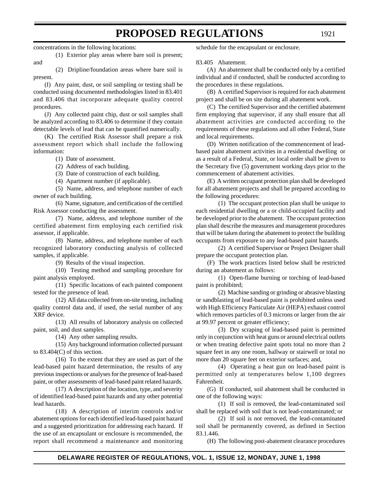concentrations in the following locations:

(1) Exterior play areas where bare soil is present; and

(2) Dripline/foundation areas where bare soil is present.

(I) Any paint, dust, or soil sampling or testing shall be conducted using documented methodologies listed in 83.401 and 83.406 that incorporate adequate quality control procedures.

(J) Any collected paint chip, dust or soil samples shall be analyzed according to 83.406 to determine if they contain detectable levels of lead that can be quantified numerically.

(K) The certified Risk Assessor shall prepare a risk assessment report which shall include the following information:

(1) Date of assessment.

- (2) Address of each building.
- (3) Date of construction of each building.
- (4) Apartment number (if applicable).

(5) Name, address, and telephone number of each owner of each building.

(6) Name, signature, and certification of the certified Risk Assessor conducting the assessment.

(7) Name, address, and telephone number of the certified abatement firm employing each certified risk assessor, if applicable.

(8) Name, address, and telephone number of each recognized laboratory conducting analysis of collected samples, if applicable.

(9) Results of the visual inspection.

(10) Testing method and sampling procedure for paint analysis employed.

(11) Specific locations of each painted component tested for the presence of lead.

(12) All data collected from on-site testing, including quality control data and, if used, the serial number of any XRF device.

(13) All results of laboratory analysis on collected paint, soil, and dust samples.

(14) Any other sampling results.

(15) Any background information collected pursuant to 83.404(C) of this section.

(16) To the extent that they are used as part of the lead-based paint hazard determination, the results of any previous inspections or analyses for the presence of lead-based paint, or other assessments of lead-based paint related hazards.

(17) A description of the location, type, and severity of identified lead-based paint hazards and any other potential lead hazards.

(18) A description of interim controls and/or abatement options for each identified lead-based paint hazard and a suggested prioritization for addressing each hazard. If the use of an encapsulant or enclosure is recommended, the report shall recommend a maintenance and monitoring schedule for the encapsulant or enclosure.

83.405 Abatement.

(A) An abatement shall be conducted only by a certified individual and if conducted, shall be conducted according to the procedures in these regulations.

(B) A certified Supervisor is required for each abatement project and shall be on site during all abatement work.

(C) The certified Supervisor and the certified abatement firm employing that supervisor, if any shall ensure that all abatement activities are conducted according to the requirements of these regulations and all other Federal, State and local requirements.

(D) Written notification of the commencement of leadbased paint abatement activities in a residential dwelling or as a result of a Federal, State, or local order shall be given to the Secretary five (5) government working days prior to the commencement of abatement activities.

(E) A written occupant protection plan shall be developed for all abatement projects and shall be prepared according to the following procedures:

(1) The occupant protection plan shall be unique to each residential dwelling or a or child-occupied facility and be developed prior to the abatement. The occupant protection plan shall describe the measures and management procedures that will be taken during the abatement to protect the building occupants from exposure to any lead-based paint hazards.

(2) A certified Supervisor or Project Designer shall prepare the occupant protection plan.

(F) The work practices listed below shall be restricted during an abatement as follows:

(1) Open-flame burning or torching of lead-based paint is prohibited;

(2) Machine sanding or grinding or abrasive blasting or sandblasting of lead-based paint is prohibited unless used with High Efficiency Particulate Air (HEPA) exhaust control which removes particles of 0.3 microns or larger from the air at 99.97 percent or greater efficiency;

(3) Dry scraping of lead-based paint is permitted only in conjunction with heat guns or around electrical outlets or when treating defective paint spots total no more than 2 square feet in any one room, hallway or stairwell or total no more than 20 square feet on exterior surfaces; and,

(4) Operating a heat gun on lead-based paint is permitted only at temperatures below 1,100 degrees Fahrenheit.

(G) If conducted, soil abatement shall be conducted in one of the following ways:

(1) If soil is removed, the lead-contaminated soil shall be replaced with soil that is not lead-contaminated; or

(2) If soil is not removed, the lead-contaminated soil shall be permanently covered, as defined in Section 83.1.446.

(H) The following post-abatement clearance procedures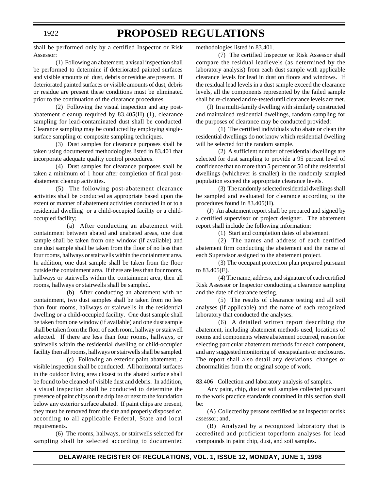# **PROPOSED REGULATIONS**

shall be performed only by a certified Inspector or Risk Assessor:

(1) Following an abatement, a visual inspection shall be performed to determine if deteriorated painted surfaces and visible amounts of dust, debris or residue are present. If deteriorated painted surfaces or visible amounts of dust, debris or residue are present these conditions must be eliminated prior to the continuation of the clearance procedures.

(2) Following the visual inspection and any postabatement cleanup required by 83.405(H) (1), clearance sampling for lead-contaminated dust shall be conducted. Clearance sampling may be conducted by employing singlesurface sampling or composite sampling techniques.

(3) Dust samples for clearance purposes shall be taken using documented methodologies listed in 83.401 that incorporate adequate quality control procedures.

(4) Dust samples for clearance purposes shall be taken a minimum of 1 hour after completion of final postabatement cleanup activities.

(5) The following post-abatement clearance activities shall be conducted as appropriate based upon the extent or manner of abatement activities conducted in or to a residential dwelling or a child-occupied facility or a childoccupied facility;

(a) After conducting an abatement with containment between abated and unabated areas, one dust sample shall be taken from one window (if available) and one dust sample shall be taken from the floor of no less than four rooms, hallways or stairwells within the containment area. In addition, one dust sample shall be taken from the floor outside the containment area. If there are less than four rooms, hallways or stairwells within the containment area, then all rooms, hallways or stairwells shall be sampled.

(b) After conducting an abatement with no containment, two dust samples shall be taken from no less than four rooms, hallways or stairwells in the residential dwelling or a child-occupied facility. One dust sample shall be taken from one window (if available) and one dust sample shall be taken from the floor of each room, hallway or stairwell selected. If there are less than four rooms, hallways, or stairwells within the residential dwelling or child-occupied facility then all rooms, hallways or stairwells shall be sampled.

(c) Following an exterior paint abatement, a visible inspection shall be conducted. All horizontal surfaces in the outdoor living area closest to the abated surface shall be found to be cleaned of visible dust and debris. In addition, a visual inspection shall be conducted to determine the presence of paint chips on the dripline or next to the foundation below any exterior surface abated. If paint chips are present, they must be removed from the site and properly disposed of, according to all applicable Federal, State and local requirements.

(6) The rooms, hallways, or stairwells selected for sampling shall be selected according to documented methodologies listed in 83.401.

(7) The certified Inspector or Risk Assessor shall compare the residual leadlevels (as determined by the laboratory analysis) from each dust sample with applicable clearance levels for lead in dust on floors and windows. If the residual lead levels in a dust sample exceed the clearance levels, all the components represented by the failed sample shall be re-cleaned and re-tested until clearance levels are met.

(I) In a multi-family dwelling with similarly constructed and maintained residential dwellings, random sampling for the purposes of clearance may be conducted provided:

(1) The certified individuals who abate or clean the residential dwellings do not know which residential dwelling will be selected for the random sample.

(2) A sufficient number of residential dwellings are selected for dust sampling to provide a 95 percent level of confidence that no more than 5 percent or 50 of the residential dwellings (whichever is smaller) in the randomly sampled population exceed the appropriate clearance levels.

(3) The randomly selected residential dwellings shall be sampled and evaluated for clearance according to the procedures found in 83.405(H).

(J) An abatement report shall be prepared and signed by a certified supervisor or project designer. The abatement report shall include the following information:

(1) Start and completion dates of abatement.

(2) The names and address of each certified abatement firm conducting the abatement and the name of each Supervisor assigned to the abatement project.

(3) The occupant protection plan prepared pursuant to 83.405(E).

(4) The name, address, and signature of each certified Risk Assessor or Inspector conducting a clearance sampling and the date of clearance testing.

(5) The results of clearance testing and all soil analyses (if applicable) and the name of each recognized laboratory that conducted the analyses.

(6) A detailed written report describing the abatement, including abatement methods used, locations of rooms and components where abatement occurred, reason for selecting particular abatement methods for each component, and any suggested monitoring of encapsulants or enclosures. The report shall also detail any deviations, changes or abnormalities from the original scope of work.

83.406 Collection and laboratory analysis of samples.

Any paint, chip, dust or soil samples collected pursuant to the work practice standards contained in this section shall be:

(A) Collected by persons certified as an inspector or risk assessor; and,

(B) Analyzed by a recognized laboratory that is accredited and proficient toperform analyses for lead compounds in paint chip, dust, and soil samples.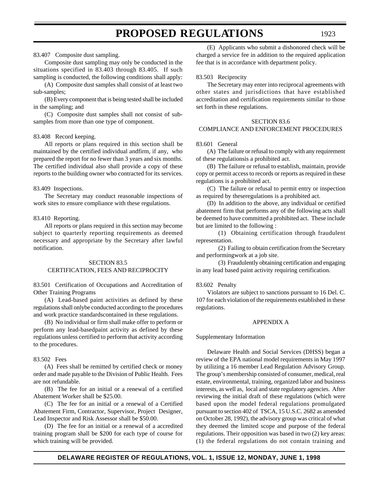83.407 Composite dust sampling.

Composite dust sampling may only be conducted in the situations specified in 83.403 through 83.405. If such sampling is conducted, the following conditions shall apply:

(A) Composite dust samples shall consist of at least two sub-samples;

(B) Every component that is being tested shall be included in the sampling; and

(C) Composite dust samples shall not consist of subsamples from more than one type of component.

#### 83.408 Record keeping.

All reports or plans required in this section shall be maintained by the certified individual andfirm, if any, who prepared the report for no fewer than 3 years and six months. The certified individual also shall provide a copy of these reports to the building owner who contracted for its services.

#### 83.409 Inspections.

The Secretary may conduct reasonable inspections of work sites to ensure compliance with these regulations.

#### 83.410 Reporting.

All reports or plans required in this section may become subject to quarterly reporting requirements as deemed necessary and appropriate by the Secretary after lawful notification.

#### SECTION 83.5 CERTIFICATION, FEES AND RECIPROCITY

83.501 Certification of Occupations and Accreditation of Other Training Programs

(A) Lead-based paint activities as defined by these regulations shall onlybe conducted according to the procedures and work practice standardscontained in these regulations.

(B) No individual or firm shall make offer to perform or perform any lead-basedpaint activity as defined by these regulations unless certified to perform that activity according to the procedures.

#### 83.502 Fees

(A) Fees shall be remitted by certified check or money order and made payable to the Division of Public Health. Fees are not refundable.

(B) The fee for an initial or a renewal of a certified Abatement Worker shall be \$25.00.

(C) The fee for an initial or a renewal of a Certified Abatement Firm, Contractor, Supervisor, Project Designer, Lead Inspector and Risk Assessor shall be \$50.00.

(D) The fee for an initial or a renewal of a accredited training program shall be \$200 for each type of course for which training will be provided.

(E) Applicants who submit a dishonored check will be charged a service fee in addition to the required application fee that is in accordance with department policy.

#### 83.503 Reciprocity

The Secretary may enter into reciprocal agreements with other states and jurisdictions that have established accreditation and certification requirements similar to those set forth in these regulations.

#### SECTION 83.6 COMPLIANCE AND ENFORCEMENT PROCEDURES

#### 83.601 General

(A) The failure or refusal to comply with any requirement of these regulationsis a prohibited act.

(B) The failure or refusal to establish, maintain, provide copy or permit access to records or reports as required in these regulations is a prohibited act.

(C) The failure or refusal to permit entry or inspection as required by theseregulations is a prohibited act.

(D) In addition to the above, any individual or certified abatement firm that performs any of the following acts shall be deemed to have committed a prohibited act. These include but are limited to the following :

(1) Obtaining certification through fraudulent representation.

(2) Failing to obtain certification from the Secretary and performingwork at a job site.

(3) Fraudulently obtaining certification and engaging in any lead based paint activity requiring certification.

#### 83.602 Penalty

Violators are subject to sanctions pursuant to 16 Del. C. 107 for each violation of the requirements established in these regulations.

#### APPENDIX A

#### Supplementary Information

Delaware Health and Social Services (DHSS) began a review of the EPA national model requirements in May 1997 by utilizing a 16 member Lead Regulation Advisory Group. The group's membership consisted of consumer, medical, real estate, environmental, training, organized labor and business interests, as well as, local and state regulatory agencies. After reviewing the initial draft of these regulations (which were based upon the model federal regulations promulgated pursuant to section 402 of TSCA, 15 U.S.C. 2682 as amended on October 28, 1992), the advisory group was critical of what they deemed the limited scope and purpose of the federal regulations. Their opposition was based in two (2) key areas: (1) the federal regulations do not contain training and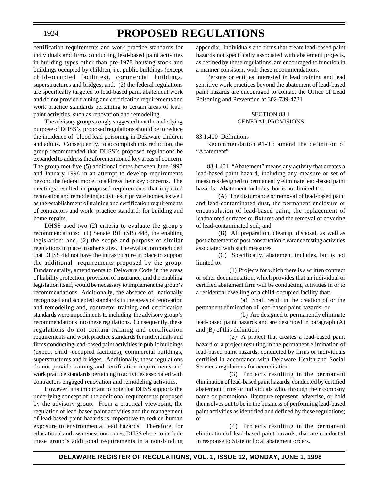# **PROPOSED REGULATIONS**

certification requirements and work practice standards for individuals and firms conducting lead-based paint activities in building types other than pre-1978 housing stock and buildings occupied by children, i.e. public buildings (except child-occupied facilities), commercial buildings, superstructures and bridges; and, (2) the federal regulations are specifically targeted to lead-based paint abatement work and do not provide training and certification requirements and work practice standards pertaining to certain areas of leadpaint activities, such as renovation and remodeling.

The advisory group strongly suggested that the underlying purpose of DHSS's proposed regulations should be to reduce the incidence of blood lead poisoning in Delaware children and adults. Consequently, to accomplish this reduction, the group recommended that DHSS's proposed regulations be expanded to address the aforementioned key areas of concern. The group met five (5) additional times between June 1997 and January 1998 in an attempt to develop requirements beyond the federal model to address their key concerns. The meetings resulted in proposed requirements that impacted renovation and remodeling activities in private homes, as well as the establishment of training and certification requirements of contractors and work practice standards for building and home repairs.

DHSS used two (2) criteria to evaluate the group's recommendations: (1) Senate Bill (SB) 448, the enabling legislation; and, (2) the scope and purpose of similar regulations in place in other states. The evaluation concluded that DHSS did not have the infrastructure in place to support the additional requirements proposed by the group. Fundamentally, amendments to Delaware Code in the areas of liability protection, provision of insurance, and the enabling legislation itself, would be necessary to implement the group's recommendations. Additionally, the absence of nationally recognized and accepted standards in the areas of renovation and remodeling and, contractor training and certification standards were impediments to including the advisory group's recommendations into these regulations. Consequently, these regulations do not contain training and certification requirements and work practice standards for individuals and firms conducting lead-based paint activities in public buildings (expect child -occupied facilities), commercial buildings, superstructures and bridges. Additionally, these regulations do not provide training and certification requirements and work practice standards pertaining to activities associated with contractors engaged renovation and remodeling activities.

However, it is important to note that DHSS supports the underlying concept of the additional requirements proposed by the advisory group. From a practical viewpoint, the regulation of lead-based paint activities and the management of lead-based paint hazards is imperative to reduce human exposure to environmental lead hazards. Therefore, for educational and awareness outcomes, DHSS elects to include these group's additional requirements in a non-binding

appendix. Individuals and firms that create lead-based paint hazards not specifically associated with abatement projects, as defined by these regulations, are encouraged to function in a manner consistent with these recommendations.

Persons or entities interested in lead training and lead sensitive work practices beyond the abatement of lead-based paint hazards are encouraged to contact the Office of Lead Poisoning and Prevention at 302-739-4731

#### SECTION 83.1 GENERAL PROVISIONS

#### 83.1.400 Definitions

Recommendation #1-To amend the definition of "Abatement"

83.1.401 "Abatement" means any activity that creates a lead-based paint hazard, including any measure or set of measures designed to permanently eliminate lead-based paint hazards. Abatement includes, but is not limited to:

(A) The disturbance or removal of lead-based paint and lead-contaminated dust, the permanent enclosure or encapsulation of lead-based paint, the replacement of leadpainted surfaces or fixtures and the removal or covering of lead-contaminated soil; and

(B) All preparation, cleanup, disposal, as well as post-abatement or post construction clearance testing activities associated with such measures.

(C) Specifically, abatement includes, but is not limited to:

(1) Projects for which there is a written contract or other documentation, which provides that an individual or certified abatement firm will be conducting activities in or to a residential dwelling or a child-occupied facility that:

(a) Shall result in the creation of or the permanent elimination of lead-based paint hazards; or

(b) Are designed to permanently eliminate lead-based paint hazards and are described in paragraph (A) and (B) of this definition;

(2) A project that creates a lead-based paint hazard or a project resulting in the permanent elimination of lead-based paint hazards, conducted by firms or individuals certified in accordance with Delaware Health and Social Services regulations for accreditation.

(3) Projects resulting in the permanent elimination of lead-based paint hazards, conducted by certified abatement firms or individuals who, through their company name or promotional literature represent, advertise, or hold themselves out to be in the business of performing lead-based paint activities as identified and defined by these regulations; or

(4) Projects resulting in the permanent elimination of lead-based paint hazards, that are conducted in response to State or local abatement orders.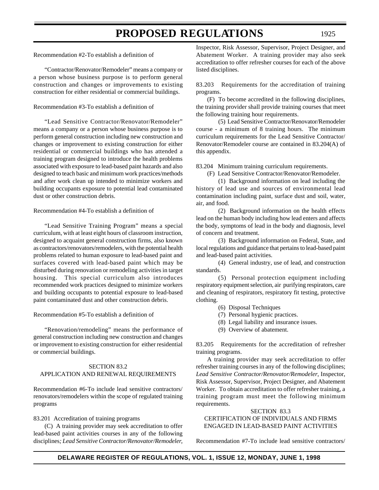Recommendation #2-To establish a definition of

"Contractor/Renovator/Remodeler" means a company or a person whose business purpose is to perform general construction and changes or improvements to existing construction for either residential or commercial buildings.

#### Recommendation #3-To establish a definition of

"Lead Sensitive Contractor/Renovator/Remodeler" means a company or a person whose business purpose is to perform general construction including new construction and changes or improvement to existing construction for either residential or commercial buildings who has attended a training program designed to introduce the health problems associated with exposure to lead-based paint hazards and also designed to teach basic and minimum work practices/methods and after work clean up intended to minimize workers and building occupants exposure to potential lead contaminated dust or other construction debris.

### Recommendation #4-To establish a definition of

"Lead Sensitive Training Program" means a special curriculum, with at least eight hours of classroom instruction, designed to acquaint general construction firms, also known as contractors/renovators/remodelers, with the potential health problems related to human exposure to lead-based paint and surfaces covered with lead-based paint which may be disturbed during renovation or remodeling activities in target housing. This special curriculum also introduces recommended work practices designed to minimize workers and building occupants to potential exposure to lead-based paint contaminated dust and other construction debris.

#### Recommendation #5-To establish a definition of

"Renovation/remodeling" means the performance of general construction including new construction and changes or improvement to existing construction for either residential or commercial buildings.

## SECTION 83.2 APPLICATION AND RENEWAL REQUIREMENTS

Recommendation #6-To include lead sensitive contractors/ renovators/remodelers within the scope of regulated training programs

### 83.201 Accreditation of training programs

(C) A training provider may seek accreditation to offer lead-based paint activities courses in any of the following disciplines*; Lead Sensitive Contractor/Renovator/Remodeler*,

Inspector, Risk Assessor, Supervisor, Project Designer, and Abatement Worker. A training provider may also seek accreditation to offer refresher courses for each of the above listed disciplines.

83.203 Requirements for the accreditation of training programs.

(F) To become accredited in the following disciplines, the training provider shall provide training courses that meet the following training hour requirements.

(5) Lead Sensitive Contractor/Renovator/Remodeler course - a minimum of 8 training hours. The minimum curriculum requirements for the Lead Sensitive Contractor/ Renovator/Remodeler course are contained in 83.204(A) of this appendix.

83.204 Minimum training curriculum requirements.

(F) Lead Sensitive Contractor/Renovator/Remodeler.

(1) Background information on lead including the history of lead use and sources of environmental lead contamination including paint, surface dust and soil, water, air, and food.

(2) Background information on the health effects lead on the human body including how lead enters and affects the body, symptoms of lead in the body and diagnosis, level of concern and treatment.

(3) Background information on Federal, State, and local regulations and guidance that pertains to lead-based paint and lead-based paint activities.

(4) General industry, use of lead, and construction standards.

(5) Personal protection equipment including respiratory equipment selection, air purifying respirators, care and cleaning of respirators, respiratory fit testing, protective clothing.

(6) Disposal Techniques

- (7) Personal hygienic practices.
- (8) Legal liability and insurance issues.
- (9) Overview of abatement.

83.205 Requirements for the accreditation of refresher training programs.

A training provider may seek accreditation to offer refresher training courses in any of the following disciplines; *Lead Sensitive Contractor/Renovator/Remodeler*, Inspector, Risk Assessor, Supervisor, Project Designer, and Abatement Worker. To obtain accreditation to offer refresher training, a training program must meet the following minimum requirements.

SECTION 83.3 CERTIFICATION OF INDIVIDUALS AND FIRMS ENGAGED IN LEAD-BASED PAINT ACTIVITIES

Recommendation #7-To include lead sensitive contractors/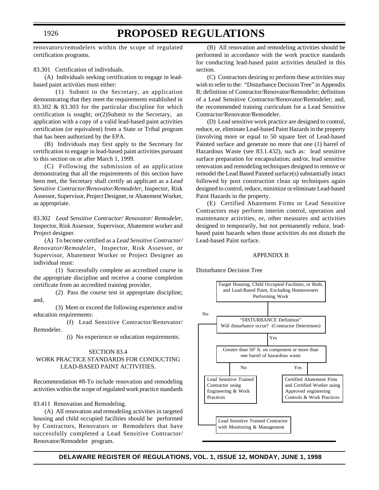renovators/remodelers within the scope of regulated certification programs.

83.301 Certification of individuals.

(A) Individuals seeking certification to engage in leadbased paint activities must either:

(1) Submit to the Secretary, an application demonstrating that they meet the requirements established in 83.302 & 83.303 for the particular discipline for which certification is sought; or(2)Submit to the Secretary, an application with a copy of a valid lead-based paint activities certification (or equivalent) from a State or Tribal program that has been authorized by the EPA.

(B) Individuals may first apply to the Secretary for certification to engage in lead-based paint activities pursuant to this section on or after March 1, 1999.

(C) Following the submission of an application demonstrating that all the requirements of this section have been met, the Secretary shall certify an applicant as a *Lead Sensitive Contractor/Renovator/Remodeler*, Inspector, Risk Assessor, Supervisor, Project Designer, or Abatement Worker, as appropriate.

83.302 *Lead Sensitive Contractor/ Renovator/ Remodeler*, Inspector, Risk Assessor, Supervisor, Abatement worker and Project designer.

(A) To become certified as a *Lead Sensitive Contractor/ Renovator/Remodeler*, Inspector, Risk Assessor, or Supervisor, Abatement Worker or Project Designer an individual must:

(1) Successfully complete an accredited course in the appropriate discipline and receive a course completion certificate from an accredited training provider.

(2) Pass the course test in appropriate discipline; and,

(3) Meet or exceed the following experience and/or education requirements:

(f) Lead Sensitive Contractor/Renovator/ Remodeler.

(i) No experience or education requirements.

### SECTION 83.4 WORK PRACTICE STANDARDS FOR CONDUCTING LEAD-BASED PAINT ACTIVITIES.

Recommendation #8-To include renovation and remodeling activities within the scope of regulated work practice standards

83.411 Renovation and Remodeling.

(A) All renovation and remodeling activities in targeted housing and child occupied facilities should be performed by Contractors, Renovators or Remodelers that have successfully completed a Lead Sensitive Contractor/ Renovator/Remodeler program.

(B) All renovation and remodeling activities should be performed in accordance with the work practice standards for conducting lead-based paint activities detailed in this section.

(C) Contractors desiring to perform these activities may wish to refer to the: "Disturbance Decision Tree" in Appendix B; definition of Contractor/Renovator/Remodeler; definition of a Lead Sensitive Contractor/Renovator/Remodeler; and, the recommended training curriculum for a Lead Sensitive Contractor/Renovator/Remodeler.

(D) Lead sensitive work practice are designed to control, reduce, or, eliminate Lead-based Paint Hazards in the property (involving more or equal to 50 square feet of Lead-based Painted surface and generate no more that one (1) barrel of Hazardous Waste (see 83.1.432), such as: lead sensitive surface preparation for encapsulation; and/or, lead sensitive renovation and remodeling techniques designed to remove or remodel the Lead Based Painted surface(s) substantially intact followed by post construction clean up techniques again designed to control, reduce, minimize or eliminate Lead-based Paint Hazards in the property.

(E) Certified Abatement Firms or Lead Sensitive Contractors may perform interim control, operation and maintenance activities, or, other measures and activities designed to temporarily, but not permanently reduce, leadbased paint hazards when those activities do not disturb the Lead-based Paint surface.

### APPENDIX B

Disturbance Decision Tree



**DELAWARE REGISTER OF REGULATIONS, VOL. 1, ISSUE 12, MONDAY, JUNE 1, 1998**

#### 1926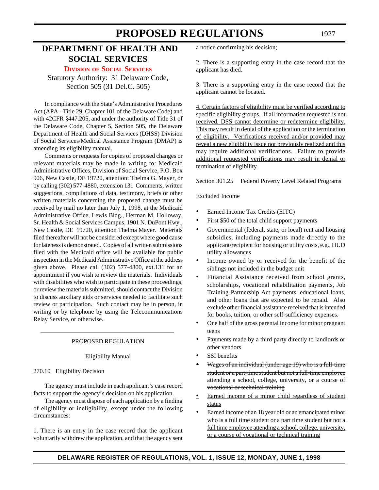# **DEPARTMENT OF HEALTH AND SOCIAL SERVICES**

**DIVISION OF SOCIAL [SERVICES](#page-3-0)**

Statutory Authority: 31 Delaware Code, Section 505 (31 Del.C. 505)

In compliance with the State's Administrative Procedures Act (APA - Title 29, Chapter 101 of the Delaware Code) and with 42CFR §447.205, and under the authority of Title 31 of the Delaware Code, Chapter 5, Section 505, the Delaware Department of Health and Social Services (DHSS) Division of Social Services/Medical Assistance Program (DMAP) is amending its eligibility manual.

Comments or requests for copies of proposed changes or relevant materials may be made in writing to: Medicaid Administrative Offices, Division of Social Service, P.O. Box 906, New Castle, DE 19720, attention: Thelma G. Mayer, or by calling (302) 577-4880, extension 131 Comments, written suggestions, compilations of data, testimony, briefs or other written materials concerning the proposed change must be received by mail no later than July 1, 1998, at the Medicaid Administrative Office, Lewis Bldg., Herman M. Holloway, Sr. Health & Social Services Campus, 1901 N. DuPont Hwy., New Castle, DE 19720, attention Thelma Mayer. Materials filed thereafter will not be considered except where good cause for lateness is demonstrated. Copies of all written submissions filed with the Medicaid office will be available for public inspection in the Medicaid Administrative Office at the address given above. Please call (302) 577-4800, ext.131 for an appointment if you wish to review the materials. Individuals with disabilities who wish to participate in these proceedings, or review the materials submitted, should contact the Division to discuss auxiliary aids or services needed to facilitate such review or participation. Such contact may be in person, in writing or by telephone by using the Telecommunications Relay Service, or otherwise.

#### PROPOSED REGULATION

#### Eligibility Manual

### 270.10 Eligibility Decision

The agency must include in each applicant's case record facts to support the agency's decision on his application.

The agency must dispose of each application by a finding of eligibility or ineligibility, except under the following circumstances:

1. There is an entry in the case record that the applicant voluntarily withdrew the application, and that the agency sent a notice confirming his decision;

2. There is a supporting entry in the case record that the applicant has died.

3. There is a supporting entry in the case record that the applicant cannot be located.

4. Certain factors of eligibility must be verified according to specific eligibility groups. If all information requested is not received, DSS cannot determine or redetermine eligibility. This may result in denial of the application or the termination of eligibility. Verifications received and/or provided may reveal a new eligibility issue not previously realized and this may require additional verifications. Failure to provide additional requested verifications may result in denial or termination of eligibility

Section 301.25 Federal Poverty Level Related Programs

Excluded Income

- Earned Income Tax Credits (EITC)
- First \$50 of the total child support payments
- Governmental (federal, state, or local) rent and housing subsidies, including payments made directly to the applicant/recipient for housing or utility costs, e.g., HUD utility allowances
- Income owned by or received for the benefit of the siblings not included in the budget unit
- Financial Assistance received from school grants, scholarships, vocational rehabilitation payments, Job Training Partnership Act payments, educational loans, and other loans that are expected to be repaid. Also exclude other financial assistance received that is intended for books, tuition, or other self-sufficiency expenses.
- One half of the gross parental income for minor pregnant teens
- Payments made by a third party directly to landlords or other vendors
- SSI benefits
- Wages of an individual (under age 19) who is a full-time student or a part-time student but not a full-time employee attending a school, college, university, or a course of vocational or technical training
- Earned income of a minor child regardless of student status
- Earned income of an 18 year old or an emancipated minor who is a full time student or a part time student but not a full time employee attending a school, college, university, or a course of vocational or technical training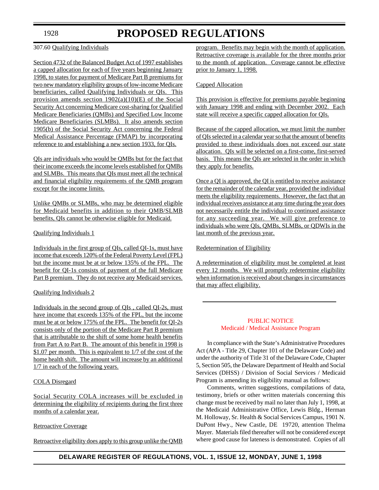# **PROPOSED REGULATIONS**

### 307.60 Qualifying Individuals

Section 4732 of the Balanced Budget Act of 1997 establishes a capped allocation for each of five years beginning January 1998, to states for payment of Medicare Part B premiums for two new mandatory eligibility groups of low-income Medicare beneficiaries, called Qualifying Individuals or QIs. This provision amends section  $1902(a)(10)(E)$  of the Social Security Act concerning Medicare cost-sharing for Qualified Medicare Beneficiaries (QMBs) and Specified Low Income Medicare Beneficiaries (SLMBs). It also amends section 1905(b) of the Social Security Act concerning the Federal Medical Assistance Percentage (FMAP) by incorporating reference to and establishing a new section 1933, for QIs.

QIs are individuals who would be QMBs but for the fact that their income exceeds the income levels established for QMBs and SLMBs. This means that QIs must meet all the technical and financial eligibility requirements of the QMB program except for the income limits.

Unlike QMBs or SLMBs, who may be determined eligible for Medicaid benefits in addition to their QMB/SLMB benefits, QIs cannot be otherwise eligible for Medicaid.

### Qualifying Individuals 1

Individuals in the first group of QIs, called QI-1s, must have income that exceeds 120% of the Federal Poverty Level (FPL) but the income must be at or below 135% of the FPL. The benefit for QI-1s consists of payment of the full Medicare Part B premium. They do not receive any Medicaid services.

### Qualifying Individuals 2

Individuals in the second group of QIs , called QI-2s, must have income that exceeds 135% of the FPL, but the income must be at or below 175% of the FPL. The benefit for QI-2s consists only of the portion of the Medicare Part B premium that is attributable to the shift of some home health benefits from Part A to Part B. The amount of this benefit in 1998 is \$1.07 per month. This is equivalent to 1/7 of the cost of the home health shift. The amount will increase by an additional 1/7 in each of the following years.

### COLA Disregard

Social Security COLA increases will be excluded in determining the eligibility of recipients during the first three months of a calendar year.

### Retroactive Coverage

Retroactive eligibility does apply to this group unlike the QMB

program. Benefits may begin with the month of application. Retroactive coverage is available for the three months prior to the month of application. Coverage cannot be effective prior to January 1, 1998.

### Capped Allocation

This provision is effective for premiums payable beginning with January 1998 and ending with December 2002. Each state will receive a specific capped allocation for QIs.

Because of the capped allocation, we must limit the number of QIs selected in a calendar year so that the amount of benefits provided to these individuals does not exceed our state allocation. QIs will be selected on a first-come, first-served basis. This means the QIs are selected in the order in which they apply for benefits.

Once a QI is approved, the QI is entitled to receive assistance for the remainder of the calendar year, provided the individual meets the eligibility requirements. However, the fact that an individual receives assistance at any time during the year does not necessarily entitle the individual to continued assistance for any succeeding year. We will give preference to individuals who were QIs, QMBs, SLMBs, or QDWIs in the last month of the previous year.

# Redetermination of Eligibility

A redetermination of eligibility must be completed at least every 12 months. We will promptly redetermine eligibility when information is received about changes in circumstances that may affect eligibility.

## PUBLIC NOTICE [Medicaid / Medical Assistance Program](#page-3-0)

In compliance with the State's Administrative Procedures Act (APA - Title 29, Chapter 101 of the Delaware Code) and under the authority of Title 31 of the Delaware Code, Chapter 5, Section 505, the Delaware Department of Health and Social Services (DHSS) / Division of Social Services / Medicaid Program is amending its eligibility manual as follows:

Comments, written suggestions, compilations of data, testimony, briefs or other written materials concerning this change must be received by mail no later than July 1, 1998, at the Medicaid Administrative Office, Lewis Bldg., Herman M. Holloway, Sr. Health & Social Services Campus, 1901 N. DuPont Hwy., New Castle, DE 19720, attention Thelma Mayer. Materials filed thereafter will not be considered except where good cause for lateness is demonstrated. Copies of all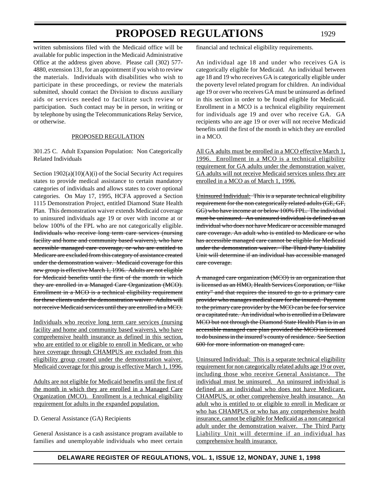written submissions filed with the Medicaid office will be available for public inspection in the Medicaid Administrative Office at the address given above. Please call (302) 577- 4880, extension 131, for an appointment if you wish to review the materials. Individuals with disabilities who wish to participate in these proceedings, or review the materials submitted, should contact the Division to discuss auxiliary aids or services needed to facilitate such review or participation. Such contact may be in person, in writing or by telephone by using the Telecommunications Relay Service, or otherwise.

### PROPOSED REGULATION

301.25 C. Adult Expansion Population: Non Categorically Related Individuals

Section 1902(a)(10)(A)(i) of the Social Security Act requires states to provide medical assistance to certain mandatory categories of individuals and allows states to cover optional categories. On May 17, 1995, HCFA approved a Section 1115 Demonstration Project, entitled Diamond State Health Plan. This demonstration waiver extends Medicaid coverage to uninsured individuals age 19 or over with income at or below 100% of the FPL who are not categorically eligible. Individuals who receive long term care services (nursing facility and home and community based waivers), who have accessible managed care coverage, or who are entitled to Medicare are excluded from this category of assistance created under the demonstration waiver. Medicaid coverage for this new group is effective March 1, 1996. Adults are not eligible for Medicaid benefits until the first of the month in which they are enrolled in a Managed Care Organization (MCO). Enrollment in a MCO is a technical eligibility requirement for these clients under the demonstration waiver. Adults will not receive Medicaid services until they are enrolled in a MCO.

Individuals who receive long term care services (nursing facility and home and community based waivers), who have comprehensive health insurance as defined in this section, who are entitled to or eligible to enroll in Medicare, or who have coverage through CHAMPUS are excluded from this eligibility group created under the demonstration waiver. Medicaid coverage for this group is effective March 1, 1996.

Adults are not eligible for Medicaid benefits until the first of the month in which they are enrolled in a Managed Care Organization (MCO). Enrollment is a technical eligibility requirement for adults in the expanded population.

### D. General Assistance (GA) Recipients

General Assistance is a cash assistance program available to families and unemployable individuals who meet certain financial and technical eligibility requirements.

An individual age 18 and under who receives GA is categorically eligible for Medicaid. An individual between age 18 and 19 who receives GA is categorically eligible under the poverty level related program for children. An individual age 19 or over who receives GA must be uninsured as defined in this section in order to be found eligible for Medicaid. Enrollment in a MCO is a technical eligibility requirement for individuals age 19 and over who receive GA. GA recipients who are age 19 or over will not receive Medicaid benefits until the first of the month in which they are enrolled in a MCO.

All GA adults must be enrolled in a MCO effective March 1, 1996. Enrollment in a MCO is a technical eligibility requirement for GA adults under the demonstration waiver. GA adults will not receive Medicaid services unless they are enrolled in a MCO as of March 1, 1996.

Uninsured Individual: This is a separate technical eligibility requirement for the non categorically related adults (GE, GF, GG) who have income at or below 100% FPL. The individual must be uninsured. An uninsured individual is defined as an individual who does not have Medicare or accessible managed care coverage. An adult who is entitled to Medicare or who has accessible managed care cannot be eligible for Medicaid under the demonstration waiver. The Third Party Liability Unit will determine if an individual has accessible managed care coverage.

A managed care organization (MCO) is an organization that is licensed as an HMO, Health Services Corporation, or "like entity" and that requires the insured to go to a primary care provider who manages medical care for the insured. Payment to the primary care provider by the MCO can be fee for service or a capitated rate. An individual who is enrolled in a Delaware MCO but not through the Diamond State Health Plan is in an accessible managed care plan provided the MCO is licensed to do business in the insured's county of residence. See Section 600 for more information on managed care.

Uninsured Individual: This is a separate technical eligibility requirement for non categorically related adults age 19 or over, including those who receive General Assistance. The individual must be uninsured. An uninsured individual is defined as an individual who does not have Medicare, CHAMPUS, or other comprehensive health insurance. An adult who is entitled to or eligible to enroll in Medicare or who has CHAMPUS or who has any comprehensive health insurance, cannot be eligible for Medicaid as a non categorical adult under the demonstration waiver. The Third Party Liability Unit will determine if an individual has comprehensive health insurance.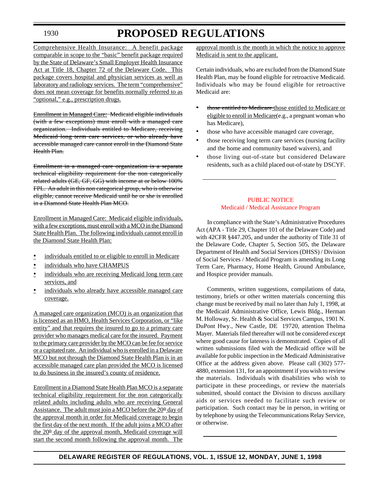# **PROPOSED REGULATIONS**

Comprehensive Health Insurance: A benefit package comparable in scope to the "basic" benefit package required by the State of Delaware's Small Employer Health Insurance Act at Title 18, Chapter 72 of the Delaware Code. This package covers hospital and physician services as well as laboratory and radiology services. The term "comprehensive" does not mean coverage for benefits normally referred to as "optional," e.g., prescription drugs.

Enrollment in Managed Care: Medicaid eligible individuals (with a few exceptions) must enroll with a managed care organization. Individuals entitled to Medicare, receiving Medicaid long term care services, or who already have accessible managed care cannot enroll in the Diamond State Health Plan.

Enrollment in a managed care organization is a separate technical eligibility requirement for the non categorically related adults (GE, GF, GG) with income at or below 100% FPL. An adult in this non categorical group, who is otherwise eligible, cannot receive Medicaid until he or she is enrolled in a Diamond State Health Plan MCO.

Enrollment in Managed Care: Medicaid eligible individuals, with a few exceptions, must enroll with a MCO in the Diamond State Health Plan. The following individuals cannot enroll in the Diamond State Health Plan:

- individuals entitled to or eligible to enroll in Medicare
- individuals who have CHAMPUS
- individuals who are receiving Medicaid long term care services, and
- individuals who already have accessible managed care coverage.

A managed care organization (MCO) is an organization that is licensed as an HMO, Health Services Corporation, or "like entity" and that requires the insured to go to a primary care provider who manages medical care for the insured. Payment to the primary care provider by the MCO can be fee for service or a capitated rate. An individual who is enrolled in a Delaware MCO but not through the Diamond State Health Plan is in an accessible managed care plan provided the MCO is licensed to do business in the insured's county of residence.

Enrollment in a Diamond State Health Plan MCO is a separate technical eligibility requirement for the non categorically related adults including adults who are receiving General Assistance. The adult must join a MCO before the  $20<sup>th</sup>$  day of the approval month in order for Medicaid coverage to begin the first day of the next month. If the adult joins a MCO after the  $20<sup>th</sup>$  day of the approval month, Medicaid coverage will start the second month following the approval month. The

approval month is the month in which the notice to approve Medicaid is sent to the applicant.

Certain individuals, who are excluded from the Diamond State Health Plan, may be found eligible for retroactive Medicaid. Individuals who may be found eligible for retroactive Medicaid are:

- those entitled to Medicare those entitled to Medicare or eligible to enroll in Medicare(e.g., a pregnant woman who has Medicare),
- those who have accessible managed care coverage,
- those receiving long term care services (nursing facility and the home and community based waivers), and
- those living out-of-state but considered Delaware residents, such as a child placed out-of-state by DSCYF.

# PUBLIC NOTICE [Medicaid / Medical Assistance Program](#page-3-0)

In compliance with the State's Administrative Procedures Act (APA - Title 29, Chapter 101 of the Delaware Code) and with 42CFR §447.205, and under the authority of Title 31 of the Delaware Code, Chapter 5, Section 505, the Delaware Department of Health and Social Services (DHSS) / Division of Social Services / Medicaid Program is amending its Long Term Care, Pharmacy, Home Health, Ground Ambulance, and Hospice provider manuals.

Comments, written suggestions, compilations of data, testimony, briefs or other written materials concerning this change must be received by mail no later than July 1, 1998, at the Medicaid Administrative Office, Lewis Bldg., Herman M. Holloway, Sr. Health & Social Services Campus, 1901 N. DuPont Hwy., New Castle, DE 19720, attention Thelma Mayer. Materials filed thereafter will not be considered except where good cause for lateness is demonstrated. Copies of all written submissions filed with the Medicaid office will be available for public inspection in the Medicaid Administrative Office at the address given above. Please call (302) 577- 4880, extension 131, for an appointment if you wish to review the materials. Individuals with disabilities who wish to participate in these proceedings, or review the materials submitted, should contact the Division to discuss auxiliary aids or services needed to facilitate such review or participation. Such contact may be in person, in writing or by telephone by using the Telecommunications Relay Service, or otherwise.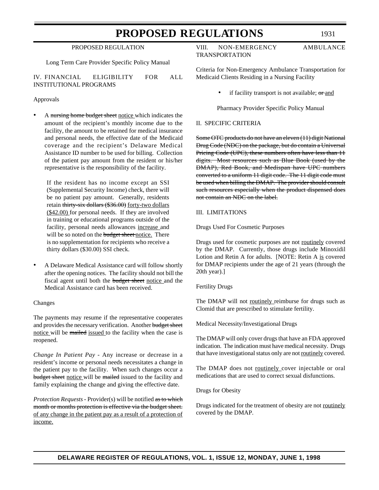### PROPOSED REGULATION

Long Term Care Provider Specific Policy Manual

IV. FINANCIAL ELIGIBILITY FOR ALL INSTITUTIONAL PROGRAMS

### Approvals

A nursing home budget sheet notice which indicates the amount of the recipient's monthly income due to the facility, the amount to be retained for medical insurance and personal needs, the effective date of the Medicaid coverage and the recipient's Delaware Medical Assistance ID number to be used for billing. Collection of the patient pay amount from the resident or his/her representative is the responsibility of the facility.

If the resident has no income except an SSI (Supplemental Security Income) check, there will be no patient pay amount. Generally, residents retain thirty-six dollars (\$36.00) forty-two dollars (\$42.00) for personal needs. If they are involved in training or educational programs outside of the facility, personal needs allowances increase and will be so noted on the budget sheet notice. There is no supplementation for recipients who receive a thirty dollars (\$30.00) SSI check.

• A Delaware Medical Assistance card will follow shortly after the opening notices. The facility should not bill the fiscal agent until both the budget sheet notice and the Medical Assistance card has been received.

#### Changes

The payments may resume if the representative cooperates and provides the necessary verification. Another budget sheet notice will be mailed issued to the facility when the case is reopened.

*Change In Patient Pay* - Any increase or decrease in a resident's income or personal needs necessitates a change in the patient pay to the facility. When such changes occur a budget sheet notice will be mailed issued to the facility and family explaining the change and giving the effective date.

*Protection Requests* - Provider(s) will be notified as to which month or months protection is effective via the budget sheet. of any change in the patient pay as a result of a protection of income.

VIII. NON-EMERGENCY AMBULANCE TRANSPORTATION

Criteria for Non-Emergency Ambulance Transportation for Medicaid Clients Residing in a Nursing Facility

• if facility transport is not available; or and

Pharmacy Provider Specific Policy Manual

### II. SPECIFIC CRITERIA

Some OTC products do not have an eleven (11) digit National Drug Code (NDC) on the package, but do contain a Universal Pricing Code (UPC), these numbers often have less than 11 digits. Most resources such as Blue Book (used by the DMAP), Red Book, and Medispan have UPC numbers converted to a uniform 11 digit code. The 11 digit code must be used when billing the DMAP. The provider should consult such resources especially when the product dispensed does not contain an NDC on the label.

#### III. LIMITATIONS

Drugs Used For Cosmetic Purposes

Drugs used for cosmetic purposes are not routinely covered by the DMAP. Currently, those drugs include Minoxidil Lotion and Retin A for adults. [NOTE: Retin A is covered for DMAP recipients under the age of 21 years (through the 20th year).]

Fertility Drugs

The DMAP will not routinely reimburse for drugs such as Clomid that are prescribed to stimulate fertility.

Medical Necessity/Investigational Drugs

The DMAP will only cover drugs that have an FDA approved indication. The indication must have medical necessity. Drugs that have investigational status only are not routinely covered.

The DMAP does not routinely cover injectable or oral medications that are used to correct sexual disfunctions.

Drugs for Obesity

Drugs indicated for the treatment of obesity are not routinely covered by the DMAP.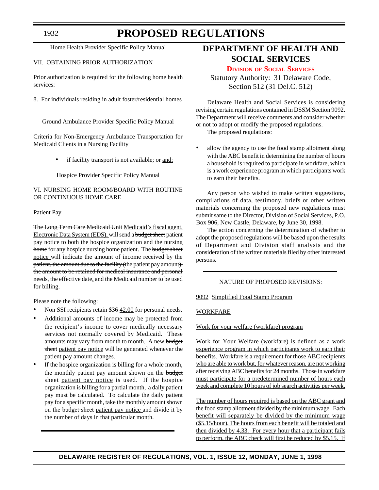# **PROPOSED REGULATIONS**

Home Health Provider Specific Policy Manual

### VII. OBTAINING PRIOR AUTHORIZATION

Prior authorization is required for the following home health services:

8. For individuals residing in adult foster/residential homes

Ground Ambulance Provider Specific Policy Manual

Criteria for Non-Emergency Ambulance Transportation for Medicaid Clients in a Nursing Facility

if facility transport is not available; or and;

Hospice Provider Specific Policy Manual

### VI. NURSING HOME ROOM/BOARD WITH ROUTINE OR CONTINUOUS HOME CARE

### Patient Pay

The Long Term Care Medicaid Unit Medicaid's fiscal agent, Electronic Data System (EDS), will send a budget sheet patient pay notice to both the hospice organization and the nursing home for any hospice nursing home patient. The budget sheet notice will indicate the amount of income received by the patient, the amount due to the facility (the patient pay amount), the amount to be retained for medical insurance and personal needs, the effective date, and the Medicaid number to be used for billing.

Please note the following:

- Non SSI recipients retain \$36 42.00 for personal needs.
- Additional amounts of income may be protected from the recipient's income to cover medically necessary services not normally covered by Medicaid. These amounts may vary from month to month. A new budget sheet patient pay notice will be generated whenever the patient pay amount changes.
- If the hospice organization is billing for a whole month, the monthly patient pay amount shown on the budget sheet patient pay notice is used. If the hospice organization is billing for a partial month, a daily patient pay must be calculated. To calculate the daily patient pay for a specific month, take the monthly amount shown on the budget sheet patient pay notice and divide it by the number of days in that particular month.

# **DEPARTMENT OF HEALTH AND SOCIAL SERVICES**

**DIVISION OF SOCIAL [SERVICES](#page-3-0)**

Statutory Authority: 31 Delaware Code, Section 512 (31 Del.C. 512)

Delaware Health and Social Services is considering revising certain regulations contained in DSSM Section 9092. The Department will receive comments and consider whether or not to adopt or modify the proposed regulations.

The proposed regulations:

allow the agency to use the food stamp allotment along with the ABC benefit in determining the number of hours a household is required to participate in workfare, which is a work experience program in which participants work to earn their benefits.

Any person who wished to make written suggestions, compilations of data, testimony, briefs or other written materials concerning the proposed new regulations must submit same to the Director, Division of Social Services, P.O. Box 906, New Castle, Delaware, by June 30, 1998.

The action concerning the determination of whether to adopt the proposed regulations will be based upon the results of Department and Division staff analysis and the consideration of the written materials filed by other interested persons.

### NATURE OF PROPOSED REVISIONS:

9092 Simplified Food Stamp Program

### WORKFARE

#### Work for your welfare (workfare) program

Work for Your Welfare (workfare) is defined as a work experience program in which participants work to earn their benefits. Workfare is a requirement for those ABC recipients who are able to work but, for whatever reason, are not working after receiving ABC benefits for 24 months. Those in workfare must participate for a predetermined number of hours each week and complete 10 hours of job search activities per week.

The number of hours required is based on the ABC grant and the food stamp allotment divided by the minimum wage. Each benefit will separately be divided by the minimum wage (\$5.15/hour). The hours from each benefit will be totaled and then divided by 4.33. For every hour that a participant fails to perform, the ABC check will first be reduced by \$5.15. If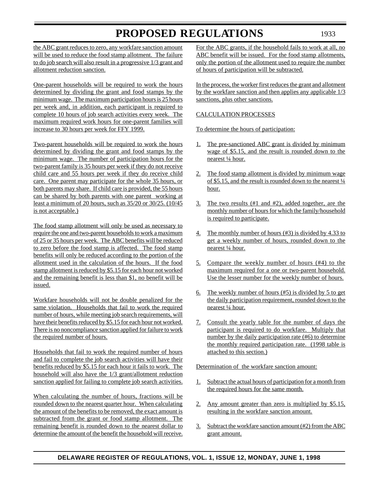the ABC grant reduces to zero, any workfare sanction amount will be used to reduce the food stamp allotment. The failure to do job search will also result in a progressive 1/3 grant and allotment reduction sanction.

One-parent households will be required to work the hours determined by dividing the grant and food stamps by the minimum wage. The maximum participation hours is 25 hours per week and, in addition, each participant is required to complete 10 hours of job search activities every week. The maximum required work hours for one-parent families will increase to 30 hours per week for FFY 1999.

Two-parent households will be required to work the hours determined by dividing the grant and food stamps by the minimum wage. The number of participation hours for the two-parent family is 35 hours per week if they do not receive child care and 55 hours per week if they do receive child care. One parent may participate for the whole 35 hours, or both parents may share. If child care is provided, the 55 hours can be shared by both parents with one parent working at least a minimum of 20 hours, such as 35/20 or 30/25. (10/45 is not acceptable.)

The food stamp allotment will only be used as necessary to require the one and two-parent households to work a maximum of 25 or 35 hours per week. The ABC benefits will be reduced to zero before the food stamp is affected. The food stamp benefits will only be reduced according to the portion of the allotment used in the calculation of the hours. If the food stamp allotment is reduced by \$5.15 for each hour not worked and the remaining benefit is less than \$1, no benefit will be issued.

Workfare households will not be double penalized for the same violation. Households that fail to work the required number of hours, while meeting job search requirements, will have their benefits reduced by \$5.15 for each hour not worked. There is no noncompliance sanction applied for failure to work the required number of hours.

Households that fail to work the required number of hours and fail to complete the job search activities will have their benefits reduced by \$5.15 for each hour it fails to work. The household will also have the 1/3 grant/allotment reduction sanction applied for failing to complete job search activities.

When calculating the number of hours, fractions will be rounded down to the nearest quarter hour. When calculating the amount of the benefits to be removed, the exact amount is subtracted from the grant or food stamp allotment. The remaining benefit is rounded down to the nearest dollar to determine the amount of the benefit the household will receive. For the ABC grants, if the household fails to work at all, no ABC benefit will be issued. For the food stamp allotments, only the portion of the allotment used to require the number of hours of participation will be subtracted.

In the process, the worker first reduces the grant and allotment by the workfare sanction and then applies any applicable 1/3 sanctions, plus other sanctions.

# CALCULATION PROCESSES

To determine the hours of participation:

- 1. The pre-sanctioned ABC grant is divided by minimum wage of \$5.15, and the result is rounded down to the nearest ¼ hour.
- 2. The food stamp allotment is divided by minimum wage of \$5.15, and the result is rounded down to the nearest ¼ hour.
- 3. The two results (#1 and #2), added together, are the monthly number of hours for which the family/household is required to participate.
- 4. The monthly number of hours (#3) is divided by 4.33 to get a weekly number of hours, rounded down to the nearest ¼ hour.
- 5. Compare the weekly number of hours (#4) to the maximum required for a one or two-parent household. Use the lesser number for the weekly number of hours.
- 6. The weekly number of hours (#5) is divided by 5 to get the daily participation requirement, rounded down to the nearest ¼ hour.
- 7. Consult the yearly table for the number of days the participant is required to do workfare. Multiply that number by the daily participation rate (#6) to determine the monthly required participation rate. (1998 table is attached to this section.)

Determination of the workfare sanction amount:

- 1. Subtract the actual hours of participation for a month from the required hours for the same month.
- 2. Any amount greater than zero is multiplied by \$5.15, resulting in the workfare sanction amount.
- 3. Subtract the workfare sanction amount (#2) from the ABC grant amount.

# **DELAWARE REGISTER OF REGULATIONS, VOL. 1, ISSUE 12, MONDAY, JUNE 1, 1998**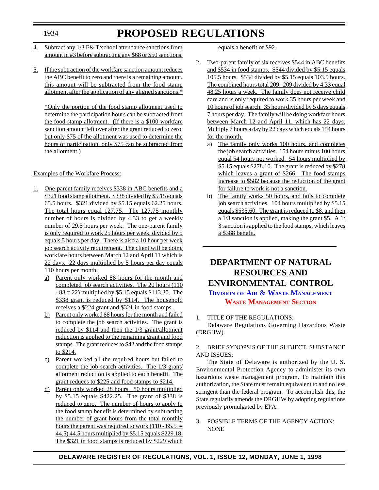- 4. Subtract any 1/3 E& T/school attendance sanctions from amount in #3 before subtracting any \$68 or \$50 sanctions.
- 5. If the subtraction of the workfare sanction amount reduces the ABC benefit to zero and there is a remaining amount, this amount will be subtracted from the food stamp allotment after the application of any aligned sanctions.\*

\*Only the portion of the food stamp allotment used to determine the participation hours can be subtracted from the food stamp allotment. (If there is a \$100 workfare sanction amount left over after the grant reduced to zero, but only \$75 of the allotment was used to determine the hours of participation, only \$75 can be subtracted from the allotment.)

## Examples of the Workfare Process:

- 1. One-parent family receives \$338 in ABC benefits and a \$321 food stamp allotment. \$338 divided by \$5.15 equals 65.5 hours. \$321 divided by \$5.15 equals 62.25 hours. The total hours equal 127.75. The 127.75 monthly number of hours is divided by 4.33 to get a weekly number of 29.5 hours per week. The one-parent family is only required to work 25 hours per week, divided by 5 equals 5 hours per day. There is also a 10 hour per week job search activity requirement. The client will be doing workfare hours between March 12 and April 11 which is 22 days. 22 days multiplied by 5 hours per day equals 110 hours per month.
	- a) Parent only worked 88 hours for the month and completed job search activities. The 20 hours (110  $-88 = 22$ ) multiplied by \$5.15 equals \$113.30. The \$338 grant is reduced by \$114. The household receives a \$224 grant and \$321 in food stamps.
	- b) Parent only worked 88 hours for the month and failed to complete the job search activities. The grant is reduced by \$114 and then the 1/3 grant/allotment reduction is applied to the remaining grant and food stamps. The grant reduces to \$42 and the food stamps to \$214.
	- c) Parent worked all the required hours but failed to complete the job search activities. The 1/3 grant/ allotment reduction is applied to each benefit. The grant reduces to \$225 and food stamps to \$214.
	- d) Parent only worked 28 hours. 80 hours multiplied by \$5.15 equals \$422.25. The grant of \$338 is reduced to zero. The number of hours to apply to the food stamp benefit is determined by subtracting the number of grant hours from the total monthly hours the parent was required to work (110 - 65.5  $=$ 44.5) 44.5 hours multiplied by \$5.15 equals \$229.18. The \$321 in food stamps is reduced by \$229 which

equals a benefit of \$92.

- 2. Two-parent family of six receives \$544 in ABC benefits and \$534 in food stamps. \$544 divided by \$5.15 equals 105.5 hours. \$534 divided by \$5.15 equals 103.5 hours. The combined hours total 209. 209 divided by 4.33 equal 48.25 hours a week. The family does not receive child care and is only required to work 35 hours per week and 10 hours of job search. 35 hours divided by 5 days equals 7 hours per day. The family will be doing workfare hours between March 12 and April 11, which has 22 days. Multiply 7 hours a day by 22 days which equals 154 hours for the month.
	- a) The family only works 100 hours, and completes the job search activities. 154 hours minus 100 hours equal 54 hours not worked. 54 hours multiplied by \$5.15 equals \$278.10. The grant is reduced by \$278 which leaves a grant of \$266. The food stamps increase to \$582 because the reduction of the grant for failure to work is not a sanction.
	- b) The family works 50 hours, and fails to complete job search activities. 104 hours multiplied by \$5.15 equals \$535.60. The grant is reduced to \$8, and then a 1/3 sanction is applied, making the grant \$5. A 1/ 3 sanction is applied to the food stamps, which leaves a \$388 benefit.

# **DEPARTMENT OF NATURAL RESOURCES AND ENVIRONMENTAL CONTROL**

**DIVISION [OF AIR & WASTE](http://www.dnrec.state.de.us/aandw.htm) MANAGEMENT WASTE [MANAGEMENT](#page-3-0) SECTION**

# 1. TITLE OF THE REGULATIONS:

Delaware Regulations Governing Hazardous Waste (DRGHW).

### 2. BRIEF SYNOPSIS OF THE SUBJECT, SUBSTANCE AND ISSUES:

The State of Delaware is authorized by the U. S. Environmental Protection Agency to administer its own hazardous waste management program. To maintain this authorization, the State must remain equivalent to and no less stringent than the federal program. To accomplish this, the State regularily amends the DRGHW by adopting regulations previously promulgated by EPA.

3. POSSIBLE TERMS OF THE AGENCY ACTION: NONE

### 1934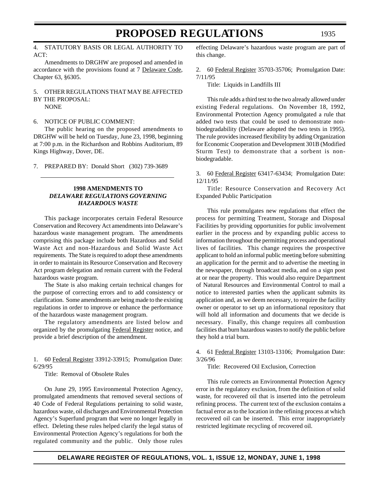4. STATUTORY BASIS OR LEGAL AUTHORITY TO ACT:

Amendments to DRGHW are proposed and amended in accordance with the provisions found at 7 Delaware Code, Chapter 63, §6305.

- 5. OTHER REGULATIONS THAT MAY BE AFFECTED
- BY THE PROPOSAL: NONE
- 
- 6. NOTICE OF PUBLIC COMMENT:

The public hearing on the proposed amendments to DRGHW will be held on Tuesday, June 23, 1998, beginning at 7:00 p.m. in the Richardson and Robbins Auditorium, 89 Kings Highway, Dover, DE.

7. PREPARED BY: Donald Short (302) 739-3689

## **1998 AMENDMENTS TO** *DELAWARE REGULATIONS GOVERNING HAZARDOUS WASTE*

This package incorporates certain Federal Resource Conservation and Recovery Act amendments into Delaware's hazardous waste management program. The amendments comprising this package include both Hazardous and Solid Waste Act and non-Hazardous and Solid Waste Act requirements. The State is required to adopt these amendments in order to maintain its Resource Conservation and Recovery Act program delegation and remain current with the Federal hazardous waste program.

The State is also making certain technical changes for the purpose of correcting errors and to add consistency or clarification. Some amendments are being made to the existing regulations in order to improve or enhance the performance of the hazardous waste management program.

The regulatory amendments are listed below and organized by the promulgating Federal Register notice, and provide a brief description of the amendment.

1. 60 Federal Register 33912-33915; Promulgation Date: 6/29/95

Title: Removal of Obsolete Rules

On June 29, 1995 Environmental Protection Agency, promulgated amendments that removed several sections of 40 Code of Federal Regulations pertaining to solid waste, hazardous waste, oil discharges and Environmental Protection Agency's Superfund program that were no longer legally in effect. Deleting these rules helped clarify the legal status of Environmental Protection Agency's regulations for both the regulated community and the public. Only those rules

effecting Delaware's hazardous waste program are part of this change.

2. 60 Federal Register 35703-35706; Promulgation Date: 7/11/95

Title: Liquids in Landfills III

This rule adds a third test to the two already allowed under existing Federal regulations. On November 18, 1992, Environmental Protection Agency promulgated a rule that added two tests that could be used to demonstrate nonbiodegradability (Delaware adopted the two tests in 1995). The rule provides increased flexibility by adding Organization for Economic Cooperation and Development 301B (Modified Sturm Test) to demonstrate that a sorbent is nonbiodegradable.

3. 60 Federal Register 63417-63434; Promulgation Date: 12/11/95

Title: Resource Conservation and Recovery Act Expanded Public Participation

This rule promulgates new regulations that effect the process for permitting Treatment, Storage and Disposal Facilities by providing opportunities for public involvement earlier in the process and by expanding public access to information throughout the permitting process and operational lives of facilities. This change requires the prospective applicant to hold an informal public meeting before submitting an application for the permit and to advertise the meeting in the newspaper, through broadcast media, and on a sign post at or near the property. This would also require Department of Natural Resources and Environmental Control to mail a notice to interested parties when the applicant submits its application and, as we deem necessary, to require the facility owner or operator to set up an informational repository that will hold all information and documents that we decide is necessary. Finally, this change requires all combustion facilities that burn hazardous wastes to notify the public before they hold a trial burn.

4. 61 Federal Register 13103-13106; Promulgation Date: 3/26/96

Title: Recovered Oil Exclusion, Correction

This rule corrects an Environmental Protection Agency error in the regulatory exclusion, from the definition of solid waste, for recovered oil that is inserted into the petroleum refining process. The current text of the exclusion contains a factual error as to the location in the refining process at which recovered oil can be inserted. This error inappropriately restricted legitimate recycling of recovered oil.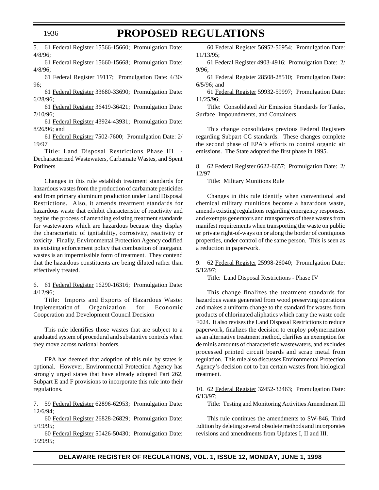# **PROPOSED REGULATIONS**

5. 61 Federal Register 15566-15660; Promulgation Date: 4/8/96;

61 Federal Register 15660-15668; Promulgation Date: 4/8/96;

61 Federal Register 19117; Promulgation Date: 4/30/ 96;

61 Federal Register 33680-33690; Promulgation Date: 6/28/96;

61 Federal Register 36419-36421; Promulgation Date: 7/10/96;

61 Federal Register 43924-43931; Promulgation Date: 8/26/96; and

61 Federal Register 7502-7600; Promulgation Date: 2/ 19/97

Title: Land Disposal Restrictions Phase III - Decharacterized Wastewaters, Carbamate Wastes, and Spent Potliners

Changes in this rule establish treatment standards for hazardous wastes from the production of carbamate pesticides and from primary aluminum production under Land Disposal Restrictions. Also, it amends treatment standards for hazardous waste that exhibit characteristic of reactivity and begins the process of amending existing treatment standards for wastewaters which are hazardous because they display the characteristic of ignitability, corrosivity, reactivity or toxicity. Finally, Environmental Protection Agency codified its existing enforcement policy that combustion of inorganic wastes is an impermissible form of treatment. They contend that the hazardous constituents are being diluted rather than effectively treated.

6. 61 Federal Register 16290-16316; Promulgation Date: 4/12/96;

Title: Imports and Exports of Hazardous Waste: Implementation of Organization for Economic Cooperation and Development Council Decision

This rule identifies those wastes that are subject to a graduated system of procedural and substantive controls when they move across national borders.

EPA has deemed that adoption of this rule by states is optional. However, Environmental Protection Agency has strongly urged states that have already adopted Part 262, Subpart E and F provisions to incorporate this rule into their regulations.

7. 59 Federal Register 62896-62953; Promulgation Date: 12/6/94;

60 Federal Register 26828-26829; Promulgation Date: 5/19/95;

60 Federal Register 50426-50430; Promulgation Date: 9/29/95;

60 Federal Register 56952-56954; Promulgation Date: 11/13/95;

61 Federal Register 4903-4916; Promulgation Date: 2/ 9/96;

61 Federal Register 28508-28510; Promulgation Date: 6/5/96; and

61 Federal Register 59932-59997; Promulgation Date: 11/25/96;

Title: Consolidated Air Emission Standards for Tanks, Surface Impoundments, and Containers

This change consolidates previous Federal Registers regarding Subpart CC standards. These changes complete the second phase of EPA's efforts to control organic air emissions. The State adopted the first phase in 1995.

8. 62 Federal Register 6622-6657; Promulgation Date: 2/ 12/97

Title: Military Munitions Rule

Changes in this rule identify when conventional and chemical military munitions become a hazardous waste, amends existing regulations regarding emergency responses, and exempts generators and transporters of these wastes from manifest requirements when transporting the waste on public or private right-of-ways on or along the border of contiguous properties, under control of the same person. This is seen as a reduction in paperwork.

9. 62 Federal Register 25998-26040; Promulgation Date: 5/12/97;

Title: Land Disposal Restrictions - Phase IV

This change finalizes the treatment standards for hazardous waste generated from wood preserving operations and makes a uniform change to the standard for wastes from products of chlorinated aliphatics which carry the waste code F024. It also revises the Land Disposal Restrictions to reduce paperwork, finalizes the decision to employ polymerization as an alternative treatment method, clarifies an exemption for de minis amounts of characteristic wastewaters, and excludes processed printed circuit boards and scrap metal from regulation. This rule also discusses Environmental Protection Agency's decision not to ban certain wastes from biological treatment.

10. 62 Federal Register 32452-32463; Promulgation Date: 6/13/97;

Title: Testing and Monitoring Activities Amendment III

This rule continues the amendments to SW-846, Third Edition by deleting several obsolete methods and incorporates revisions and amendments from Updates I, II and III.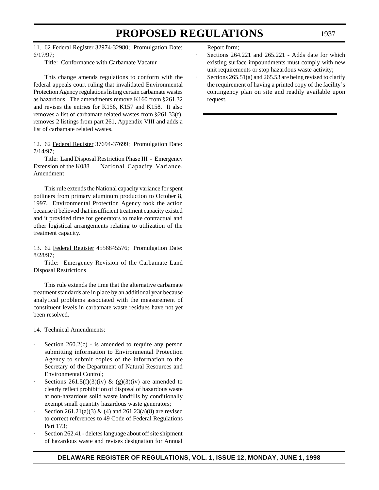11. 62 Federal Register 32974-32980; Promulgation Date: 6/17/97;

Title: Conformance with Carbamate Vacatur

This change amends regulations to conform with the federal appeals court ruling that invalidated Environmental Protection Agency regulations listing certain carbamate wastes as hazardous. The amendments remove K160 from §261.32 and revises the entries for K156, K157 and K158. It also removes a list of carbamate related wastes from §261.33(f), removes 2 listings from part 261, Appendix VIII and adds a list of carbamate related wastes.

12. 62 Federal Register 37694-37699; Promulgation Date: 7/14/97;

Title: Land Disposal Restriction Phase III - Emergency Extension of the K088 National Capacity Variance, Amendment

This rule extends the National capacity variance for spent potliners from primary aluminum production to October 8, 1997. Environmental Protection Agency took the action because it believed that insufficient treatment capacity existed and it provided time for generators to make contractual and other logistical arrangements relating to utilization of the treatment capacity.

13. 62 Federal Register 4556845576; Promulgation Date: 8/28/97;

Title: Emergency Revision of the Carbamate Land Disposal Restrictions

This rule extends the time that the alternative carbamate treatment standards are in place by an additional year because analytical problems associated with the measurement of constituent levels in carbamate waste residues have not yet been resolved.

14. Technical Amendments:

- Section  $260.2(c)$  is amended to require any person submitting information to Environmental Protection Agency to submit copies of the information to the Secretary of the Department of Natural Resources and Environmental Control;
- Sections  $261.5(f)(3)(iv)$  &  $(g)(3)(iv)$  are amended to clearly reflect prohibition of disposal of hazardous waste at non-hazardous solid waste landfills by conditionally exempt small quantity hazardous waste generators;
- Section 261.21(a)(3) & (4) and 261.23(a)(8) are revised to correct references to 49 Code of Federal Regulations Part 173;
- Section 262.41 deletes language about off site shipment of hazardous waste and revises designation for Annual

Report form;

- Sections 264.221 and 265.221 Adds date for which existing surface impoundments must comply with new unit requirements or stop hazardous waste activity;
- Sections  $265.51(a)$  and  $265.53$  are being revised to clarify the requirement of having a printed copy of the facility's contingency plan on site and readily available upon request.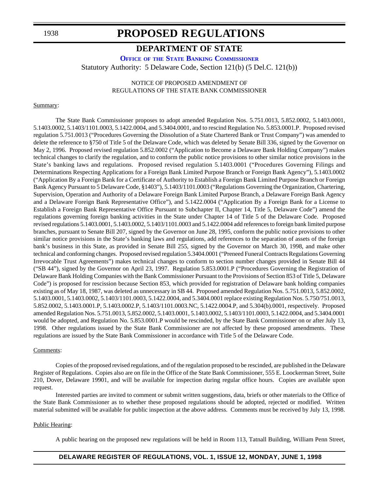# **PROPOSED REGULATIONS**

# **DEPARTMENT OF STATE**

**OFFICE OF THE STATE BANKING [COMMISSIONER](http://www.state.de.us/bank/index.htm)**

Statutory Authority: 5 Delaware Code, Section 121(b) (5 Del.C. 121(b))

NOTICE OF PROPOSED AMENDMENT OF REGULATIONS OF THE STATE BANK COMMISSIONER

#### Summary:

The State Bank Commissioner proposes to adopt amended Regulation Nos. 5.751.0013, 5.852.0002, 5.1403.0001, 5.1403.0002, 5.1403/1101.0003, 5.1422.0004, and 5.3404.0001, and to rescind Regulation No. 5.853.0001.P. Proposed revised regulation 5.751.0013 ("Procedures Governing the Dissolution of a State Chartered Bank or Trust Company") was amended to delete the reference to §750 of Title 5 of the Delaware Code, which was deleted by Senate Bill 336, signed by the Governor on May 2, 1996. Proposed revised regulation 5.852.0002 ("Application to Become a Delaware Bank Holding Company") makes technical changes to clarify the regulation, and to conform the public notice provisions to other similar notice provisions in the State's banking laws and regulations. Proposed revised regulation 5.1403.0001 ("Procedures Governing Filings and Determinations Respecting Applications for a Foreign Bank Limited Purpose Branch or Foreign Bank Agency"), 5.1403.0002 ("Application By a Foreign Bank for a Certificate of Authority to Establish a Foreign Bank Limited Purpose Branch or Foreign Bank Agency Pursuant to 5 Delaware Code, §1403"), 5.1403/1101.0003 ("Regulations Governing the Organization, Chartering, Supervision, Operation and Authority of a Delaware Foreign Bank Limited Purpose Branch, a Delaware Foreign Bank Agency and a Delaware Foreign Bank Representative Office"), and 5.1422.0004 ("Application By a Foreign Bank for a License to Establish a Foreign Bank Representative Office Pursuant to Subchapter II, Chapter 14, Title 5, Delaware Code") amend the regulations governing foreign banking activities in the State under Chapter 14 of Title 5 of the Delaware Code. Proposed revised regulations 5.1403.0001, 5.1403.0002, 5.1403/1101.0003 and 5.1422.0004 add references to foreign bank limited purpose branches, pursuant to Senate Bill 207, signed by the Governor on June 28, 1995, conform the public notice provisions to other similar notice provisions in the State's banking laws and regulations, add references to the separation of assets of the foreign bank's business in this State, as provided in Senate Bill 255, signed by the Governor on March 30, 1998, and make other technical and conforming changes. Proposed revised regulation 5.3404.0001 ("Preneed Funeral Contracts Regulations Governing Irrevocable Trust Agreements") makes technical changes to conform to section number changes provided in Senate Bill 44 ("SB 44"), signed by the Governor on April 23, 1997. Regulation 5.853.0001.P ("Procedures Governing the Registration of Delaware Bank Holding Companies with the Bank Commissioner Pursuant to the Provisions of Section 853 of Title 5, Delaware Code") is proposed for rescission because Section 853, which provided for registration of Delaware bank holding companies existing as of May 18, 1987, was deleted as unnecessary in SB 44. Proposed amended Regulation Nos. 5.751.0013, 5.852.0002, 5.1403.0001, 5.1403.0002, 5.1403/1101.0003, 5.1422.0004, and 5.3404.0001 replace existing Regulation Nos. 5.750/751.0013, 5.852.0002, 5.1403.0001.P, 5.1403.0002.P, 5.1403/1101.0003.NC, 5.1422.0004.P, and 5.304(b).0001, respectively. Proposed amended Regulation Nos. 5.751.0013, 5.852.0002, 5.1403.0001, 5.1403.0002, 5.1403/1101.0003, 5.1422.0004, and 5.3404.0001 would be adopted, and Regulation No. 5.853.0001.P would be rescinded, by the State Bank Commissioner on or after July 13, 1998. Other regulations issued by the State Bank Commissioner are not affected by these proposed amendments. These regulations are issued by the State Bank Commissioner in accordance with Title 5 of the Delaware Code.

#### Comments:

Copies of the proposed revised regulations, and of the regulation proposed to be rescinded, are published in the Delaware Register of Regulations. Copies also are on file in the Office of the State Bank Commissioner, 555 E. Loockerman Street, Suite 210, Dover, Delaware 19901, and will be available for inspection during regular office hours. Copies are available upon request.

Interested parties are invited to comment or submit written suggestions, data, briefs or other materials to the Office of the State Bank Commissioner as to whether these proposed regulations should be adopted, rejected or modified. Written material submitted will be available for public inspection at the above address. Comments must be received by July 13, 1998.

#### Public Hearing:

A public hearing on the proposed new regulations will be held in Room 113, Tatnall Building, William Penn Street,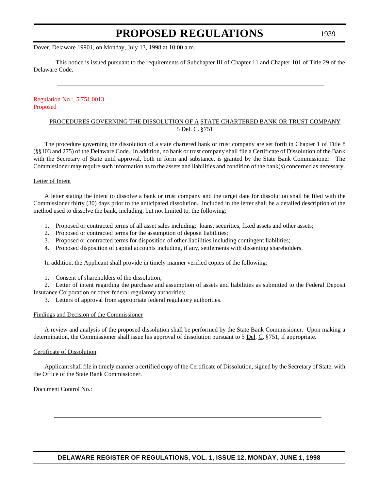This notice is issued pursuant to the requirements of Subchapter III of Chapter 11 and Chapter 101 of Title 29 of the Delaware Code.

[Regulation No.: 5.751.0013](#page-3-0) Proposed

### PROCEDURES GOVERNING THE DISSOLUTION OF A STATE CHARTERED BANK OR TRUST COMPANY 5 Del. C. §751

The procedure governing the dissolution of a state chartered bank or trust company are set forth in Chapter 1 of Title 8 (§§103 and 275) of the Delaware Code. In addition, no bank or trust company shall file a Certificate of Dissolution of the Bank with the Secretary of State until approval, both in form and substance, is granted by the State Bank Commissioner. The Commissioner may require such information as to the assets and liabilities and condition of the bank(s) concerned as necessary.

#### Letter of Intent

A letter stating the intent to dissolve a bank or trust company and the target date for dissolution shall be filed with the Commissioner thirty (30) days prior to the anticipated dissolution. Included in the letter shall be a detailed description of the method used to dissolve the bank, including, but not limited to, the following:

- 1. Proposed or contracted terms of all asset sales including: loans, securities, fixed assets and other assets;
- 2. Proposed or contracted terms for the assumption of deposit liabilities;
- 3. Proposed or contracted terms for disposition of other liabilities including contingent liabilities;
- 4. Proposed disposition of capital accounts including, if any, settlements with dissenting shareholders.

In addition, the Applicant shall provide in timely manner verified copies of the following:

1. Consent of shareholders of the dissolution;

2. Letter of intent regarding the purchase and assumption of assets and liabilities as submitted to the Federal Deposit Insurance Corporation or other federal regulatory authorities;

3. Letters of approval from appropriate federal regulatory authorities.

#### Findings and Decision of the Commissioner

A review and analysis of the proposed dissolution shall be performed by the State Bank Commissioner. Upon making a determination, the Commissioner shall issue his approval of dissolution pursuant to 5 Del. C. §751, if appropriate.

#### Certificate of Dissolution

Applicant shall file in timely manner a certified copy of the Certificate of Dissolution, signed by the Secretary of State, with the Office of the State Bank Commissioner.

Document Control No.:

1939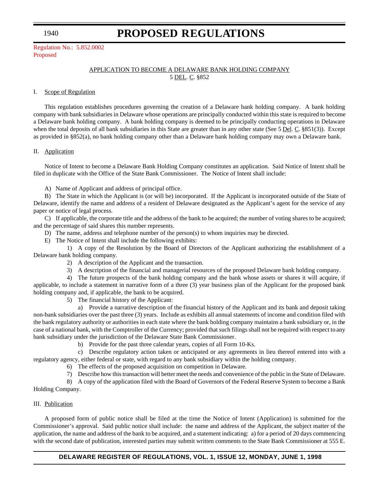[Regulation No.: 5.852.0002](#page-3-0) Proposed

### APPLICATION TO BECOME A DELAWARE BANK HOLDING COMPANY 5 DEL. C. §852

### I. Scope of Regulation

This regulation establishes procedures governing the creation of a Delaware bank holding company. A bank holding company with bank subsidiaries in Delaware whose operations are principally conducted within this state is required to become a Delaware bank holding company. A bank holding company is deemed to be principally conducting operations in Delaware when the total deposits of all bank subsidiaries in this State are greater than in any other state (See 5 Del. C. §851(3)). Except as provided in §852(a), no bank holding company other than a Delaware bank holding company may own a Delaware bank.

## II. Application

Notice of Intent to become a Delaware Bank Holding Company constitutes an application. Said Notice of Intent shall be filed in duplicate with the Office of the State Bank Commissioner. The Notice of Intent shall include:

A) Name of Applicant and address of principal office.

B) The State in which the Applicant is (or will be) incorporated. If the Applicant is incorporated outside of the State of Delaware, identify the name and address of a resident of Delaware designated as the Applicant's agent for the service of any paper or notice of legal process.

C) If applicable, the corporate title and the address of the bank to be acquired; the number of voting shares to be acquired; and the percentage of said shares this number represents.

D) The name, address and telephone number of the person(s) to whom inquiries may be directed.

E) The Notice of Intent shall include the following exhibits:

1) A copy of the Resolution by the Board of Directors of the Applicant authorizing the establishment of a Delaware bank holding company.

2) A description of the Applicant and the transaction.

3) A description of the financial and managerial resources of the proposed Delaware bank holding company.

4) The future prospects of the bank holding company and the bank whose assets or shares it will acquire, if applicable, to include a statement in narrative form of a three (3) year business plan of the Applicant for the proposed bank holding company and, if applicable, the bank to be acquired.

5) The financial history of the Applicant:

a) Provide a narrative description of the financial history of the Applicant and its bank and deposit taking non-bank subsidiaries over the past three (3) years. Include as exhibits all annual statements of income and condition filed with the bank regulatory authority or authorities in each state where the bank holding company maintains a bank subsidiary or, in the case of a national bank, with the Comptroller of the Currency; provided that such filings shall not be required with respect to any bank subsidiary under the jurisdiction of the Delaware State Bank Commissioner.

b) Provide for the past three calendar years, copies of all Form 10-Ks.

c) Describe regulatory action taken or anticipated or any agreements in lieu thereof entered into with a regulatory agency, either federal or state, with regard to any bank subsidiary within the holding company.

6) The effects of the proposed acquisition on competition in Delaware.

7) Describe how this transaction will better meet the needs and convenience of the public in the State of Delaware.

8) A copy of the application filed with the Board of Governors of the Federal Reserve System to become a Bank Holding Company.

### III. Publication

A proposed form of public notice shall be filed at the time the Notice of Intent (Application) is submitted for the Commissioner's approval. Said public notice shall include: the name and address of the Applicant, the subject matter of the application, the name and address of the bank to be acquired, and a statement indicating: a) for a period of 20 days commencing with the second date of publication, interested parties may submit written comments to the State Bank Commissioner at 555 E.

1940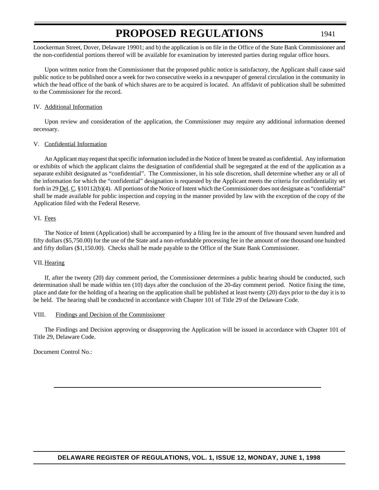Loockerman Street, Dover, Delaware 19901; and b) the application is on file in the Office of the State Bank Commissioner and the non-confidential portions thereof will be available for examination by interested parties during regular office hours.

Upon written notice from the Commissioner that the proposed public notice is satisfactory, the Applicant shall cause said public notice to be published once a week for two consecutive weeks in a newspaper of general circulation in the community in which the head office of the bank of which shares are to be acquired is located. An affidavit of publication shall be submitted to the Commissioner for the record.

### IV. Additional Information

Upon review and consideration of the application, the Commissioner may require any additional information deemed necessary.

### V. Confidential Information

An Applicant may request that specific information included in the Notice of Intent be treated as confidential. Any information or exhibits of which the applicant claims the designation of confidential shall be segregated at the end of the application as a separate exhibit designated as "confidential". The Commissioner, in his sole discretion, shall determine whether any or all of the information for which the "confidential" designation is requested by the Applicant meets the criteria for confidentiality set forth in 29 Del. C. §10112(b)(4). All portions of the Notice of Intent which the Commissioner does not designate as "confidential" shall be made available for public inspection and copying in the manner provided by law with the exception of the copy of the Application filed with the Federal Reserve.

### VI. Fees

The Notice of Intent (Application) shall be accompanied by a filing fee in the amount of five thousand seven hundred and fifty dollars (\$5,750.00) for the use of the State and a non-refundable processing fee in the amount of one thousand one hundred and fifty dollars (\$1,150.00). Checks shall be made payable to the Office of the State Bank Commissioner.

### VII. Hearing

If, after the twenty (20) day comment period, the Commissioner determines a public hearing should be conducted, such determination shall be made within ten (10) days after the conclusion of the 20-day comment period. Notice fixing the time, place and date for the holding of a hearing on the application shall be published at least twenty (20) days prior to the day it is to be held. The hearing shall be conducted in accordance with Chapter 101 of Title 29 of the Delaware Code.

#### VIII. Findings and Decision of the Commissioner

The Findings and Decision approving or disapproving the Application will be issued in accordance with Chapter 101 of Title 29, Delaware Code.

#### Document Control No.: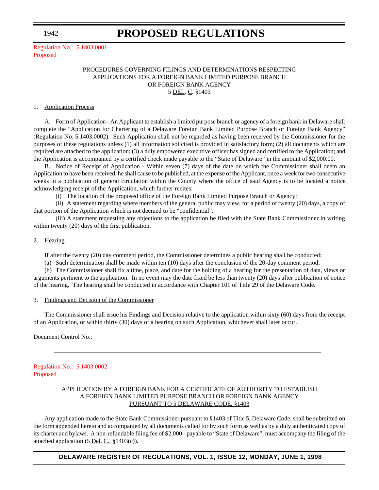[Regulation No.: 5.1403.0001](#page-3-0) Proposed

# PROCEDURES GOVERNING FILINGS AND DETERMINATIONS RESPECTING APPLICATIONS FOR A FOREIGN BANK LIMITED PURPOSE BRANCH OR FOREIGN BANK AGENCY 5 DEL. C. §1403

#### 1. Application Process

A. Form of Application - An Applicant to establish a limited purpose branch or agency of a foreign bank in Delaware shall complete the "Application for Chartering of a Delaware Foreign Bank Limited Purpose Branch or Foreign Bank Agency" (Regulation No. 5.1403.0002). Such Application shall not be regarded as having been received by the Commissioner for the purposes of these regulations unless (1) all information solicited is provided in satisfactory form; (2) all documents which are required are attached to the application; (3) a duly empowered executive officer has signed and certified to the Application; and the Application is accompanied by a certified check made payable to the "State of Delaware" in the amount of \$2,000.00.

B. Notice of Receipt of Application - Within seven (7) days of the date on which the Commissioner shall deem an Application to have been received, he shall cause to be published, at the expense of the Applicant, once a week for two consecutive weeks in a publication of general circulation within the County where the office of said Agency is to be located a notice acknowledging receipt of the Application, which further recites:

(i) The location of the proposed office of the Foreign Bank Limited Purpose Branch or Agency;

(ii) A statement regarding where members of the general public may view, for a period of twenty (20) days, a copy of that portion of the Application which is not deemed to be "confidential".

(iii) A statement requesting any objections to the application be filed with the State Bank Commissioner in writing within twenty (20) days of the first publication.

#### 2. Hearing

If after the twenty (20) day comment period, the Commissioner determines a public hearing shall be conducted:

(a) Such determination shall be made within ten (10) days after the conclusion of the 20-day comment period;

(b) The Commissioner shall fix a time, place, and date for the holding of a hearing for the presentation of data, views or arguments pertinent to the application. In no event may the date fixed be less than twenty (20) days after publication of notice of the hearing. The hearing shall be conducted in accordance with Chapter 101 of Title 29 of the Delaware Code.

#### 3. Findings and Decision of the Commissioner

The Commissioner shall issue his Findings and Decision relative to the application within sixty (60) days from the receipt of an Application, or within thirty (30) days of a hearing on such Application, whichever shall later occur.

Document Control No.:

[Regulation No.: 5.1403.0002](#page-3-0) Proposed

# APPLICATION BY A FOREIGN BANK FOR A CERTIFICATE OF AUTHORITY TO ESTABLISH A FOREIGN BANK LIMITED PURPOSE BRANCH OR FOREIGN BANK AGENCY PURSUANT TO 5 DELAWARE CODE, §1403

Any application made to the State Bank Commissioner pursuant to §1403 of Title 5, Delaware Code, shall be submitted on the form appended hereto and accompanied by all documents called for by such form as well as by a duly authenticated copy of its charter and bylaws. A non-refundable filing fee of \$2,000 - payable to "State of Delaware", must accompany the filing of the attached application  $(5 \text{ Del. C.}, \text{§}1403(c))$ .

# **DELAWARE REGISTER OF REGULATIONS, VOL. 1, ISSUE 12, MONDAY, JUNE 1, 1998**

1942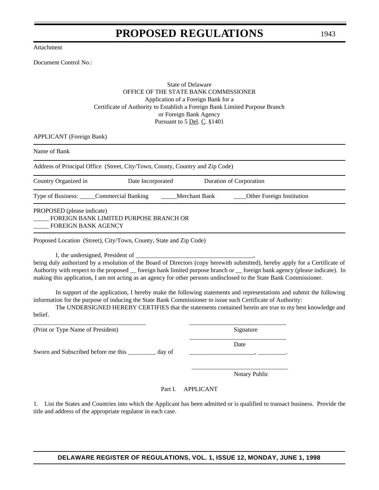Attachment

Document Control No.:

# State of Delaware OFFICE OF THE STATE BANK COMMISSIONER Application of a Foreign Bank for a Certificate of Authority to Establish a Foreign Bank Limited Purpose Branch or Foreign Bank Agency Pursuant to 5 Del. C. §1401

APPLICANT (Foreign Bank)

| Name of Bank                                                                                       |  |               |                                  |  |  |
|----------------------------------------------------------------------------------------------------|--|---------------|----------------------------------|--|--|
| Address of Principal Office (Street, City/Town, County, Country and Zip Code)                      |  |               |                                  |  |  |
| Country Organized in<br>Date Incorporated<br>Duration of Corporation                               |  |               |                                  |  |  |
| Type of Business: _____Commercial Banking                                                          |  | Merchant Bank | <b>Other Foreign Institution</b> |  |  |
| PROPOSED (please indicate)<br>FOREIGN BANK LIMITED PURPOSE BRANCH OR<br><b>FOREIGN BANK AGENCY</b> |  |               |                                  |  |  |
| Proposed Location (Street), City/Town, County, State and Zip Code)                                 |  |               |                                  |  |  |

I, the undersigned, President of  $\_\_$ 

being duly authorized by a resolution of the Board of Directors (copy herewith submitted), hereby apply for a Certificate of Authority with respect to the proposed \_\_ foreign bank limited purpose branch or \_\_ foreign bank agency (please indicate). In making this application, I am not acting as an agency for other persons undisclosed to the State Bank Commissioner.

In support of the application, I hereby make the following statements and representations and submit the following information for the purpose of inducing the State Bank Commissioner to issue such Certificate of Authority:

The UNDERSIGNED HEREBY CERTIFIES that the statements contained herein are true to my best knowledge and belief.

\_\_\_\_\_\_\_\_\_\_\_\_\_\_\_\_\_\_\_\_\_\_\_\_\_\_\_\_\_\_\_\_\_\_\_\_ \_\_\_\_\_\_\_\_\_\_\_\_\_\_\_\_\_\_\_\_\_\_\_\_\_\_\_\_\_\_\_

(Print or Type Name of President)

Sworn and Subscribed before me this \_\_\_\_\_\_\_\_\_\_\_\_\_\_ day of

| Signature |
|-----------|
|           |

 $\frac{1}{2}$  . The contract of the contract of the contract of the contract of the contract of the contract of the contract of the contract of the contract of the contract of the contract of the contract of the contract of t

Date

Notary Public

Part I. APPLICANT

1. List the States and Countries into which the Applicant has been admitted or is qualified to transact business. Provide the title and address of the appropriate regulator in each case.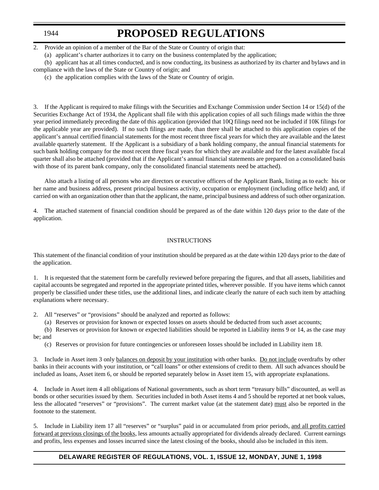# **PROPOSED REGULATIONS**

# 2. Provide an opinion of a member of the Bar of the State or Country of origin that:

(a) applicant's charter authorizes it to carry on the business contemplated by the application;

(b) applicant has at all times conducted, and is now conducting, its business as authorized by its charter and bylaws and in compliance with the laws of the State or Country of origin; and

(c) the application complies with the laws of the State or Country of origin.

3. If the Applicant is required to make filings with the Securities and Exchange Commission under Section 14 or 15(d) of the Securities Exchange Act of 1934, the Applicant shall file with this application copies of all such filings made within the three year period immediately preceding the date of this application (provided that 10Q filings need not be included if 10K filings for the applicable year are provided). If no such filings are made, than there shall be attached to this application copies of the applicant's annual certified financial statements for the most recent three fiscal years for which they are available and the latest available quarterly statement. If the Applicant is a subsidiary of a bank holding company, the annual financial statements for such bank holding company for the most recent three fiscal years for which they are available and for the latest available fiscal quarter shall also be attached (provided that if the Applicant's annual financial statements are prepared on a consolidated basis with those of its parent bank company, only the consolidated financial statements need be attached).

Also attach a listing of all persons who are directors or executive officers of the Applicant Bank, listing as to each: his or her name and business address, present principal business activity, occupation or employment (including office held) and, if carried on with an organization other than that the applicant, the name, principal business and address of such other organization.

4. The attached statement of financial condition should be prepared as of the date within 120 days prior to the date of the application.

# INSTRUCTIONS

This statement of the financial condition of your institution should be prepared as at the date within 120 days prior to the date of the application.

1. It is requested that the statement form be carefully reviewed before preparing the figures, and that all assets, liabilities and capital accounts be segregated and reported in the appropriate printed titles, wherever possible. If you have items which cannot properly be classified under these titles, use the additional lines, and indicate clearly the nature of each such item by attaching explanations where necessary.

2. All "reserves" or "provisions" should be analyzed and reported as follows:

(a) Reserves or provision for known or expected losses on assets should be deducted from such asset accounts;

(b) Reserves or provision for known or expected liabilities should be reported in Liability items 9 or 14, as the case may be; and

(c) Reserves or provision for future contingencies or unforeseen losses should be included in Liability item 18.

3. Include in Asset item 3 only balances on deposit by your institution with other banks. Do not include overdrafts by other banks in their accounts with your institution, or "call loans" or other extensions of credit to them. All such advances should be included as loans, Asset item 6, or should be reported separately below in Asset item 15, with appropriate explanations.

4. Include in Asset item 4 all obligations of National governments, such as short term "treasury bills" discounted, as well as bonds or other securities issued by them. Securities included in both Asset items 4 and 5 should be reported at net book values, less the allocated "reserves" or "provisions". The current market value (at the statement date) must also be reported in the footnote to the statement.

5. Include in Liability item 17 all "reserves" or "surplus" paid in or accumulated from prior periods, and all profits carried forward at previous closings of the books, less amounts actually appropriated for dividends already declared. Current earnings and profits, less expenses and losses incurred since the latest closing of the books, should also be included in this item.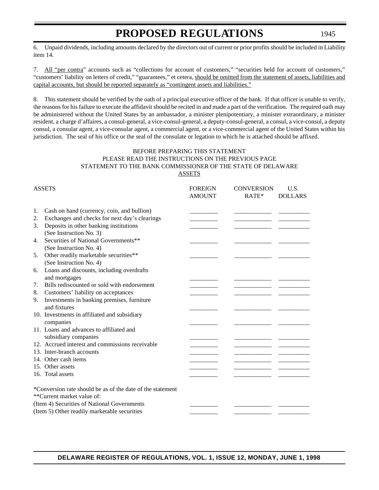6. Unpaid dividends, including amounts declared by the directors out of current or prior profits should be included in Liability item 14.

7. All "per contra" accounts such as "collections for account of customers," "securities held for account of customers," "customers' liability on letters of credit," "guarantees," et cetera, should be omitted from the statement of assets, liabilities and capital accounts, but should be reported separately as "contingent assets and liabilities."

8. This statement should be verified by the oath of a principal executive officer of the bank. If that officer is unable to verify, the reasons for his failure to execute the affidavit should be recited in and made a part of the verification. The required oath may be administered without the United States by an ambassador, a minister plenipotentiary, a minister extraordinary, a minister resident, a charge d'affaires, a consul-general, a vice-consul-general, a deputy-consul-general, a consul, a vice-consul, a deputy consul, a consular agent, a vice-consular agent, a commercial agent, or a vice-commercial agent of the United States within his jurisdiction. The seal of his office or the seal of the consulate or legation to which he is attached should be affixed.

# BEFORE PREPARING THIS STATEMENT PLEASE READ THE INSTRUCTIONS ON THE PREVIOUS PAGE STATEMENT TO THE BANK COMMISSIONER OF THE STATE OF DELAWARE **ASSETS**

| <b>ASSETS</b> |                                                            | <b>FOREIGN</b> | <b>CONVERSION</b> | U.S.           |
|---------------|------------------------------------------------------------|----------------|-------------------|----------------|
|               |                                                            | <b>AMOUNT</b>  | RATE*             | <b>DOLLARS</b> |
| 1.            | Cash on hand (currency, coin, and bullion)                 |                |                   |                |
| 2.            | Exchanges and checks for next day's clearings              |                |                   |                |
| 3.            | Deposits in other banking institutions                     |                |                   |                |
|               | (See Instruction No. 3)                                    |                |                   |                |
| 4.            | Securities of National Governments**                       |                |                   |                |
|               | (See Instruction No. 4)                                    |                |                   |                |
| 5.            | Other readily marketable securities**                      |                |                   |                |
|               | (See Instruction No. 4)                                    |                |                   |                |
| 6.            | Loans and discounts, including overdrafts                  |                |                   |                |
|               | and mortgages                                              |                |                   |                |
| 7.            | Bills rediscounted or sold with endorsement                |                |                   |                |
| 8.            | Customers' liability on acceptances                        |                |                   |                |
| 9.            | Investments in banking premises, furniture                 |                |                   |                |
|               | and fixtures                                               |                |                   |                |
|               | 10. Investments in affiliated and subsidiary               |                |                   |                |
|               | companies                                                  |                |                   |                |
|               | 11. Loans and advances to affiliated and                   |                |                   |                |
|               | subsidiary companies                                       |                |                   |                |
|               | 12. Accrued interest and commissions receivable            |                |                   |                |
|               | 13. Inter-branch accounts                                  |                |                   |                |
|               | 14. Other cash items                                       |                |                   |                |
|               | 15. Other assets                                           |                |                   |                |
|               | 16. Total assets                                           |                |                   |                |
|               |                                                            |                |                   |                |
|               | *Conversion rate should be as of the date of the statement |                |                   |                |
|               | **Current market value of:                                 |                |                   |                |
|               | (Item 4) Securities of National Governments                |                |                   |                |
|               | (Item 5) Other readily marketable securities               |                |                   |                |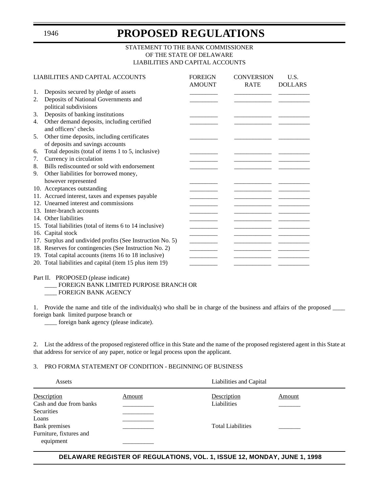# **PROPOSED REGULATIONS**

# STATEMENT TO THE BANK COMMISSIONER OF THE STATE OF DELAWARE LIABILITIES AND CAPITAL ACCOUNTS

|    | LIABILITIES AND CAPITAL ACCOUNTS                          | <b>FOREIGN</b><br><b>AMOUNT</b> | <b>CONVERSION</b><br><b>RATE</b> | U.S.<br><b>DOLLARS</b> |
|----|-----------------------------------------------------------|---------------------------------|----------------------------------|------------------------|
| 1. | Deposits secured by pledge of assets                      |                                 |                                  |                        |
| 2. | Deposits of National Governments and                      |                                 |                                  |                        |
|    | political subdivisions                                    |                                 |                                  |                        |
| 3. | Deposits of banking institutions                          |                                 |                                  |                        |
| 4. | Other demand deposits, including certified                |                                 |                                  |                        |
|    | and officers' checks                                      |                                 |                                  |                        |
| 5. | Other time deposits, including certificates               |                                 |                                  |                        |
|    | of deposits and savings accounts                          |                                 |                                  |                        |
| 6. | Total deposits (total of items 1 to 5, inclusive)         |                                 |                                  |                        |
| 7. | Currency in circulation                                   |                                 |                                  |                        |
| 8. | Bills rediscounted or sold with endorsement               |                                 |                                  |                        |
| 9. | Other liabilities for borrowed money,                     |                                 |                                  |                        |
|    | however represented                                       |                                 |                                  |                        |
|    | 10. Acceptances outstanding                               |                                 |                                  |                        |
|    | 11. Accrued interest, taxes and expenses payable          |                                 |                                  |                        |
|    | 12. Unearned interest and commissions                     |                                 |                                  |                        |
|    | 13. Inter-branch accounts                                 |                                 |                                  |                        |
|    | 14. Other liabilities                                     |                                 |                                  |                        |
|    | 15. Total liabilities (total of items 6 to 14 inclusive)  |                                 |                                  |                        |
|    | 16. Capital stock                                         |                                 |                                  |                        |
|    | 17. Surplus and undivided profits (See Instruction No. 5) |                                 |                                  |                        |
|    | 18. Reserves for contingencies (See Instruction No. 2)    |                                 |                                  |                        |
|    | 19. Total capital accounts (items 16 to 18 inclusive)     |                                 |                                  |                        |
|    | 20. Total liabilities and capital (item 15 plus item 19)  |                                 |                                  |                        |

#### Part II. PROPOSED (please indicate)

\_\_\_\_ FOREIGN BANK LIMITED PURPOSE BRANCH OR

\_\_\_\_ FOREIGN BANK AGENCY

1. Provide the name and title of the individual(s) who shall be in charge of the business and affairs of the proposed \_\_\_\_ foreign bank limited purpose branch or

\_\_\_\_ foreign bank agency (please indicate).

2. List the address of the proposed registered office in this State and the name of the proposed registered agent in this State at that address for service of any paper, notice or legal process upon the applicant.

# 3. PRO FORMA STATEMENT OF CONDITION - BEGINNING OF BUSINESS

| Assets                                                                                                                 |        | Liabilities and Capital                                |        |  |
|------------------------------------------------------------------------------------------------------------------------|--------|--------------------------------------------------------|--------|--|
| Description<br>Cash and due from banks<br>Securities<br>Loans<br>Bank premises<br>Furniture, fixtures and<br>equipment | Amount | Description<br>Liabilities<br><b>Total Liabilities</b> | Amount |  |
|                                                                                                                        |        |                                                        |        |  |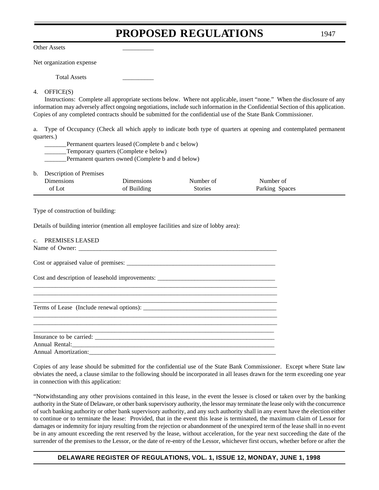Other Assets \_\_\_\_\_\_\_\_\_\_

Net organization expense

Total Assets \_\_\_\_\_\_\_\_\_\_

# 4. OFFICE(S)

Instructions: Complete all appropriate sections below. Where not applicable, insert "none." When the disclosure of any information may adversely affect ongoing negotiations, include such information in the Confidential Section of this application. Copies of any completed contracts should be submitted for the confidential use of the State Bank Commissioner.

a. Type of Occupancy (Check all which apply to indicate both type of quarters at opening and contemplated permanent quarters.)

Permanent quarters leased (Complete b and c below)

\_\_\_\_\_\_\_Temporary quarters (Complete e below)

Permanent quarters owned (Complete b and d below)

b. Description of Premises

| Jimensions | nensions               | Number<br>01 | Number of      |  |
|------------|------------------------|--------------|----------------|--|
| of Lot     | - Buule<br>$dim\sigma$ | tories       | Parking Spaces |  |

Type of construction of building:

Details of building interior (mention all employee facilities and size of lobby area):

c. PREMISES LEASED

| Cost and description of leasehold improvements: ________________________________ |
|----------------------------------------------------------------------------------|
|                                                                                  |
|                                                                                  |

Copies of any lease should be submitted for the confidential use of the State Bank Commissioner. Except where State law obviates the need, a clause similar to the following should be incorporated in all leases drawn for the term exceeding one year in connection with this application:

"Notwithstanding any other provisions contained in this lease, in the event the lessee is closed or taken over by the banking authority in the State of Delaware, or other bank supervisory authority, the lessor may terminate the lease only with the concurrence of such banking authority or other bank supervisory authority, and any such authority shall in any event have the election either to continue or to terminate the lease: Provided, that in the event this lease is terminated, the maximum claim of Lessor for damages or indemnity for injury resulting from the rejection or abandonment of the unexpired term of the lease shall in no event be in any amount exceeding the rent reserved by the lease, without acceleration, for the year next succeeding the date of the surrender of the premises to the Lessor, or the date of re-entry of the Lessor, whichever first occurs, whether before or after the

# 1947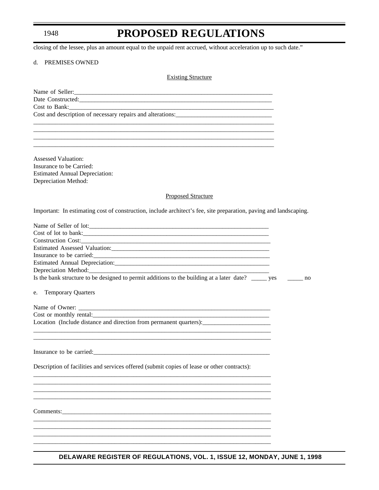# **PROPOSED REGULATIONS**

closing of the lessee, plus an amount equal to the unpaid rent accrued, without acceleration up to such date."

### d. PREMISES OWNED

### Existing Structure

| Cost to Bank:                                                                                                     |    |
|-------------------------------------------------------------------------------------------------------------------|----|
|                                                                                                                   |    |
|                                                                                                                   |    |
|                                                                                                                   |    |
|                                                                                                                   |    |
|                                                                                                                   |    |
| <b>Assessed Valuation:</b>                                                                                        |    |
| Insurance to be Carried:                                                                                          |    |
| <b>Estimated Annual Depreciation:</b>                                                                             |    |
| Depreciation Method:                                                                                              |    |
|                                                                                                                   |    |
| <b>Proposed Structure</b>                                                                                         |    |
| Important: In estimating cost of construction, include architect's fee, site preparation, paving and landscaping. |    |
|                                                                                                                   |    |
|                                                                                                                   |    |
|                                                                                                                   |    |
| Estimated Assessed Valuation: Manual Assessed Valuation:                                                          |    |
| Insurance to be carried:                                                                                          |    |
| Estimated Annual Depreciation: Manual Manual Annual Annual Depreciation:                                          |    |
|                                                                                                                   |    |
| Is the bank structure to be designed to permit additions to the building at a later date? ______ yes              | no |
| <b>Temporary Quarters</b><br>e.                                                                                   |    |
|                                                                                                                   |    |
|                                                                                                                   |    |
| Location (Include distance and direction from permanent quarters): ______________                                 |    |
|                                                                                                                   |    |
|                                                                                                                   |    |
|                                                                                                                   |    |
| Description of facilities and services offered (submit copies of lease or other contracts):                       |    |
|                                                                                                                   |    |
|                                                                                                                   |    |
|                                                                                                                   |    |
|                                                                                                                   |    |
|                                                                                                                   |    |
|                                                                                                                   |    |
|                                                                                                                   |    |
|                                                                                                                   |    |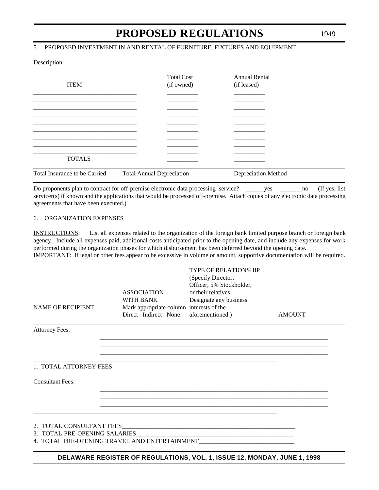# 5. PROPOSED INVESTMENT IN AND RENTAL OF FURNITURE, FIXTURES AND EQUIPMENT

Description:

| <b>ITEM</b>                   | <b>Total Cost</b><br>(if owned)  | <b>Annual Rental</b><br>(if leased) |
|-------------------------------|----------------------------------|-------------------------------------|
|                               |                                  |                                     |
|                               |                                  |                                     |
|                               |                                  |                                     |
|                               |                                  |                                     |
|                               |                                  |                                     |
|                               |                                  |                                     |
| <b>TOTALS</b>                 |                                  |                                     |
| Total Insurance to be Carried | <b>Total Annual Depreciation</b> | Depreciation Method                 |

Do proponents plan to contract for off-premise electronic data processing service? \_\_\_\_\_\_yes \_\_\_\_\_\_\_no (If yes, list servicer(s) if known and the applications that would be processed off-premise. Attach copies of any electronic data processing agreements that have been executed.)

### 6. ORGANIZATION EXPENSES

INSTRUCTIONS: List all expenses related to the organization of the foreign bank limited purpose branch or foreign bank agency. Include all expenses paid, additional costs anticipated prior to the opening date, and include any expenses for work performed during the organization phases for which disbursement has been deferred beyond the opening date. IMPORTANT: If legal or other fees appear to be excessive in volume or amount, supportive documentation will be required.

|                          |                                          | <b>TYPE OF RELATIONSHIP</b><br>(Specify Director, |               |
|--------------------------|------------------------------------------|---------------------------------------------------|---------------|
|                          |                                          | Officer, 5% Stockholder,                          |               |
|                          | <b>ASSOCIATION</b>                       | or their relatives.                               |               |
|                          | <b>WITH BANK</b>                         | Designate any business                            |               |
| <b>NAME OF RECIPIENT</b> | Mark appropriate column interests of the |                                                   |               |
|                          | Direct Indirect None                     | aforementioned.)                                  | <b>AMOUNT</b> |
| <b>Attorney Fees:</b>    |                                          |                                                   |               |
|                          |                                          |                                                   |               |
|                          |                                          |                                                   |               |
| 1. TOTAL ATTORNEY FEES   |                                          |                                                   |               |
| <b>Consultant Fees:</b>  |                                          |                                                   |               |
|                          |                                          |                                                   |               |

#### 2. TOTAL CONSULTANT FEES\_\_\_\_\_\_\_\_\_\_\_\_\_\_\_\_\_\_\_\_\_\_\_\_\_\_\_\_\_\_\_\_\_\_\_\_\_\_\_\_\_\_\_\_\_\_\_\_\_\_\_\_\_\_\_\_

- 3. TOTAL PRE-OPENING SALARIES\_\_\_\_\_\_\_\_\_\_\_\_\_\_\_\_\_\_\_\_\_\_\_\_\_\_\_\_\_\_\_\_\_\_\_\_\_\_\_\_\_\_\_\_\_\_\_\_\_\_\_
- 4. TOTAL PRE-OPENING TRAVEL AND ENTERTAINMENT

\_\_\_\_\_\_\_\_\_\_\_\_\_\_\_\_\_\_\_\_\_\_\_\_\_\_\_\_\_\_\_\_\_\_\_\_\_\_\_\_\_\_\_\_\_\_\_\_\_\_\_\_\_\_\_\_\_\_\_\_\_\_\_\_\_\_\_\_\_\_\_\_\_\_\_\_\_\_

**DELAWARE REGISTER OF REGULATIONS, VOL. 1, ISSUE 12, MONDAY, JUNE 1, 1998**

\_\_\_\_\_\_\_\_\_\_\_\_\_\_\_\_\_\_\_\_\_\_\_\_\_\_\_\_\_\_\_\_\_\_\_\_\_\_\_\_\_\_\_\_\_\_\_\_\_\_\_\_\_\_\_\_\_\_\_\_\_\_\_\_\_\_\_\_\_\_\_\_\_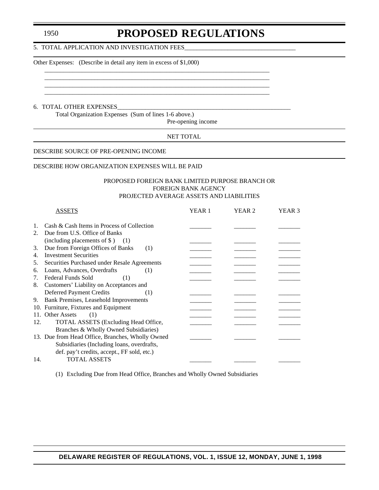# **PROPOSED REGULATIONS**

# 5. TOTAL APPLICATION AND INVESTIGATION FEES

Other Expenses: (Describe in detail any item in excess of \$1,000)

6. TOTAL OTHER EXPENSES\_\_\_\_\_\_\_\_\_\_\_\_\_\_\_\_\_\_\_\_\_\_\_\_\_\_\_\_\_\_\_\_\_\_\_\_\_\_\_\_\_\_\_\_\_\_\_\_\_\_\_\_\_\_\_\_

Total Organization Expenses (Sum of lines 1-6 above.)

Pre-opening income

\_\_\_\_\_\_\_\_\_\_\_\_\_\_\_\_\_\_\_\_\_\_\_\_\_\_\_\_\_\_\_\_\_\_\_\_\_\_\_\_\_\_\_\_\_\_\_\_\_\_\_\_\_\_\_\_\_\_\_\_\_\_\_\_\_\_\_\_\_\_\_\_ \_\_\_\_\_\_\_\_\_\_\_\_\_\_\_\_\_\_\_\_\_\_\_\_\_\_\_\_\_\_\_\_\_\_\_\_\_\_\_\_\_\_\_\_\_\_\_\_\_\_\_\_\_\_\_\_\_\_\_\_\_\_\_\_\_\_\_\_\_\_\_\_ \_\_\_\_\_\_\_\_\_\_\_\_\_\_\_\_\_\_\_\_\_\_\_\_\_\_\_\_\_\_\_\_\_\_\_\_\_\_\_\_\_\_\_\_\_\_\_\_\_\_\_\_\_\_\_\_\_\_\_\_\_\_\_\_\_\_\_\_\_\_\_\_ \_\_\_\_\_\_\_\_\_\_\_\_\_\_\_\_\_\_\_\_\_\_\_\_\_\_\_\_\_\_\_\_\_\_\_\_\_\_\_\_\_\_\_\_\_\_\_\_\_\_\_\_\_\_\_\_\_\_\_\_\_\_\_\_\_\_\_\_\_\_\_\_

# NET TOTAL

#### DESCRIBE SOURCE OF PRE-OPENING INCOME

#### DESCRIBE HOW ORGANIZATION EXPENSES WILL BE PAID

### PROPOSED FOREIGN BANK LIMITED PURPOSE BRANCH OR FOREIGN BANK AGENCY PROJECTED AVERAGE ASSETS AND LIABILITIES

|                | <b>ASSETS</b>                                    | YEAR <sub>1</sub> | YEAR <sub>2</sub> | YEAR 3 |
|----------------|--------------------------------------------------|-------------------|-------------------|--------|
| $\mathbf{1}$ . | Cash & Cash Items in Process of Collection       |                   |                   |        |
| 2.             | Due from U.S. Office of Banks                    |                   |                   |        |
|                | (including placements of $\$$ ) (1)              |                   |                   |        |
| 3.             | Due from Foreign Offices of Banks<br>(1)         |                   |                   |        |
| 4.             | <b>Investment Securities</b>                     |                   |                   |        |
| 5.             | Securities Purchased under Resale Agreements     |                   |                   |        |
| 6.             | Loans, Advances, Overdrafts<br>(1)               |                   |                   |        |
| 7.             | Federal Funds Sold<br>(1)                        |                   |                   |        |
| 8.             | Customers' Liability on Acceptances and          |                   |                   |        |
|                | Deferred Payment Credits<br>(1)                  |                   |                   |        |
| 9.             | Bank Premises, Leasehold Improvements            |                   |                   |        |
|                | 10. Furniture, Fixtures and Equipment            |                   |                   |        |
|                | 11. Other Assets<br>(1)                          |                   |                   |        |
| 12.            | TOTAL ASSETS (Excluding Head Office,             |                   |                   |        |
|                | Branches & Wholly Owned Subsidiaries)            |                   |                   |        |
|                | 13. Due from Head Office, Branches, Wholly Owned |                   |                   |        |
|                | Subsidiaries (Including loans, overdrafts,       |                   |                   |        |
|                | def. pay't credits, accept., FF sold, etc.)      |                   |                   |        |
| 14.            | <b>TOTAL ASSETS</b>                              |                   |                   |        |

(1) Excluding Due from Head Office, Branches and Wholly Owned Subsidiaries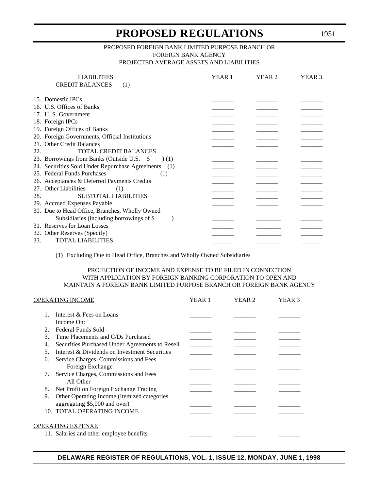# PROPOSED FOREIGN BANK LIMITED PURPOSE BRANCH OR

FOREIGN BANK AGENCY

PROJECTED AVERAGE ASSETS AND LIABILITIES

|     | <b>LIABILITIES</b>                                  | YEAR <sub>1</sub> | YEAR <sub>2</sub> | YEAR <sub>3</sub> |
|-----|-----------------------------------------------------|-------------------|-------------------|-------------------|
|     | <b>CREDIT BALANCES</b><br>(1)                       |                   |                   |                   |
|     |                                                     |                   |                   |                   |
|     | 15. Domestic IPCs                                   |                   |                   |                   |
|     | 16. U.S. Offices of Banks                           |                   |                   |                   |
|     | 17. U. S. Government                                |                   |                   |                   |
|     | 18. Foreign IPCs                                    |                   |                   |                   |
|     | 19. Foreign Offices of Banks                        |                   |                   |                   |
|     | 20. Foreign Governments, Official Institutions      |                   |                   |                   |
|     | 21. Other Credit Balances                           |                   |                   |                   |
| 22. | TOTAL CREDIT BALANCES                               |                   |                   |                   |
|     | 23. Borrowings from Banks (Outside U.S. \$<br>(1)   |                   |                   |                   |
|     | 24. Securities Sold Under Repurchase Agreements (1) |                   |                   |                   |
|     | 25. Federal Funds Purchases<br>(1)                  |                   |                   |                   |
|     | 26. Acceptances & Deferred Payments Credits         |                   |                   |                   |
|     | 27. Other Liabilities<br>(1)                        |                   |                   |                   |
| 28. | <b>SUBTOTAL LIABILITIES</b>                         |                   |                   |                   |
|     | 29. Accrued Expenses Payable                        |                   |                   |                   |
|     | 30. Due to Head Office, Branches, Wholly Owned      |                   |                   |                   |
|     | Subsidiaries (including borrowings of \$            |                   |                   |                   |
|     |                                                     |                   |                   |                   |
|     | 31. Reserves for Loan Losses                        |                   |                   |                   |
|     | 32. Other Reserves (Specify)                        |                   |                   |                   |
| 33. | <b>TOTAL LIABILITIES</b>                            |                   |                   |                   |

(1) Excluding Due to Head Office, Branches and Wholly Owned Subsidiaries

# PROJECTION OF INCOME AND EXPENSE TO BE FILED IN CONNECTION WITH APPLICATION BY FOREIGN BANKING CORPORATION TO OPEN AND MAINTAIN A FOREIGN BANK LIMITED PURPOSE BRANCH OR FOREIGN BANK AGENCY

|               | <b>OPERATING INCOME</b>                         | YEAR 1 | YEAR 2 | YEAR 3 |
|---------------|-------------------------------------------------|--------|--------|--------|
|               |                                                 |        |        |        |
|               | Interest & Fees on Loans                        |        |        |        |
|               | Income On:                                      |        |        |        |
| $2^{\circ}$   | Federal Funds Sold                              |        |        |        |
| $\mathcal{F}$ | Time Placements and C/Ds Purchased              |        |        |        |
| 4.            | Securities Purchased Under Agreements to Resell |        |        |        |
| 5.            | Interest & Dividends on Investment Securities   |        |        |        |
| 6.            | Service Charges, Commissions and Fees           |        |        |        |
|               | Foreign Exchange                                |        |        |        |
| 7.            | Service Charges, Commissions and Fees           |        |        |        |
|               | All Other                                       |        |        |        |
| 8.            | Net Profit on Foreign Exchange Trading          |        |        |        |
| 9.            | Other Operating Income (Itemized categories     |        |        |        |
|               | aggregating \$5,000 and over)                   |        |        |        |
|               | 10. TOTAL OPERATING INCOME                      |        |        |        |
|               |                                                 |        |        |        |
|               | OPERATING EXPENXE                               |        |        |        |
|               | 11. Salaries and other employee benefits        |        |        |        |
|               |                                                 |        |        |        |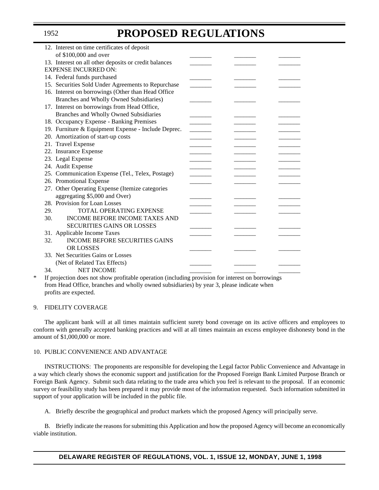|     | 12. Interest on time certificates of deposit          |  |  |
|-----|-------------------------------------------------------|--|--|
|     | of \$100,000 and over                                 |  |  |
|     | 13. Interest on all other deposits or credit balances |  |  |
|     | <b>EXPENSE INCURRED ON:</b>                           |  |  |
|     | 14. Federal funds purchased                           |  |  |
|     | 15. Securities Sold Under Agreements to Repurchase    |  |  |
|     | 16. Interest on borrowings (Other than Head Office    |  |  |
|     | Branches and Wholly Owned Subsidiaries)               |  |  |
|     | 17. Interest on borrowings from Head Office,          |  |  |
|     | Branches and Wholly Owned Subsidiaries                |  |  |
|     | 18. Occupancy Expense - Banking Premises              |  |  |
|     | 19. Furniture & Equipment Expense - Include Deprec.   |  |  |
|     | 20. Amortization of start-up costs                    |  |  |
|     | 21. Travel Expense                                    |  |  |
|     | 22. Insurance Expense                                 |  |  |
|     | 23. Legal Expense                                     |  |  |
|     | 24. Audit Expense                                     |  |  |
|     | 25. Communication Expense (Tel., Telex, Postage)      |  |  |
|     | 26. Promotional Expense                               |  |  |
|     | 27. Other Operating Expense (Itemize categories       |  |  |
|     | aggregating \$5,000 and Over)                         |  |  |
|     | 28. Provision for Loan Losses                         |  |  |
| 29. | <b>TOTAL OPERATING EXPENSE</b>                        |  |  |
| 30. | INCOME BEFORE INCOME TAXES AND                        |  |  |
|     | <b>SECURITIES GAINS OR LOSSES</b>                     |  |  |
|     | 31. Applicable Income Taxes                           |  |  |
| 32. | <b>INCOME BEFORE SECURITIES GAINS</b>                 |  |  |
|     | OR LOSSES                                             |  |  |
|     | 33. Net Securities Gains or Losses                    |  |  |
|     | (Net of Related Tax Effects)                          |  |  |
| 34. | <b>NET INCOME</b>                                     |  |  |

\* If projection does not show profitable operation (including provision for interest on borrowings from Head Office, branches and wholly owned subsidiaries) by year 3, please indicate when profits are expected.

#### 9. FIDELITY COVERAGE

The applicant bank will at all times maintain sufficient surety bond coverage on its active officers and employees to conform with generally accepted banking practices and will at all times maintain an excess employee dishonesty bond in the amount of \$1,000,000 or more.

#### 10. PUBLIC CONVENIENCE AND ADVANTAGE

INSTRUCTIONS: The proponents are responsible for developing the Legal factor Public Convenience and Advantage in a way which clearly shows the economic support and justification for the Proposed Foreign Bank Limited Purpose Branch or Foreign Bank Agency. Submit such data relating to the trade area which you feel is relevant to the proposal. If an economic survey or feasibility study has been prepared it may provide most of the information requested. Such information submitted in support of your application will be included in the public file.

A. Briefly describe the geographical and product markets which the proposed Agency will principally serve.

B. Briefly indicate the reasons for submitting this Application and how the proposed Agency will become an economically viable institution.

# 1952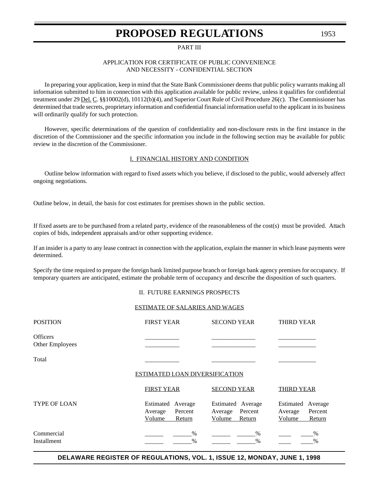# PART III

# APPLICATION FOR CERTIFICATE OF PUBLIC CONVENIENCE AND NECESSITY - CONFIDENTIAL SECTION

In preparing your application, keep in mind that the State Bank Commissioner deems that public policy warrants making all information submitted to him in connection with this application available for public review, unless it qualifies for confidential treatment under 29 Del. C. §§10002(d), 10112(b)(4), and Superior Court Rule of Civil Procedure 26(c). The Commissioner has determined that trade secrets, proprietary information and confidential financial information useful to the applicant in its business will ordinarily qualify for such protection.

However, specific determinations of the question of confidentiality and non-disclosure rests in the first instance in the discretion of the Commissioner and the specific information you include in the following section may be available for public review in the discretion of the Commissioner.

#### I. FINANCIAL HISTORY AND CONDITION

Outline below information with regard to fixed assets which you believe, if disclosed to the public, would adversely affect ongoing negotiations.

Outline below, in detail, the basis for cost estimates for premises shown in the public section.

If fixed assets are to be purchased from a related party, evidence of the reasonableness of the cost(s) must be provided. Attach copies of bids, independent appraisals and/or other supporting evidence.

If an insider is a party to any lease contract in connection with the application, explain the manner in which lease payments were determined.

Specify the time required to prepare the foreign bank limited purpose branch or foreign bank agency premises for occupancy. If temporary quarters are anticipated, estimate the probable term of occupancy and describe the disposition of such quarters.

# II. FUTURE EARNINGS PROSPECTS

#### ESTIMATE OF SALARIES AND WAGES

| <b>POSITION</b>                    | <b>FIRST YEAR</b>                                              | <b>SECOND YEAR</b>                                          | <b>THIRD YEAR</b>                                              |
|------------------------------------|----------------------------------------------------------------|-------------------------------------------------------------|----------------------------------------------------------------|
| <b>Officers</b><br>Other Employees |                                                                |                                                             |                                                                |
| Total                              |                                                                |                                                             |                                                                |
|                                    | ESTIMATED LOAN DIVERSIFICATION                                 |                                                             |                                                                |
|                                    | <b>FIRST YEAR</b>                                              | <b>SECOND YEAR</b>                                          | <b>THIRD YEAR</b>                                              |
| <b>TYPE OF LOAN</b>                | Estimated<br>Average<br>Percent<br>Average<br>Volume<br>Return | Estimated Average<br>Percent<br>Average<br>Volume<br>Return | Estimated<br>Average<br>Percent<br>Average<br>Volume<br>Return |
| Commercial<br>Installment          | $\frac{0}{0}$<br>$\%$                                          | $\frac{0}{0}$<br>$\%$                                       | $\frac{0}{0}$<br>%                                             |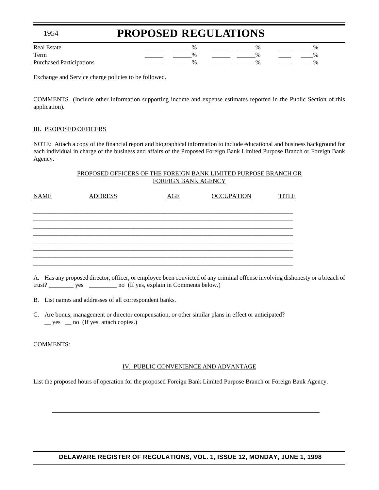# **PROPOSED REGULATIONS**

| <b>Real Estate</b>              | $\frac{0}{6}$ | 0 <sub>l</sub> | $\mathbf{0}$   |
|---------------------------------|---------------|----------------|----------------|
| Term                            | $\%$          | 0 <sub>k</sub> | $\mathbf{0}$   |
| <b>Purchased Participations</b> | $\%$          | $\alpha$       | 0 <sub>l</sub> |

Exchange and Service charge policies to be followed.

COMMENTS (Include other information supporting income and expense estimates reported in the Public Section of this application).

# III. PROPOSED OFFICERS

NOTE: Attach a copy of the financial report and biographical information to include educational and business background for each individual in charge of the business and affairs of the Proposed Foreign Bank Limited Purpose Branch or Foreign Bank Agency.

# PROPOSED OFFICERS OF THE FOREIGN BANK LIMITED PURPOSE BRANCH OR FOREIGN BANK AGENCY

| <b>NAME</b> | <b>ADDRESS</b> | AGE | <b>OCCUPATION</b> | <b>TITLE</b> |
|-------------|----------------|-----|-------------------|--------------|
|             |                |     |                   |              |
|             |                |     |                   |              |
|             |                |     |                   |              |
|             |                |     |                   |              |
|             |                |     |                   |              |
|             |                |     |                   |              |

A. Has any proposed director, officer, or employee been convicted of any criminal offense involving dishonesty or a breach of trust? \_\_\_\_\_\_\_\_ yes \_\_\_\_\_\_\_\_\_ no (If yes, explain in Comments below.)

B. List names and addresses of all correspondent banks.

C. Are bonus, management or director compensation, or other similar plans in effect or anticipated? \_\_ yes \_\_ no (If yes, attach copies.)

# COMMENTS:

# IV. PUBLIC CONVENIENCE AND ADVANTAGE

List the proposed hours of operation for the proposed Foreign Bank Limited Purpose Branch or Foreign Bank Agency.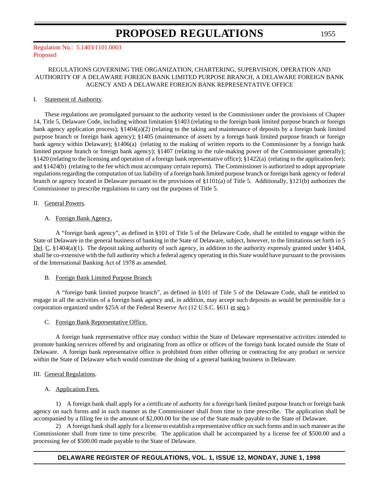### [Regulation No.: 5.1403/1101.0003](#page-3-0) Proposed

# REGULATIONS GOVERNING THE ORGANIZATION, CHARTERING, SUPERVISION, OPERATION AND AUTHORITY OF A DELAWARE FOREIGN BANK LIMITED PURPOSE BRANCH, A DELAWARE FOREIGN BANK AGENCY AND A DELAWARE FOREIGN BANK REPRESENTATIVE OFFICE

#### I. Statement of Authority.

These regulations are promulgated pursuant to the authority vested in the Commissioner under the provisions of Chapter 14, Title 5, Delaware Code, including without limitation §1403 (relating to the foreign bank limited purpose branch or foreign bank agency application process);  $\S1404(a)(2)$  (relating to the taking and maintenance of deposits by a foreign bank limited purpose branch or foreign bank agency); §1405 (maintenance of assets by a foreign bank limited purpose branch or foreign bank agency within Delaware); §1406(a) (relating to the making of written reports to the Commissioner by a foreign bank limited purpose branch or foreign bank agency); §1407 (relating to the rule-making power of the Commissioner generally); §1420 (relating to the licensing and operation of a foreign bank representative office); §1422(a) (relating to the application fee); and §1424(b) (relating to the fee which must accompany certain reports). The Commissioner is authorized to adopt appropriate regulations regarding the computation of tax liability of a foreign bank limited purpose branch or foreign bank agency or federal branch or agency located in Delaware pursuant to the provisions of §1101(a) of Title 5. Additionally, §121(b) authorizes the Commissioner to prescribe regulations to carry out the purposes of Title 5.

#### II. General Powers.

#### A. Foreign Bank Agency.

A "foreign bank agency", as defined in §101 of Title 5 of the Delaware Code, shall be entitled to engage within the State of Delaware in the general business of banking in the State of Delaware, subject, however, to the limitations set forth in 5 Del. C. §1404(a)(1). The deposit taking authority of such agency, in addition to the authority expressly granted under §1404, shall be co-extensive with the full authority which a federal agency operating in this State would have pursuant to the provisions of the International Banking Act of 1978 as amended.

# B. Foreign Bank Limited Purpose Branch

A "foreign bank limited purpose branch", as defined in §101 of Title 5 of the Delaware Code, shall be entitled to engage in all the activities of a foreign bank agency and, in addition, may accept such deposits as would be permissible for a corporation organized under §25A of the Federal Reserve Act (12 U.S.C. §611 et seq.).

# C. Foreign Bank Representative Office.

A foreign bank representative office may conduct within the State of Delaware representative activities intended to promote banking services offered by and originating from an office or offices of the foreign bank located outside the State of Delaware. A foreign bank representative office is prohibited from either offering or contracting for any product or service within the State of Delaware which would constitute the doing of a general banking business in Delaware.

#### III. General Regulations.

# A. Application Fees.

1) A foreign bank shall apply for a certificate of authority for a foreign bank limited purpose branch or foreign bank agency on such forms and in such manner as the Commissioner shall from time to time prescribe. The application shall be accompanied by a filing fee in the amount of \$2,000.00 for the use of the State made payable to the State of Delaware.

2) A foreign bank shall apply for a license to establish a representative office on such forms and in such manner as the Commissioner shall from time to time prescribe. The application shall be accompanied by a license fee of \$500.00 and a processing fee of \$500.00 made payable to the State of Delaware.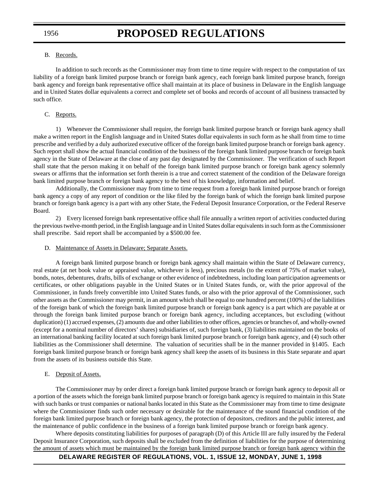# B. Records.

In addition to such records as the Commissioner may from time to time require with respect to the computation of tax liability of a foreign bank limited purpose branch or foreign bank agency, each foreign bank limited purpose branch, foreign bank agency and foreign bank representative office shall maintain at its place of business in Delaware in the English language and in United States dollar equivalents a correct and complete set of books and records of account of all business transacted by such office.

# C. Reports.

1) Whenever the Commissioner shall require, the foreign bank limited purpose branch or foreign bank agency shall make a written report in the English language and in United States dollar equivalents in such form as he shall from time to time prescribe and verified by a duly authorized executive officer of the foreign bank limited purpose branch or foreign bank agency. Such report shall show the actual financial condition of the business of the foreign bank limited purpose branch or foreign bank agency in the State of Delaware at the close of any past day designated by the Commissioner. The verification of such Report shall state that the person making it on behalf of the foreign bank limited purpose branch or foreign bank agency solemnly swears or affirms that the information set forth therein is a true and correct statement of the condition of the Delaware foreign bank limited purpose branch or foreign bank agency to the best of his knowledge, information and belief.

Additionally, the Commissioner may from time to time request from a foreign bank limited purpose branch or foreign bank agency a copy of any report of condition or the like filed by the foreign bank of which the foreign bank limited purpose branch or foreign bank agency is a part with any other State, the Federal Deposit Insurance Corporation, or the Federal Reserve Board.

2) Every licensed foreign bank representative office shall file annually a written report of activities conducted during the previous twelve-month period, in the English language and in United States dollar equivalents in such form as the Commissioner shall prescribe. Said report shall be accompanied by a \$500.00 fee.

D. Maintenance of Assets in Delaware; Separate Assets.

A foreign bank limited purpose branch or foreign bank agency shall maintain within the State of Delaware currency, real estate (at net book value or appraised value, whichever is less), precious metals (to the extent of 75% of market value), bonds, notes, debentures, drafts, bills of exchange or other evidence of indebtedness, including loan participation agreements or certificates, or other obligations payable in the United States or in United States funds, or, with the prior approval of the Commissioner, in funds freely convertible into United States funds, or also with the prior approval of the Commissioner, such other assets as the Commissioner may permit, in an amount which shall be equal to one hundred percent (100%) of the liabilities of the foreign bank of which the foreign bank limited purpose branch or foreign bank agency is a part which are payable at or through the foreign bank limited purpose branch or foreign bank agency, including acceptances, but excluding (without duplication) (1) accrued expenses, (2) amounts due and other liabilities to other offices, agencies or branches of, and wholly-owned (except for a nominal number of directors' shares) subsidiaries of, such foreign bank, (3) liabilities maintained on the books of an international banking facility located at such foreign bank limited purpose branch or foreign bank agency, and (4) such other liabilities as the Commissioner shall determine. The valuation of securities shall be in the manner provided in §1405. Each foreign bank limited purpose branch or foreign bank agency shall keep the assets of its business in this State separate and apart from the assets of its business outside this State.

# E. Deposit of Assets.

The Commissioner may by order direct a foreign bank limited purpose branch or foreign bank agency to deposit all or a portion of the assets which the foreign bank limited purpose branch or foreign bank agency is required to maintain in this State with such banks or trust companies or national banks located in this State as the Commissioner may from time to time designate where the Commissioner finds such order necessary or desirable for the maintenance of the sound financial condition of the foreign bank limited purpose branch or foreign bank agency, the protection of depositors, creditors and the public interest, and the maintenance of public confidence in the business of a foreign bank limited purpose branch or foreign bank agency.

Where deposits constituting liabilities for purposes of paragraph (D) of this Article III are fully insured by the Federal Deposit Insurance Corporation, such deposits shall be excluded from the definition of liabilities for the purpose of determining the amount of assets which must be maintained by the foreign bank limited purpose branch or foreign bank agency within the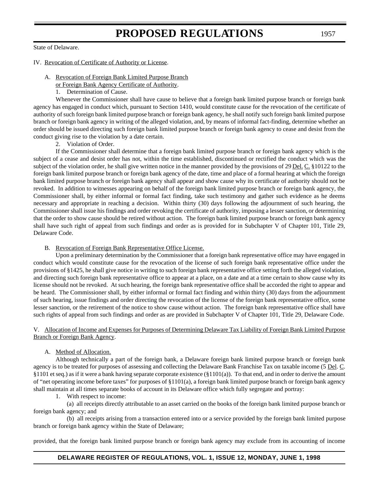State of Delaware.

#### IV. Revocation of Certificate of Authority or License.

- A. Revocation of Foreign Bank Limited Purpose Branch
	- or Foreign Bank Agency Certificate of Authority.
	- 1. Determination of Cause.

Whenever the Commissioner shall have cause to believe that a foreign bank limited purpose branch or foreign bank agency has engaged in conduct which, pursuant to Section 1410, would constitute cause for the revocation of the certificate of authority of such foreign bank limited purpose branch or foreign bank agency, he shall notify such foreign bank limited purpose branch or foreign bank agency in writing of the alleged violation, and, by means of informal fact-finding, determine whether an order should be issued directing such foreign bank limited purpose branch or foreign bank agency to cease and desist from the conduct giving rise to the violation by a date certain.

2. Violation of Order.

If the Commissioner shall determine that a foreign bank limited purpose branch or foreign bank agency which is the subject of a cease and desist order has not, within the time established, discontinued or rectified the conduct which was the subject of the violation order, he shall give written notice in the manner provided by the provisions of 29 Del. C. §10122 to the foreign bank limited purpose branch or foreign bank agency of the date, time and place of a formal hearing at which the foreign bank limited purpose branch or foreign bank agency shall appear and show cause why its certificate of authority should not be revoked. In addition to witnesses appearing on behalf of the foreign bank limited purpose branch or foreign bank agency, the Commissioner shall, by either informal or formal fact finding, take such testimony and gather such evidence as he deems necessary and appropriate in reaching a decision. Within thirty (30) days following the adjournment of such hearing, the Commissioner shall issue his findings and order revoking the certificate of authority, imposing a lesser sanction, or determining that the order to show cause should be retired without action. The foreign bank limited purpose branch or foreign bank agency shall have such right of appeal from such findings and order as is provided for in Subchapter V of Chapter 101, Title 29, Delaware Code.

B. Revocation of Foreign Bank Representative Office License.

Upon a preliminary determination by the Commissioner that a foreign bank representative office may have engaged in conduct which would constitute cause for the revocation of the license of such foreign bank representative office under the provisions of §1425, he shall give notice in writing to such foreign bank representative office setting forth the alleged violation, and directing such foreign bank representative office to appear at a place, on a date and at a time certain to show cause why its license should not be revoked. At such hearing, the foreign bank representative office shall be accorded the right to appear and be heard. The Commissioner shall, by either informal or formal fact finding and within thirty (30) days from the adjournment of such hearing, issue findings and order directing the revocation of the license of the foreign bank representative office, some lesser sanction, or the retirement of the notice to show cause without action. The foreign bank representative office shall have such rights of appeal from such findings and order as are provided in Subchapter V of Chapter 101, Title 29, Delaware Code.

# V. Allocation of Income and Expenses for Purposes of Determining Delaware Tax Liability of Foreign Bank Limited Purpose Branch or Foreign Bank Agency.

# A. Method of Allocation.

Although technically a part of the foreign bank, a Delaware foreign bank limited purpose branch or foreign bank agency is to be treated for purposes of assessing and collecting the Delaware Bank Franchise Tax on taxable income (5 Del. C. §1101 et seq.) as if it were a bank having separate corporate existence (§1101(a)). To that end, and in order to derive the amount of "net operating income before taxes" for purposes of §1101(a), a foreign bank limited purpose branch or foreign bank agency shall maintain at all times separate books of account in its Delaware office which fully segregate and portray:

1. With respect to income:

(a) all receipts directly attributable to an asset carried on the books of the foreign bank limited purpose branch or foreign bank agency; and

(b) all receipts arising from a transaction entered into or a service provided by the foreign bank limited purpose branch or foreign bank agency within the State of Delaware;

provided, that the foreign bank limited purpose branch or foreign bank agency may exclude from its accounting of income

# **DELAWARE REGISTER OF REGULATIONS, VOL. 1, ISSUE 12, MONDAY, JUNE 1, 1998**

1957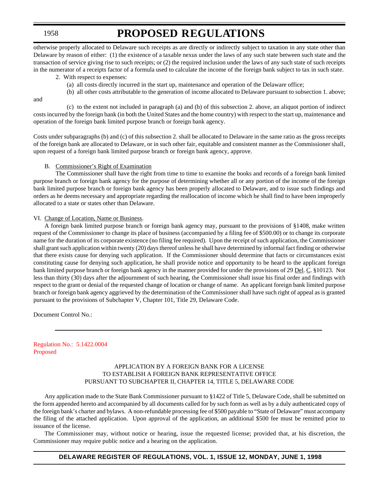# **PROPOSED REGULATIONS**

otherwise properly allocated to Delaware such receipts as are directly or indirectly subject to taxation in any state other than Delaware by reason of either: (1) the existence of a taxable nexus under the laws of any such state between such state and the transaction of service giving rise to such receipts; or (2) the required inclusion under the laws of any such state of such receipts in the numerator of a receipts factor of a formula used to calculate the income of the foreign bank subject to tax in such state.

- 2. With respect to expenses:
	- (a) all costs directly incurred in the start up, maintenance and operation of the Delaware office;
	- (b) all other costs attributable to the generation of income allocated to Delaware pursuant to subsection 1. above;

and

(c) to the extent not included in paragraph (a) and (b) of this subsection 2. above, an aliquot portion of indirect costs incurred by the foreign bank (in both the United States and the home country) with respect to the start up, maintenance and operation of the foreign bank limited purpose branch or foreign bank agency.

Costs under subparagraphs (b) and (c) of this subsection 2. shall be allocated to Delaware in the same ratio as the gross receipts of the foreign bank are allocated to Delaware, or in such other fair, equitable and consistent manner as the Commissioner shall, upon request of a foreign bank limited purpose branch or foreign bank agency, approve.

#### B. Commissioner's Right of Examination

The Commissioner shall have the right from time to time to examine the books and records of a foreign bank limited purpose branch or foreign bank agency for the purpose of determining whether all or any portion of the income of the foreign bank limited purpose branch or foreign bank agency has been properly allocated to Delaware, and to issue such findings and orders as he deems necessary and appropriate regarding the reallocation of income which he shall find to have been improperly allocated to a state or states other than Delaware.

# VI. Change of Location, Name or Business.

A foreign bank limited purpose branch or foreign bank agency may, pursuant to the provisions of §1408, make written request of the Commissioner to change its place of business (accompanied by a filing fee of \$500.00) or to change its corporate name for the duration of its corporate existence (no filing fee required). Upon the receipt of such application, the Commissioner shall grant such application within twenty (20) days thereof unless he shall have determined by informal fact finding or otherwise that there exists cause for denying such application. If the Commissioner should determine that facts or circumstances exist constituting cause for denying such application, he shall provide notice and opportunity to be heard to the applicant foreign bank limited purpose branch or foreign bank agency in the manner provided for under the provisions of 29 Del. C. §10123. Not less than thirty (30) days after the adjournment of such hearing, the Commissioner shall issue his final order and findings with respect to the grant or denial of the requested change of location or change of name. An applicant foreign bank limited purpose branch or foreign bank agency aggrieved by the determination of the Commissioner shall have such right of appeal as is granted pursuant to the provisions of Subchapter V, Chapter 101, Title 29, Delaware Code.

Document Control No.:

#### [Regulation No.: 5.1422.0004](#page-3-0) Proposed

### APPLICATION BY A FOREIGN BANK FOR A LICENSE TO ESTABLISH A FOREIGN BANK REPRESENTATIVE OFFICE PURSUANT TO SUBCHAPTER II, CHAPTER 14, TITLE 5, DELAWARE CODE

Any application made to the State Bank Commissioner pursuant to §1422 of Title 5, Delaware Code, shall be submitted on the form appended hereto and accompanied by all documents called for by such form as well as by a duly authenticated copy of the foreign bank's charter and bylaws. A non-refundable processing fee of \$500 payable to "State of Delaware" must accompany the filing of the attached application. Upon approval of the application, an additional \$500 fee must be remitted prior to issuance of the license.

The Commissioner may, without notice or hearing, issue the requested license; provided that, at his discretion, the Commissioner may require public notice and a hearing on the application.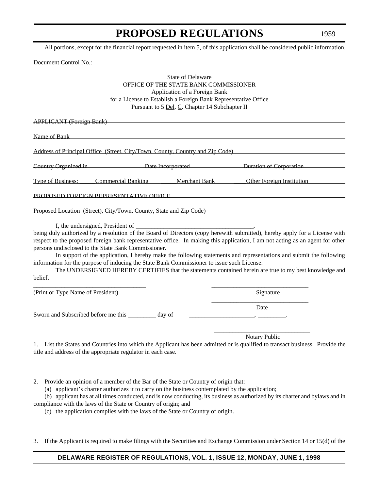All portions, except for the financial report requested in item 5, of this application shall be considered public information.

Document Control No.:

APPLICANT (Foreign Bank)

Name of Bank

Address of Principal Office (Street, City/Town, County, Country and Zip Code)

Country Organized in Date Incorporated Duration of Corporation

Type of Business: Commercial Banking Merchant Bank Commercial Banking Merchant Bank Commercial Banking Merchant Bank

PROPOSED FOREIGN REPRESENTATIVE OFFICE

Proposed Location (Street), City/Town, County, State and Zip Code)

I, the undersigned, President of

being duly authorized by a resolution of the Board of Directors (copy herewith submitted), hereby apply for a License with respect to the proposed foreign bank representative office. In making this application, I am not acting as an agent for other persons undisclosed to the State Bank Commissioner.

In support of the application, I hereby make the following statements and representations and submit the following information for the purpose of inducing the State Bank Commissioner to issue such License:

The UNDERSIGNED HEREBY CERTIFIES that the statements contained herein are true to my best knowledge and belief.

| (Print or Type Name of President)             | Signature |
|-----------------------------------------------|-----------|
|                                               | Date      |
| Sworn and Subscribed before me this<br>day of |           |

 $\frac{1}{2}$  . The contract of the contract of the contract of the contract of the contract of the contract of the contract of the contract of the contract of the contract of the contract of the contract of the contract of t Notary Public

1. List the States and Countries into which the Applicant has been admitted or is qualified to transact business. Provide the title and address of the appropriate regulator in each case.

2. Provide an opinion of a member of the Bar of the State or Country of origin that:

(a) applicant's charter authorizes it to carry on the business contemplated by the application;

(b) applicant has at all times conducted, and is now conducting, its business as authorized by its charter and bylaws and in compliance with the laws of the State or Country of origin; and

(c) the application complies with the laws of the State or Country of origin.

3. If the Applicant is required to make filings with the Securities and Exchange Commission under Section 14 or 15(d) of the

# **DELAWARE REGISTER OF REGULATIONS, VOL. 1, ISSUE 12, MONDAY, JUNE 1, 1998**

1959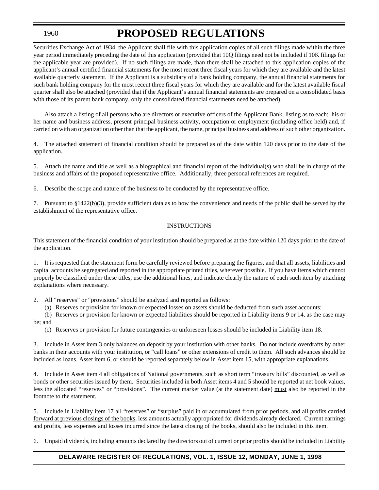# **PROPOSED REGULATIONS**

Securities Exchange Act of 1934, the Applicant shall file with this application copies of all such filings made within the three year period immediately preceding the date of this application (provided that 10Q filings need not be included if 10K filings for the applicable year are provided). If no such filings are made, than there shall be attached to this application copies of the applicant's annual certified financial statements for the most recent three fiscal years for which they are available and the latest available quarterly statement. If the Applicant is a subsidiary of a bank holding company, the annual financial statements for such bank holding company for the most recent three fiscal years for which they are available and for the latest available fiscal quarter shall also be attached (provided that if the Applicant's annual financial statements are prepared on a consolidated basis with those of its parent bank company, only the consolidated financial statements need be attached).

Also attach a listing of all persons who are directors or executive officers of the Applicant Bank, listing as to each: his or her name and business address, present principal business activity, occupation or employment (including office held) and, if carried on with an organization other than that the applicant, the name, principal business and address of such other organization.

4. The attached statement of financial condition should be prepared as of the date within 120 days prior to the date of the application.

5. Attach the name and title as well as a biographical and financial report of the individual(s) who shall be in charge of the business and affairs of the proposed representative office. Additionally, three personal references are required.

6. Describe the scope and nature of the business to be conducted by the representative office.

7. Pursuant to §1422(b)(3), provide sufficient data as to how the convenience and needs of the public shall be served by the establishment of the representative office.

# INSTRUCTIONS

This statement of the financial condition of your institution should be prepared as at the date within 120 days prior to the date of the application.

1. It is requested that the statement form be carefully reviewed before preparing the figures, and that all assets, liabilities and capital accounts be segregated and reported in the appropriate printed titles, wherever possible. If you have items which cannot properly be classified under these titles, use the additional lines, and indicate clearly the nature of each such item by attaching explanations where necessary.

2. All "reserves" or "provisions" should be analyzed and reported as follows:

(a) Reserves or provision for known or expected losses on assets should be deducted from such asset accounts;

(b) Reserves or provision for known or expected liabilities should be reported in Liability items 9 or 14, as the case may be; and

(c) Reserves or provision for future contingencies or unforeseen losses should be included in Liability item 18.

3. Include in Asset item 3 only balances on deposit by your institution with other banks. Do not include overdrafts by other banks in their accounts with your institution, or "call loans" or other extensions of credit to them. All such advances should be included as loans, Asset item 6, or should be reported separately below in Asset item 15, with appropriate explanations.

4. Include in Asset item 4 all obligations of National governments, such as short term "treasury bills" discounted, as well as bonds or other securities issued by them. Securities included in both Asset items 4 and 5 should be reported at net book values, less the allocated "reserves" or "provisions". The current market value (at the statement date) must also be reported in the footnote to the statement.

5. Include in Liability item 17 all "reserves" or "surplus" paid in or accumulated from prior periods, and all profits carried forward at previous closings of the books, less amounts actually appropriated for dividends already declared. Current earnings and profits, less expenses and losses incurred since the latest closing of the books, should also be included in this item.

6. Unpaid dividends, including amounts declared by the directors out of current or prior profits should be included in Liability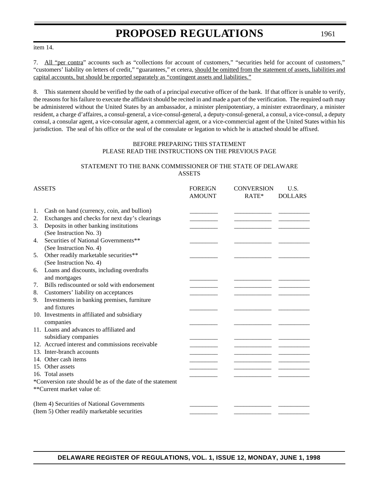item 14.

7. All "per contra" accounts such as "collections for account of customers," "securities held for account of customers," "customers' liability on letters of credit," "guarantees," et cetera, should be omitted from the statement of assets, liabilities and capital accounts, but should be reported separately as "contingent assets and liabilities."

8. This statement should be verified by the oath of a principal executive officer of the bank. If that officer is unable to verify, the reasons for his failure to execute the affidavit should be recited in and made a part of the verification. The required oath may be administered without the United States by an ambassador, a minister plenipotentiary, a minister extraordinary, a minister resident, a charge d'affaires, a consul-general, a vice-consul-general, a deputy-consul-general, a consul, a vice-consul, a deputy consul, a consular agent, a vice-consular agent, a commercial agent, or a vice-commercial agent of the United States within his jurisdiction. The seal of his office or the seal of the consulate or legation to which he is attached should be affixed.

# BEFORE PREPARING THIS STATEMENT PLEASE READ THE INSTRUCTIONS ON THE PREVIOUS PAGE

# STATEMENT TO THE BANK COMMISSIONER OF THE STATE OF DELAWARE ASSETS

|     | <b>ASSETS</b>                                              | <b>FOREIGN</b><br><b>AMOUNT</b> | <b>CONVERSION</b><br>RATE* | U.S.<br><b>DOLLARS</b> |
|-----|------------------------------------------------------------|---------------------------------|----------------------------|------------------------|
| 1.  | Cash on hand (currency, coin, and bullion)                 |                                 |                            |                        |
| 2.  | Exchanges and checks for next day's clearings              |                                 |                            |                        |
| 3.  | Deposits in other banking institutions                     |                                 |                            |                        |
|     | (See Instruction No. 3)                                    |                                 |                            |                        |
| 4.  | Securities of National Governments**                       |                                 |                            |                        |
|     | (See Instruction No. 4)                                    |                                 |                            |                        |
| .5. | Other readily marketable securities**                      |                                 |                            |                        |
|     | (See Instruction No. 4)                                    |                                 |                            |                        |
| 6.  | Loans and discounts, including overdrafts                  |                                 |                            |                        |
|     | and mortgages                                              |                                 |                            |                        |
| 7.  | Bills rediscounted or sold with endorsement                |                                 |                            |                        |
| 8.  | Customers' liability on acceptances                        |                                 |                            |                        |
| 9.  | Investments in banking premises, furniture                 |                                 |                            |                        |
|     | and fixtures                                               |                                 |                            |                        |
|     | 10. Investments in affiliated and subsidiary               |                                 |                            |                        |
|     | companies                                                  |                                 |                            |                        |
|     | 11. Loans and advances to affiliated and                   |                                 |                            |                        |
|     | subsidiary companies                                       |                                 |                            |                        |
|     | 12. Accrued interest and commissions receivable            |                                 |                            |                        |
|     | 13. Inter-branch accounts                                  |                                 |                            |                        |
|     | 14. Other cash items                                       |                                 |                            |                        |
|     | 15. Other assets                                           |                                 |                            |                        |
|     | 16. Total assets                                           |                                 |                            |                        |
|     | *Conversion rate should be as of the date of the statement |                                 |                            |                        |
|     | **Current market value of:                                 |                                 |                            |                        |
|     | (Item 4) Securities of National Governments                |                                 |                            |                        |
|     | (Item 5) Other readily marketable securities               |                                 |                            |                        |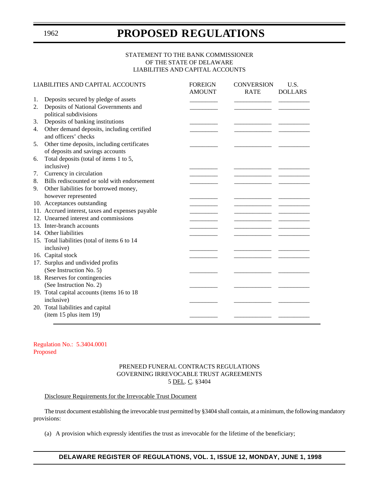# STATEMENT TO THE BANK COMMISSIONER OF THE STATE OF DELAWARE LIABILITIES AND CAPITAL ACCOUNTS

|    | <b>LIABILITIES AND CAPITAL ACCOUNTS</b>          | <b>FOREIGN</b><br><b>AMOUNT</b> | <b>CONVERSION</b><br><b>RATE</b> | U.S.<br><b>DOLLARS</b> |
|----|--------------------------------------------------|---------------------------------|----------------------------------|------------------------|
| 1. | Deposits secured by pledge of assets             |                                 |                                  |                        |
| 2. | Deposits of National Governments and             |                                 |                                  |                        |
|    | political subdivisions                           |                                 |                                  |                        |
| 3. | Deposits of banking institutions                 |                                 |                                  |                        |
| 4. | Other demand deposits, including certified       |                                 |                                  |                        |
|    | and officers' checks                             |                                 |                                  |                        |
| 5. | Other time deposits, including certificates      |                                 |                                  |                        |
|    | of deposits and savings accounts                 |                                 |                                  |                        |
| 6. | Total deposits (total of items 1 to 5,           |                                 |                                  |                        |
|    | inclusive)                                       |                                 |                                  |                        |
| 7. | Currency in circulation                          |                                 |                                  |                        |
| 8. | Bills rediscounted or sold with endorsement      |                                 |                                  |                        |
| 9. | Other liabilities for borrowed money,            |                                 |                                  |                        |
|    | however represented                              |                                 |                                  |                        |
|    | 10. Acceptances outstanding                      |                                 |                                  |                        |
|    | 11. Accrued interest, taxes and expenses payable |                                 |                                  |                        |
|    | 12. Unearned interest and commissions            |                                 |                                  |                        |
|    | 13. Inter-branch accounts                        |                                 |                                  |                        |
|    | 14. Other liabilities                            |                                 |                                  |                        |
|    | 15. Total liabilities (total of items 6 to 14    |                                 |                                  |                        |
|    | inclusive)                                       |                                 |                                  |                        |
|    | 16. Capital stock                                |                                 |                                  |                        |
|    | 17. Surplus and undivided profits                |                                 |                                  |                        |
|    | (See Instruction No. 5)                          |                                 |                                  |                        |
|    | 18. Reserves for contingencies                   |                                 |                                  |                        |
|    | (See Instruction No. 2)                          |                                 |                                  |                        |
|    | 19. Total capital accounts (items 16 to 18       |                                 |                                  |                        |
|    | inclusive)                                       |                                 |                                  |                        |
|    | 20. Total liabilities and capital                |                                 |                                  |                        |
|    | (item 15 plus item 19)                           |                                 |                                  |                        |
|    |                                                  |                                 |                                  |                        |

# [Regulation No.: 5.3404.0001](#page-3-0) Proposed

# PRENEED FUNERAL CONTRACTS REGULATIONS GOVERNING IRREVOCABLE TRUST AGREEMENTS 5 DEL. C. §3404

#### Disclosure Requirements for the Irrevocable Trust Document

The trust document establishing the irrevocable trust permitted by §3404 shall contain, at a minimum, the following mandatory provisions:

(a) A provision which expressly identifies the trust as irrevocable for the lifetime of the beneficiary;

1962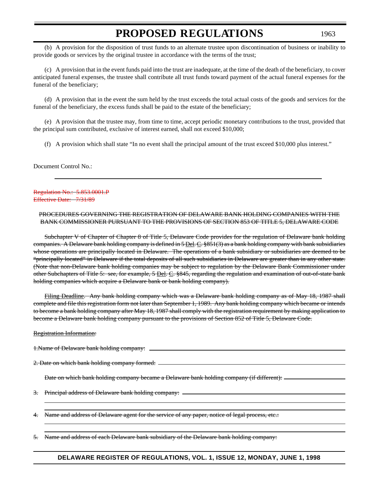(b) A provision for the disposition of trust funds to an alternate trustee upon discontinuation of business or inability to provide goods or services by the original trustee in accordance with the terms of the trust;

(c) A provision that in the event funds paid into the trust are inadequate, at the time of the death of the beneficiary, to cover anticipated funeral expenses, the trustee shall contribute all trust funds toward payment of the actual funeral expenses for the funeral of the beneficiary;

(d) A provision that in the event the sum held by the trust exceeds the total actual costs of the goods and services for the funeral of the beneficiary, the excess funds shall be paid to the estate of the beneficiary;

(e) A provision that the trustee may, from time to time, accept periodic monetary contributions to the trust, provided that the principal sum contributed, exclusive of interest earned, shall not exceed \$10,000;

(f) A provision which shall state "In no event shall the principal amount of the trust exceed \$10,000 plus interest."

Document Control No.:

### [Regulation No.: 5.853.0001.P](#page-3-0) Effective Date: 7/31/89

# PROCEDURES GOVERNING THE REGISTRATION OF DELAWARE BANK HOLDING COMPANIES WITH THE BANK COMMISSIONER PURSUANT TO THE PROVISIONS OF SECTION 853 OF TITLE 5, DELAWARE CODE

Subchapter V of Chapter of Chapter 8 of Title 5, Delaware Code provides for the regulation of Delaware bank holding companies. A Delaware bank holding company is defined in 5 Del. C. §851(3) as a bank holding company with bank subsidiaries whose operations are principally located in Delaware. The operations of a bank subsidiary or subsidiaries are deemed to be "principally located" in Delaware if the total deposits of all such subsidiaries in Delaware are greater than in any other state. (Note that non-Delaware bank holding companies may be subject to regulation by the Delaware Bank Commissioner under other Subchapters of Title 5: see, for example, 5 Del. C. §845, regarding the regulation and examination of out-of-state bank holding companies which acquire a Delaware bank or bank holding company).

Filing Deadline. Any bank holding company which was a Delaware bank holding company as of May 18, 1987 shall complete and file this registration form not later than September 1, 1989. Any bank holding company which became or intends to become a bank holding company after May 18, 1987 shall comply with the registration requirement by making application to become a Delaware bank holding company pursuant to the provisions of Section 852 of Title 5, Delaware Code.

#### Registration Information:

| 1. Name of Delaware bank holding company:       |  |
|-------------------------------------------------|--|
|                                                 |  |
| 2. Date on which bank holding company formed: . |  |

Date on which bank holding company became a Delaware bank holding company (if different):

- 3. Principal address of Delaware bank holding company:
- 4. Name and address of Delaware agent for the service of any paper, notice of legal process, etc.:
- Name and address of each Delaware bank subsidiary of the Delaware bank holding company: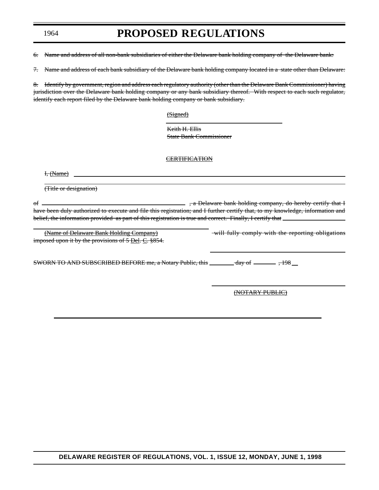Name and address of all non-bank subsidiaries of either the Delaware bank holding company of the Delaware bank:

7. Name and address of each bank subsidiary of the Delaware bank holding company located in a state other than Delaware:

8. Identify by government, region and address each regulatory authority (other than the Delaware Bank Commissioner) having jurisdiction over the Delaware bank holding company or any bank subsidiary thereof. With respect to each such regulator, identify each report filed by the Delaware bank holding company or bank subsidiary.

(Signed)

Keith H. Ellis State Bank Commissioner

#### **CERTIFICATION**

 $I,$  (Name)

(Title or designation)

of , a Delaware bank holding company, do hereby certify that I have been duly authorized to execute and file this registration; and I further certify that, to my knowledge, information and belief, the information provided as part of this registration is true and correct. Finally, I certify that \_

| (Name of Delaware Bank Holding Company)                      | -will fully comply with the reporting obligations |
|--------------------------------------------------------------|---------------------------------------------------|
| imposed upon it by the provisions of 5 <u>Del</u> . C. §854. |                                                   |

SWORN TO AND SUBSCRIBED BEFORE me, a Notary Public, this  $\frac{1}{198}$  day of  $\frac{1}{198}$ 

(NOTARY PUBLIC)

**DELAWARE REGISTER OF REGULATIONS, VOL. 1, ISSUE 12, MONDAY, JUNE 1, 1998**

1964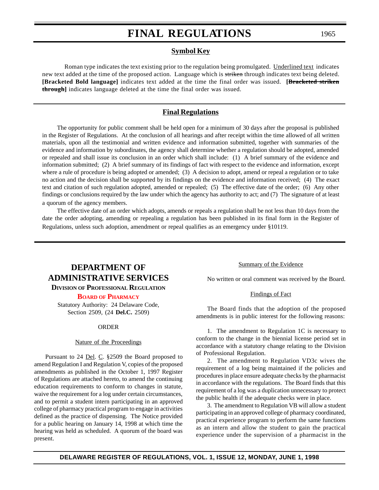# **Symbol Key**

Roman type indicates the text existing prior to the regulation being promulgated. Underlined text indicates new text added at the time of the proposed action. Language which is striken through indicates text being deleted. **[Bracketed Bold language]** indicates text added at the time the final order was issued. **[Bracketed striken through]** indicates language deleted at the time the final order was issued.

# **Final Regulations**

The opportunity for public comment shall be held open for a minimum of 30 days after the proposal is published in the Register of Regulations. At the conclusion of all hearings and after receipt within the time allowed of all written materials, upon all the testimonial and written evidence and information submitted, together with summaries of the evidence and information by subordinates, the agency shall determine whether a regulation should be adopted, amended or repealed and shall issue its conclusion in an order which shall include: (1) A brief summary of the evidence and information submitted; (2) A brief summary of its findings of fact with respect to the evidence and information, except where a rule of procedure is being adopted or amended; (3) A decision to adopt, amend or repeal a regulation or to take no action and the decision shall be supported by its findings on the evidence and information received; (4) The exact text and citation of such regulation adopted, amended or repealed; (5) The effective date of the order; (6) Any other findings or conclusions required by the law under which the agency has authority to act; and (7) The signature of at least a quorum of the agency members.

The effective date of an order which adopts, amends or repeals a regulation shall be not less than 10 days from the date the order adopting, amending or repealing a regulation has been published in its final form in the Register of Regulations, unless such adoption, amendment or repeal qualifies as an emergency under §10119.

# **DEPARTMENT OF ADMINISTRATIVE SERVICES**

# **DIVISION OF PROFESSIONAL REGULATION**

**BOARD OF [PHARMACY](#page-3-0)**

Statutory Authority: 24 Delaware Code, Section 2509, (24 **Del.C.** 2509)

### ORDER

#### Nature of the Proceedings

Pursuant to 24 Del. C. §2509 the Board proposed to amend Regulation I and Regulation V, copies of the proposed amendments as published in the October 1, 1997 Register of Regulations are attached hereto, to amend the continuing education requirements to conform to changes in statute, waive the requirement for a log under certain circumstances, and to permit a student intern participating in an approved college of pharmacy practical program to engage in activities defined as the practice of dispensing. The Notice provided for a public hearing on January 14, 1998 at which time the hearing was held as scheduled. A quorum of the board was present.

No written or oral comment was received by the Board.

#### Findings of Fact

The Board finds that the adoption of the proposed amendments is in public interest for the following reasons:

1. The amendment to Regulation 1C is necessary to conform to the change in the biennial license period set in accordance with a statutory change relating to the Division of Professional Regulation.

2. The amendment to Regulation VD3c wives the requirement of a log being maintained if the policies and procedures in place ensure adequate checks by the pharmacist in accordance with the regulations. The Board finds that this requirement of a log was a duplication unnecessary to protect the public health if the adequate checks were in place.

3. The amendment to Regulation VB will allow a student participating in an approved college of pharmacy coordinated, practical experience program to perform the same functions as an intern and allow the student to gain the practical experience under the supervision of a pharmacist in the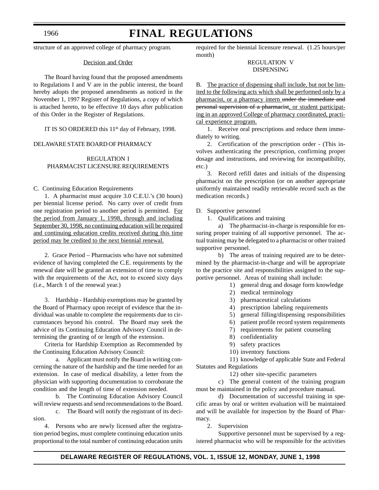# **FINAL REGULATIONS**

structure of an approved college of pharmacy program.

#### Decision and Order

The Board having found that the proposed amendments to Regulations I and V are in the public interest, the board hereby adopts the proposed amendments as noticed in the November 1, 1997 Register of Regulations, a copy of which is attached hereto, to be effective 10 days after publication of this Order in the Register of Regulations.

IT IS SO ORDERED this 11<sup>th</sup> day of February, 1998.

#### DELAWARE STATE BOARD OF PHARMACY

# REGULATION I PHARMACIST LICENSURE REQUIREMENTS

#### C. Continuing Education Requirements

1. A pharmacist must acquire 3.0 C.E.U.'s (30 hours) per biennial license period. No carry over of credit from one registration period to another period is permitted. For the period from January 1, 1998, through and including September 30, 1998, no continuing education will be required and continuing education credits received during this time period may be credited to the next biennial renewal.

2. Grace Period – Pharmacists who have not submitted evidence of having completed the C.E. requirements by the renewal date will be granted an extension of time to comply with the requirements of the Act, not to exceed sixty days (i.e., March 1 of the renewal year.)

3. Hardship - Hardship exemptions may be granted by the Board of Pharmacy upon receipt of evidence that the individual was unable to complete the requirements due to circumstances beyond his control. The Board may seek the advice of its Continuing Education Advisory Council in determining the granting of or length of the extension.

Criteria for Hardship Exemption as Recommended by the Continuing Education Advisory Council:

a. Applicant must notify the Board in writing concerning the nature of the hardship and the time needed for an extension. In case of medical disability, a letter from the physician with supporting documentation to corroborate the condition and the length of time of extension needed.

b. The Continuing Education Advisory Council will review requests and send recommendations to the Board.

c. The Board will notify the registrant of its decision.

4. Persons who are newly licensed after the registration period begins, must complete continuing education units proportional to the total number of continuing education units required for the biennial licensure renewal. (1.25 hours/per month)

# REGULATION V DISPENSING

B. The practice of dispensing shall include, but not be limited to the following acts which shall be performed only by a pharmacist, or a pharmacy intern under the immediate and personal supervision of a pharmacist, or student participating in an approved College of pharmacy coordinated, practical experience program.

1. Receive oral prescriptions and reduce them immediately to writing.

2. Certification of the prescription order - (This involves authenticating the prescription, confirming proper dosage and instructions, and reviewing for incompatibility, etc.)

3. Record refill dates and initials of the dispensing pharmacist on the prescription (or on another appropriate uniformly maintained readily retrievable record such as the medication records.)

#### D. Supportive personnel

1. Qualifications and training

a) The pharmacist-in-charge is responsible for ensuring proper training of all supportive personnel. The actual training may be delegated to a pharmacist or other trained supportive personnel.

b) The areas of training required are to be determined by the pharmacist-in-charge and will be appropriate to the practice site and responsibilities assigned to the supportive personnel. Areas of training shall include:

- 1) general drug and dosage form knowledge
- 2) medical terminology
- 3) pharmaceutical calculations
- 4) prescription labeling requirements
- 5) general filling/dispensing responsibilities
- 6) patient profile record system requirements
- 7) requirements for patient counseling
- 8) confidentiality
- 9) safety practices
- 10) inventory functions

11) knowledge of applicable State and Federal Statutes and Regulations

12) other site-specific parameters

c) The general content of the training program must be maintained in the policy and procedure manual.

d) Documentation of successful training in specific areas by oral or written evaluation will be maintained and will be available for inspection by the Board of Pharmacy.

2. Supervision

Supportive personnel must be supervised by a registered pharmacist who will be responsible for the activities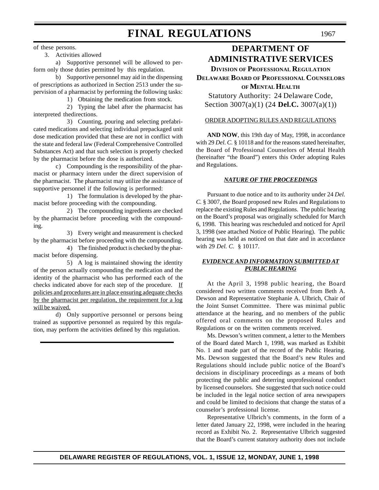of these persons.

3. Activities allowed

a) Supportive personnel will be allowed to perform only those duties permitted by this regulation.

b) Supportive personnel may aid in the dispensing of prescriptions as authorized in Section 2513 under the supervision of a pharmacist by performing the following tasks:

1) Obtaining the medication from stock.

2) Typing the label after the pharmacist has interpreted thedirections.

3) Counting, pouring and selecting prefabricated medications and selecting individual prepackaged unit dose medication provided that these are not in conflict with the state and federal law (Federal Comprehensive Controlled Substances Act) and that such selection is properly checked by the pharmacist before the dose is authorized.

c) Compounding is the responsibility of the pharmacist or pharmacy intern under the direct supervision of the pharmacist. The pharmacist may utilize the assistance of supportive personnel if the following is performed:

1) The formulation is developed by the pharmacist before proceeding with the compounding.

2) The compounding ingredients are checked by the pharmacist before proceeding with the compounding.

3) Every weight and measurement is checked by the pharmacist before proceeding with the compounding.

4) The finished product is checked by the pharmacist before dispensing.

5) A log is maintained showing the identity of the person actually compounding the medication and the identity of the pharmacist who has performed each of the checks indicated above for each step of the procedure. If policies and procedures are in place ensuring adequate checks by the pharmacist per regulation, the requirement for a log will be waived.

d) Only supportive personnel or persons being trained as supportive personnel as required by this regulation, may perform the activities defined by this regulation.

# **DEPARTMENT OF ADMINISTRATIVE SERVICES**

**DIVISION OF PROFESSIONAL REGULATION**

# **DELAWARE BOARD OF PROFESSIONAL COUNSELORS OF MENTAL HEALTH**

Statutory Authority: 24 Delaware Code, Section 3007(a)(1) (24 **Del.C.** 3007(a)(1))

#### ORDER ADOPTING RULES AND REGULATIONS

**AND NOW**, this 19th day of May, 1998, in accordance with 29 *Del. C.* § 10118 and for the reasons stated hereinafter, the Board of Professional Counselors of Mental Health (hereinafter "the Board") enters this Order adopting Rules and Regulations.

#### *NATURE OF THE PROCEEDINGS*

Pursuant to due notice and to its authority under 24 *Del. C.* § 3007, the Board proposed new Rules and Regulations to replace the existing Rules and Regulations. The public hearing on the Board's proposal was originally scheduled for March 6, 1998. This hearing was rescheduled and noticed for April 3, 1998 (see attached Notice of Public Hearing). The public hearing was held as noticed on that date and in accordance with 29 *Del. C.* § 10117.

# *EVIDENCE AND INFORMATION SUBMITTED AT PUBLIC HEARING*

At the April 3, 1998 public hearing, the Board considered two written comments received from Beth A. Dewson and Representative Stephanie A. Ulbrich, Chair of the Joint Sunset Committee. There was minimal public attendance at the hearing, and no members of the public offered oral comments on the proposed Rules and Regulations or on the written comments received.

Ms. Dewson's written comment, a letter to the Members of the Board dated March 1, 1998, was marked as Exhibit No. 1 and made part of the record of the Public Hearing. Ms. Dewson suggested that the Board's new Rules and Regulations should include public notice of the Board's decisions in disciplinary proceedings as a means of both protecting the public and deterring unprofessional conduct by licensed counselors. She suggested that such notice could be included in the legal notice section of area newspapers and could be limited to decisions that change the status of a counselor's professional license.

Representative Ulbrich's comments, in the form of a letter dated January 22, 1998, were included in the hearing record as Exhibit No. 2. Representative Ulbrich suggested that the Board's current statutory authority does not include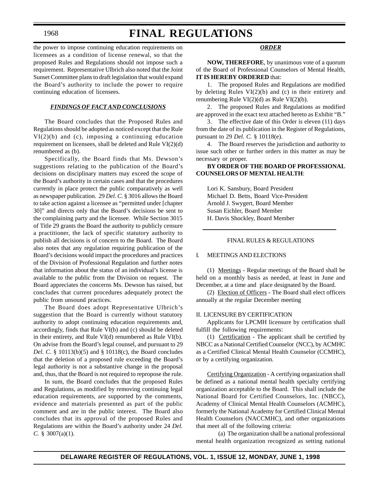# **FINAL REGULATIONS**

the power to impose continuing education requirements on licensees as a condition of license renewal, so that the proposed Rules and Regulations should not impose such a requirement. Representative Ulbrich also noted that the Joint Sunset Committee plans to draft legislation that would expand the Board's authority to include the power to require continuing education of licensees.

#### *FINDINGS OF FACT AND CONCLUSIONS*

The Board concludes that the Proposed Rules and Regulations should be adopted as noticed except that the Rule  $VI(2)(b)$  and (c), imposing a continuing education requirement on licensees, shall be deleted and Rule VI(2)(d) renumbered as (b).

Specifically, the Board finds that Ms. Dewson's suggestions relating to the publication of the Board's decisions on disciplinary matters may exceed the scope of the Board's authority in certain cases and that the procedures currently in place protect the public comparatively as well as newspaper publication. 29 *Del. C.* § 3016 allows the Board to take action against a licensee as "permitted under [chapter 30]" and directs only that the Board's decisions be sent to the complaining party and the licensee. While Section 3015 of Title 29 grants the Board the authority to publicly censure a practitioner, the lack of specific statutory authority to publish all decisions is of concern to the Board. The Board also notes that any regulation requiring publication of the Board's decisions would impact the procedures and practices of the Division of Professional Regulation and further notes that information about the status of an individual's license is available to the public from the Division on request. The Board appreciates the concerns Ms. Dewson has raised, but concludes that current procedures adequately protect the public from unsound practices.

The Board does adopt Representative Ulbrich's suggestion that the Board is currently without statutory authority to adopt continuing education requirements and, accordingly, finds that Rule VI(b) and (c) should be deleted in their entirety, and Rule VI(d) renumbered as Rule VI(b). On advise from the Board's legal counsel, and pursuant to 29 *Del. C*. § 10113(b)(5) and § 10118(c), the Board concludes that the deletion of a proposed rule exceeding the Board's legal authority is not a substantive change in the proposal and, thus, that the Board is not required to repropose the rule.

In sum, the Board concludes that the proposed Rules and Regulations, as modified by removing continuing legal education requirements, are supported by the comments, evidence and materials presented as part of the public comment and are in the public interest. The Board also concludes that its approval of the proposed Rules and Regulations are within the Board's authority under 24 *Del. C.* § 3007(a)(1).

### *ORDER*

**NOW, THEREFORE**, by unanimous vote of a quorum of the Board of Professional Counselors of Mental Health, **IT IS HEREBY ORDERED** that:

1. The proposed Rules and Regulations are modified by deleting Rules VI(2)(b) and (c) in their entirety and renumbering Rule VI $(2)(d)$  as Rule VI $(2)(b)$ .

2. The proposed Rules and Regulations as modified are approved in the exact text attached hereto as Exhibit "B."

3. The effective date of this Order is eleven (11) days from the date of its publication in the Register of Regulations, pursuant to 29 *Del. C.* § 10118(e).

4. The Board reserves the jurisdiction and authority to issue such other or further orders in this matter as may be necessary or proper.

### **BY ORDER OF THE BOARD OF PROFESSIONAL COUNSELORS OF MENTAL HEALTH**:

Lori K. Sansbury, Board President Michael D. Betts, Board Vice-President Arnold J. Swygert, Board Member Susan Eichler, Board Member H. Davis Shockley, Board Member

#### FINAL RULES & REGULATIONS

#### I. MEETINGS AND ELECTIONS

(1) Meetings - Regular meetings of the Board shall be held on a monthly basis as needed, at least in June and December, at a time and place designated by the Board.

(2) Election of Officers - The Board shall elect officers annually at the regular December meeting

#### II. LICENSURE BY CERTIFICATION

Applicants for LPCMH licensure by certification shall fulfill the following requirements:

(1) Certification - The applicant shall be certified by NBCC as a National Certified Counselor (NCC), by ACMHC as a Certified Clinical Mental Health Counselor (CCMHC), or by a certifying organization.

Certifying Organization - A certifying organization shall be defined as a national mental health specialty certifying organization acceptable to the Board. This shall include the National Board for Certified Counselors, Inc. (NBCC), Academy of Clinical Mental Health Counselors (ACMHC), formerly the National Academy for Certified Clinical Mental Health Counselors (NACCMHC), and other organizations that meet all of the following criteria:

(a) The organization shall be a national professional mental health organization recognized as setting national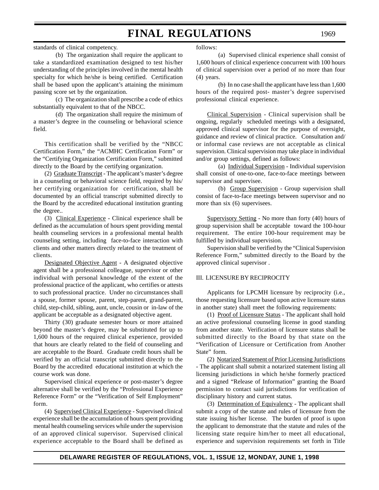standards of clinical competency.

(b) The organization shall require the applicant to take a standardized examination designed to test his/her understanding of the principles involved in the mental health specialty for which he/she is being certified. Certification shall be based upon the applicant's attaining the minimum passing score set by the organization.

(c) The organization shall prescribe a code of ethics substantially equivalent to that of the NBCC.

(d) The organization shall require the minimum of a master's degree in the counseling or behavioral science field.

This certification shall be verified by the "NBCC Certification Form," the "ACMHC Certification Form" or the "Certifying Organization Certification Form," submitted directly to the Board by the certifying organization.

(2) Graduate Transcript - The applicant's master's degree in a counseling or behavioral science field, required by his/ her certifying organization for certification, shall be documented by an official transcript submitted directly to the Board by the accredited educational institution granting the degree..

(3) Clinical Experience - Clinical experience shall be defined as the accumulation of hours spent providing mental health counseling services in a professional mental health counseling setting, including face-to-face interaction with clients and other matters directly related to the treatment of clients.

Designated Objective Agent - A designated objective agent shall be a professional colleague, supervisor or other individual with personal knowledge of the extent of the professional practice of the applicant, who certifies or attests to such professional practice. Under no circumstances shall a spouse, former spouse, parent, step-parent, grand-parent, child, step-child, sibling, aunt, uncle, cousin or in-law of the applicant be acceptable as a designated objective agent.

Thirty (30) graduate semester hours or more attained beyond the master's degree, may be substituted for up to 1,600 hours of the required clinical experience, provided that hours are clearly related to the field of counseling and are acceptable to the Board. Graduate credit hours shall be verified by an official transcript submitted directly to the Board by the accredited educational institution at which the course work was done.

Supervised clinical experience or post-master's degree alternative shall be verified by the "Professional Experience Reference Form" or the "Verification of Self Employment" form.

(4) Supervised Clinical Experience - Supervised clinical experience shall be the accumulation of hours spent providing mental health counseling services while under the supervision of an approved clinical supervisor. Supervised clinical experience acceptable to the Board shall be defined as follows:

(a) Supervised clinical experience shall consist of 1,600 hours of clinical experience concurrent with 100 hours of clinical supervision over a period of no more than four (4) years.

(b) In no case shall the applicant have less than 1,600 hours of the required post- master's degree supervised professional clinical experience.

Clinical Supervision - Clinical supervision shall be ongoing, regularly scheduled meetings with a designated, approved clinical supervisor for the purpose of oversight, guidance and review of clinical practice. Consultation and/ or informal case reviews are not acceptable as clinical supervision. Clinical supervision may take place in individual and/or group settings, defined as follows:

(a) Individual Supervision - Individual supervision shall consist of one-to-one, face-to-face meetings between supervisor and supervisee.

(b) Group Supervision - Group supervision shall consist of face-to-face meetings between supervisor and no more than six (6) supervisees.

Supervisory Setting - No more than forty (40) hours of group supervision shall be acceptable toward the 100-hour requirement. The entire 100-hour requirement may be fulfilled by individual supervision.

Supervision shall be verified by the "Clinical Supervision Reference Form," submitted directly to the Board by the approved clinical supervisor .

# III. LICENSURE BY RECIPROCITY

Applicants for LPCMH licensure by reciprocity (i.e., those requesting licensure based upon active licensure status in another state) shall meet the following requirements:

(1) Proof of Licensure Status - The applicant shall hold an active professional counseling license in good standing from another state. Verification of licensure status shall be submitted directly to the Board by that state on the "Verification of Licensure or Certification from Another State" form.

(2) Notarized Statement of Prior Licensing Jurisdictions - The applicant shall submit a notarized statement listing all licensing jurisdictions in which he/she formerly practiced and a signed "Release of Information" granting the Board permission to contact said jurisdictions for verification of disciplinary history and current status.

(3) Determination of Equivalency - The applicant shall submit a copy of the statute and rules of licensure from the state issuing his/her license. The burden of proof is upon the applicant to demonstrate that the statute and rules of the licensing state require him/her to meet all educational, experience and supervision requirements set forth in Title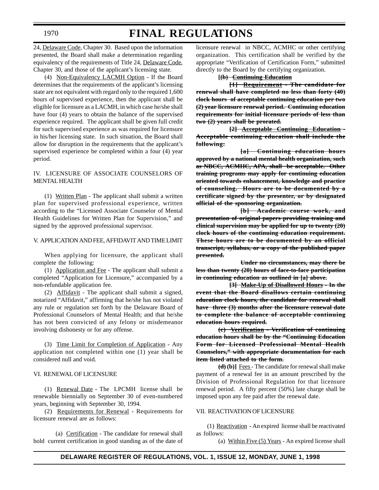# **FINAL REGULATIONS**

24, Delaware Code, Chapter 30. Based upon the information presented, the Board shall make a determination regarding equivalency of the requirements of Title 24, Delaware Code, Chapter 30, and those of the applicant's licensing state.

(4) Non-Equivalency LACMH Option - If the Board determines that the requirements of the applicant's licensing state are not equivalent with regard only to the required 1,600 hours of supervised experience, then the applicant shall be eligible for licensure as a LACMH, in which case he/she shall have four (4) years to obtain the balance of the supervised experience required. The applicant shall be given full credit for such supervised experience as was required for licensure in his/her licensing state. In such situation, the Board shall allow for disruption in the requirements that the applicant's supervised experience be completed within a four (4) year period.

## IV. LICENSURE OF ASSOCIATE COUNSELORS OF MENTAL HEALTH

(1) Written Plan - The applicant shall submit a written plan for supervised professional experience, written according to the "Licensed Associate Counselor of Mental Health Guidelines for Written Plan for Supervision," and signed by the approved professional supervisor.

#### V. APPLICATION AND FEE, AFFIDAVIT AND TIME LIMIT

When applying for licensure, the applicant shall complete the following:

(1) Application and Fee - The applicant shall submit a completed "Application for Licensure," accompanied by a non-refundable application fee.

(2) Affidavit - The applicant shall submit a signed, notarized "Affidavit," affirming that he/she has not violated any rule or regulation set forth by the Delaware Board of Professional Counselors of Mental Health; and that he/she has not been convicted of any felony or misdemeanor involving dishonesty or for any offense.

(3) Time Limit for Completion of Application - Any application not completed within one (1) year shall be considered null and void.

# VI. RENEWAL OF LICENSURE

(1) Renewal Date - The LPCMH license shall be renewable biennially on September 30 of even-numbered years, beginning with September 30, 1994.

(2) Requirements for Renewal - Requirements for licensure renewal are as follows:

(a) Certification - The candidate for renewal shall hold current certification in good standing as of the date of

licensure renewal in NBCC, ACMHC or other certifying organization. This certification shall be verified by the appropriate "Verification of Certification Form," submitted directly to the Board by the certifying organization.

### **[(b) Continuing Education**

**[1] Requirement - The candidate for renewal shall have completed no less than forty (40) clock hours of acceptable continuing education per two (2) year licensure renewal period. Continuing education requirements for initial licensure periods of less than two (2) years shall be prorated.**

**[2] Acceptable Continuing Education - Acceptable continuing education shall include the following:**

**[a] Continuing education hours approved by a national mental health organization, such as NBCC, ACMHC, APA, shall be acceptable. Other training programs may apply for continuing education oriented towards enhancement, knowledge and practice of counseling. Hours are to be documented by a certificate signed by the presenter, or by designated official of the sponsoring organization.**

**[b] Academic course work, and presentation of original papers providing training and clinical supervision may be applied for up to twenty (20) clock hours of the continuing education requirement. These hours are to be documented by an official transcript, syllabus, or a copy of the published paper presented.**

**Under no circumstances, may there be less than twenty (20) hours of face-to-face participation in continuing education as outlined in [a] above.**

**[3] Make-Up of Disallowed Hours - In the event that the Board disallows certain continuing education clock hours, the candidate for renewal shall have three (3) months after the licensure renewal date to complete the balance of acceptable continuing education hours required.**

**(c) Verification - Verification of continuing education hours shall be by the "Continuing Education Form for Licensed Professional Mental Health Counselors," with appropriate documentation for each item listed attached to the form.**

(d) (b)] Fees - The candidate for renewal shall make payment of a renewal fee in an amount prescribed by the Division of Professional Regulation for that licensure renewal period. A fifty percent (50%) late charge shall be imposed upon any fee paid after the renewal date.

#### VII. REACTIVATION OF LICENSURE

(1) Reactivation - An expired license shall be reactivated as follows:

(a) Within Five (5) Years - An expired license shall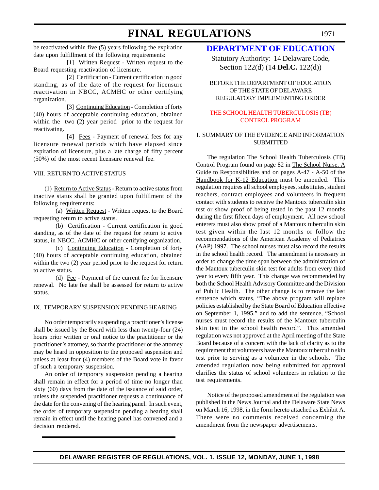be reactivated within five (5) years following the expiration date upon fulfillment of the following requirements:

[1] Written Request - Written request to the Board requesting reactivation of licensure.

[2] Certification - Current certification in good standing, as of the date of the request for licensure reactivation in NBCC, ACMHC or other certifying organization.

[3] Continuing Education - Completion of forty (40) hours of acceptable continuing education, obtained within the two (2) year period prior to the request for reactivating.

[4] Fees - Payment of renewal fees for any licensure renewal periods which have elapsed since expiration of licensure, plus a late charge of fifty percent (50%) of the most recent licensure renewal fee.

# VIII. RETURN TO ACTIVE STATUS

(1) Return to Active Status - Return to active status from inactive status shall be granted upon fulfillment of the following requirements:

(a) Written Request - Written request to the Board requesting return to active status.

(b) Certification - Current certification in good standing, as of the date of the request for return to active status, in NBCC, ACMHC or other certifying organization.

(c) Continuing Education - Completion of forty (40) hours of acceptable continuing education, obtained within the two (2) year period prior to the request for return to active status.

(d) Fee - Payment of the current fee for licensure renewal. No late fee shall be assessed for return to active status.

#### IX. TEMPORARY SUSPENSION PENDING HEARING

No order temporarily suspending a practitioner's license shall be issued by the Board with less than twenty-four (24) hours prior written or oral notice to the practitioner or the practitioner's attorney, so that the practitioner or the attorney may be heard in opposition to the proposed suspension and unless at least four (4) members of the Board vote in favor of such a temporary suspension.

An order of temporary suspension pending a hearing shall remain in effect for a period of time no longer than sixty (60) days from the date of the issuance of said order, unless the suspended practitioner requests a continuance of the date for the convening of the hearing panel. In such event, the order of temporary suspension pending a hearing shall remain in effect until the hearing panel has convened and a decision rendered.

# **[DEPARTMENT OF EDUCATION](http://www.doe.state.de.us/docs/index_js.asp)**

Statutory Authority: 14 Delaware Code, Section 122(d) (14 **Del.C.** 122(d))

BEFORE THE DEPARTMENT OF EDUCATION OF THE STATE OF DELAWARE REGULATORY IMPLEMENTING ORDER

# [THE SCHOOL HEALTH TUBERCULOSIS \(TB\)](#page-4-0) CONTROL PROGRAM

### I. SUMMARY OF THE EVIDENCE AND INFORMATION SUBMITTED

The regulation The School Health Tuberculosis (TB) Control Program found on page 82 in The School Nurse, A Guide to Responsibilities and on pages A-47 - A-50 of the Handbook for K-12 Education must be amended. This regulation requires all school employees, substitutes, student teachers, contract employees and volunteers in frequent contact with students to receive the Mantoux tuberculin skin test or show proof of being tested in the past 12 months during the first fifteen days of employment. All new school enterers must also show proof of a Mantoux tuberculin skin test given within the last 12 months or follow the recommendations of the American Academy of Pediatrics (AAP) 1997. The school nurses must also record the results in the school health record. The amendment is necessary in order to change the time span between the administration of the Mantoux tuberculin skin test for adults from every third year to every fifth year. This change was recommended by both the School Health Advisory Committee and the Division of Public Health. The other change is to remove the last sentence which states, "The above program will replace policies established by the State Board of Education effective on September 1, 1995." and to add the sentence, "School nurses must record the results of the Mantoux tuberculin skin test in the school health record". This amended regulation was not approved at the April meeting of the State Board because of a concern with the lack of clarity as to the requirement that volunteers have the Mantoux tuberculin skin test prior to serving as a volunteer in the schools. The amended regulation now being submitted for approval clarifies the status of school volunteers in relation to the test requirements.

Notice of the proposed amendment of the regulation was published in the News Journal and the Delaware State News on March 16, 1998, in the form hereto attached as Exhibit A. There were no comments received concerning the amendment from the newspaper advertisements.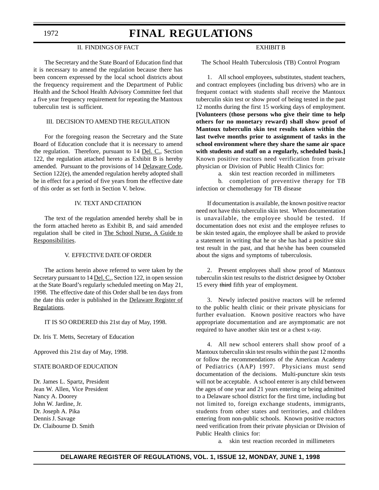# **FINAL REGULATIONS**

# II. FINDINGS OF FACT

The Secretary and the State Board of Education find that it is necessary to amend the regulation because there has been concern expressed by the local school districts about the frequency requirement and the Department of Public Health and the School Health Advisory Committee feel that a five year frequency requirement for repeating the Mantoux tuberculin test is sufficient.

### III. DECISION TO AMEND THE REGULATION

For the foregoing reason the Secretary and the State Board of Education conclude that it is necessary to amend the regulation. Therefore, pursuant to 14 Del. C., Section 122, the regulation attached hereto as Exhibit B is hereby amended. Pursuant to the provisions of 14 Delaware Code, Section 122(e), the amended regulation hereby adopted shall be in effect for a period of five years from the effective date of this order as set forth in Section V. below.

### IV. TEXT AND CITATION

The text of the regulation amended hereby shall be in the form attached hereto as Exhibit B, and said amended regulation shall be cited in The School Nurse, A Guide to Responsibilities.

# V. EFFECTIVE DATE OF ORDER

The actions herein above referred to were taken by the Secretary pursuant to 14 Del. C., Section 122, in open session at the State Board's regularly scheduled meeting on May 21, 1998. The effective date of this Order shall be ten days from the date this order is published in the Delaware Register of Regulations.

#### IT IS SO ORDERED this 21st day of May, 1998.

Dr. Iris T. Metts, Secretary of Education

Approved this 21st day of May, 1998.

# STATE BOARD OF EDUCATION

Dr. James L. Spartz, President Jean W. Allen, Vice President Nancy A. Doorey John W. Jardine, Jr. Dr. Joseph A. Pika Dennis J. Savage Dr. Claibourne D. Smith

# EXHIBIT B

The School Health Tuberculosis (TB) Control Program

1. All school employees, substitutes, student teachers, and contract employees (including bus drivers) who are in frequent contact with students shall receive the Mantoux tuberculin skin test or show proof of being tested in the past 12 months during the first 15 working days of employment. **[Volunteers (those persons who give their time to help others for no monetary reward) shall show proof of Mantoux tuberculin skin test results taken within the last twelve months prior to assignment of tasks in the school environment where they share the same air space with students and staff on a regularly, scheduled basis.]** Known positive reactors need verification from private physician or Division of Public Health Clinics for:

a. skin test reaction recorded in millimeters

b. completion of preventive therapy for TB infection or chemotherapy for TB disease

If documentation is available, the known positive reactor need not have this tuberculin skin test. When documentation is unavailable, the employee should be tested. If documentation does not exist and the employee refuses to be skin tested again, the employee shall be asked to provide a statement in writing that he or she has had a positive skin test result in the past, and that he/she has been counseled about the signs and symptoms of tuberculosis.

2. Present employees shall show proof of Mantoux tuberculin skin test results to the district designee by October 15 every third fifth year of employment.

3. Newly infected positive reactors will be referred to the public health clinic or their private physicians for further evaluation. Known positive reactors who have appropriate documentation and are asymptomatic are not required to have another skin test or a chest x-ray.

4. All new school enterers shall show proof of a Mantoux tuberculin skin test results within the past 12 months or follow the recommendations of the American Academy of Pediatrics (AAP) 1997. Physicians must send documentation of the decisions. Multi-puncture skin tests will not be acceptable. A school enterer is any child between the ages of one year and 21 years entering or being admitted to a Delaware school district for the first time, including but not limited to, foreign exchange students, immigrants, students from other states and territories, and children entering from non-public schools. Known positive reactors need verification from their private physician or Division of Public Health clinics for:

a. skin test reaction recorded in millimeters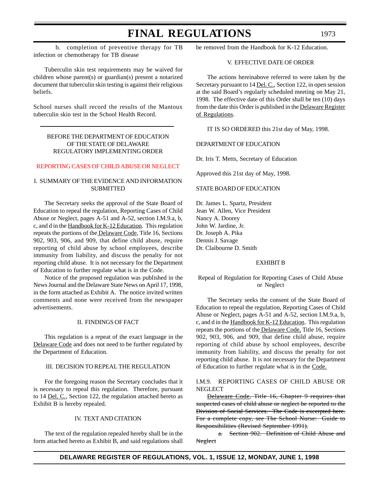b. completion of preventive therapy for TB infection or chemotherapy for TB disease

Tuberculin skin test requirements may be waived for children whose parent(s) or guardian(s) present a notarized document that tuberculin skin testing is against their religious beliefs.

School nurses shall record the results of the Mantoux tuberculin skin test in the School Health Record.

### BEFORE THE DEPARTMENT OF EDUCATION OF THE STATE OF DELAWARE REGULATORY IMPLEMENTING ORDER

#### [REPORTING CASES OF CHILD ABUSE OR NEGLECT](#page-4-0)

# I. SUMMARY OF THE EVIDENCE AND INFORMATION SUBMITTED

The Secretary seeks the approval of the State Board of Education to repeal the regulation, Reporting Cases of Child Abuse or Neglect, pages A-51 and A-52, section I.M.9.a, b, c, and d in the Handbook for K-12 Education. This regulation repeats the portions of the Delaware Code, Title 16, Sections 902, 903, 906, and 909, that define child abuse, require reporting of child abuse by school employees, describe immunity from liability, and discuss the penalty for not reporting child abuse. It is not necessary for the Department of Education to further regulate what is in the Code.

Notice of the proposed regulation was published in the News Journal and the Delaware State News on April 17, 1998, in the form attached as Exhibit A. The notice invited written comments and none were received from the newspaper advertisements.

#### II. FINDINGS OF FACT

This regulation is a repeat of the exact language in the Delaware Code and does not need to be further regulated by the Department of Education.

#### III. DECISION TO REPEAL THE REGULATION

For the foregoing reason the Secretary concludes that it is necessary to repeal this regulation. Therefore, pursuant to 14 Del. C., Section 122, the regulation attached hereto as Exhibit B is hereby repealed.

#### IV. TEXT AND CITATION

The text of the regulation repealed hereby shall be in the form attached hereto as Exhibit B, and said regulations shall be removed from the Handbook for K-12 Education.

### V. EFFECTIVE DATE OF ORDER

The actions hereinabove referred to were taken by the Secretary pursuant to 14 <u>Del. C.,</u> Section 122, in open session at the said Board's regularly scheduled meeting on May 21, 1998. The effective date of this Order shall be ten (10) days from the date this Order is published in the Delaware Register of Regulations.

#### IT IS SO ORDERED this 21st day of May, 1998.

#### DEPARTMENT OF EDUCATION

Dr. Iris T. Metts, Secretary of Education

Approved this 21st day of May, 1998.

### STATE BOARD OF EDUCATION

Dr. James L. Spartz, President Jean W. Allen, Vice President Nancy A. Doorey John W. Jardine, Jr. Dr. Joseph A. Pika Dennis J. Savage Dr. Claibourne D. Smith

#### EXHIBIT B

#### Repeal of Regulation for Reporting Cases of Child Abuse or Neglect

The Secretary seeks the consent of the State Board of Education to repeal the regulation, Reporting Cases of Child Abuse or Neglect, pages A-51 and A-52, section I.M.9.a, b, c, and d in the Handbook for K-12 Education. This regulation repeats the portions of the Delaware Code, Title 16, Sections 902, 903, 906, and 909, that define child abuse, require reporting of child abuse by school employees, describe immunity from liability, and discuss the penalty for not reporting child abuse. It is not necessary for the Department of Education to further regulate what is in the Code.

#### I.M.9. REPORTING CASES OF CHILD ABUSE OR **NEGLECT**

Delaware Code, Title 16, Chapter 9 requires that suspected cases of child abuse or neglect be reported to the Division of Social Services. The Code is excerpted here. For a complete copy, see The School Nurse: Guide to Responsibilities (Revised September 1991).

a. Section 902. Definition of Child Abuse and Neglect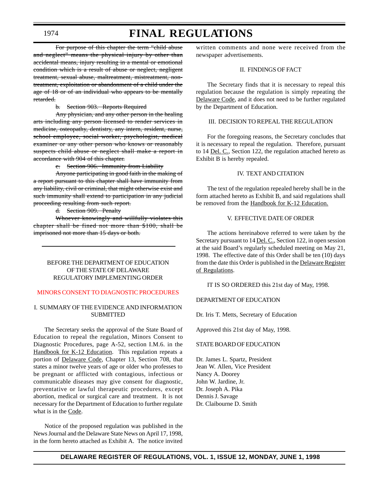# **FINAL REGULATIONS**

For purpose of this chapter the term "child abuse and neglect" means the physical injury by other than accidental means, injury resulting in a mental or emotional condition which is a result of abuse or neglect, negligent treatment, sexual abuse, maltreatment, mistreatment, nontreatment, exploitation or abandonment of a child under the age of 18 or of an individual who appears to be mentally retarded.

b. Section 903. Reports Required

Any physician, and any other person in the healing arts including any person licensed to render services in medicine, osteopathy, dentistry, any intern, resident, nurse, school employee, social worker, psychologist, medical examiner or any other person who knows or reasonably suspects child abuse or neglect shall make a report in accordance with 904 of this chapter.

c. Section 906. Immunity from Liability

Anyone participating in good faith in the making of a report pursuant to this chapter shall have immunity from any liability, civil or criminal, that might otherwise exist and such immunity shall extend to participation in any judicial proceeding resulting from such report.

d. Section 909. Penalty

Whoever knowingly and willfully violates this chapter shall be fined not more than \$100, shall be imprisoned not more than 15 days or both.

# BEFORE THE DEPARTMENT OF EDUCATION OF THE STATE OF DELAWARE REGULATORY IMPLEMENTING ORDER

#### [MINORS CONSENT TO DIAGNOSTIC PROCEDURES](#page-4-0)

# I. SUMMARY OF THE EVIDENCE AND INFORMATION SUBMITTED

The Secretary seeks the approval of the State Board of Education to repeal the regulation, Minors Consent to Diagnostic Procedures, page A-52, section I.M.6. in the Handbook for K-12 Education. This regulation repeats a portion of Delaware Code, Chapter 13, Section 708, that states a minor twelve years of age or older who professes to be pregnant or afflicted with contagious, infectious or communicable diseases may give consent for diagnostic, preventative or lawful therapeutic procedures, except abortion, medical or surgical care and treatment. It is not necessary for the Department of Education to further regulate what is in the Code.

Notice of the proposed regulation was published in the News Journal and the Delaware State News on April 17, 1998, in the form hereto attached as Exhibit A. The notice invited

written comments and none were received from the newspaper advertisements.

#### II. FINDINGS OF FACT

The Secretary finds that it is necessary to repeal this regulation because the regulation is simply repeating the Delaware Code, and it does not need to be further regulated by the Department of Education.

### III. DECISION TO REPEAL THE REGULATION

For the foregoing reasons, the Secretary concludes that it is necessary to repeal the regulation. Therefore, pursuant to 14 Del. C., Section 122, the regulation attached hereto as Exhibit B is hereby repealed.

### IV. TEXT AND CITATION

The text of the regulation repealed hereby shall be in the form attached hereto as Exhibit B, and said regulations shall be removed from the Handbook for K-12 Education.

# V. EFFECTIVE DATE OF ORDER

The actions hereinabove referred to were taken by the Secretary pursuant to 14 Del. C., Section 122, in open session at the said Board's regularly scheduled meeting on May 21, 1998. The effective date of this Order shall be ten (10) days from the date this Order is published in the Delaware Register of Regulations.

IT IS SO ORDERED this 21st day of May, 1998.

#### DEPARTMENT OF EDUCATION

Dr. Iris T. Metts, Secretary of Education

Approved this 21st day of May, 1998.

#### STATE BOARD OF EDUCATION

Dr. James L. Spartz, President Jean W. Allen, Vice President Nancy A. Doorey John W. Jardine, Jr. Dr. Joseph A. Pika Dennis J. Savage Dr. Claibourne D. Smith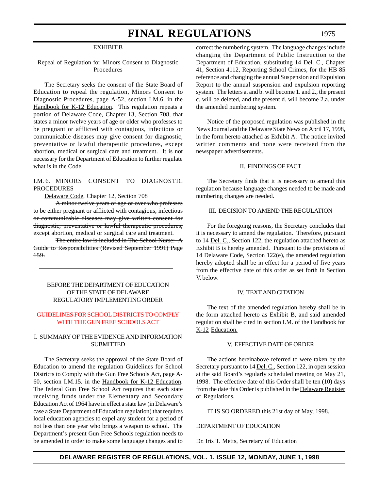### Repeal of Regulation for Minors Consent to Diagnostic Procedures

The Secretary seeks the consent of the State Board of Education to repeal the regulation, Minors Consent to Diagnostic Procedures, page A-52, section I.M.6. in the Handbook for K-12 Education. This regulation repeats a portion of Delaware Code, Chapter 13, Section 708, that states a minor twelve years of age or older who professes to be pregnant or afflicted with contagious, infectious or communicable diseases may give consent for diagnostic, preventative or lawful therapeutic procedures, except abortion, medical or surgical care and treatment. It is not necessary for the Department of Education to further regulate what is in the Code.

### I.M. 6. MINORS CONSENT TO DIAGNOSTIC PROCEDURES

#### Delaware Code, Chapter 12, Section 708

A minor twelve years of age or over who professes to be either pregnant or afflicted with contagious, infectious or communicable diseases may give written consent for diagnostic, preventative or lawful therapeutic procedures, except abortion, medical or surgical care and treatment.

The entire law is included in The School Nurse: A Guide to Responsibilities (Revised September 1991) Page 159.

# BEFORE THE DEPARTMENT OF EDUCATION OF THE STATE OF DELAWARE REGULATORY IMPLEMENTING ORDER

### [GUIDELINES FOR SCHOOL DISTRICTS TO COMPLY](#page-4-0) WITH THE GUN FREE SCHOOLS ACT

# I. SUMMARY OF THE EVIDENCE AND INFORMATION SUBMITTED

The Secretary seeks the approval of the State Board of Education to amend the regulation Guidelines for School Districts to Comply with the Gun Free Schools Act, page A-60, section I.M.15. in the Handbook for K-12 Education. The federal Gun Free School Act requires that each state receiving funds under the Elementary and Secondary Education Act of 1964 have in effect a state law (in Delaware's case a State Department of Education regulation) that requires local education agencies to expel any student for a period of not less than one year who brings a weapon to school. The Department's present Gun Free Schools regulation needs to be amended in order to make some language changes and to

correct the numbering system. The language changes include changing the Department of Public Instruction to the Department of Education, substituting 14 Del. C., Chapter 41, Section 4112, Reporting School Crimes, for the HB 85 reference and changing the annual Suspension and Expulsion Report to the annual suspension and expulsion reporting system. The letters a. and b. will become 1. and 2., the present c. will be deleted, and the present d. will become 2.a. under the amended numbering system.

Notice of the proposed regulation was published in the News Journal and the Delaware State News on April 17, 1998, in the form hereto attached as Exhibit A. The notice invited written comments and none were received from the newspaper advertisements.

#### II. FINDINGS OF FACT

The Secretary finds that it is necessary to amend this regulation because language changes needed to be made and numbering changes are needed.

# III. DECISION TO AMEND THE REGULATION

For the foregoing reasons, the Secretary concludes that it is necessary to amend the regulation. Therefore, pursuant to 14 Del. C., Section 122, the regulation attached hereto as Exhibit B is hereby amended. Pursuant to the provisions of 14 Delaware Code, Section 122(e), the amended regulation hereby adopted shall be in effect for a period of five years from the effective date of this order as set forth in Section V. below.

#### IV. TEXT AND CITATION

The text of the amended regulation hereby shall be in the form attached hereto as Exhibit B, and said amended regulation shall be cited in section I.M. of the Handbook for K-12 Education.

#### V. EFFECTIVE DATE OF ORDER

The actions hereinabove referred to were taken by the Secretary pursuant to 14 Del. C., Section 122, in open session at the said Board's regularly scheduled meeting on May 21, 1998. The effective date of this Order shall be ten (10) days from the date this Order is published in the Delaware Register of Regulations.

IT IS SO ORDERED this 21st day of May, 1998.

#### DEPARTMENT OF EDUCATION

Dr. Iris T. Metts, Secretary of Education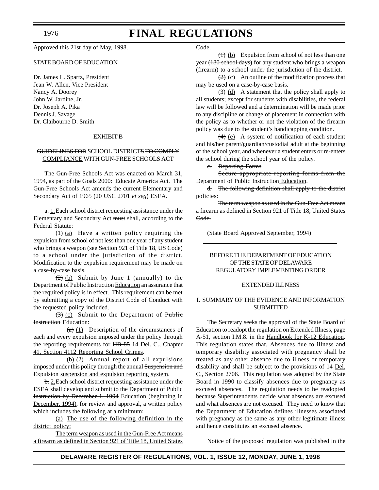#### Approved this 21st day of May, 1998.

#### STATE BOARD OF EDUCATION

Dr. James L. Spartz, President Jean W. Allen, Vice President Nancy A. Doorey John W. Jardine, Jr. Dr. Joseph A. Pika Dennis J. Savage Dr. Claibourne D. Smith

#### EXHIBIT B

#### GUIDELINES FOR SCHOOL DISTRICTS TO COMPLY COMPLIANCE WITH GUN-FREE SCHOOLS ACT

The Gun-Free Schools Act was enacted on March 31, 1994, as part of the Goals 2000: Educate America Act. The Gun-Free Schools Act amends the current Elementary and Secondary Act of 1965 (20 USC 2701 *et seg*) ESEA.

 $\frac{\pi}{\pi}$ . L. Each school district requesting assistance under the Elementary and Secondary Act must shall, according to the Federal Statute:

 $(1)$  (a) Have a written policy requiring the expulsion from school of not less than one year of any student who brings a weapon (see Section 921 of Title 18, US Code) to a school under the jurisdiction of the district. Modification to the expulsion requirement may be made on a case-by-case basis.

 $(2)$  (b) Submit by June 1 (annually) to the Department of Public Instruction Education an assurance that the required policy is in effect. This requirement can be met by submitting a copy of the District Code of Conduct with the requested policy included.

 $\left(\frac{1}{2}\right)$  (c) Submit to the Department of Public **Instruction Education:** 

 $(a)$  (1) Description of the circumstances of each and every expulsion imposed under the policy through the reporting requirements for HB 85 14 Del. C., Chapter 41, Section 4112 Reporting School Crimes.

 $(b)$  (2) Annual report of all expulsions imposed under this policy through the annual Suspension and Expulsion suspension and expulsion reporting system.

b. 2.Each school district requesting assistance under the ESEA shall develop and submit to the Department of Public Instruction by December 1, 1994 Education (beginning in December, 1994), for review and approval, a written policy which includes the following at a minimum:

(a) The use of the following definition in the district policy:

The term weapon as used in the Gun-Free Act means a firearm as defined in Section 921 of Title 18, United States

Code.

 $(1)$  (b) Expulsion from school of not less than one year (180 school days) for any student who brings a weapon (firearm) to a school under the jurisdiction of the district.

 $(2)$  (c) An outline of the modification process that may be used on a case-by-case basis.

 $(3)$  (d) A statement that the policy shall apply to all students; except for students with disabilities, the federal law will be followed and a determination will be made prior to any discipline or change of placement in connection with the policy as to whether or not the violation of the firearm policy was due to the student's handicapping condition.

(4) (e) A system of notification of each student and his/her parent/guardian/custodial adult at the beginning of the school year, and whenever a student enters or re-enters the school during the school year of the policy.

c. Reporting Forms

Secure appropriate reporting forms from the Department of Public Instruction Education.

d. The following definition shall apply to the district policies:

The term weapon as used in the Gun-Free Act means a firearm as defined in Section 921 of Title 18, United States Code.

(State Board Approved September, 1994)

### BEFORE THE DEPARTMENT OF EDUCATION OF THE STATE OF DELAWARE REGULATORY IMPLEMENTING ORDER

#### EXTENDED ILLNESS

#### I. SUMMARY OF THE EVIDENCE AND INFORMATION SUBMITTED

The Secretary seeks the approval of the State Board of Education to readopt the regulation on Extended Illness, page A-51, section I.M.8. in the Handbook for K-12 Education. This regulation states that, Absences due to illness and temporary disability associated with pregnancy shall be treated as any other absence due to illness or temporary disability and shall be subject to the provisions of 14 Del. C., Section 2706. This regulation was adopted by the State Board in 1990 to classify absences due to pregnancy as excused absences. The regulation needs to be readopted because Superintendents decide what absences are excused and what absences are not excused. They need to know that the Department of Education defines illnesses associated with pregnancy as the same as any other legitimate illness and hence constitutes an excused absence.

Notice of the proposed regulation was published in the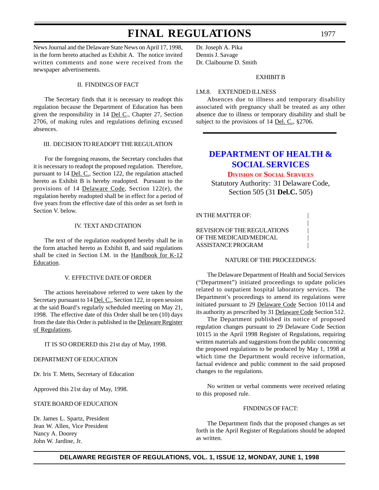News Journal and the Delaware State News on April 17, 1998, in the form hereto attached as Exhibit A. The notice invited written comments and none were received from the newspaper advertisements.

#### II. FINDINGS OF FACT

The Secretary finds that it is necessary to readopt this regulation because the Department of Education has been given the responsibility in 14 Del C., Chapter 27, Section 2706, of making rules and regulations defining excused absences.

#### III. DECISION TO READOPT THE REGULATION

For the foregoing reasons, the Secretary concludes that it is necessary to readopt the proposed regulation. Therefore, pursuant to 14 Del. C., Section 122, the regulation attached hereto as Exhibit B is hereby readopted. Pursuant to the provisions of 14 Delaware Code, Section 122(e), the regulation hereby readopted shall be in effect for a period of five years from the effective date of this order as set forth in Section V. below.

#### IV. TEXT AND CITATION

The text of the regulation readopted hereby shall be in the form attached hereto as Exhibit B, and said regulations shall be cited in Section I.M. in the Handbook for K-12 Education.

#### V. EFFECTIVE DATE OF ORDER

The actions hereinabove referred to were taken by the Secretary pursuant to 14 Del. C., Section 122, in open session at the said Board's regularly scheduled meeting on May 21, 1998. The effective date of this Order shall be ten (10) days from the date this Order is published in the Delaware Register of Regulations.

IT IS SO ORDERED this 21st day of May, 1998.

#### DEPARTMENT OF EDUCATION

Dr. Iris T. Metts, Secretary of Education

Approved this 21st day of May, 1998.

#### STATE BOARD OF EDUCATION

Dr. James L. Spartz, President Jean W. Allen, Vice President Nancy A. Doorey John W. Jardine, Jr.

Dr. Joseph A. Pika Dennis J. Savage Dr. Claibourne D. Smith

#### EXHIBIT B

#### I.M.8. EXTENDED ILLNESS

Absences due to illness and temporary disability associated with pregnancy shall be treated as any other absence due to illness or temporary disability and shall be subject to the provisions of 14 <u>Del. C.,</u> §2706.

# **[DEPARTMENT OF HEALTH &](http://www.state.de.us/govern/agencies/dhss/irm/dss/dsshome.htm) SOCIAL SERVICES**

**DIVISION OF SOCIAL [SERVICES](#page-4-0)**

Statutory Authority: 31 Delaware Code, Section 505 (31 **Del.C.** 505)

|

IN THE MATTER OF:

REVISION OF THE REGULATIONS | OF THE MEDICAID/MEDICAL ASSISTANCE PROGRAM |

#### NATURE OF THE PROCEEDINGS:

The Delaware Department of Health and Social Services ("Department") initiated proceedings to update policies related to outpatient hospital laboratory services. The Department's proceedings to amend its regulations were initiated pursuant to 29 Delaware Code Section 10114 and its authority as prescribed by 31 Delaware Code Section 512.

The Department published its notice of proposed regulation changes pursuant to 29 Delaware Code Section 10115 in the April 1998 Register of Regulations, requiring written materials and suggestions from the public concerning the proposed regulations to be produced by May 1, 1998 at which time the Department would receive information, factual evidence and public comment to the said proposed changes to the regulations.

No written or verbal comments were received relating to this proposed rule.

#### FINDINGS OF FACT:

The Department finds that the proposed changes as set forth in the April Register of Regulations should be adopted as written.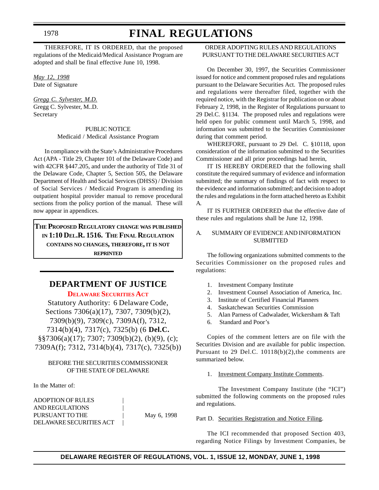# **FINAL REGULATIONS**

THEREFORE, IT IS ORDERED, that the proposed regulations of the Medicaid/Medical Assistance Program are adopted and shall be final effective June 10, 1998.

*May 12, 1998* Date of Signature

*Gregg C. Sylvester, M.D.* Gregg C. Sylvester, M..D. Secretary

### PUBLIC NOTICE

Medicaid / Medical Assistance Program

In compliance with the State's Administrative Procedures Act (APA - Title 29, Chapter 101 of the Delaware Code) and with 42CFR §447.205, and under the authority of Title 31 of the Delaware Code, Chapter 5, Section 505, the Delaware Department of Health and Social Services (DHSS) / Division of Social Services / Medicaid Program is amending its outpatient hospital provider manual to remove procedural sections from the policy portion of the manual. These will now appear in appendices.

**THE PROPOSED REGULATORY CHANGE WAS PUBLISHED IN 1:10 DEL.R. 1516. THE FINAL REGULATION CONTAINS NO CHANGES, THEREFORE, IT IS NOT REPRINTED**

# **DEPARTMENT OF JUSTICE**

**DELAWARE [SECURITIES](#page-4-0) ACT**

Statutory Authority: 6 Delaware Code, Sections 7306(a)(17), 7307, 7309(b)(2), 7309(b)(9), 7309(c), 7309A(f), 7312, 7314(b)(4), 7317(c), 7325(b) (6 **Del.C.** §§7306(a)(17); 7307; 7309(b)(2), (b)(9), (c); 7309A(f); 7312, 7314(b)(4), 7317(c), 7325(b))

### BEFORE THE SECURITIES COMMISSIONER OF THE STATE OF DELAWARE

In the Matter of:

ADOPTION OF RULES | AND REGULATIONS | PURSUANT TO THE Nay 6, 1998 DELAWARE SECURITIES ACT |

### ORDER ADOPTING RULES AND REGULATIONS PURSUANT TO THE DELAWARE SECURITIES ACT

On December 30, 1997, the Securities Commissioner issued for notice and comment proposed rules and regulations pursuant to the Delaware Securities Act. The proposed rules and regulations were thereafter filed, together with the required notice, with the Registrar for publication on or about February 2, 1998, in the Register of Regulations pursuant to 29 Del.C. §1134. The proposed rules and regulations were held open for public comment until March 5, 1998, and information was submitted to the Securities Commissioner during that comment period.

WHEREFORE, pursuant to 29 Del. C. §10118, upon consideration of the information submitted to the Securities Commissioner and all prior proceedings had herein,

IT IS HEREBY ORDERED that the following shall constitute the required summary of evidence and information submitted; the summary of findings of fact with respect to the evidence and information submitted; and decision to adopt the rules and regulations in the form attached hereto as Exhibit A.

IT IS FURTHER ORDERED that the effective date of these rules and regulations shall be June 12, 1998.

### A. SUMMARY OF EVIDENCE AND INFORMATION SUBMITTED

The following organizations submitted comments to the Securities Commissioner on the proposed rules and regulations:

- 1. Investment Company Institute
- 2. Investment Counsel Association of America, Inc.
- 3. Institute of Certified Financial Planners
- 4. Saskatchewan Securities Commission
- 5. Alan Parness of Cadwalader, Wickersham & Taft
- 6. Standard and Poor's

Copies of the comment letters are on file with the Securities Division and are available for public inspection. Pursuant to 29 Del.C. 10118(b)(2),the comments are summarized below.

1. Investment Company Institute Comments.

The Investment Company Institute (the "ICI") submitted the following comments on the proposed rules and regulations.

Part D. Securities Registration and Notice Filing.

The ICI recommended that proposed Section 403, regarding Notice Filings by Investment Companies, be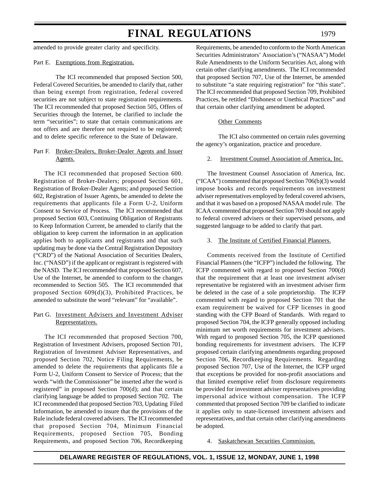amended to provide greater clarity and specificity.

### Part E. Exemptions from Registration.

The ICI recommended that proposed Section 500, Federal Covered Securities, be amended to clarify that, rather than being exempt from registration, federal covered securities are not subject to state registration requirements. The ICI recommended that proposed Section 505, Offers of Securities through the Internet, be clarified to include the term "securities"; to state that certain communications are not offers and are therefore not required to be registered; and to delete specific reference to the State of Delaware.

### Part F. Broker-Dealers, Broker-Dealer Agents and Issuer Agents.

The ICI recommended that proposed Section 600. Registration of Broker-Dealers; proposed Section 601, Registration of Broker-Dealer Agents; and proposed Section 602, Registration of Issuer Agents, be amended to delete the requirements that applicants file a Form U-2, Uniform Consent to Service of Process. The ICI recommended that proposed Section 603, Continuing Obligation of Registrants to Keep Information Current, be amended to clarify that the obligation to keep current the information in an application applies both to applicants and registrants and that such updating may be done via the Central Registration Depository ("CRD") of the National Association of Securities Dealers, Inc. ("NASD") if the applicant or registrant is registered with the NASD. The ICI recommended that proposed Section 607, Use of the Internet, be amended to conform to the changes recommended to Section 505. The ICI recommended that proposed Section 609(d)(3), Prohibited Practices, be amended to substitute the word "relevant" for "available".

### Part G. Investment Advisers and Investment Adviser Representatives.

The ICI recommended that proposed Section 700, Registration of Investment Advisers, proposed Section 701, Registration of Investment Adviser Representatives, and proposed Section 702, Notice Filing Requirements, be amended to delete the requirements that applicants file a Form U-2, Uniform Consent to Service of Process; that the words "with the Commissioner" be inserted after the word is registered" in proposed Section 700(d); and that certain clarifying language be added to proposed Section 702. The ICI recommended that proposed Section 703, Updating Filed Information, be amended to insure that the provisions of the Rule include federal covered advisers. The ICI recommended that proposed Section 704, Minimum Financial Requirements, proposed Section 705, Bonding Requirements, and proposed Section 706, Recordkeeping Requirements, be amended to conform to the North American Securities Administrators' Association's ("NASAA") Model Rule Amendments to the Uniform Securities Act, along with certain other clarifying amendments. The ICI recommended that proposed Section 707, Use of the Internet, be amended to substitute "a state requiring registration" for "this state". The ICI recommended that proposed Section 709, Prohibited Practices, be retitled "Dishonest or Unethical Practices" and that certain other clarifying amendment be adopted.

### **Other Comments**

The ICI also commented on certain rules governing the agency's organization, practice and procedure.

#### 2. Investment Counsel Association of America, Inc.

The Investment Counsel Association of America, Inc. ("ICAA") commented that proposed Section 706(b)(3) would impose books and records requirements on investment adviser representatives employed by federal covered advisers, and that it was based on a proposed NASAA model rule. The ICAA commented that proposed Section 709 should not apply to federal covered advisers or their supervised persons, and suggested language to be added to clarify that part.

3. The Institute of Certified Financial Planners.

Comments received from the Institute of Certified Financial Planners (the "ICFP") included the following. The ICFP commented with regard to proposed Section 700(d) that the requirement that at least one investment adviser representative be registered with an investment adviser firm be deleted in the case of a sole proprietorship. The ICFP commented with regard to proposed Section 701 that the exam requirement be waived for CFP licenses in good standing with the CFP Board of Standards. With regard to proposed Section 704, the ICFP generally opposed including minimum net worth requirements for investment advisers. With regard to proposed Section 705, the ICFP questioned bonding requirements for investment advisers. The ICFP proposed certain clarifying amendments regarding proposed Section 706, Recordkeeping Requirements. Regarding proposed Section 707, Use of the Internet, the ICFP urged that exceptions be provided for non-profit associations and that limited exemptive relief from disclosure requirements be provided for investment adviser representatives providing impersonal advice without compensation. The ICFP commented that proposed Section 709 be clarified to indicate it applies only to state-licensed investment advisers and representatives, and that certain other clarifying amendments be adopted.

4. Saskatchewan Securities Commission.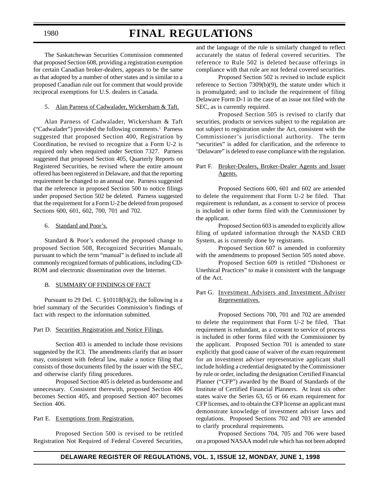The Saskatchewan Securities Commission commented that proposed Section 608, providing a registration exemption for certain Canadian broker-dealers, appears to be the same as that adopted by a number of other states and is similar to a proposed Canadian rule out for comment that would provide reciprocal exemptions for U.S. dealers in Canada.

#### 5. Alan Parness of Cadwalader, Wickersham & Taft.

Alan Parness of Cadwalader, Wickersham & Taft ("Cadwalader") provided the following comments.<sup>1</sup> Parness suggested that proposed Section 400, Registration by Coordination, be revised to recognize that a Form U-2 is required only when required under Section 7327. Parness suggested that proposed Section 405, Quarterly Reports on Registered Securities, be revised where the entire amount offered has been registered in Delaware, and that the reporting requirement be changed to an annual one. Parness suggested that the reference in proposed Section 500 to notice filings under proposed Section 502 be deleted. Parness suggested that the requirement for a Form U-2 be deleted from proposed Sections 600, 601, 602, 700, 701 and 702.

#### 6. Standard and Poor's.

Standard & Poor's endorsed the proposed change to proposed Section 508, Recognized Securities Manuals, pursuant to which the term "manual" is defined to include all commonly recognized formats of publications, including CD-ROM and electronic dissemination over the Internet.

### B. SUMMARY OF FINDINGS OF FACT

Pursuant to 29 Del. C. §10118(b)(2), the following is a brief summary of the Securities Commission's findings of fact with respect to the information submitted.

### Part D. Securities Registration and Notice Filings.

Section 403 is amended to include those revisions suggested by the ICI. The amendments clarify that an issuer may, consistent with federal law, make a notice filing that consists of those documents filed by the issuer with the SEC, and otherwise clarify filing procedures.

Proposed Section 405 is deleted as burdensome and unnecessary. Consistent therewith, proposed Section 406 becomes Section 405, and proposed Section 407 becomes Section 406.

### Part E. Exemptions from Registration.

Proposed Section 500 is revised to be retitled Registration Not Required of Federal Covered Securities,

and the language of the rule is similarly changed to reflect accurately the status of federal covered securities. The reference to Rule 502 is deleted because offerings in compliance with that rule are not federal covered securities.

Proposed Section 502 is revised to include explicit reference to Section 7309(b)(9), the statute under which it is promulgated; and to include the requirement of filing Delaware Form D-1 in the case of an issue not filed with the SEC, as is currently required.

Proposed Section 505 is revised to clarify that securities, products or services subject to the regulation are not subject to registration under the Act, consistent with the Commissioner's jurisdictional authority. The term "securities" is added for clarification, and the reference to 'Delaware" is deleted to ease compliance with the regulation.

### Part F. Broker-Dealers, Broker-Dealer Agents and Issuer Agents.

Proposed Sections 600, 601 and 602 are amended to delete the requirement that Form U-2 be filed. That requirement is redundant, as a consent to service of process is included in other forms filed with the Commissioner by the applicant.

Proposed Section 603 is amended to explicitly allow filing of updated information through the NASD CRD System, as is currently done by registrants.

Proposed Section 607 is amended in conformity with the amendments to proposed Section 505 noted above.

Proposed Section 609 is retitled "Dishonest or Unethical Practices" to make it consistent with the language of the Act.

### Part G. Investment Advisers and Investment Adviser Representatives.

Proposed Sections 700, 701 and 702 are amended to delete the requirement that Form U-2 be filed. That requirement is redundant, as a consent to service of process is included in other forms filed with the Commissioner by the applicant. Proposed Section 701 is amended to state explicitly that good cause of waiver of the exam requirement for an investment adviser representative applicant shall include holding a credential designated by the Commissioner by rule or order, including the designation Certified Financial Planner ("CFP") awarded by the Board of Standards of the Institute of Certified Financial Planners. At least six other states waive the Series 63, 65 or 66 exam requirement for CFP licenses, and to obtain the CFP license an applicant must demonstrate knowledge of investment adviser laws and regulations. Proposed Sections 702 and 703 are amended to clarify procedural requirements.

Proposed Sections 704, 705 and 706 were based on a proposed NASAA model rule which has not been adopted

1980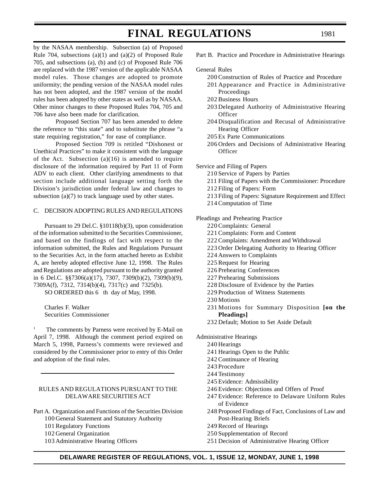by the NASAA membership. Subsection (a) of Proposed Rule 704, subsections (a)(1) and (a)(2) of Proposed Rule 705, and subsections (a), (b) and (c) of Proposed Rule 706 are replaced with the 1987 version of the applicable NASAA model rules. Those changes are adopted to promote uniformity; the pending version of the NASAA model rules has not been adopted, and the 1987 version of the model rules has been adopted by other states as well as by NASAA. Other minor changes to these Proposed Rules 704, 705 and 706 have also been made for clarification.

Proposed Section 707 has been amended to delete the reference to "this state" and to substitute the phrase "a state requiring registration," for ease of compliance.

Proposed Section 709 is retitled "Dishonest or Unethical Practices" to make it consistent with the language of the Act. Subsection  $(a)(16)$  is amended to require disclosure of the information required by Part 11 of Form ADV to each client. Other clarifying amendments to that section include additional language setting forth the Division's jurisdiction under federal law and changes to subsection (a)(7) to track language used by other states.

### C. DECISION ADOPTING RULES AND REGULATIONS

Pursuant to 29 Del.C. §10118(b)(3), upon consideration of the information submitted to the Securities Commissioner, and based on the findings of fact with respect to the information submitted, the Rules and Regulations Pursuant to the Securities Act, in the form attached hereto as Exhibit A, are hereby adopted effective June 12, 1998. The Rules and Regulations are adopted pursuant to the authority granted in 6 Del.C. §§7306(a)(17), 7307, 7309(b)(2), 7309(b)(9), 7309A(f), 7312, 7314(b)(4), 7317(c) and 7325(b).

SO ORDERED this 6 th day of May, 1998.

Charles F. Walker Securities Commissioner

The comments by Parness were received by E-Mail on April 7, 1998. Although the comment period expired on March 5, 1998, Parness's comments were reviewed and considered by the Commissioner prior to entry of this Order and adoption of the final rules.

### RULES AND REGULATIONS PURSUANT TO THE DELAWARE SECURITIES ACT

- Part A. Organization and Functions of the Securities Division
	- 100 General Statement and Statutory Authority
	- 101 Regulatory Functions
	- 102 General Organization
	- 103 Administrative Hearing Officers

Part B. Practice and Procedure in Administrative Hearings

#### General Rules

- 200 Construction of Rules of Practice and Procedure
- 201Appearance and Practice in Administrative Proceedings
- 202 Business Hours
- 203 Delegated Authority of Administrative Hearing **Officer**
- 204 Disqualification and Recusal of Administrative Hearing Officer
- 205 Ex Parte Communications
- 206 Orders and Decisions of Administrative Hearing **Officer**

Service and Filing of Papers

- 210 Service of Papers by Parties
- 211 Filing of Papers with the Commissioner: Procedure
- 212 Filing of Papers: Form
- 213 Filing of Papers: Signature Requirement and Effect
- 214 Computation of Time

Pleadings and Prehearing Practice

- 220 Complaints: General
- 221 Complaints: Form and Content
- 222 Complaints: Amendment and Withdrawal
- 223 Order Delegating Authority to Hearing Officer
- 224 Answers to Complaints
- 225 Request for Hearing
- 226 Prehearing Conferences
- 227 Prehearing Submissions
- 228 Disclosure of Evidence by the Parties
- 229 Production of Witness Statements
- 230 Motions
- 231Motions for Summary Disposition **[on the Pleadings]**
- 232 Default; Motion to Set Aside Default

Administrative Hearings

- 240 Hearings
- 241 Hearings Open to the Public
- 242 Continuance of Hearing
- 243 Procedure
- 244 Testimony
- 245 Evidence: Admissibility
- 246 Evidence: Objections and Offers of Proof
- 247 Evidence: Reference to Delaware Uniform Rules of Evidence
- 248 Proposed Findings of Fact, Conclusions of Law and Post-Hearing Briefs
- 249 Record of Hearings
- 250 Supplementation of Record
- 251 Decision of Administrative Hearing Officer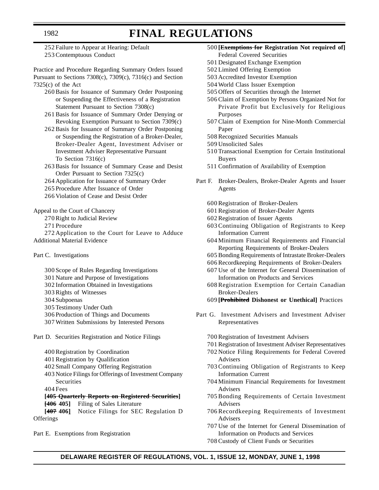252 Failure to Appear at Hearing: Default 253 Contemptuous Conduct

Practice and Procedure Regarding Summary Orders Issued Pursuant to Sections 7308(c), 7309(c), 7316(c) and Section  $7325(c)$  of the Act

- 260 Basis for Issuance of Summary Order Postponing or Suspending the Effectiveness of a Registration Statement Pursuant to Section 7308(c)
- 261 Basis for Issuance of Summary Order Denying or Revoking Exemption Pursuant to Section 7309(c)
- 262 Basis for Issuance of Summary Order Postponing or Suspending the Registration of a Broker-Dealer, Broker-Dealer Agent, Investment Adviser or Investment Adviser Representative Pursuant To Section 7316(c)
- 263 Basis for Issuance of Summary Cease and Desist Order Pursuant to Section 7325(c)

264 Application for Issuance of Summary Order

265 Procedure After Issuance of Order

266 Violation of Cease and Desist Order

Appeal to the Court of Chancery

- 270 Right to Judicial Review
- 271 Procedure

272 Application to the Court for Leave to Adduce Additional Material Evidence

- Part C. Investigations
	- 300 Scope of Rules Regarding Investigations
	- 301 Nature and Purpose of Investigations
	- 302 Information Obtained in Investigations
	- 303 Rights of Witnesses
	- 304 Subpoenas
	- 305 Testimony Under Oath
	- 306 Production of Things and Documents
	- 307 Written Submissions by Interested Persons

Part D. Securities Registration and Notice Filings

- 400 Registration by Coordination
- 401 Registration by Qualification
- 402 Small Company Offering Registration
- 403 Notice Filings for Offerings of Investment Company Securities
- 404 Fees

### **[405 Quarterly Reports on Registered Securities]**

**[406 405]** Filing of Sales Literature

**[407 406]** Notice Filings for SEC Regulation D **Offerings** 

Part E. Exemptions from Registration

### 500 **[Exemptions for Registration Not required of]**

- Federal Covered Securities
- 501 Designated Exchange Exemption
- 502 Limited Offering Exemption
- 503 Accredited Investor Exemption
- 504 World Class Issuer Exemption
- 505 Offers of Securities through the Internet
- 506 Claim of Exemption by Persons Organized Not for Private Profit but Exclusively for Religious Purposes
- 507 Claim of Exemption for Nine-Month Commercial Paper
- 508 Recognized Securities Manuals
- 509 Unsolicited Sales
- 510 Transactional Exemption for Certain Institutional Buyers
- 511 Confirmation of Availability of Exemption
- Part F. Broker-Dealers, Broker-Dealer Agents and Issuer Agents
	- 600 Registration of Broker-Dealers
	- 601 Registration of Broker-Dealer Agents
	- 602 Registration of Issuer Agents
	- 603 Continuing Obligation of Registrants to Keep Information Current
	- 604 Minimum Financial Requirements and Financial Reporting Requirements of Broker-Dealers
	- 605 Bonding Requirements of Intrastate Broker-Dealers
	- 606 Recordkeeping Requirements of Broker-Dealers
	- 607 Use of the Internet for General Dissemination of Information on Products and Services
	- 608 Registration Exemption for Certain Canadian Broker-Dealers
	- 609 **[Prohibited Dishonest or Unethical]** Practices
- Part G. Investment Advisers and Investment Adviser Representatives
	- 700 Registration of Investment Advisers
	- 701 Registration of Investment Adviser Representatives
	- 702 Notice Filing Requirements for Federal Covered Advisers
	- 703 Continuing Obligation of Registrants to Keep Information Current
	- 704 Minimum Financial Requirements for Investment Advisers
	- 705 Bonding Requirements of Certain Investment Advisers
	- 706Recordkeeping Requirements of Investment Advisers
	- 707 Use of the Internet for General Dissemination of Information on Products and Services
	- 708 Custody of Client Funds or Securities

### 1982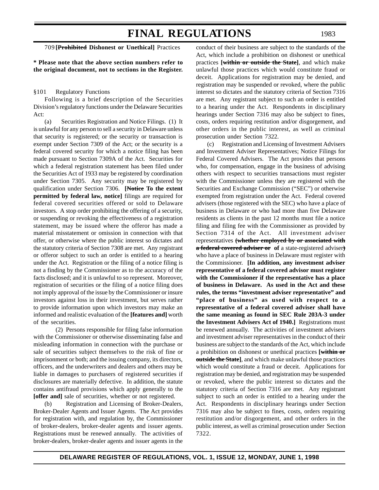### 709 **[Prohibited Dishonest or Unethical]** Practices

**\* Please note that the above section numbers refer to the original document, not to sections in the Register.**

#### §101 Regulatory Functions

Following is a brief description of the Securities Division's regulatory functions under the Delaware Securities Act:

(a) Securities Registration and Notice Filings. (1) It is unlawful for any person to sell a security in Delaware unless that security is registered; or the security or transaction is exempt under Section 7309 of the Act; or the security is a federal covered security for which a notice filing has been made pursuant to Section 7309A of the Act. Securities for which a federal registration statement has been filed under the Securities Act of 1933 may be registered by coordination under Section 7305. Any security may be registered by qualification under Section 7306. **[Notice To the extent permitted by federal law, notice]** filings are required for federal covered securities offered or sold to Delaware investors. A stop order prohibiting the offering of a security, or suspending or revoking the effectiveness of a registration statement, may be issued where the offeror has made a material misstatement or omission in connection with that offer, or otherwise where the public interest so dictates and the statutory criteria of Section 7308 are met. Any registrant or offeror subject to such an order is entitled to a hearing under the Act. Registration or the filing of a notice filing is not a finding by the Commissioner as to the accuracy of the facts disclosed; and it is unlawful to so represent. Moreover, registration of securities or the filing of a notice filing does not imply approval of the issue by the Commissioner or insure investors against loss in their investment, but serves rather to provide information upon which investors may make an informed and realistic evaluation of the **[features and]** worth of the securities.

(2) Persons responsible for filing false information with the Commissioner or otherwise disseminating false and misleading information in connection with the purchase or sale of securities subject themselves to the risk of fine or imprisonment or both; and the issuing company, its directors, officers, and the underwriters and dealers and others may be liable in damages to purchasers of registered securities if disclosures are materially defective. In addition, the statute contains antifraud provisions which apply generally to the **[offer and]** sale of securities, whether or not registered.

(b) Registration and Licensing of Broker-Dealers, Broker-Dealer Agents and Issuer Agents. The Act provides for registration with, and regulation by, the Commissioner of broker-dealers, broker-dealer agents and issuer agents. Registrations must be renewed annually. The activities of broker-dealers, broker-dealer agents and issuer agents in the conduct of their business are subject to the standards of the Act, which include a prohibition on dishonest or unethical practices **[within or outside the State]**, and which make unlawful those practices which would constitute fraud or deceit. Applications for registration may be denied, and registration may be suspended or revoked, where the public interest so dictates and the statutory criteria of Section 7316 are met. Any registrant subject to such an order is entitled to a hearing under the Act. Respondents in disciplinary hearings under Section 7316 may also be subject to fines, costs, orders requiring restitution and/or disgorgement, and other orders in the public interest, as well as criminal prosecution under Section 7322.

(c) Registration and Licensing of Investment Advisers and Investment Adviser Representatives; Notice Filings for Federal Covered Advisers. The Act provides that persons who, for compensation, engage in the business of advising others with respect to securities transactions must register with the Commissioner unless they are registered with the Securities and Exchange Commission ("SEC") or otherwise exempted from registration under the Act. Federal covered advisers (those registered with the SEC) who have a place of business in Delaware or who had more than five Delaware residents as clients in the past 12 months must file a notice filing and filing fee with the Commissioner as provided by Section 7314 of the Act. All investment adviser representatives **(whether employed by or associated with a federal covered adviser or of** a state-registered adviser**)** who have a place of business in Delaware must register with the Commissioner. **[In addition, any investment adviser representative of a federal covered advisor must register with the Commissioner if the representative has a place of business in Delaware. As used in the Act and these rules, the terms "investment adviser representative" and "place of business" as used with respect to a representative of a federal covered adviser shall have the same meaning as found in SEC Rule 203A-3 under the Investment Advisers Act of 1940.]** Registrations must be renewed annually. The activities of investment advisers and investment adviser representatives in the conduct of their business are subject to the standards of the Act, which include a prohibition on dishonest or unethical practices **[within or outside the State]**, and which make unlawful those practices which would constitute a fraud or deceit. Applications for registration may be denied, and registration may be suspended or revoked, where the public interest so dictates and the statutory criteria of Section 7316 are met. Any registrant subject to such an order is entitled to a hearing under the Act. Respondents in disciplinary hearings under Section 7316 may also be subject to fines, costs, orders requiring restitution and/or disgorgement, and other orders in the public interest, as well as criminal prosecution under Section 7322.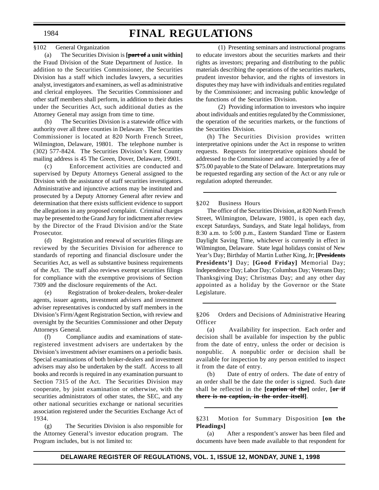### §102 General Organization

(a) The Securities Division is **[part of a unit within]** the Fraud Division of the State Department of Justice. In addition to the Securities Commissioner, the Securities Division has a staff which includes lawyers, a securities analyst, investigators and examiners, as well as administrative and clerical employees. The Securities Commissioner and other staff members shall perform, in addition to their duties under the Securities Act, such additional duties as the Attorney General may assign from time to time.

(b) The Securities Division is a statewide office with authority over all three counties in Delaware. The Securities Commissioner is located at 820 North French Street, Wilmington, Delaware, 19801. The telephone number is (302) 577-8424. The Securities Division's Kent County mailing address is 45 The Green, Dover, Delaware, 19901.

(c) Enforcement activities are conducted and supervised by Deputy Attorneys General assigned to the Division with the assistance of staff securities investigators. Administrative and injunctive actions may be instituted and prosecuted by a Deputy Attorney General after review and determination that there exists sufficient evidence to support the allegations in any proposed complaint. Criminal charges may be presented to the Grand Jury for indictment after review by the Director of the Fraud Division and/or the State Prosecutor.

(d) Registration and renewal of securities filings are reviewed by the Securities Division for adherence to standards of reporting and financial disclosure under the Securities Act, as well as substantive business requirements of the Act. The staff also reviews exempt securities filings for compliance with the exemptive provisions of Section 7309 and the disclosure requirements of the Act.

(e) Registration of broker-dealers, broker-dealer agents, issuer agents, investment advisers and investment adviser representatives is conducted by staff members in the Division's Firm/Agent Registration Section, with review and oversight by the Securities Commissioner and other Deputy Attorneys General.

(f) Compliance audits and examinations of stateregistered investment advisers are undertaken by the Division's investment adviser examiners on a periodic basis. Special examinations of both broker-dealers and investment advisers may also be undertaken by the staff. Access to all books and records is required in any examination pursuant to Section 7315 of the Act. The Securities Division may cooperate, by joint examination or otherwise, with the securities administrators of other states, the SEC, and any other national securities exchange or national securities association registered under the Securities Exchange Act of 1934.

(g) The Securities Division is also responsible for the Attorney General's investor education program. The Program includes, but is not limited to:

(1) Presenting seminars and instructional programs to educate investors about the securities markets and their rights as investors; preparing and distributing to the public materials describing the operations of the securities markets, prudent investor behavior, and the rights of investors in disputes they may have with individuals and entities regulated by the Commissioner; and increasing public knowledge of the functions of the Securities Division.

(2) Providing information to investors who inquire about individuals and entities regulated by the Commissioner, the operation of the securities markets, or the functions of the Securities Division.

(h) The Securities Division provides written interpretative opinions under the Act in response to written requests. Requests for interpretative opinions should be addressed to the Commissioner and accompanied by a fee of \$75.00 payable to the State of Delaware. Interpretations may be requested regarding any section of the Act or any rule or regulation adopted thereunder.

### §202 Business Hours

The office of the Securities Division, at 820 North French Street, Wilmington, Delaware, 19801, is open each day, except Saturdays, Sundays, and State legal holidays, from 8:30 a.m. to 5:00 p.m., Eastern Standard Time or Eastern Daylight Saving Time, whichever is currently in effect in Wilmington, Delaware. State legal holidays consist of New Year's Day; Birthday of Martin Luther King, Jr; **[Presidents Presidents']** Day; **[Good Friday]** Memorial Day; Independence Day; Labor Day; Columbus Day; Veterans Day; Thanksgiving Day; Christmas Day; and any other day appointed as a holiday by the Governor or the State Legislature.

§206 Orders and Decisions of Administrative Hearing **Officer** 

(a) Availability for inspection. Each order and decision shall be available for inspection by the public from the date of entry, unless the order or decision is nonpublic. A nonpublic order or decision shall be available for inspection by any person entitled to inspect it from the date of entry.

(b) Date of entry of orders. The date of entry of an order shall be the date the order is signed. Such date shall be reflected in the **[caption of the]** order, **[or if there is no caption, in the order itself]**.

§231 Motion for Summary Disposition **[on the Pleadings]**

(a) After a respondent's answer has been filed and documents have been made available to that respondent for

### 1984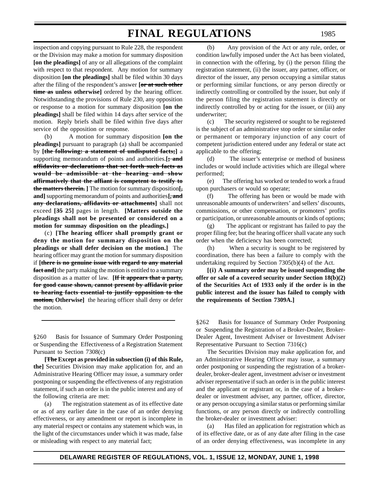inspection and copying pursuant to Rule 228, the respondent or the Division may make a motion for summary disposition **[on the pleadings]** of any or all allegations of the complaint with respect to that respondent. Any motion for summary disposition **[on the pleadings]** shall be filed within 30 days after the filing of the respondent's answer **[or at such other time as unless otherwise]** ordered by the hearing officer. Notwithstanding the provisions of Rule 230, any opposition or response to a motion for summary disposition **[on the pleadings]** shall be filed within 14 days after service of the motion. Reply briefs shall be filed within five days after service of the opposition or response.

(b) A motion for summary disposition **[on the pleadings]** pursuant to paragraph (a) shall be accompanied by **[the following: a statement of undisputed facts;]** a supporting memorandum of points and authorities.**[; and affidavits or declarations that set forth such facts as would be admissible at the hearing and show affirmatively that the affiant is competent to testify to the matters therein. ]** The motion for summary disposition**[, and]** supporting memorandum of points and authorities**[, and any declarations, affidavits or attachments]** shall not exceed **[35 25]** pages in length. **[Matters outside the pleadings shall not be presented or considered on a motion for summay disposition on the pleadings.]**

(c) **[The hearing officer shall promptly grant or deny the motion for summary disposition on the pleadings or shall defer decision on the motion.]** The hearing officer may grant the motion for summary disposition if **[there is no genuine issue with regard to any material fact and**] the party making the motion is entitled to a summary disposition as a matter of law. **[If it appears that a party, for good cause shown, cannot present by affidavit prior to hearing facts essential to justify opposition to the motion, Otherwise** the hearing officer shall deny or defer the motion.

§260 Basis for Issuance of Summary Order Postponing or Suspending the Effectiveness of a Registration Statement Pursuant to Section 7308(c)

**[The Except as provided in subsection (i) of this Rule, the]** Securities Division may make application for, and an Administrative Hearing Officer may issue, a summary order postponing or suspending the effectiveness of any registration statement, if such an order is in the public interest and any of the following criteria are met:

(a) The registration statement as of its effective date or as of any earlier date in the case of an order denying effectiveness, or any amendment or report is incomplete in any material respect or contains any statement which was, in the light of the circumstances under which it was made, false or misleading with respect to any material fact;

(b) Any provision of the Act or any rule, order, or condition lawfully imposed under the Act has been violated, in connection with the offering, by (i) the person filing the registration statement, (ii) the issuer, any partner, officer, or director of the issuer, any person occupying a similar status or performing similar functions, or any person directly or indirectly controlling or controlled by the issuer, but only if the person filing the registration statement is directly or indirectly controlled by or acting for the issuer, or (iii) any underwriter;

(c) The security registered or sought to be registered is the subject of an administrative stop order or similar order or permanent or temporary injunction of any court of competent jurisdiction entered under any federal or state act applicable to the offering;

(d) The issuer's enterprise or method of business includes or would include activities which are illegal where performed;

(e) The offering has worked or tended to work a fraud upon purchasers or would so operate;

(f) The offering has been or would be made with unreasonable amounts of underwriters' and sellers' discounts, commissions, or other compensation, or promoters' profits or participation, or unreasonable amounts or kinds of options;

(g) The applicant or registrant has failed to pay the proper filing fee; but the hearing officer shall vacate any such order when the deficiency has been corrected;

(h) When a security is sought to be registered by coordination, there has been a failure to comply with the undertaking required by Section 7305(b)(4) of the Act.

**[(i) A summary order may be issued suspending the offer or sale of a covered security under Section 18(b)(2) of the Securities Act of 1933 only if the order is in the public interest and the issuer has failed to comply with the requirements of Section 7309A.]**

§262 Basis for Issuance of Summary Order Postponing or Suspending the Registration of a Broker-Dealer, Broker-Dealer Agent, Investment Adviser or Investment Adviser Representative Pursuant to Section 7316(c)

The Securities Division may make application for, and an Administrative Hearing Officer may issue, a summary order postponing or suspending the registration of a brokerdealer, broker-dealer agent, investment adviser or investment adviser representative if such an order is in the public interest and the applicant or registrant or, in the case of a brokerdealer or investment adviser, any partner, officer, director, or any person occupying a similar status or performing similar functions, or any person directly or indirectly controlling the broker-dealer or investment adviser:

(a) Has filed an application for registration which as of its effective date, or as of any date after filing in the case of an order denying effectiveness, was incomplete in any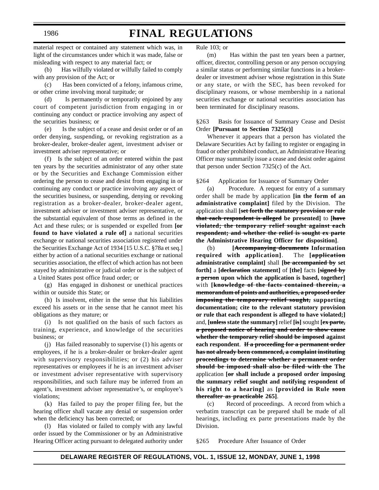### **FINAL REGULATIONS**

material respect or contained any statement which was, in light of the circumstances under which it was made, false or misleading with respect to any material fact; or

(b) Has wilfully violated or wilfully failed to comply with any provision of the Act; or

(c) Has been convicted of a felony, infamous crime, or other crime involving moral turpitude; or

(d) Is permanently or temporarily enjoined by any court of competent jurisdiction from engaging in or continuing any conduct or practice involving any aspect of the securities business; or

(e) Is the subject of a cease and desist order or of an order denying, suspending, or revoking registration as a broker-dealer, broker-dealer agent, investment adviser or investment adviser representative; or

(f) Is the subject of an order entered within the past ten years by the securities administrator of any other state or by the Securities and Exchange Commission either ordering the person to cease and desist from engaging in or continuing any conduct or practice involving any aspect of the securities business, or suspending, denying or revoking registration as a broker-dealer, broker-dealer agent, investment adviser or investment adviser representative, or the substantial equivalent of those terms as defined in the Act and these rules; or is suspended or expelled from **[or found to have violated a rule of]** a national securities exchange or national securities association registered under the Securities Exchange Act of 1934 [15 U.S.C. §78a et seq.] either by action of a national securities exchange or national securities association, the effect of which action has not been stayed by administrative or judicial order or is the subject of a United States post office fraud order; or

(g) Has engaged in dishonest or unethical practices within or outside this State; or

(h) Is insolvent, either in the sense that his liabilities exceed his assets or in the sense that he cannot meet his obligations as they mature; or

(i) Is not qualified on the basis of such factors as training, experience, and knowledge of the securities business; or

(j) Has failed reasonably to supervise (1) his agents or employees, if he is a broker-dealer or broker-dealer agent with supervisory responsibilities; or (2) his adviser representatives or employees if he is an investment adviser or investment adviser representative with supervisory responsibilities, and such failure may be inferred from an agent's, investment adviser representative's, or employee's violations;

(k) Has failed to pay the proper filing fee, but the hearing officer shall vacate any denial or suspension order when the deficiency has been corrected; or

(l) Has violated or failed to comply with any lawful order issued by the Commissioner or by an Administrative Hearing Officer acting pursuant to delegated authority under Rule 103; or

(m) Has within the past ten years been a partner, officer, director, controlling person or any person occupying a similar status or performing similar functions in a brokerdealer or investment adviser whose registration in this State or any state, or with the SEC, has been revoked for disciplinary reasons, or whose membership in a national securities exchange or national securities association has been terminated for disciplinary reasons.

### §263 Basis for Issuance of Summary Cease and Desist Order **[Pursuant to Section 7325(c)]**

Whenever it appears that a person has violated the Delaware Securities Act by failing to register or engaging in fraud or other prohibited conduct, an Administrative Hearing Officer may summarily issue a cease and desist order against that person under Section 7325(c) of the Act.

§264 Application for Issuance of Summary Order

(a) Procedure. A request for entry of a summary order shall be made by application **[in the form of an administrative complaint]** filed by the Division. The application shall **[set forth the statutory provision or rule that each respondent is alleged be presented]** to **[have violated; the temporary relief sought against each respondent; and whether the relief is sought ex parte the Administrative Hearing Officer for disposition]**.

(b) **[Accompanying documents Information required with application]**. The **[application administrative complaint]** shall **[be accompanied by set forth]** a **[declaration statement]** of **[the]** facts **[signed by a person upon which the application is based, together]** with **[knowledge of the facts contained therein, a memorandum of points and authorities, a proposed order imposing the temporary relief sought, supporting documentation; cite to the relevant statutory provision or rule that each respondent is alleged to have violated;]** and, **[unless state the summary]** relief **[is]** sought **[ex parte, a proposed notice of hearing and order to show cause whether the temporary relief should be imposed against each respondent**. **If a proceeding for a permanent order has not already been commenced, a complaint instituting proceedings to determine whether a permanent order should be imposed shall also be filed with the The** application **[or shall include a proposed order imposing the summary relief sought and notifying respondent of his right to a hearing]** as **[provided in Rule soon thereafter as practicable 265]**.

(c) Record of proceedings. A record from which a verbatim transcript can be prepared shall be made of all hearings, including ex parte presentations made by the Division.

§265 Procedure After Issuance of Order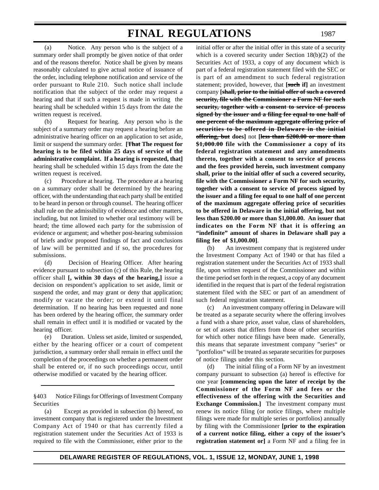(a) Notice. Any person who is the subject of a summary order shall promptly be given notice of that order and of the reasons therefor. Notice shall be given by means reasonably calculated to give actual notice of issuance of the order, including telephone notification and service of the order pursuant to Rule 210. Such notice shall include notification that the subject of the order may request a hearing and that if such a request is made in writing the hearing shall be scheduled within 15 days from the date the written request is received.

(b) Request for hearing. Any person who is the subject of a summary order may request a hearing before an administrative hearing officer on an application to set aside, limit or suspend the summary order. **[That The request for hearing is to be filed within 25 days of service of the administrative complaint. If a hearing is requested, that]** hearing shall be scheduled within 15 days from the date the written request is received.

(c) Procedure at hearing. The procedure at a hearing on a summary order shall be determined by the hearing officer, with the understanding that each party shall be entitled to be heard in person or through counsel. The hearing officer shall rule on the admissibility of evidence and other matters, including, but not limited to whether oral testimony will be heard; the time allowed each party for the submission of evidence or argument; and whether post-hearing submission of briefs and/or proposed findings of fact and conclusions of law will be permitted and if so, the procedures for submissions.

(d) Decision of Hearing Officer. After hearing evidence pursuant to subsection (c) of this Rule, the hearing officer shall **[, within 30 days of the hearing,]** issue a decision on respondent's application to set aside, limit or suspend the order, and may grant or deny that application; modify or vacate the order; or extend it until final determination. If no hearing has been requested and none has been ordered by the hearing officer, the summary order shall remain in effect until it is modified or vacated by the hearing officer.

(e) Duration. Unless set aside, limited or suspended, either by the hearing officer or a court of competent jurisdiction, a summary order shall remain in effect until the completion of the proceedings on whether a permanent order shall be entered or, if no such proceedings occur, until otherwise modified or vacated by the hearing officer.

§403 Notice Filings for Offerings of Investment Company Securities

(a) Except as provided in subsection (b) hereof, no investment company that is registered under the Investment Company Act of 1940 or that has currently filed a registration statement under the Securities Act of 1933 is required to file with the Commissioner, either prior to the

initial offer or after the initial offer in this state of a security which is a covered security under Section 18(b)(2) of the Securities Act of 1933, a copy of any document which is part of a federal registration statement filed with the SEC or is part of an amendment to such federal registration statement; provided, however, that **[such if]** an investment company **[shall, prior to the initial offer of such a covered security, file with the Commissioner a Form NF for such security, together with a consent to service of process signed by the issuer and a filing fee equal to one half of one percent of the maximum aggregate offering price of securities to be offered in Delaware in the initial offering, but does]** not **[less than \$200.00 or more than \$1,000.00 file with the Commissioner a copy of its federal registration statement and any amendments thereto, together with a consent to service of process and the fees provided herein, such investment company shall, prior to the initial offer of such a covered security, file with the Commissioner a Form NF for such security, together with a consent to service of process signed by the issuer and a filing fee equal to one half of one percent of the maximum aggregate offering price of securities to be offered in Delaware in the initial offering, but not less than \$200.00 or more than \$1,000.00. An issuer that indicates on the Form NF that it is offering an "indefinite" amount of shares in Delaware shall pay a filing fee of \$1,000.00]**.

(b) An investment company that is registered under the Investment Company Act of 1940 or that has filed a registration statement under the Securities Act of 1933 shall file, upon written request of the Commissioner and within the time period set forth in the request, a copy of any document identified in the request that is part of the federal registration statement filed with the SEC or part of an amendment of such federal registration statement.

(c) An investment company offering in Delaware will be treated as a separate security where the offering involves a fund with a share price, asset value, class of shareholders, or set of assets that differs from those of other securities for which other notice filings have been made. Generally, this means that separate investment company "series" or "portfolios" will be treated as separate securities for purposes of notice filings under this section.

(d) The initial filing of a Form NF by an investment company pursuant to subsection (a) hereof is effective for one year **[commencing upon the later of receipt by the Commissioner of the Form NF and fees or the effectiveness of the offering with the Securities and Exchange Commission.]** The investment company must renew its notice filing (or notice filings, where multiple filings were made for multiple series or portfolios) annually by filing with the Commissioner **[prior to the expiration of a current notice filing, either a copy of the issuer's registration statement or]** a Form NF and a filing fee in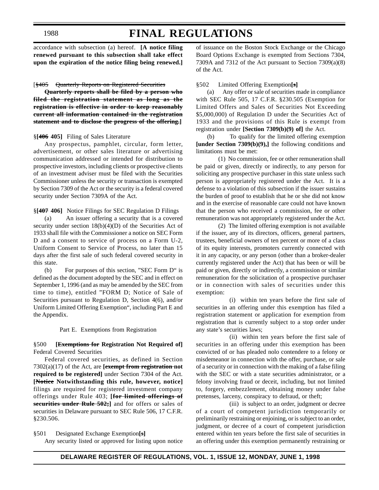accordance with subsection (a) hereof. **[A notice filing renewed pursuant to this subsection shall take effect upon the expiration of the notice filing being renewed.]**

[§405 Quarterly Reports on Registered Securities

**Quarterly reports shall be filed by a person who filed the registration statement as long as the registration is effective in order to keep reasonably current all information contained in the registration statement and to disclose the progress of the offering.]**

#### §**[406 405]** Filing of Sales Literature

Any prospectus, pamphlet, circular, form letter, advertisement, or other sales literature or advertising communication addressed or intended for distribution to prospective investors, including clients or prospective clients of an investment adviser must be filed with the Securities Commissioner unless the security or transaction is exempted by Section 7309 of the Act or the security is a federal covered security under Section 7309A of the Act.

#### §**[407 406]** Notice Filings for SEC Regulation D Filings

(a) An issuer offering a security that is a covered security under section  $18(b)(4)(D)$  of the Securities Act of 1933 shall file with the Commissioner a notice on SEC Form D and a consent to service of process on a Form U-2, Uniform Consent to Service of Process, no later than 15 days after the first sale of such federal covered security in this state.

(b) For purposes of this section, "SEC Form D" is defined as the document adopted by the SEC and in effect on September 1, 1996 (and as may be amended by the SEC from time to time), entitled "FORM D; Notice of Sale of Securities pursuant to Regulation D, Section 4(6), and/or Uniform Limited Offering Exemption", including Part E and the Appendix.

#### Part E. Exemptions from Registration

### §500 **[Exemptions for Registration Not Required of]** Federal Covered Securities

Federal covered securities, as defined in Section 7302(a)(17) of the Act, are **[exempt from registration not required to be registered]** under Section 7304 of the Act. **[Notice Notwithstanding this rule, however, notice]** filings are required for registered investment company offerings under Rule 403; **[for limited offerings of securities under Rule 502;** and for offers or sales of securities in Delaware pursuant to SEC Rule 506, 17 C.F.R. §230.506.

#### §501 Designated Exchange Exemption**[s]**

Any security listed or approved for listing upon notice

of issuance on the Boston Stock Exchange or the Chicago Board Options Exchange is exempted from Sections 7304, 7309A and 7312 of the Act pursuant to Section 7309(a)(8) of the Act.

#### §502 Limited Offering Exemption**[s]**

(a) Any offer or sale of securities made in compliance with SEC Rule 505, 17 C.F.R. §230.505 (Exemption for Limited Offers and Sales of Securities Not Exceeding \$5,000,000) of Regulation D under the Securities Act of 1933 and the provisions of this Rule is exempt from registration under **[Section 7309(b)(9) of]** the Act.

(b) To qualify for the limited offering exemption **[under Section 7309(b)(9),]** the following conditions and limitations must be met:

(1) No commission, fee or other remuneration shall be paid or given, directly or indirectly, to any person for soliciting any prospective purchaser in this state unless such person is appropriately registered under the Act. It is a defense to a violation of this subsection if the issuer sustains the burden of proof to establish that he or she did not know and in the exercise of reasonable care could not have known that the person who received a commission, fee or other remuneration was not appropriately registered under the Act.

(2) The limited offering exemption is not available if the issuer, any of its directors, officers, general partners, trustees, beneficial owners of ten percent or more of a class of its equity interests, promoters currently connected with it in any capacity, or any person (other than a broker-dealer currently registered under the Act) that has been or will be paid or given, directly or indirectly, a commission or similar remuneration for the solicitation of a prospective purchaser or in connection with sales of securities under this exemption:

(i) within ten years before the first sale of securities in an offering under this exemption has filed a registration statement or application for exemption from registration that is currently subject to a stop order under any state's securities laws;

(ii) within ten years before the first sale of securities in an offering under this exemption has been convicted of or has pleaded nolo contendere to a felony or misdemeanor in connection with the offer, purchase, or sale of a security or in connection with the making of a false filing with the SEC or with a state securities administrator, or a felony involving fraud or deceit, including, but not limited to, forgery, embezzlement, obtaining money under false pretenses, larceny, conspiracy to defraud, or theft;

(iii) is subject to an order, judgment or decree of a court of competent jurisdiction temporarily or preliminarily restraining or enjoining, or is subject to an order, judgment, or decree of a court of competent jurisdiction entered within ten years before the first sale of securities in an offering under this exemption permanently restraining or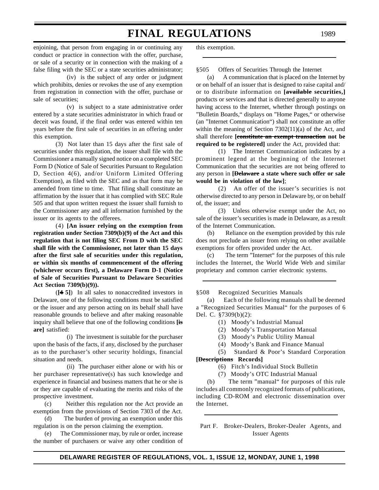enjoining, that person from engaging in or continuing any conduct or practice in connection with the offer, purchase, or sale of a security or in connection with the making of a false filing with the SEC or a state securities administrator;

(iv) is the subject of any order or judgment which prohibits, denies or revokes the use of any exemption from registration in connection with the offer, purchase or sale of securities;

(v) is subject to a state administrative order entered by a state securities administrator in which fraud or deceit was found, if the final order was entered within ten years before the first sale of securities in an offering under this exemption.

(3) Not later than 15 days after the first sale of securities under this regulation, the issuer shall file with the Commissioner a manually signed notice on a completed SEC Form D (Notice of Sale of Securities Pursuant to Regulation D, Section 4(6), and/or Uniform Limited Offering Exemption), as filed with the SEC and as that form may be amended from time to time. That filing shall constitute an affirmation by the issuer that it has complied with SEC Rule 505 and that upon written request the issuer shall furnish to the Commissioner any and all information furnished by the issuer or its agents to the offerees.

(4) **[An issuer relying on the exemption from registration under Section 7309(b)(9) of the Act and this regulation that is not filing SEC From D with the SEC shall file with the Commissioner, not later than 15 days after the first sale of securities under this regulation, or within six months of commencement of the offering (whichever occurs first), a Delaware Form D-1 (Notice of Sale of Securities Pursuant to Delaware Securities Act Section 7309(b)(9)).**

(**[4 5]**) In all sales to nonaccredited investors in Delaware, one of the following conditions must be satisfied or the issuer and any person acting on its behalf shall have reasonable grounds to believe and after making reasonable inquiry shall believe that one of the following conditions **[is are]** satisfied:

(i) The investment is suitable for the purchaser upon the basis of the facts, if any, disclosed by the purchaser as to the purchaser's other security holdings, financial situation and needs.

(ii) The purchaser either alone or with his or her purchaser representative(s) has such knowledge and experience in financial and business matters that he or she is or they are capable of evaluating the merits and risks of the prospective investment.

(c) Neither this regulation nor the Act provide an exemption from the provisions of Section 7303 of the Act.

(d) The burden of proving an exemption under this regulation is on the person claiming the exemption.

(e) The Commissioner may, by rule or order, increase the number of purchasers or waive any other condition of this exemption.

### §505 Offers of Securities Through the Internet

(a) A communication that is placed on the Internet by or on behalf of an issuer that is designed to raise capital and/ or to distribute information on **[available securities,]** products or services and that is directed generally to anyone having access to the Internet, whether through postings on "Bulletin Boards," displays on "Home Pages," or otherwise (an "Internet Communication") shall not constitute an offer within the meaning of Section 7302(11)(a) of the Act, and shall therefore **[constitute an exempt transaction not be required to be registered]** under the Act, provided that:

(1) The Internet Communication indicates by a prominent legend at the beginning of the Internet Communication that the securities are not being offered to any person in **[Delaware a state where such offer or sale would be in violation of the law]**;

(2) An offer of the issuer's securities is not otherwise directed to any person in Delaware by, or on behalf of, the issuer; and

(3) Unless otherwise exempt under the Act, no sale of the issuer's securities is made in Delaware, as a result of the Internet Communication.

(b) Reliance on the exemption provided by this rule does not preclude an issuer from relying on other available exemptions for offers provided under the Act.

(c) The term "Internet" for the purposes of this rule includes the Internet, the World Wide Web and similar proprietary and common carrier electronic systems.

§508 Recognized Securities Manuals

(a) Each of the following manuals shall be deemed a "Recognized Securities Manual" for the purposes of 6 Del. C. §7309(b)(2):

- (1) Moody's Industrial Manual
- (2) Moody's Transportation Manual
- (3) Moody's Public Utility Manual
- (4) Moody's Bank and Finance Manual
- (5) Standard & Poor's Standard Corporation

### **[Descriptions Records]**

- (6) Fitch's Individual Stock Bulletin
- (7) Moody's OTC Industrial Manual

(b) The term "manual" for purposes of this rule includes all commonly recognized formats of publications, including CD-ROM and electronic dissemination over the Internet.

Part F. Broker-Dealers, Broker-Dealer Agents, and Issuer Agents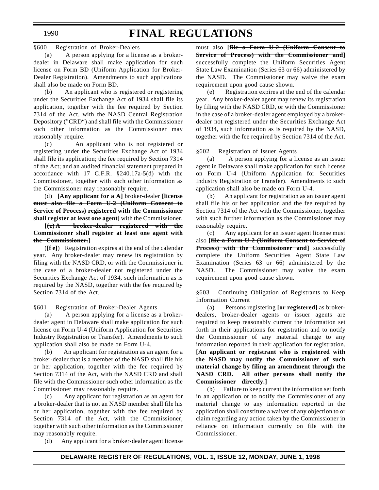### §600 Registration of Broker-Dealers

(a) A person applying for a license as a brokerdealer in Delaware shall make application for such license on Form BD (Uniform Application for Broker-Dealer Registration). Amendments to such applications shall also be made on Form BD.

(b) An applicant who is registered or registering under the Securities Exchange Act of 1934 shall file its application, together with the fee required by Section 7314 of the Act, with the NASD Central Registration Depository ("CRD") and shall file with the Commissioner such other information as the Commissioner may reasonably require.

(c) An applicant who is not registered or registering under the Securities Exchange Act of 1934 shall file its application; the fee required by Section 7314 of the Act; and an audited financial statement prepared in accordance with 17 C.F.R. §240.17a-5(d) with the Commissioner, together with such other information as the Commissioner may reasonably require.

(d) **[Any applicant for a A]** broker-dealer **[license must also file a Form U-2 (Uniform Consent to Service of Process) registered with the Commissioner shall register at least one agent]** with the Commissioner.

**[(e) A broker-dealer registered with the Commissioner shall register at least one agent with the Commissioner.]**

(**[f e]**) Registration expires at the end of the calendar year. Any broker-dealer may renew its registration by filing with the NASD CRD, or with the Commissioner in the case of a broker-dealer not registered under the Securities Exchange Act of 1934, such information as is required by the NASD, together with the fee required by Section 7314 of the Act.

§601 Registration of Broker-Dealer Agents

(a) A person applying for a license as a brokerdealer agent in Delaware shall make application for such license on Form U-4 (Uniform Application for Securities Industry Registration or Transfer). Amendments to such application shall also be made on Form U-4.

(b) An applicant for registration as an agent for a broker-dealer that is a member of the NASD shall file his or her application, together with the fee required by Section 7314 of the Act, with the NASD CRD and shall file with the Commissioner such other information as the Commissioner may reasonably require.

(c) Any applicant for registration as an agent for a broker-dealer that is not an NASD member shall file his or her application, together with the fee required by Section 7314 of the Act, with the Commissioner, together with such other information as the Commissioner may reasonably require.

(d) Any applicant for a broker-dealer agent license

must also **[file a Form U-2 (Uniform Consent to Service of Process) with the Commissioner and]** successfully complete the Uniform Securities Agent State Law Examination (Series 63 or 66) administered by the NASD. The Commissioner may waive the exam requirement upon good cause shown.

(e) Registration expires at the end of the calendar year. Any broker-dealer agent may renew its registration by filing with the NASD CRD, or with the Commissioner in the case of a broker-dealer agent employed by a brokerdealer not registered under the Securities Exchange Act of 1934, such information as is required by the NASD, together with the fee required by Section 7314 of the Act.

§602 Registration of Issuer Agents

(a) A person applying for a license as an issuer agent in Delaware shall make application for such license on Form U-4 (Uniform Application for Securities Industry Registration or Transfer). Amendments to such application shall also be made on Form U-4.

(b) An applicant for registration as an issuer agent shall file his or her application and the fee required by Section 7314 of the Act with the Commissioner, together with such further information as the Commissioner may reasonably require.

(c) Any applicant for an issuer agent license must also **[file a Form U-2 (Uniform Consent to Service of Process) with the Commissioner and**] successfully complete the Uniform Securities Agent State Law Examination (Series 63 or 66) administered by the NASD. The Commissioner may waive the exam requirement upon good cause shown.

§603 Continuing Obligation of Registrants to Keep Information Current

(a) Persons registering **[or registered]** as brokerdealers, broker-dealer agents or issuer agents are required to keep reasonably current the information set forth in their applications for registration and to notify the Commissioner of any material change to any information reported in their application for registration. **[An applicant or registrant who is registered with the NASD may notify the Commissioner of such material change by filing an amendment through the NASD CRD. All other persons shall notify the Commissioner directly.]**

(b) Failure to keep current the information set forth in an application or to notify the Commissioner of any material change to any information reported in the application shall constitute a waiver of any objection to or claim regarding any action taken by the Commissioner in reliance on information currently on file with the Commissioner.

### 1990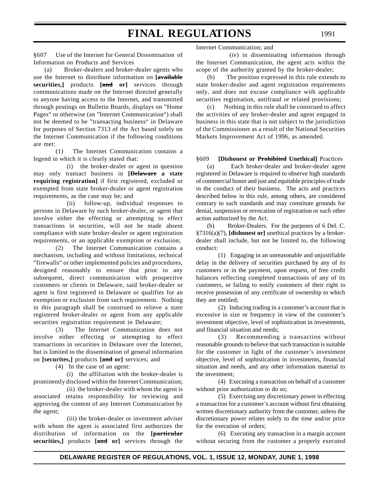§607 Use of the Internet for General Dissemination of Information on Products and Services

(a) Broker-dealers and broker-dealer agents who use the Internet to distribute information on **[available securities,]** products **[and or]** services through communications made on the Internet directed generally to anyone having access to the Internet, and transmitted through postings on Bulletin Boards, displays on "Home Pages" or otherwise (an "Internet Communication") shall not be deemed to be "transacting business" in Delaware for purposes of Section 7313 of the Act based solely on the Internet Communication if the following conditions are met:

(1) The Internet Communication contains a legend in which it is clearly stated that:

(i) the broker-dealer or agent in question may only transact business in **[Delaware a state requiring registration]** if first registered, excluded or exempted from state broker-dealer or agent registration requirements, as the case may be; and

(ii) follow-up, individual responses to persons in Delaware by such broker-dealer, or agent that involve either the effecting or attempting to effect transactions in securities, will not be made absent compliance with state broker-dealer or agent registration requirements, or an applicable exemption or exclusion;

(2) The Internet Communication contains a mechanism, including and without limitations, technical "firewalls" or other implemented policies and procedures, designed reasonably to ensure that prior to any subsequent, direct communication with prospective customers or clients in Delaware, said broker-dealer or agent is first registered in Delaware or qualifies for an exemption or exclusion from such requirement. Nothing in this paragraph shall be construed to relieve a state registered broker-dealer or agent from any applicable securities registration requirement in Delaware;

(3) The Internet Communication does not involve either effecting or attempting to effect transactions in securities in Delaware over the Internet, but is limited to the dissemination of general information on **[securites,]** products **[and or]** services; and

(4) In the case of an agent:

(i) the affiliation with the broker-dealer is prominently disclosed within the Internet Communication;

(ii) the broker-dealer with whom the agent is associated retains responsibility for reviewing and approving the content of any Internet Communication by the agent;

(iii) the broker-dealer or investment adviser with whom the agent is associated first authorizes the distribution of information on the **[particular securities,]** products **[and or]** services through the Internet Communication; and

(iv) in disseminating information through the Internet Communication, the agent acts within the scope of the authority granted by the broker-dealer;

(b) The position expressed in this rule extends to state broker-dealer and agent registration requirements only, and does not excuse compliance with applicable securities registration, antifraud or related provisions;

(c) Nothing in this rule shall be construed to affect the activities of any broker-dealer and agent engaged in business in this state that is not subject to the jurisdiction of the Commissioner as a result of the National Securities Markets Improvement Act of 1996, as amended.

§609 **[Dishonest or Prohibited Unethical]** Practices

(a) Each broker-dealer and broker-dealer agent registered in Delaware is required to observe high standards of commercial honor and just and equitable principles of trade in the conduct of their business. The acts and practices described below in this rule, among others, are considered contrary to such standards and may constitute grounds for denial, suspension or revocation of registration or such other action authorized by the Act.

(b) Broker-Dealers. For the purposes of 6 Del. C. §7316(a)(7), **[dishonest or]** unethical practices by a brokerdealer shall include, but not be limited to, the following conduct:

(1) Engaging in an unreasonable and unjustifiable delay in the delivery of securities purchased by any of its customers or in the payment, upon request, of free credit balances reflecting completed transactions of any of its customers, or failing to notify customers of their right to receive possession of any certificate of ownership to which they are entitled;

(2) Inducing trading in a customer's account that is excessive in size or frequency in view of the customer's investment objective, level of sophistication in investments, and financial situation and needs;

(3) Recommending a transaction without reasonable grounds to believe that such transaction is suitable for the customer in light of the customer's investment objective, level of sophistication in investments, financial situation and needs, and any other information material to the investment;

(4) Executing a transaction on behalf of a customer without prior authorization to do so;

(5) Exercising any discretionary power in effecting a transaction for a customer's account without first obtaining written discretionary authority from the customer, unless the discretionary power relates solely to the time and/or price for the execution of orders;

(6) Executing any transaction in a margin account without securing from the customer a properly executed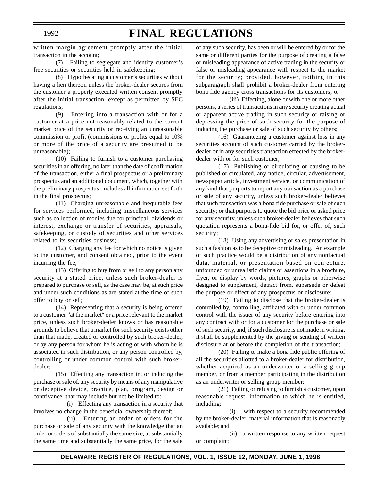written margin agreement promptly after the initial transaction in the account;

**FINAL REGULATIONS**

(7) Failing to segregate and identify customer's free securities or securities held in safekeeping;

(8) Hypothecating a customer's securities without having a lien thereon unless the broker-dealer secures from the customer a properly executed written consent promptly after the initial transaction, except as permitted by SEC regulations;

(9) Entering into a transaction with or for a customer at a price not reasonably related to the current market price of the security or receiving an unreasonable commission or profit (commissions or profits equal to 10% or more of the price of a security are presumed to be unreasonable);

(10) Failing to furnish to a customer purchasing securities in an offering, no later than the date of confirmation of the transaction, either a final prospectus or a preliminary prospectus and an additional document, which, together with the preliminary prospectus, includes all information set forth in the final prospectus;

(11) Charging unreasonable and inequitable fees for services performed, including miscellaneous services such as collection of monies due for principal, dividends or interest, exchange or transfer of securities, appraisals, safekeeping, or custody of securities and other services related to its securities business;

(12) Charging any fee for which no notice is given to the customer, and consent obtained, prior to the event incurring the fee;

(13) Offering to buy from or sell to any person any security at a stated price, unless such broker-dealer is prepared to purchase or sell, as the case may be, at such price and under such conditions as are stated at the time of such offer to buy or sell;

(14) Representing that a security is being offered to a customer "at the market" or a price relevant to the market price, unless such broker-dealer knows or has reasonable grounds to believe that a market for such security exists other than that made, created or controlled by such broker-dealer, or by any person for whom he is acting or with whom he is associated in such distribution, or any person controlled by, controlling or under common control with such brokerdealer;

(15) Effecting any transaction in, or inducing the purchase or sale of, any security by means of any manipulative or deceptive device, practice, plan, program, design or contrivance, that may include but not be limited to:

(i) Effecting any transaction in a security that involves no change in the beneficial ownership thereof;

(ii) Entering an order or orders for the purchase or sale of any security with the knowledge that an order or orders of substantially the same size, at substantially the same time and substantially the same price, for the sale

of any such security, has been or will be entered by or for the same or different parties for the purpose of creating a false or misleading appearance of active trading in the security or false or misleading appearance with respect to the market for the security; provided, however, nothing in this subparagraph shall prohibit a broker-dealer from entering bona fide agency cross transactions for its customers; or

(iii) Effecting, alone or with one or more other persons, a series of transactions in any security creating actual or apparent active trading in such security or raising or depressing the price of such security for the purpose of inducing the purchase or sale of such security by others;

(16) Guaranteeing a customer against loss in any securities account of such customer carried by the brokerdealer or in any securities transaction effected by the brokerdealer with or for such customer;

(17) Publishing or circulating or causing to be published or circulated, any notice, circular, advertisement, newspaper article, investment service, or communication of any kind that purports to report any transaction as a purchase or sale of any security, unless such broker-dealer believes that such transaction was a bona fide purchase or sale of such security; or that purports to quote the bid price or asked price for any security, unless such broker-dealer believes that such quotation represents a bona-fide bid for, or offer of, such security;

(18) Using any advertising or sales presentation in such a fashion as to be deceptive or misleading. An example of such practice would be a distribution of any nonfactual data, material, or presentation based on conjecture, unfounded or unrealistic claims or assertions in a brochure, flyer, or display by words, pictures, graphs or otherwise designed to supplement, detract from, supersede or defeat the purpose or effect of any prospectus or disclosure;

(19) Failing to disclose that the broker-dealer is controlled by, controlling, affiliated with or under common control with the issuer of any security before entering into any contract with or for a customer for the purchase or sale of such security, and, if such disclosure is not made in writing, it shall be supplemented by the giving or sending of written disclosure at or before the completion of the transaction;

(20) Failing to make a bona fide public offering of all the securities allotted to a broker-dealer for distribution, whether acquired as an underwriter or a selling group member, or from a member participating in the distribution as an underwriter or selling group member;

(21) Failing or refusing to furnish a customer, upon reasonable request, information to which he is entitled, including:

(i) with respect to a security recommended by the broker-dealer, material information that is reasonably available; and

(ii) a written response to any written request or complaint;

#### 1992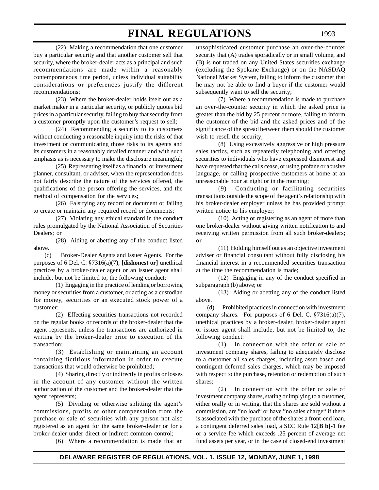(22) Making a recommendation that one customer buy a particular security and that another customer sell that security, where the broker-dealer acts as a principal and such recommendations are made within a reasonably contemporaneous time period, unless individual suitability considerations or preferences justify the different recommendations;

(23) Where the broker-dealer holds itself out as a market maker in a particular security, or publicly quotes bid prices in a particular security, failing to buy that security from a customer promptly upon the customer's request to sell;

(24) Recommending a security to its customers without conducting a reasonable inquiry into the risks of that investment or communicating those risks to its agents and its customers in a reasonably detailed manner and with such emphasis as is necessary to make the disclosure meaningful;

(25) Representing itself as a financial or investment planner, consultant, or adviser, when the representation does not fairly describe the nature of the services offered, the qualifications of the person offering the services, and the method of compensation for the services;

(26) Falsifying any record or document or failing to create or maintain any required record or documents;

(27) Violating any ethical standard in the conduct rules promulgated by the National Association of Securities Dealers; or

(28) Aiding or abetting any of the conduct listed above.

(c) Broker-Dealer Agents and Issuer Agents. For the purposes of 6 Del. C. §7316(a)(7), **[dishonest or]** unethical practices by a broker-dealer agent or an issuer agent shall include, but not be limited to, the following conduct:

(1) Engaging in the practice of lending or borrowing money or securities from a customer, or acting as a custodian for money, securities or an executed stock power of a customer;

(2) Effecting securities transactions not recorded on the regular books or records of the broker-dealer that the agent represents, unless the transactions are authorized in writing by the broker-dealer prior to execution of the transaction;

(3) Establishing or maintaining an account containing fictitious information in order to execute transactions that would otherwise be prohibited;

(4) Sharing directly or indirectly in profits or losses in the account of any customer without the written authorization of the customer and the broker-dealer that the agent represents;

(5) Dividing or otherwise splitting the agent's commissions, profits or other compensation from the purchase or sale of securities with any person not also registered as an agent for the same broker-dealer or for a broker-dealer under direct or indirect common control;

(6) Where a recommendation is made that an

unsophisticated customer purchase an over-the-counter security that (A) trades sporadically or in small volume, and (B) is not traded on any United States securities exchange (excluding the Spokane Exchange) or on the NASDAQ National Market System, failing to inform the customer that he may not be able to find a buyer if the customer would subsequently want to sell the security;

(7) Where a recommendation is made to purchase an over-the-counter security in which the asked price is greater than the bid by 25 percent or more, failing to inform the customer of the bid and the asked prices and of the significance of the spread between them should the customer wish to resell the security;

(8) Using excessively aggressive or high pressure sales tactics, such as repeatedly telephoning and offering securities to individuals who have expressed disinterest and have requested that the calls cease, or using profane or abusive language, or calling prospective customers at home at an unreasonable hour at night or in the morning;

(9) Conducting or facilitating securities transactions outside the scope of the agent's relationship with his broker-dealer employer unless he has provided prompt written notice to his employer;

(10) Acting or registering as an agent of more than one broker-dealer without giving written notification to and receiving written permission from all such broker-dealers; or

(11) Holding himself out as an objective investment adviser or financial consultant without fully disclosing his financial interest in a recommended securities transaction at the time the recommendation is made;

(12) Engaging in any of the conduct specified in subparagraph (b) above; or

(13) Aiding or abetting any of the conduct listed above.

(d) Prohibited practices in connection with investment company shares. For purposes of 6 Del. C. §7316(a)(7), unethical practices by a broker-dealer, broker-dealer agent or issuer agent shall include, but not be limited to, the following conduct:

(1) In connection with the offer or sale of investment company shares, failing to adequately disclose to a customer all sales charges, including asset based and contingent deferred sales charges, which may be imposed with respect to the purchase, retention or redemption of such shares;

(2) In connection with the offer or sale of investment company shares, stating or implying to a customer, either orally or in writing, that the shares are sold without a commission, are "no load" or have "no sales charge" if there is associated with the purchase of the shares a front-end loan, a contingent deferred sales load, a SEC Rule 12**[B b]**-1 fee or a service fee which exceeds .25 percent of average net fund assets per year, or in the case of closed-end investment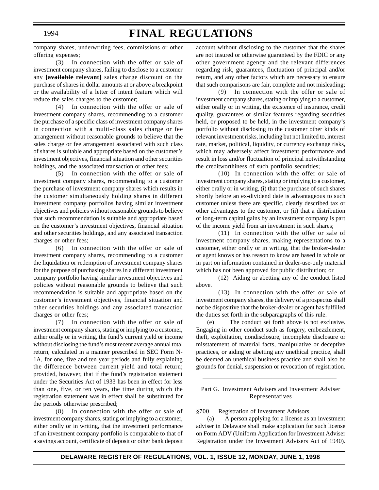company shares, underwriting fees, commissions or other offering expenses;

(3) In connection with the offer or sale of investment company shares, failing to disclose to a customer any **[available relevant]** sales charge discount on the purchase of shares in dollar amounts at or above a breakpoint or the availability of a letter of intent feature which will reduce the sales charges to the customer;

(4) In connection with the offer or sale of investment company shares, recommending to a customer the purchase of a specific class of investment company shares in connection with a multi-class sales charge or fee arrangement without reasonable grounds to believe that the sales charge or fee arrangement associated with such class of shares is suitable and appropriate based on the customer's investment objectives, financial situation and other securities holdings, and the associated transaction or other fees;

(5) In connection with the offer or sale of investment company shares, recommending to a customer the purchase of investment company shares which results in the customer simultaneously holding shares in different investment company portfolios having similar investment objectives and policies without reasonable grounds to believe that such recommendation is suitable and appropriate based on the customer's investment objectives, financial situation and other securities holdings, and any associated transaction charges or other fees;

(6) In connection with the offer or sale of investment company shares, recommending to a customer the liquidation or redemption of investment company shares for the purpose of purchasing shares in a different investment company portfolio having similar investment objectives and policies without reasonable grounds to believe that such recommendation is suitable and appropriate based on the customer's investment objectives, financial situation and other securities holdings and any associated transaction charges or other fees;

(7) In connection with the offer or sale of investment company shares, stating or implying to a customer, either orally or in writing, the fund's current yield or income without disclosing the fund's most recent average annual total return, calculated in a manner prescribed in SEC Form N-1A, for one, five and ten year periods and fully explaining the difference between current yield and total return; provided, however, that if the fund's registration statement under the Securities Act of 1933 has been in effect for less than one, five, or ten years, the time during which the registration statement was in effect shall be substituted for the periods otherwise prescribed;

(8) In connection with the offer or sale of investment company shares, stating or implying to a customer, either orally or in writing, that the investment performance of an investment company portfolio is comparable to that of a savings account, certificate of deposit or other bank deposit

account without disclosing to the customer that the shares are not insured or otherwise guaranteed by the FDIC or any other government agency and the relevant differences regarding risk, guarantees, fluctuation of principal and/or return, and any other factors which are necessary to ensure that such comparisons are fair, complete and not misleading;

(9) In connection with the offer or sale of investment company shares, stating or implying to a customer, either orally or in writing, the existence of insurance, credit quality, guarantees or similar features regarding securities held, or proposed to be held, in the investment company's portfolio without disclosing to the customer other kinds of relevant investment risks, including but not limited to, interest rate, market, political, liquidity, or currency exchange risks, which may adversely affect investment performance and result in loss and/or fluctuation of principal notwithstanding the creditworthiness of such portfolio securities;

(10) In connection with the offer or sale of investment company shares, stating or implying to a customer, either orally or in writing, (i) that the purchase of such shares shortly before an ex-dividend date is advantageous to such customer unless there are specific, clearly described tax or other advantages to the customer, or (ii) that a distribution of long-term capital gains by an investment company is part of the income yield from an investment in such shares;

(11) In connection with the offer or sale of investment company shares, making representations to a customer, either orally or in writing, that the broker-dealer or agent knows or has reason to know are based in whole or in part on information contained in dealer-use-only material which has not been approved for public distribution; or

(12) Aiding or abetting any of the conduct listed above.

(13) In connection with the offer or sale of investment company shares, the delivery of a prospectus shall not be dispositive that the broker-dealer or agent has fulfilled the duties set forth in the subparagraphs of this rule.

(e) The conduct set forth above is not exclusive. Engaging in other conduct such as forgery, embezzlement, theft, exploitation, nondisclosure, incomplete disclosure or misstatement of material facts, manipulative or deceptive practices, or aiding or abetting any unethical practice, shall be deemed an unethical business practice and shall also be grounds for denial, suspension or revocation of registration.

### Part G. Investment Advisers and Investment Adviser Representatives

§700 Registration of Investment Advisors

(a) A person applying for a license as an investment adviser in Delaware shall make application for such license on Form ADV (Uniform Application for Investment Adviser Registration under the Investment Advisers Act of 1940).

# **FINAL REGULATIONS**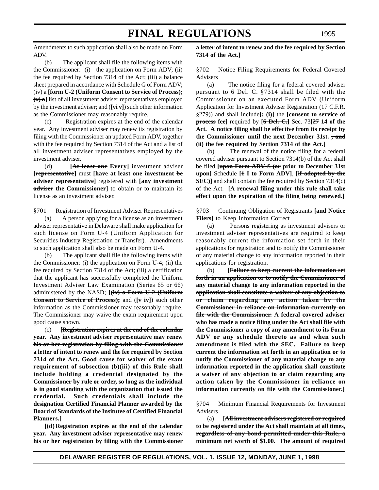Amendments to such application shall also be made on Form ADV.

(b) The applicant shall file the following items with the Commissioner: (i) the application on Form ADV; (ii) the fee required by Section 7314 of the Act; (iii) a balance sheet prepared in accordance with Schedule G of Form ADV; (iv) a **[form U-2 (Uniform Consent to Service of Process); (v) a]** list of all investment adviser representatives employed by the investment adviser; and (**[vi v]**) such other information as the Commissioner may reasonably require.

(c) Registration expires at the end of the calendar year. Any investment adviser may renew its registration by filing with the Commissioner an updated Form ADV, together with the fee required by Section 7314 of the Act and a list of all investment adviser representatives employed by the investment adviser.

(d) **[At least one Every]** investment adviser **[representative]** must **[have at least one investment be adviser representative]** registered with **[any investment adviser the Commissioner**] to obtain or to maintain its license as an investment adviser.

§701 Registration of Investment Adviser Representatives (a) A person applying for a license as an investment adviser representative in Delaware shall make application for such license on Form U-4 (Uniform Application for Securities Industry Registration or Transfer). Amendments to such application shall also be made on Form U-4.

(b) The applicant shall file the following items with the Commissioner: (i) the application on Form U-4; (ii) the fee required by Section 7314 of the Act; (iii) a certification that the applicant has successfully completed the Uniform Investment Adviser Law Examination (Series 65 or 66) administered by the NASD; **[(iv) a Form U-2 (Uniform Consent to Service of Process);** and (**[v iv]**) such other information as the Commissioner may reasonably require. The Commissioner may waive the exam requirement upon good cause shown.

(c) **[Registration expires at the end of the calendar year. Any investment adviser representative may renew his or her registration by filing with the Commissioner a letter of intent to renew and the fee required by Section 7314 of the Act. Good cause for waiver of the exam requirement of subsection (b)(iii) of this Rule shall include holding a credential designated by the Commissioner by rule or order, so long as the individual is in good standing with the organization that issued the credential. Such credentials shall include the designation Certified Financial Planner awarded by the Board of Standards of the Insitutee of Certified Financial Planners.]**

**[(d) Registration expires at the end of the calendar year. Any investment adviser representative may renew his or her registration by filing with the Commissioner** **a letter of intent to renew and the fee required by Section 7314 of the Act.]**

§702 Notice Filing Requirements for Federal Covered Advisers

(a) The notice filing for a federal covered adviser pursuant to 6 Del. C. §7314 shall be filed with the Commissioner on an executed Form ADV (Uniform Application for Investment Adviser Registration (17 C.F.R. §279)) and shall include**[: (i)]** the **[consent to service of process fee]** required by **[6 Del. C.]** Sec. 73**[27 14 of the Act. A notice filing shall be effective from its receipt by the Commissioner until the next December 31st. , and (ii) the fee required by Section 7314 of the Act.]**

(b) The renewal of the notice filing for a federal covered adviser pursuant to Section 7314(b) of the Act shall be filed **[upon Form ADV-S (or prior to December 31st upon]** Schedule **[1 I to Form ADV]**, **[if adopted by the SEC)**] and shall contain the fee required by Section 7314(c) of the Act. **[A renewal filing under this rule shall take effect upon the expiration of the filing being renewed.]**

§703 Continuing Obligation of Registrants **[and Notice Filers]** to Keep Information Correct

(a) Persons registering as investment advisers or investment adviser representatives are required to keep reasonably current the information set forth in their applications for registration and to notify the Commissioner of any material change to any information reported in their applications for registration.

(b) **[Failure to keep current the information set forth in an application or to notify the Commissioner of any material change to any information reported in the application shall constitute a waiver of any objection to or claim regarding any action taken by the Commissioner in reliance on information currently on file with the Commissioner. A federal covered adviser who has made a notice filing under the Act shall file with the Commissioner a copy of any amendment to its Form ADV or any schedule thereto as and when such amendment is filed with the SEC. Failure to keep current the information set forth in an application or to notify the Commissioner of any material change to any information reported in the application shall constitute a waiver of any objection to or claim regarding any action taken by the Commissioner in reliance on information currently on file with the Commissioner.]**

§704 Minimum Financial Requirements for Investment Advisers

(a) **[All investment advisers registered or required to be registered under the Act shall maintain at all times, regardless of any bond permitted under this Rule, a minimum net worth of \$1.00. The amount of required**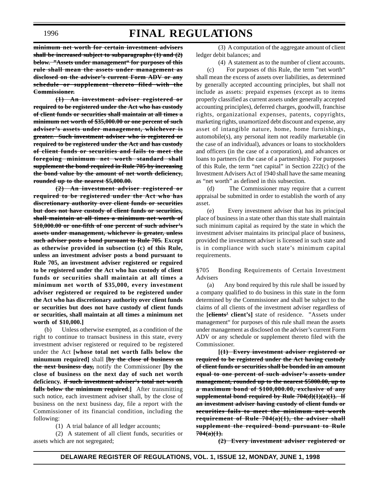## **FINAL REGULATIONS**

**minimum net worth for certain investment advisers shall be increased subject to subparagraphs (1) and (2) below. "Assets under management" for purposes of this rule shall mean the assets under management as disclosed on the adviser's current Form ADV or any schedule or supplement thereto filed with the Commissioner.**

**(1) An investment adviser registered or required to be registered under the Act who has custody of client funds or securities shall maintain at all times a minimum net worth of \$35,000.00 or one percent of such adviser's assets under management, whichever is greater. Such investment adviser who is registered or required to be registered under the Act and has custody of client funds or securities and fails to meet the foregoing minimum net worth standard shall supplement the bond required in Rule 705 by increasing the bond value by the amount of net worth deficiency, rounded up to the nearest \$5,000.00.**

**(2) An investment adviser registered or required to be registered under the Act who has discretionary authority over client funds or securities but does not have custody of client funds or securities, shall maintain at all times a minimum net worth of \$10,000.00 or one-fifth of one percent of such adviser's assets under management, whichever is greater, unless such adviser posts a bond pursuant to Rule 705. Except as otherwise provided in subsection (c) of this Rule, unless an investment adviser posts a bond pursuant to Rule 705, an investment adviser registered or reguired to be registered under the Act who has custody of client funds or securities shall maintain at all times a minimum net worth of \$35,000, every investment adviser registered or required to be registered under the Act who has discretionary authority over client funds or securities but does not have custody of client funds or securities, shall maintain at all times a minimum net worth of \$10,000.]**

(b) Unless otherwise exempted, as a condition of the right to continue to transact business in this state, every investment adviser registered or required to be registered under the Act **[whose total net worth falls below the minumum required]** shall **[by the close of business on the next business day,** notify the Commissioner **[by the close of business on the next day of such net worth deficiency. if such investment adviser's total net worth falls below the minimum required.**] After transmitting such notice, each investment adviser shall, by the close of business on the next business day, file a report with the Commissioner of its financial condition, including the following:

(1) A trial balance of all ledger accounts;

(2) A statement of all client funds, securities or assets which are not segregated;

(3) A computation of the aggregate amount of client ledger debit balances; and

(4) A statement as to the number of client accounts.

(c) For purposes of this Rule, the term "net worth" shall mean the excess of assets over liabilities, as determined by generally accepted accounting principles, but shall not include as assets: prepaid expenses (except as to items properly classified as current assets under generally accepted accounting principles), deferred charges, goodwill, franchise rights, organizational expenses, patents, copyrights, marketing rights, unamortized debt discount and expense, any asset of intangible nature, home, home furnishings, automobile(s), any personal item not readily marketable (in the case of an individual), advances or loans to stockholders and officers (in the case of a corporation), and advances or loans to partners (in the case of a partnership). For purposes of this Rule, the term "net capital" in Section 222(c) of the Investment Advisers Act of 1940 shall have the same meaning as "net worth" as defined in this subsection.

(d) The Commissioner may require that a current appraisal be submitted in order to establish the worth of any asset.

(e) Every investment adviser that has its principal place of business in a state other than this state shall maintain such minimum capital as required by the state in which the investment adviser maintains its principal place of business, provided the investment adviser is licensed in such state and is in compliance with such state's minimum capital requirements.

§705 Bonding Requirements of Certain Investment Advisers

(a) Any bond required by this rule shall be issued by a company qualified to do business in this state in the form determined by the Commissioner and shall be subject to the claims of all clients of the investment adviser regardless of the **[clients' client's]** state of residence. "Assets under management" for purposes of this rule shall mean the assets under management as disclosed on the adviser's current Form ADV or any schedule or supplement thereto filed with the Commissioner.

**[(1) Every investment adviser registered or required to be registered under the Act having custody of client funds or securities shall be bonded in an amount equal to one percent of such adviser's assets under management, rounded up to the nearest \$5000.00, up to a maximum bond of \$100,000.00, exclusive of any supplemental bond required by Rule 704(d)(1)(a)(1). If an investment adviser having custody of client funds or securities fails to meet the minimum net worth requirement of Rule 704(a)(1), the adviser shall supplement the required bond pursuant to Rule 704(a)(1).**

**(2) Every investment adviser registered or**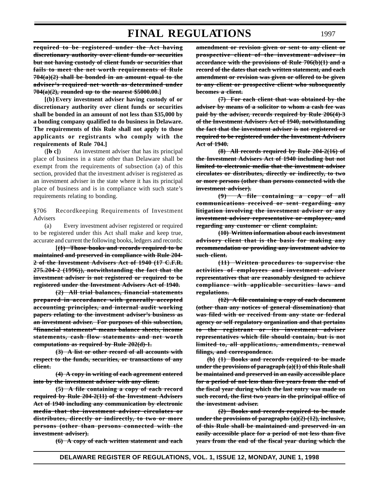**required to be registered under the Act having discretionary authority over client funds or securities but not having custody of client funds or securities that fails to meet the net worth requirements of Rule 704(a)(2) shall be bonded in an amount equal to the adviser's required net worth as determined under 704(a)(2), rounded up to the nearest \$5000.00.]**

**[(b) Every investment adviser having custody of or discretionary authority over client funds or securities shall be bonded in an amount of not less than \$35,000 by a bonding company qualified to do business in Delaware. The requirements of this Rule shall not apply to those applicants or registrants who comply with the requirements of Rule 704.]**

(**[b c]**) An investment adviser that has its principal place of business in a state other than Delaware shall be exempt from the requirements of subsection (a) of this section, provided that the investment adviser is registered as an investment adviser in the state where it has its principal place of business and is in compliance with such state's requirements relating to bonding.

§706 Recordkeeping Requirements of Investment Advisers

(a) Every investment adviser registered or required to be registered under this Act shall make and keep true, accurate and current the following books, ledgers and records:

**[(1) Those books and records required to be maintained and preserved in compliance with Rule 204- 2 of the Investment Advisers Act of 1940 (17 C.F.R. 275.204-2 (1996)), notwithstanding the fact that the investment adviser is not registered or required to be registered under the Investment Advisers Act of 1940.**

**(2) All trial balances, financial statements prepared in accordance with generally accepted accounting principles, and internal audit working papers relating to the investment adviser's business as an investment adviser. For purposes of this subsection, "financial statements" means balance sheets, income statements, cash flow statements and net worth computations as required by Rule 202(d)-1.**

**(3) A list or other record of all accounts with respect to the funds, securities, or transactions of any client.**

**(4) A copy in writing of each agreement entered into by the investment adviser with any client.**

**(5) A file containing a copy of each record required by Rule 204-2(11) of the Investment Advisers Act of 1940 including any communication by electronic media that the investment adviser circulates or distributes, directly or indirectly, to two or more persons (other than persons connected with the investment adviser).**

**(6) A copy of each written statement and each**

**amendment or revision given or sent to any client or prospective client of the investment adviser in accordance with the provisions of Rule 706(b)(1) and a record of the dates that each written statement, and each amendment or revision was given or offered to be given to any client or prospective client who subsequently becomes a client.**

**(7) For each client that was obtained by the adviser by means of a solicitor to whom a cash fee was paid by the adviser, records required by Rule 206(4)-3 of the Investment Advisers Act of 1940, notwithstanding the fact that the investment adviser is not registered or required to be registered under the Investment Advisers Act of 1940.**

**(8) All records required by Rule 204-2(16) of the Investment Advisers Act of 1940 including but not limited to electronic media that the investment adviser circulates or distributes, directly or indirectly, to two or more persons (other than persons connected with the investment adviser).**

**(9) A file containing a copy of all communications received or sent regarding any litigation involving the investment adviser or any investment adviser representative or employee, and regarding any customer or client complaint.**

**(10) Written information about each investment advisory client that is the basis for making any recommendation or providing any investment advice to such client.**

**(11) Written procedures to supervise the activities of employees and investment adviser representatives that are reasonably designed to achieve compliance with applicable securities laws and regulations.**

**(12) A file containing a copy of each document (other than any notices of general dissemination) that was filed with or received from any state or federal agency or self regulatory organization and that pertains to the registrant or its investment adviser representatives which file should contain, but is not limited to, all applications, amendments, renewal filings, and correspondence.**

**(b) (1) Books and records required to be made under the provisions of paragraph (a)(1) of this Rule shall be maintained and preserved in an easily accessible place for a period of not less than five years from the end of the fiscal year during which the last entry was made on such record, the first two years in the principal office of the investment adviser.**

**(2) Books and records required to be made under the provisions of paragraphs (a)(2)-(12), inclusive, of this Rule shall be maintained and preserved in an easily accessible place for a period of not less than five years from the end of the fiscal year during which the**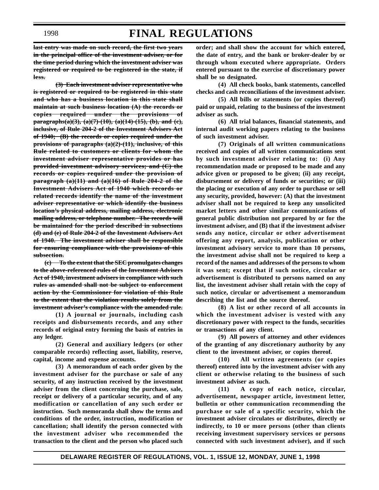**last entry was made on such record, the first two years in the principal office of the investment adviser, or for the time period during which the investment adviser was registered or required to be registered in the state, if less.**

**(3) Each investment adviser representative who is registered or required to be registered in this state and who has a business location in this state shall maintain at such business location (A) the records or copies required under the provisions of paragraphs(a)(3), (a)(7)-(10), (a)(14)-(15), (b), and (c), inclusive, of Rule 204-2 of the Investment Advisers Act of 1940; (B) the records or copies required under the provisions of paragraphs (a)(2)-(11), inclusive, of this Rule related to customers or clients for whom the investment adviser representative provides or has provided investment advisory services; and (C) the records or copies required under the provision of paragraph (a)(11) and (a)(16) of Rule 204-2 of the Investment Advisers Act of 1940 which records or related records identify the name of the investment adviser representative or which identify the business location's physical address, mailing address, electronic mailing address, or telephone number. The records will be maintained for the period described in subsections (d) and (e) of Rule 204-2 of the Investment Advisers Act of 1940. The investment adviser shall be responsible for ensuring compliance with the provisions of this subsection.**

**(c) To the extent that the SEC promulgates changes to the above-referenced rules of the Investment Advisers Act of 1940, investment advisers in compliance with such rules as amended shall not be subject to enforcement action by the Commissioner for violation of this Rule to the extent that the violation results solely from the investment adviser's compliance with the amended rule.**

**(1) A journal or journals, including cash receipts and disbursements records, and any other records of original entry forming the basis of entries in any ledger.**

**(2) General and auxiliary ledgers (or other comparable records) reflecting asset, liability, reserve, capital, income and expense accounts.**

**(3) A memorandum of each order given by the investment adviser for the purchase or sale of any security, of any instruction received by the investment adviser from the client concerning the purchase, sale, receipt or delivery of a particular security, and of any modification or cancellation of any such order or instruction. Such memoranda shall show the terms and conditions of the order, instruction, modification or cancellation; shall identify the person connected with the investment adviser who recommended the transaction to the client and the person who placed such**

**order; and shall show the account for which entered, the date of entry, and the bank or broker-dealer by or through whom executed where appropriate. Orders entered pursuant to the exercise of discretionary power shall be so designated.**

**(4) All check books, bank statements, cancelled checks and cash reconciliations of the investment adviser.**

**(5) All bills or statements (or copies thereof) paid or unpaid, relating to the business of the investment adviser as such.**

**(6) All trial balances, financial statements, and internal audit working papers relating to the business of such investment adviser.**

**(7) Originals of all written communications received and copies of all written communications sent by such investment adviser relating to: (i) Any recommendation made or proposed to be made and any advice given or proposed to be given; (ii) any receipt, disbursement or delivery of funds or securities; or (iii) the placing or execution of any order to purchase or sell any security, provided, however: (A) that the investment adviser shall not be required to keep any unsolicited market letters and other similar communications of general public distribution not prepared by or for the investment adviser, and (B) that if the investment adviser sends any notice, circular or other advertisement offering any report, analysis, publication or other investment advisory service to more than 10 persons, the investment advise shall not be required to keep a record of the names and addresses of the persons to whom it was sent; except that if such notice, circular or advertisement is distributed to persons named on any list, the investment adviser shall retain with the copy of such notice, circular or advertisement a memorandum describing the list and the source thereof.**

**(8) A list or other record of all accounts in which the investment adviser is vested with any discretionary power with respect to the funds, securities or transactions of any client.**

**(9) All powers of attorney and other evidences of the granting of any discretionary authority by any client to the investment adviser, or copies thereof.**

**(10) All written agreements (or copies thereof) entered into by the investment adviser with any client or otherwise relating to the business of such investment adviser as such.**

**(11) A copy of each notice, circular, advertisement, newspaper article, investment letter, bulletin or other communication recommending the purchase or sale of a specific security, which the investment adviser circulates or distributes, directly or indirectly, to 10 or more persons (other than clients receiving investment supervisory services or persons connected with such investment adviser), and if such**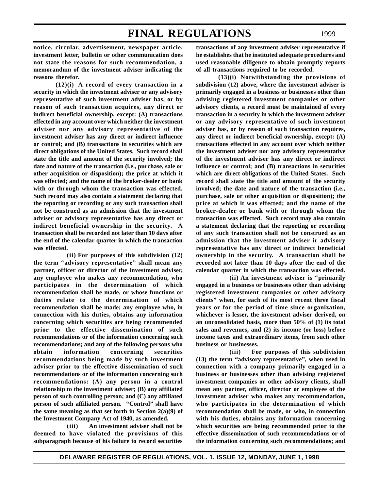**notice, circular, advertisement, newspaper article, investment letter, bulletin or other communication does not state the reasons for such recommendation, a memorandum of the investment adviser indicating the reasons therefor.**

**(12)(i) A record of every transaction in a security in which the investment adviser or any advisory representative of such investment adviser has, or by reason of such transaction acquires, any direct or indirect beneficial ownership, except: (A) transactions effected in any account over which neither the investment adviser nor any advisory representative of the investment adviser has any direct or indirect influence or control; and (B) transactions in securities which are direct obligations of the United States. Such record shall state the title and amount of the security involved; the date and nature of the transaction (i.e., purchase, sale or other acquisition or disposition); the price at which it was effected; and the name of the broker-dealer or bank with or through whom the transaction was effected. Such record may also contain a statement declaring that the reporting or recording or any such transaction shall not be construed as an admission that the investment adviser or advisory representative has any direct or indirect beneficial ownership in the security. A transaction shall be recorded not later than 10 days after the end of the calendar quarter in which the transaction was effected.**

**(ii) For purposes of this subdivision (12) the term "advisory representative" shall mean any partner, officer or director of the investment adviser, any employee who makes any recommendation, who participates in the determination of which recommendation shall be made, or whose functions or duties relate to the determination of which recommendation shall be made; any employee who, in connection with his duties, obtains any information concerning which securities are being recommended prior to the effective dissemination of such recommendations or of the information concerning such recommendations; and any of the following persons who obtain information concerning securities recommendations being made by such investment adviser prior to the effective dissemination of such recommendations or of the information concerning such recommendations: (A) any person in a control relationship to the investment adviser; (B) any affiliated person of such controlling person; and (C) any affiliated person of such affiliated person. "Control" shall have the same meaning as that set forth in Section 2(a)(9) of the Investment Company Act of 1940, as amended.**

**(iii) An investment adviser shall not be deemed to have violated the provisions of this subparagraph because of his failure to record securities** **transactions of any investment adviser representative if he establishes that he instituted adequate procedures and used reasonable diligence to obtain promptly reports of all transactions required to be recorded.**

**(13)(i) Notwithstanding the provisions of subdivision (12) above, where the investment adviser is primarily engaged in a business or businesses other than advising registered investment companies or other advisory clients, a record must be maintained of every transaction in a security in which the investment adviser or any advisory representative of such investment adviser has, or by reason of such transaction requires, any direct or indirect beneficial ownership, except: (A) transactions effected in any account over which neither the investment adviser nor any advisory representative of the investment adviser has any direct or indirect influence or control; and (B) transactions in securities which are direct obligations of the United States. Such record shall state the title and amount of the security involved; the date and nature of the transaction (i.e., purchase, sale or other acquisition or disposition); the price at which it was effected; and the name of the broker-dealer or bank with or through whom the transaction was effected. Such record may also contain a statement declaring that the reporting or recording of any such transaction shall not be construed as an admission that the investment adviser ir advisory representative has any direct or indirect beneficial ownership in the security. A transaction shall be recorded not later than 10 days after the end of the calendar quarter in which the transaction was effected.**

**(ii) An investment adviser is "primarily engaged in a business or businesses other than advising registered investment companies or other advisory clients" when, for each of its most recent three fiscal years or for the period of time since organization, whichever is lesser, the investment adviser derived, on an unconsolidated basis, more than 50% of (1) its total sales and revenues, and (2) its income (or loss) before income taxes and extraordinary items, from such other business or businesses.**

**(iii) For purposes of this subdivision (13) the term "advisory representative", when used in connection with a company primarily engaged in a business or businesses other than advising registered investment companies or other advisory clients, shall mean any partner, officer, director or employee of the investment adviser who makes any recommendation, who participates in the determination of which recommendation shall be made, or who, in connection with his duties, obtains any information concerning which securities are being recommended prior to the effective dissemination of such recommendations or of the information concerning such recommendations; and**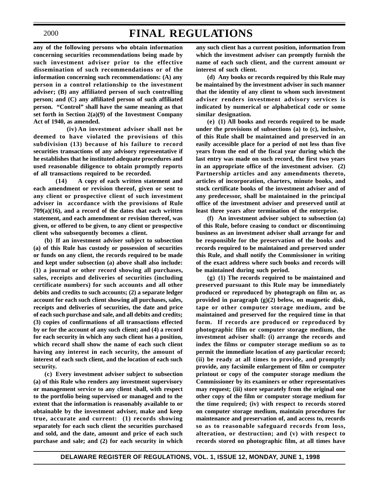### **FINAL REGULATIONS**

**any of the following persons who obtain information concerning securities recommendations being made by such investment adviser prior to the effective dissemination of such recommendations or of the information concerning such recommendations: (A) any person in a control relationship to the investment adviser; (B) any affiliated person of such controlling person; and (C) any affiliated person of such affiliated person. "Control" shall have the same meaning as that set forth in Section 2(a)(9) of the Investment Company Act of 1940, as amended.**

**(iv) An investment adviser shall not be deemed to have violated the provisions of this subdivision (13) because of his failure to record securities transactions of any advisory representative if he establishes that he instituted adequate procedures and used reasonable diligence to obtain promptly reports of all transactions required to be recorded.**

**(14) A copy of each written statement and each amendment or revision thereof, given or sent to any client or prospective client of such investment adviser in accordance with the provisions of Rule 709(a)(16), and a record of the dates that each written statement, and each amendment or revision thereof, was given, or offered to be given, to any client or prospective client who subsequently becomes a client.**

**(b) If an investment adviser subject to subsection (a) of this Rule has custody or possession of securities or funds on any client, the records required to be made and kept under subsection (a) above shall also include: (1) a journal or other record showing all purchases, sales, receipts and deliveries of securities (including certificate numbers) for such accounts and all other debits and credits to such accounts; (2) a separate ledger account for each such client showing all purchases, sales, receipts and deliveries of securities, the date and price of each such purchase and sale, and all debits and credits; (3) copies of confirmations of all transactions effected by or for the account of any such client; and (4) a record for each security in which any such client has a position, which record shall show the name of each such client having any interest in each security, the amount of interest of each such client, and the location of each such security.**

**(c) Every investment adviser subject to subsection (a) of this Rule who renders any investment supervisory or management service to any client shall, with respect to the portfolio being supervised or managed and to the extent that the information is reasonably available to or obtainable by the investment adviser, make and keep true, accurate and current: (1) records showing separately for each such client the securities purchased and sold, and the date, amount and price of each such purchase and sale; and (2) for each security in which** **any such client has a current position, information from which the investment adviser can promptly furnish the name of each such client, and the current amount or interest of such client.**

**(d) Any books or records required by this Rule may be maintained by the investment adviser in such manner that the identity of any client to whom such investment adviser renders investment advisory services is indicated by numerical or alphabetical code or some similar designation.**

**(e) (1) All books and records required to be made under the provisions of subsections (a) to (c), inclusive, of this Rule shall be maintained and preserved in an easily accessible place for a period of not less than five years from the end of the fiscal year during which the last entry was made on such record, the first two years in an appropriate office of the investment adviser. (2) Partnership articles and any amendments thereto, articles of incorporation, charters, minute books, and stock certificate books of the investment adviser and of any predecessor, shall be maintained in the principal office of the investment adviser and preserved until at least three years after termination of the enterprise.**

**(f) An investment adviser subject to subsection (a) of this Rule, before ceasing to conduct or discontinuing business as an investment adviser shall arrange for and be responsible for the preservation of the books and records required to be maintained and preserved under this Rule, and shall notify the Commissioner in writing of the exact address where such books and records will be maintained during such period.**

**(g) (1) The records required to be maintained and preserved pursuant to this Rule may be immediately produced or reproduced by photograph on film or, as provided in paragraph (g)(2) below, on magnetic disk, tape or other computer storage medium, and be maintained and preserved for the required time in that form. If records are produced or reproduced by photographic film or computer storage medium, the investment adviser shall: (i) arrange the records and index the films or computer storage medium so as to permit the immediate location of any particular record; (ii) be ready at all times to provide, and promptly provide, any facsimile enlargement of film or computer printout or copy of the computer storage medium the Commissioner by its examiners or other representatives may request; (iii) store separately from the original one other copy of the film or computer storage medium for the time required; (iv) with respect to records stored on computer storage medium, maintain procedures for maintenance and preservation of, and access to, records so as to reasonable safeguard records from loss, alteration, or destruction; and (v) with respect to records stored on photographic film, at all times have**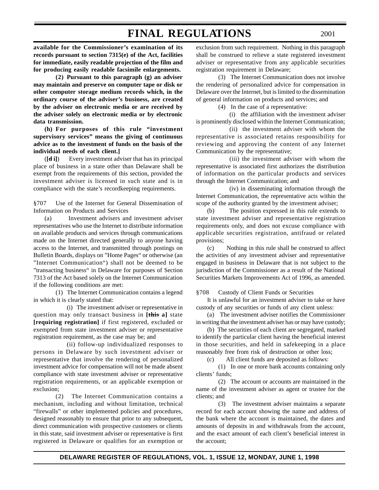**available for the Commissioner's examination of its records pursuant to section 7315(e) of the Act, facilities for immediate, easily readable projection of the film and for producing easily readable facsimile enlargements.**

**(2) Pursuant to this paragraph (g) an adviser may maintain and preserve on computer tape or disk or other computer storage medium records which, in the ordinary course of the adviser's business, are created by the adviser on electronic media or are received by the adviser solely on electronic media or by electronic data transmission.**

**(h) For purposes of this rule "investment supervisory services" means the giving of continuous advice as to the investment of funds on the basis of the individual needs of each client.]**

(**[d i]**) Every investment adviser that has its principal place of business in a state other than Delaware shall be exempt from the requirements of this section, provided the investment adviser is licensed in such state and is in compliance with the state's recordkeeping requirements.

§707 Use of the Internet for General Dissemination of Information on Products and Services

(a) Investment advisers and investment adviser representatives who use the Internet to distribute information on available products and services through communications made on the Internet directed generally to anyone having access to the Internet, and transmitted through postings on Bulletin Boards, displays on "Home Pages" or otherwise (an "Internet Communication") shall not be deemed to be "transacting business" in Delaware for purposes of Section 7313 of the Act based solely on the Internet Communication if the following conditions are met:

(1) The Internet Communication contains a legend in which it is clearly stated that:

(i) The investment adviser or representative in question may only transact business in **[this a]** state **[requiring registration]** if first registered, excluded or exempted from state investment adviser or representative registration requirement, as the case may be; and

(ii) follow-up individualized responses to persons in Delaware by such investment adviser or representative that involve the rendering of personalized investment advice for compensation will not be made absent compliance with state investment adviser or representative registration requirements, or an applicable exemption or exclusion;

(2) The Internet Communication contains a mechanism, including and without limitation, technical "firewalls" or other implemented policies and procedures, designed reasonably to ensure that prior to any subsequent, direct communication with prospective customers or clients in this state, said investment adviser or representative is first registered in Delaware or qualifies for an exemption or

exclusion from such requirement. Nothing in this paragraph shall be construed to relieve a state registered investment adviser or representative from any applicable securities registration requirement in Delaware;

(3) The Internet Communication does not involve the rendering of personalized advice for compensation in Delaware over the Internet, but is limited to the dissemination of general information on products and services; and

(4) In the case of a representative:

(i) the affiliation with the investment adviser is prominently disclosed within the Internet Communication;

(ii) the investment adviser with whom the representative is associated retains responsibility for reviewing and approving the content of any Internet Communication by the representative;

(iii) the investment adviser with whom the representative is associated first authorizes the distribution of information on the particular products and services through the Internet Communication; and

(iv) in disseminating information through the Internet Communication, the representative acts within the scope of the authority granted by the investment adviser;

(b) The position expressed in this rule extends to state investment adviser and representative registration requirements only, and does not excuse compliance with applicable securities registration, antifraud or related provisions;

(c) Nothing in this rule shall be construed to affect the activities of any investment adviser and representative engaged in business in Delaware that is not subject to the jurisdiction of the Commissioner as a result of the National Securities Markets Improvements Act of 1996, as amended.

§708 Custody of Client Funds or Securities

It is unlawful for an investment adviser to take or have custody of any securities or funds of any client unless:

(a) The investment adviser notifies the Commissioner in writing that the investment adviser has or may have custody;

(b) The securities of each client are segregated, marked to identify the particular client having the beneficial interest in those securities, and held in safekeeping in a place reasonably free from risk of destruction or other loss;

(c) All client funds are deposited as follows:

(1) In one or more bank accounts containing only clients' funds;

(2) The account or accounts are maintained in the name of the investment adviser as agent or trustee for the clients; and

(3) The investment adviser maintains a separate record for each account showing the name and address of the bank where the account is maintained, the dates and amounts of deposits in and withdrawals from the account, and the exact amount of each client's beneficial interest in the account;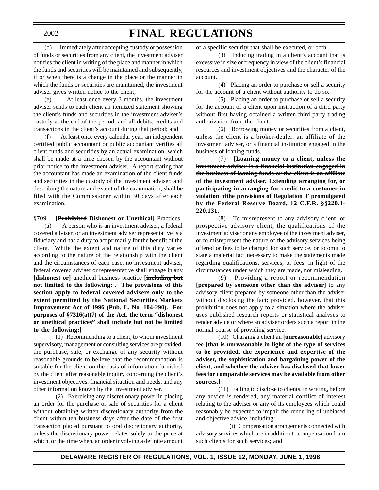### **FINAL REGULATIONS**

(d) Immediately after accepting custody or possession of funds or securities from any client, the investment adviser notifies the client in writing of the place and manner in which the funds and securities will be maintained and subsequently, if or when there is a change in the place or the manner in which the funds or securities are maintained, the investment adviser gives written notice to the client;

(e) At least once every 3 months, the investment adviser sends to each client an itemized statement showing the client's funds and securities in the investment adviser's custody at the end of the period, and all debits, credits and transactions in the client's account during that period; and

(f) At least once every calendar year, an independent certified public accountant or public accountant verifies all client funds and securities by an actual examination, which shall be made at a time chosen by the accountant without prior notice to the investment adviser. A report stating that the accountant has made an examination of the client funds and securities in the custody of the investment adviser, and describing the nature and extent of the examination, shall be filed with the Commissioner within 30 days after each examination.

§709 **[Prohibited Dishonest or Unethical]** Practices

(a) A person who is an investment adviser, a federal covered adviser, or an investment adviser representative is a fiduciary and has a duty to act primarily for the benefit of the client. While the extent and nature of this duty varies according to the nature of the relationship with the client and the circumstances of each case, no investment adviser, federal covered adviser or representative shall engage in any **[dishonest or]** unethical business practice **[including but not limited to the following: . The provisions of this section apply to federal covered advisers only to the extent permitted by the National Securities Markets Improvement Act of 1996 (Pub. L. No. 104-290). For purposes of §7316(a)(7) of the Act, the term "dishonest or unethical practices" shall include but not be limited to the following:]**

(1) Recommending to a client, to whom investment supervisory, management or consulting services are provided, the purchase, sale, or exchange of any security without reasonable grounds to believe that the recommendation is suitable for the client on the basis of information furnished by the client after reasonable inquiry concerning the client's investment objectives, financial situation and needs, and any other information known by the investment adviser.

(2) Exercising any discretionary power in placing an order for the purchase or sale of securities for a client without obtaining written discretionary authority from the client within ten business days after the date of the first transaction placed pursuant to oral discretionary authority, unless the discretionary power relates solely to the price at which, or the time when, an order involving a definite amount

of a specific security that shall be executed, or both.

(3) Inducing trading in a client's account that is excessive in size or frequency in view of the client's financial resources and investment objectives and the character of the account.

(4) Placing an order to purchase or sell a security for the account of a client without authority to do so.

(5) Placing an order to purchase or sell a security for the account of a client upon instruction of a third party without first having obtained a written third party trading authorization from the client.

(6) Borrowing money or securities from a client, unless the client is a broker-dealer, an affiliate of the investment adviser, or a financial institution engaged in the business of loaning funds.

(7) **[Loaning money to a client, unless the investment adviser is a financial institution engaged in the business of loaning funds or the client is an affiliate of the investment adviser. Extending arranging for, or participating in arranging for credit to a customer in violation ofthe provisions of Regulation T promulgated by the Federal Reserve Board, 12 C.F.R. §§220.1- 220.131.**

(8) To misrepresent to any advisory client, or prospective advisory client, the qualifications of the investment adviser or any employee of the investment adviser, or to misrepresent the nature of the advisory services being offered or fees to be charged for such service, or to omit to state a material fact necessary to make the statements made regarding qualifications, services, or fees, in light of the circumstances under which they are made, not misleading.

(9) Providing a report or recommendation **[prepared by someone other than the adviser]** to any advisory client prepared by someone other than the adviser without disclosing the fact; provided, however, that this prohibition does not apply to a situation where the adviser uses published research reports or statistical analyses to render advice or where an adviser orders such a report in the normal course of providing service.

(10) Charging a client an **[unreasonable]** advisory fee **[that is unreasonable in light of the type of services to be provided, the experience and expertise of the adviser, the sophistication and bargaining power of the client, and whether the adviser has disclosed that lower fees for comparable services may be available from other sources.]**

(11) Failing to disclose to clients, in writing, before any advice is rendered, any material conflict of interest relating to the adviser or any of its employees which could reasonably be expected to impair the rendering of unbiased and objective advice, including:

(i) Compensation arrangements connected with advisory services which are in addition to compensation from such clients for such services; and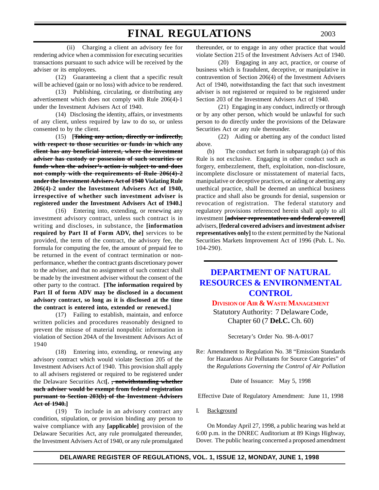(ii) Charging a client an advisory fee for rendering advice when a commission for executing securities transactions pursuant to such advice will be received by the adviser or its employees.

(12) Guaranteeing a client that a specific result will be achieved (gain or no loss) with advice to be rendered.

(13) Publishing, circulating, or distributing any advertisement which does not comply with Rule 206(4)-1 under the Investment Advisers Act of 1940.

(14) Disclosing the identity, affairs, or investments of any client, unless required by law to do so, or unless consented to by the client.

(15) **[Taking any action, directly or indirectly, with respect to those securities or funds in which any client has any beneficial interest, where the investment adviser has custody or possession of such securities or funds when the adviser's action is subject to and does not comply with the requirements of Rule 206(4)-2 under the Investment Advisers Act of 1940 Violating Rule 206(4)-2 under the Investment Advisers Act of 1940, irrespective of whether such investment adviser is registered under the Investment Advisers Act of 1940.]**

(16) Entering into, extending, or renewing any investment advisory contract, unless such contract is in writing and discloses, in substance, the **[information required by Part II of Form ADV, the]** services to be provided, the term of the contract, the advisory fee, the formula for computing the fee, the amount of prepaid fee to be returned in the event of contract termination or nonperformance, whether the contract grants discretionary power to the adviser, and that no assignment of such contract shall be made by the investment adviser without the consent of the other party to the contract. **[The information required by Part II of form ADV may be disclosed in a document advisory contract, so long as it is disclosed at the time the contract is entered into, extended or renewed.]**

(17) Failing to establish, maintain, and enforce written policies and procedures reasonably designed to prevent the misuse of material nonpublic information in violation of Section 204A of the Investment Advisors Act of 1940

(18) Entering into, extending, or renewing any advisory contract which would violate Section 205 of the Investment Advisers Act of 1940. This provision shall apply to all advisers registered or required to be registered under the Delaware Securities Act**[. , notwithstanding whether such adviser would be exempt from federal registration pursuant to Section 203(b) of the Investment Advisers Act of 1940.]**

(19) To include in an advisory contract any condition, stipulation, or provision binding any person to waive compliance with any **[applicable]** provision of the Delaware Securities Act, any rule promulgated thereunder, the Investment Advisers Act of 1940, or any rule promulgated thereunder, or to engage in any other practice that would violate Section 215 of the Investment Advisers Act of 1940.

(20) Engaging in any act, practice, or course of business which is fraudulent, deceptive, or manipulative in contravention of Section 206(4) of the Investment Advisers Act of 1940, notwithstanding the fact that such investment adviser is not registered or required to be registered under Section 203 of the Investment Advisers Act of 1940.

(21) Engaging in any conduct, indirectly or through or by any other person, which would be unlawful for such person to do directly under the provisions of the Delaware Securities Act or any rule thereunder.

(22) Aiding or abetting any of the conduct listed above.

(b) The conduct set forth in subparagraph (a) of this Rule is not exclusive. Engaging in other conduct such as forgery, embezzlement, theft, exploitation, non-disclosure, incomplete disclosure or misstatement of material facts, manipulative or deceptive practices, or aiding or abetting any unethical practice, shall be deemed an unethical business practice and shall also be grounds for denial, suspension or revocation of registration. The federal statutory and regulatory provisions referenced herein shall apply to all investment **[adviser representatives and federal covered]** advisers, **[federal covered advisers and investment adviser representatives only]** to the extent permitted by the National Securities Markets Improvement Act of 1996 (Pub. L. No. 104-290).

### **DEPARTMENT OF NATURAL [RESOURCES & ENVIRONMENTAL](http://www.dnrec.state.de.us/aandw.htm) CONTROL**

### **DIVISION OF AIR & WASTE MANAGEMENT** Statutory Authority: 7 Delaware Code,

Chapter 60 (7 **Del.C.** Ch. 60)

Secretary's Order No. 98-A-0017

Re: Amendment to Regulation No. 38 "Emission Standards for Hazardous Air Pollutants for Source Categories" of the *Regulations Governing the Control of Air Pollution*

Date of Issuance: May 5, 1998

Effective Date of Regulatory Amendment: June 11, 1998

I. Background

On Monday April 27, 1998, a public hearing was held at 6:00 p.m. in the DNREC Auditorium at 89 Kings Highway, Dover. The public hearing concerned a proposed amendment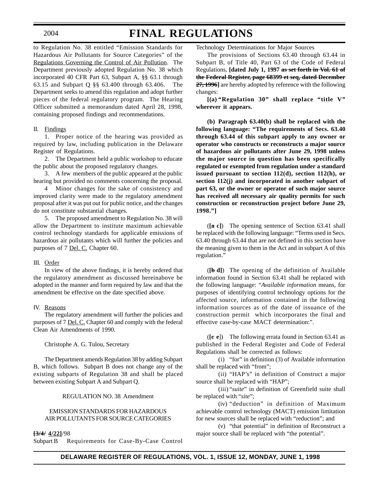## **FINAL REGULATIONS**

to Regulation No. 38 entitled "Emission Standards for Hazardous Air Pollutants for Source Categories" of the Regulations Governing the Control of Air Pollution. The Department previously adopted Regulation No. 38 which incorporated 40 CFR Part 63, Subpart A, §§ 63.1 through 63.15 and Subpart Q §§ 63.400 through 63.406. The Department seeks to amend this regulation and adopt further pieces of the federal regulatory program. The Hearing Officer submitted a memorandum dated April 28, 1998, containing proposed findings and recommendations.

### II. Findings

1. Proper notice of the hearing was provided as required by law, including publication in the Delaware Register of Regulations.

2. The Department held a public workshop to educate the public about the proposed regulatory changes.

3. A few members of the public appeared at the public hearing but provided no comments concerning the proposal.

4 Minor changes for the sake of consistency and improved clarity were made to the regulatory amendment proposal after it was put out for public notice, and the changes do not constitute substantial changes.

5. The proposed amendment to Regulation No. 38 will allow the Department to institute maximum achievable control technology standards for applicable emissions of hazardous air pollutants which will further the policies and purposes of 7 Del. C. Chapter 60.

#### III. Order

In view of the above findings, it is hereby ordered that the regulatory amendment as discussed hereinabove be adopted in the manner and form required by law and that the amendment be effective on the date specified above.

#### IV. Reasons

The regulatory amendment will further the policies and purposes of 7 Del. C. Chapter 60 and comply with the federal Clean Air Amendments of 1990.

Christophe A. G. Tulou, Secretary

The Department amends Regulation 38 by adding Subpart B, which follows. Subpart B does not change any of the existing subparts of Regulation 38 and shall be placed between existing Subpart A and Subpart Q.

#### REGULATION NO. 38 Amendment

### EMISSION STANDARDS FOR HAZARDOUS AIR POLLUTANTS FOR SOURCE CATEGORIES

### **[3/4/ 4/22]**/98

Subpart B Requirements for Case-By-Case Control

Technology Determinations for Major Sources

The provisions of Sections 63.40 through 63.44 in Subpart B, of Title 40, Part 63 of the Code of Federal Regulations, **[dated July 1, 1997 as set forth in Vol. 61 of the Federal Register, page 68399 et seq, dated December 27, 1996]** are hereby adopted by reference with the following changes:

**[(a) "Regulation 30" shall replace "title V" wherever it appears.**

**(b) Paragraph 63.40(b) shall be replaced with the following language: "The requirements of Secs. 63.40 through 63.44 of this subpart apply to any owner or operator who constructs or reconstructs a major source of hazardous air pollutants after June 29, 1998 unless the major source in question has been specifically regulated or exempted from regulation under a standard issued pursuant to section 112(d), section 112(h), or section 112(j) and incorporated in another subpart of part 63, or the owner or operator of such major source has received all necessary air quality permits for such construction or reconstruction project before June 29, 1998."]**

(**[a c]**) The opening sentence of Section 63.41 shall be replaced with the following language: "Terms used in Secs. 63.40 through 63.44 that are not defined in this section have the meaning given to them in the Act and in subpart A of this regulation."

(**[b d]**) The opening of the definition of Available information found in Section 63.41 shall be replaced with the following language: "*Available information* means, for purposes of identifying control technology options for the affected source, information contained in the following information sources as of the date of issuance of the construction permit which incorporates the final and effective case-by-case MACT determination:".

(**[c e**]) The following errata found in Section 63.41 as published in the Federal Register and Code of Federal Regulations shall be corrected as follows:

(i) "for" in definition (3) of Available information shall be replaced with "from";

(ii) "HAP's" in definition of Construct a major source shall be replaced with "HAP";

(iii) "*suite*" in definition of Greenfield suite shall be replaced with "*site*";

(iv) "deduction" in definition of Maximum achievable control technology (MACT) emission limitation for new sources shall be replaced with "reduction"; and

(v) "that potential" in definition of Reconstruct a major source shall be replaced with "the potential".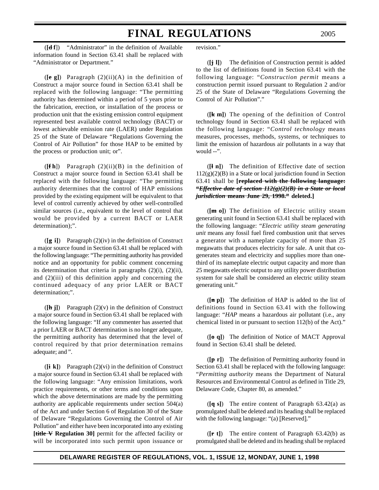(**[d f**]) "Administrator" in the definition of Available information found in Section 63.41 shall be replaced with "Administrator or Department."

(**[e g]**) Paragraph (2)(ii)(A) in the definition of Construct a major source found in Section 63.41 shall be replaced with the following language: "The permitting authority has determined within a period of 5 years prior to the fabrication, erection, or installation of the process or production unit that the existing emission control equipment represented best available control technology (BACT) or lowest achievable emission rate (LAER) under Regulation 25 of the State of Delaware "Regulations Governing the Control of Air Pollution" for those HAP to be emitted by the process or production unit; or".

(**[f h**]) Paragraph (2)(ii)(B) in the definition of Construct a major source found in Section 63.41 shall be replaced with the following language: "The permitting authority determines that the control of HAP emissions provided by the existing equipment will be equivalent to that level of control currently achieved by other well-controlled similar sources (i.e., equivalent to the level of control that would be provided by a current BACT or LAER determination);".

(**[g i]**) Paragraph (2)(iv) in the definition of Construct a major source found in Section 63.41 shall be replaced with the following language: "The permitting authority has provided notice and an opportunity for public comment concerning its determination that criteria in paragraphs  $(2)(i)$ ,  $(2)(ii)$ , and (2)(iii) of this definition apply and concerning the continued adequacy of any prior LAER or BACT determination;".

(**[h j]**) Paragraph (2)(v) in the definition of Construct a major source found in Section 63.41 shall be replaced with the following language: "If any commenter has asserted that a prior LAER or BACT determination is no longer adequate, the permitting authority has determined that the level of control required by that prior determination remains adequate; and ".

(**[i k]**) Paragraph (2)(vi) in the definition of Construct a major source found in Section 63.41 shall be replaced with the following language: "Any emission limitations, work practice requirements, or other terms and conditions upon which the above determinations are made by the permitting authority are applicable requirements under section 504(a) of the Act and under Section 6 of Regulation 30 of the State of Delaware "Regulations Governing the Control of Air Pollution" and either have been incorporated into any existing **[title V Regulation 30]** permit for the affected facility or will be incorporated into such permit upon issuance or revision."

(**[j l]**) The definition of Construction permit is added to the list of definitions found in Section 63.41 with the following language: "*Construction permit* means a construction permit issued pursuant to Regulation 2 and/or 25 of the State of Delaware "Regulations Governing the Control of Air Pollution"."

(**[k m]**) The opening of the definition of Control technology found in Section 63.41 shall be replaced with the following language: "*Control technology* means measures, processes, methods, systems, or techniques to limit the emission of hazardous air pollutants in a way that would --".

(**[l n]**) The definition of Effective date of section 112(g)(2)(B) in a State or local jurisdiction found in Section 63.41 shall be **[replaced with the following language: "***Effective date of section 112(g)(2)(B) in a State or local jurisdiction* **means June 29, 1998." deleted.]**

(**[m o]**) The definition of Electric utility steam generating unit found in Section 63.41 shall be replaced with the following language: "*Electric utility steam generating unit* means any fossil fuel fired combustion unit that serves a generator with a nameplate capacity of more than 25 megawatts that produces electricity for sale. A unit that cogenerates steam and electricity and supplies more than onethird of its nameplate electric output capacity and more than 25 megawatts electric output to any utility power distribution system for sale shall be considered an electric utility steam generating unit."

(**[n p]**) The definition of HAP is added to the list of definitions found in Section 63.41 with the following language: "*HAP* means a hazardous air pollutant (i.e., any chemical listed in or pursuant to section 112(b) of the Act)."

(**[o q]**) The definition of Notice of MACT Approval found in Section 63.41 shall be deleted.

(**[p r]**) The definition of Permitting authority found in Section 63.41 shall be replaced with the following language: "*Permitting authority* means the Department of Natural Resources and Environmental Control as defined in Title 29, Delaware Code, Chapter 80, as amended."

(**[q s]**) The entire content of Paragraph 63.42(a) as promulgated shall be deleted and its heading shall be replaced with the following language: "(a) [Reserved]."

(**[r t]**) The entire content of Paragraph 63.42(b) as promulgated shall be deleted and its heading shall be replaced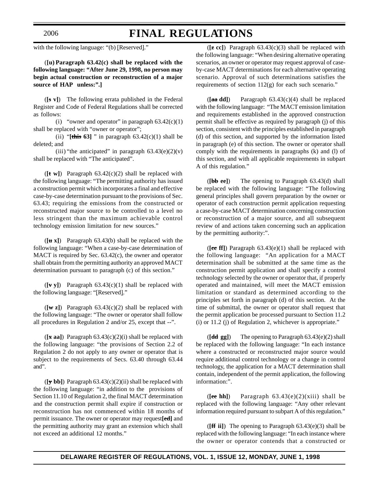### **FINAL REGULATIONS**

with the following language: "(b) [Reserved]."

(**[u) Paragraph 63.42(c) shall be replaced with the following language: "After June 29, 1998, no person may begin actual construction or reconstruction of a major source of HAP unless:".]**

(**[s v]**) The following errata published in the Federal Register and Code of Federal Regulations shall be corrected as follows:

(i) "owner and operator" in paragraph  $63.42(c)(1)$ shall be replaced with "owner or operator";

(ii) "[this 63] " in paragraph  $63.42(c)(1)$  shall be deleted; and

(iii) "the anticipated" in paragraph  $63.43(e)(2)(v)$ shall be replaced with "The anticipated".

(**[t w]**) Paragraph 63.42(c)(2) shall be replaced with the following language: "The permitting authority has issued a construction permit which incorporates a final and effective case-by-case determination pursuant to the provisions of Sec. 63.43; requiring the emissions from the constructed or reconstructed major source to be controlled to a level no less stringent than the maximum achievable control technology emission limitation for new sources."

(**[u x]**) Paragraph 63.43(b) shall be replaced with the following language: "When a case-by-case determination of MACT is required by Sec. 63.42(c), the owner and operator shall obtain from the permitting authority an approved MACT determination pursuant to paragraph (c) of this section."

(**[v y]**) Paragraph 63.43(c)(1) shall be replaced with the following language: "[Reserved]."

(**[w z]**) Paragraph 63.43(c)(2) shall be replaced with the following language: "The owner or operator shall follow all procedures in Regulation 2 and/or 25, except that --".

(**[x aa]**) Paragraph 63.43(c)(2)(i) shall be replaced with the following language: "the provisions of Section 2.2 of Regulation 2 do not apply to any owner or operator that is subject to the requirements of Secs. 63.40 through 63.44 and".

 $(\forall \Psi)$ ) Paragraph  $63.43(c)(2)(ii)$  shall be replaced with the following language: "in addition to the provisions of Section 11.10 of Regulation 2, the final MACT determination and the construction permit shall expire if construction or reconstruction has not commenced within 18 months of permit issuance. The owner or operator may request**[ed]** and the permitting authority may grant an extension which shall not exceed an additional 12 months."

(**[z cc]**) Paragraph 63.43(c)(3) shall be replaced with the following language: "When desiring alternative operating scenarios, an owner or operator may request approval of caseby-case MACT determinations for each alternative operating scenario. Approval of such determinations satisfies the requirements of section 112(g) for each such scenario."

(**[aa dd]**) Paragraph 63.43(c)(4) shall be replaced with the following language: "The MACT emission limitation and requirements established in the approved construction permit shall be effective as required by paragraph (j) of this section, consistent with the principles established in paragraph (d) of this section, and supported by the information listed in paragraph (e) of this section. The owner or operator shall comply with the requirements in paragraphs (k) and (l) of this section, and with all applicable requirements in subpart A of this regulation."

(**[bb ee]**) The opening to Paragraph 63.43(d) shall be replaced with the following language: "The following general principles shall govern preparation by the owner or operator of each construction permit application requesting a case-by-case MACT determination concerning construction or reconstruction of a major source, and all subsequent review of and actions taken concerning such an application by the permitting authority:".

(**[ee ff]**) Paragraph  $63.43(e)(1)$  shall be replaced with the following language: "An application for a MACT determination shall be submitted at the same time as the construction permit application and shall specify a control technology selected by the owner or operator that, if properly operated and maintained, will meet the MACT emission limitation or standard as determined according to the principles set forth in paragraph (d) of this section. At the time of submittal, the owner or operator shall request that the permit application be processed pursuant to Section 11.2 (i) or 11.2 (j) of Regulation 2, whichever is appropriate."

(**[dd gg]**) The opening to Paragraph 63.43(e)(2) shall be replaced with the following language: "In each instance where a constructed or reconstructed major source would require additional control technology or a change in control technology, the application for a MACT determination shall contain, independent of the permit application, the following information:".

(**[ee hh]**) Paragraph  $63.43(e)(2)(xiii)$  shall be replaced with the following language: "Any other relevant information required pursuant to subpart A of this regulation."

(**[ff ii]**) The opening to Paragraph 63.43(e)(3) shall be replaced with the following language: "In each instance where the owner or operator contends that a constructed or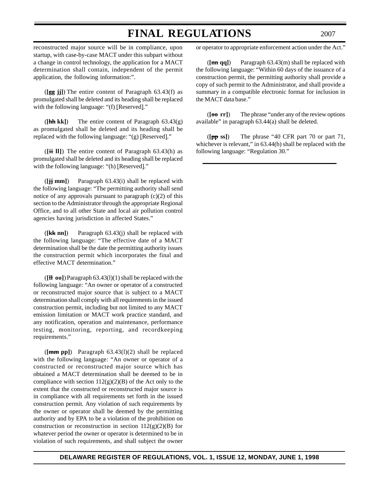reconstructed major source will be in compliance, upon startup, with case-by-case MACT under this subpart without a change in control technology, the application for a MACT determination shall contain, independent of the permit application, the following information:".

(**[gg jj]**) The entire content of Paragraph 63.43(f) as promulgated shall be deleted and its heading shall be replaced with the following language: "(f) [Reserved]."

(**[hh kk]**) The entire content of Paragraph 63.43(g) as promulgated shall be deleted and its heading shall be replaced with the following language: "(g) [Reserved]."

(**[ii ll]**) The entire content of Paragraph  $63.43(h)$  as promulgated shall be deleted and its heading shall be replaced with the following language: "(h) [Reserved]."

(**[jj mm]**) Paragraph 63.43(i) shall be replaced with the following language: "The permitting authority shall send notice of any approvals pursuant to paragraph (c)(2) of this section to the Administrator through the appropriate Regional Office, and to all other State and local air pollution control agencies having jurisdiction in affected States."

(**[kk nn]**) Paragraph 63.43(j) shall be replaced with the following language: "The effective date of a MACT determination shall be the date the permitting authority issues the construction permit which incorporates the final and effective MACT determination."

(**[ll oo]**)Paragraph 63.43(l)(1) shall be replaced with the following language: "An owner or operator of a constructed or reconstructed major source that is subject to a MACT determination shall comply with all requirements in the issued construction permit, including but not limited to any MACT emission limitation or MACT work practice standard, and any notification, operation and maintenance, performance testing, monitoring, reporting, and recordkeeping requirements."

(**[mm pp]**) Paragraph 63.43(l)(2) shall be replaced with the following language: "An owner or operator of a constructed or reconstructed major source which has obtained a MACT determination shall be deemed to be in compliance with section  $112(g)(2)(B)$  of the Act only to the extent that the constructed or reconstructed major source is in compliance with all requirements set forth in the issued construction permit. Any violation of such requirements by the owner or operator shall be deemed by the permitting authority and by EPA to be a violation of the prohibition on construction or reconstruction in section  $112(g)(2)(B)$  for whatever period the owner or operator is determined to be in violation of such requirements, and shall subject the owner or operator to appropriate enforcement action under the Act."

(**[nn qq]**) Paragraph 63.43(m) shall be replaced with the following language: "Within 60 days of the issuance of a construction permit, the permitting authority shall provide a copy of such permit to the Administrator, and shall provide a summary in a compatible electronic format for inclusion in the MACT data base."

(**[oo rr]**) The phrase "under any of the review options available" in paragraph 63.44(a) shall be deleted.

(**[pp ss]**) The phrase "40 CFR part 70 or part 71, whichever is relevant," in 63.44(b) shall be replaced with the following language: "Regulation 30."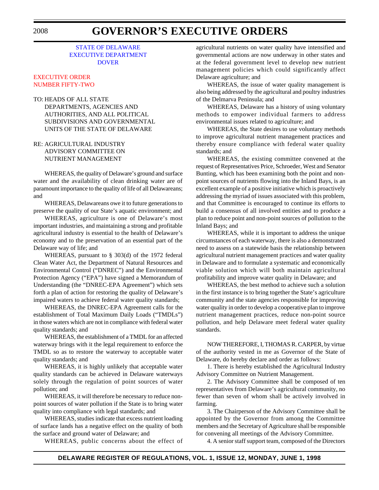### **GOVERNOR'S EXECUTIVE ORDERS**

### STATE OF DELAWARE [EXECUTIVE DEPARTMENT](http://www.state.de.us/govern/governor/introgov.htm) DOVER

### EXECUTIVE ORDER [NUMBER FIFTY-TWO](#page-4-0)

### TO: HEADS OF ALL STATE DEPARTMENTS, AGENCIES AND AUTHORITIES, AND ALL POLITICAL SUBDIVISIONS AND GOVERNMENTAL UNITS OF THE STATE OF DELAWARE

### RE: AGRICULTURAL INDUSTRY ADVISORY COMMITTEE ON NUTRIENT MANAGEMENT

WHEREAS, the quality of Delaware's ground and surface water and the availability of clean drinking water are of paramount importance to the quality of life of all Delawareans; and

WHEREAS, Delawareans owe it to future generations to preserve the quality of our State's aquatic environment; and

WHEREAS, agriculture is one of Delaware's most important industries, and maintaining a strong and profitable agricultural industry is essential to the health of Delaware's economy and to the preservation of an essential part of the Delaware way of life; and

WHEREAS, pursuant to § 303(d) of the 1972 federal Clean Water Act, the Department of Natural Resources and Environmental Control ("DNREC") and the Environmental Protection Agency ("EPA") have signed a Memorandum of Understanding (the "DNREC-EPA Agreement") which sets forth a plan of action for restoring the quality of Delaware's impaired waters to achieve federal water quality standards;

WHEREAS, the DNREC-EPA Agreement calls for the establishment of Total Maximum Daily Loads ("TMDLs") in those waters which are not in compliance with federal water quality standards; and

WHEREAS, the establishment of a TMDL for an affected waterway brings with it the legal requirement to enforce the TMDL so as to restore the waterway to acceptable water quality standards; and

WHEREAS, it is highly unlikely that acceptable water quality standards can be achieved in Delaware waterways solely through the regulation of point sources of water pollution; and

WHEREAS, it will therefore be necessary to reduce nonpoint sources of water pollution if the State is to bring water quality into compliance with legal standards; and

WHEREAS, studies indicate that excess nutrient loading of surface lands has a negative effect on the quality of both the surface and ground water of Delaware; and

WHEREAS, public concerns about the effect of

agricultural nutrients on water quality have intensified and governmental actions are now underway in other states and at the federal government level to develop new nutrient management policies which could significantly affect Delaware agriculture; and

WHEREAS, the issue of water quality management is also being addressed by the agricultural and poultry industries of the Delmarva Peninsula; and

WHEREAS, Delaware has a history of using voluntary methods to empower individual farmers to address environmental issues related to agriculture; and

WHEREAS, the State desires to use voluntary methods to improve agricultural nutrient management practices and thereby ensure compliance with federal water quality standards; and

WHEREAS, the existing committee convened at the request of Representatives Price, Schroeder, West and Senator Bunting, which has been examining both the point and nonpoint sources of nutrients flowing into the Inland Bays, is an excellent example of a positive initiative which is proactively addressing the myriad of issues associated with this problem, and that Committee is encouraged to continue its efforts to build a consensus of all involved entities and to produce a plan to reduce point and non-point sources of pollution to the Inland Bays; and

WHEREAS, while it is important to address the unique circumstances of each waterway, there is also a demonstrated need to assess on a statewide basis the relationship between agricultural nutrient management practices and water quality in Delaware and to formulate a systematic and economically viable solution which will both maintain agricultural profitability and improve water quality in Delaware; and

WHEREAS, the best method to achieve such a solution in the first instance is to bring together the State's agriculture community and the state agencies responsible for improving water quality in order to develop a cooperative plan to improve nutrient management practices, reduce non-point source pollution, and help Delaware meet federal water quality standards.

NOW THEREFORE, I, THOMAS R. CARPER, by virtue of the authority vested in me as Governor of the State of Delaware, do hereby declare and order as follows:

1. There is hereby established the Agricultural Industry Advisory Committee on Nutrient Management.

2. The Advisory Committee shall be composed of ten representatives from Delaware's agricultural community, no fewer than seven of whom shall be actively involved in farming.

3. The Chairperson of the Advisory Committee shall be appointed by the Governor from among the Committee members and the Secretary of Agriculture shall be responsible for convening all meetings of the Advisory Committee.

4. A senior staff support team, composed of the Directors

2008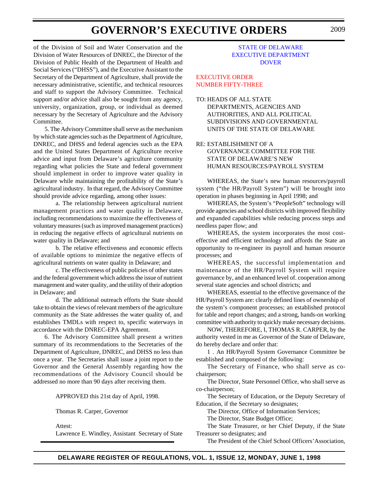## **GOVERNOR'S EXECUTIVE ORDERS**

of the Division of Soil and Water Conservation and the Division of Water Resources of DNREC, the Director of the Division of Public Health of the Department of Health and Social Services ("DHSS"), and the Executive Assistant to the Secretary of the Department of Agriculture, shall provide the necessary administrative, scientific, and technical resources and staff to support the Advisory Committee. Technical support and/or advice shall also be sought from any agency, university, organization, group, or individual as deemed necessary by the Secretary of Agriculture and the Advisory Committee.

5. The Advisory Committee shall serve as the mechanism by which state agencies such as the Department of Agriculture, DNREC, and DHSS and federal agencies such as the EPA and the United States Department of Agriculture receive advice and input from Delaware's agriculture community regarding what policies the State and federal government should implement in order to improve water quality in Delaware while maintaining the profitability of the State's agricultural industry. In that regard, the Advisory Committee should provide advice regarding, among other issues:

a. The relationship between agricultural nutrient management practices and water quality in Delaware, including recommendations to maximize the effectiveness of voluntary measures (such as improved management practices) in reducing the negative effects of agricultural nutrients on water quality in Delaware; and

b. The relative effectiveness and economic effects of available options to minimize the negative effects of agricultural nutrients on water quality in Delaware; and

c. The effectiveness of public policies of other states and the federal government which address the issue of nutrient management and water quality, and the utility of their adoption in Delaware; and

d. The additional outreach efforts the State should take to obtain the views of relevant members of the agriculture community as the State addresses the water quality of, and establishes TMDLs with respect to, specific waterways in accordance with the DNREC-EPA Agreement.

6. The Advisory Committee shall present a written summary of its recommendations to the Secretaries of the Department of Agriculture, DNREC, and DHSS no less than once a year. The Secretaries shall issue a joint report to the Governor and the General Assembly regarding how the recommendations of the Advisory Council should be addressed no more than 90 days after receiving them.

APPROVED this 21st day of April, 1998.

Thomas R. Carper, Governor

Attest:

Lawrence E. Windley, Assistant Secretary of State

### STATE OF DELAWARE [EXECUTIVE DEPARTMENT](http://www.state.de.us/govern/governor/introgov.htm) DOVER

### EXECUTIVE ORDER [NUMBER FIFTY-THREE](#page-4-0)

TO: HEADS OF ALL STATE DEPARTMENTS, AGENCIES AND AUTHORITIES, AND ALL POLITICAL SUBDIVISIONS AND GOVERNMENTAL UNITS OF THE STATE OF DELAWARE

### RE: ESTABLISHMENT OF A GOVERNANCE COMMITTEE FOR THE STATE OF DELAWARE'S NEW HUMAN RESOURCES/PAYROLL SYSTEM

WHEREAS, the State's new human resources/payroll system ("the HR/Payroll System") will be brought into operation in phases beginning in April 1998; and

WHEREAS, the System's "PeopleSoft" technology will provide agencies and school districts with improved flexibility and expanded capabilities while reducing process steps and needless paper flow; and

WHEREAS, the system incorporates the most costeffective and efficient technology and affords the State an opportunity to re-engineer its payroll and human resource processes; and

WHEREAS, the successful implementation and maintenance of the HR/Payroll System will require governance by, and an enhanced level of. cooperation among several state agencies and school districts; and

WHEREAS, essential to the effective governance of the HR/Payroll System are: clearly defined lines of ownership of the system's component processes; an established protocol for table and report changes; and a strong, hands-on working committee with authority to quickly make necessary decisions.

NOW, THEREFORE, I, THOMAS R. CARPER, by the authority vested in me as Governor of the State of Delaware, do hereby declare and order that:

1 . An HR/Payroll System Governance Committee be established and composed of the following:

The Secretary of Finance, who shall serve as cochairperson;

The Director, State Personnel Office, who shall serve as co-chairperson;

The Secretary of Education, or the Deputy Secretary of Education, if the Secretary so designates;

The Director, Office of Information Services;

The Director, State Budget Office;

The State Treasurer, or her Chief Deputy, if the State Treasurer so designates; and

The President of the Chief School Officers'Association,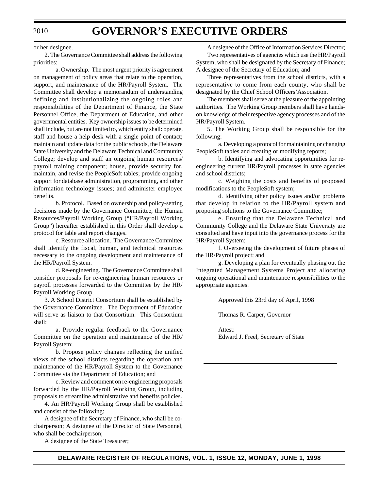### **GOVERNOR'S EXECUTIVE ORDERS**

or her designee.

2. The Governance Committee shall address the following priorities:

a. Ownership. The most urgent priority is agreement on management of policy areas that relate to the operation, support, and maintenance of the HR/Payroll System. The Committee shall develop a memorandum of understanding defining and institutionalizing the ongoing roles and responsibilities of the Department of Finance, the State Personnel Office, the Department of Education, and other governmental entities. Key ownership issues to be determined shall include, but are not limited to, which entity shall: operate, staff and house a help desk with a single point of contact; maintain and update data for the public schools, the Delaware State University and the Delaware Technical and Community College; develop and staff an ongoing human resources/ payroll training component; house, provide security for, maintain, and revise the PeopleSoft tables; provide ongoing support for database administration, programming, and other information technology issues; and administer employee benefits.

b. Protocol. Based on ownership and policy-setting decisions made by the Governance Committee, the Human Resources/Payroll Working Group ("HR/Payroll Working Group") hereafter established in this Order shall develop a protocol for table and report changes.

c. Resource allocation. The Governance Committee shall identify the fiscal, human, and technical resources necessary to the ongoing development and maintenance of the HR/Payroll System.

d. Re-engineering. The Governance Committee shall consider proposals for re-engineering human resources or payroll processes forwarded to the Committee by the HR/ Payroll Working Group.

3. A School District Consortium shall be established by the Governance Committee. The Department of Education will serve as liaison to that Consortium. This Consortium shall:

a. Provide regular feedback to the Governance Committee on the operation and maintenance of the HR/ Payroll System;

b. Propose policy changes reflecting the unified views of the school districts regarding the operation and maintenance of the HR/Payroll System to the Governance Committee via the Department of Education; and

c. Review and comment on re-engineering proposals forwarded by the HR/Payroll Working Group, including proposals to streamline administrative and benefits policies.

4. An HR/Payroll Working Group shall be established and consist of the following:

A designee of the Secretary of Finance, who shall be cochairperson; A designee of the Director of State Personnel, who shall be cochairperson;

A designee of the State Treasurer;

A designee of the Office of Information Services Director; Two representatives of agencies which use the HR/Payroll System, who shall be designated by the Secretary of Finance; A designee of the Secretary of Education; and

Three representatives from the school districts, with a representative to come from each county, who shall be designated by the Chief School Officers'Association.

The members shall serve at the pleasure of the appointing authorities. The Working Group members shall have handson knowledge of their respective agency processes and of the HR/Payroll System.

5. The Working Group shall be responsible for the following:

a. Developing a protocol for maintaining or changing PeopleSoft tables and creating or modifying reports;

b. Identifying and advocating opportunities for reengineering current HR/Payroll processes in state agencies and school districts;

c. Weighing the costs and benefits of proposed modifications to the PeopleSoft system;

d. Identifying other policy issues and/or problems that develop in relation to the HR/Payroll system and proposing solutions to the Governance Committee;

e. Ensuring that the Delaware Technical and Community College and the Delaware State University are consulted and have input into the governance process for the HR/Payroll System;

f. Overseeing the development of future phases of the HR/Payroll project; and

g. Developing a plan for eventually phasing out the Integrated Management Systems Project and allocating ongoing operational and maintenance responsibilities to the appropriate agencies.

Approved this 23rd day of April, 1998

Thomas R. Carper, Governor

Attest: Edward J. Freel, Secretary of State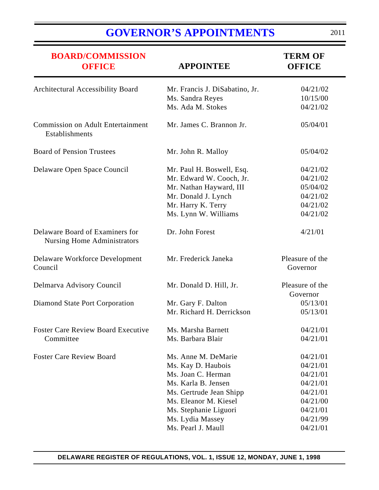# **[GOVERNOR'S APPOINTMENTS](http://www.state.de.us/govern/governor/introgov.htm)**

| <b>BOARD/COMMISSION</b><br><b>OFFICE</b>                              | <b>APPOINTEE</b>               | <b>TERM OF</b><br><b>OFFICE</b> |
|-----------------------------------------------------------------------|--------------------------------|---------------------------------|
| Architectural Accessibility Board                                     | Mr. Francis J. DiSabatino, Jr. | 04/21/02                        |
|                                                                       | Ms. Sandra Reyes               | 10/15/00                        |
|                                                                       | Ms. Ada M. Stokes              | 04/21/02                        |
| <b>Commission on Adult Entertainment</b><br>Establishments            | Mr. James C. Brannon Jr.       | 05/04/01                        |
| <b>Board of Pension Trustees</b>                                      | Mr. John R. Malloy             | 05/04/02                        |
| Delaware Open Space Council                                           | Mr. Paul H. Boswell, Esq.      | 04/21/02                        |
|                                                                       | Mr. Edward W. Cooch, Jr.       | 04/21/02                        |
|                                                                       | Mr. Nathan Hayward, III        | 05/04/02                        |
|                                                                       | Mr. Donald J. Lynch            | 04/21/02                        |
|                                                                       | Mr. Harry K. Terry             | 04/21/02                        |
|                                                                       | Ms. Lynn W. Williams           | 04/21/02                        |
| Delaware Board of Examiners for<br><b>Nursing Home Administrators</b> | Dr. John Forest                | 4/21/01                         |
| Delaware Workforce Development<br>Council                             | Mr. Frederick Janeka           | Pleasure of the<br>Governor     |
| Delmarva Advisory Council                                             | Mr. Donald D. Hill, Jr.        | Pleasure of the<br>Governor     |
| Diamond State Port Corporation                                        | Mr. Gary F. Dalton             | 05/13/01                        |
|                                                                       | Mr. Richard H. Derrickson      | 05/13/01                        |
| <b>Foster Care Review Board Executive</b>                             | Ms. Marsha Barnett             | 04/21/01                        |
| Committee                                                             | Ms. Barbara Blair              | 04/21/01                        |
| <b>Foster Care Review Board</b>                                       | Ms. Anne M. DeMarie            | 04/21/01                        |
|                                                                       | Ms. Kay D. Haubois             | 04/21/01                        |
|                                                                       | Ms. Joan C. Herman             | 04/21/01                        |
|                                                                       | Ms. Karla B. Jensen            | 04/21/01                        |
|                                                                       | Ms. Gertrude Jean Shipp        | 04/21/01                        |
|                                                                       | Ms. Eleanor M. Kiesel          | 04/21/00                        |
|                                                                       | Ms. Stephanie Liguori          | 04/21/01                        |
|                                                                       | Ms. Lydia Massey               | 04/21/99                        |
|                                                                       | Ms. Pearl J. Maull             | 04/21/01                        |

2011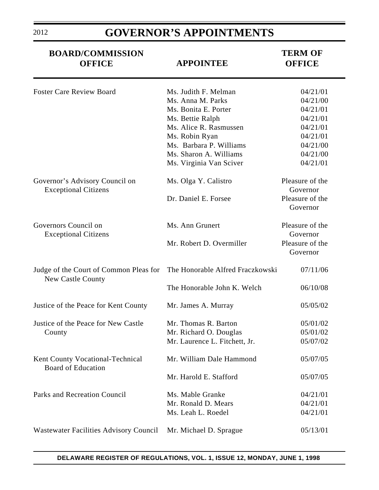# **GOVERNOR'S APPOINTMENTS**

| <b>BOARD/COMMISSION</b><br><b>OFFICE</b>                                                     | <b>APPOINTEE</b>              | <b>TERM OF</b><br><b>OFFICE</b> |
|----------------------------------------------------------------------------------------------|-------------------------------|---------------------------------|
| <b>Foster Care Review Board</b>                                                              | Ms. Judith F. Melman          | 04/21/01                        |
|                                                                                              | Ms. Anna M. Parks             | 04/21/00                        |
|                                                                                              | Ms. Bonita E. Porter          | 04/21/01                        |
|                                                                                              | Ms. Bettie Ralph              | 04/21/01                        |
|                                                                                              | Ms. Alice R. Rasmussen        | 04/21/01                        |
|                                                                                              | Ms. Robin Ryan                | 04/21/01                        |
|                                                                                              | Ms. Barbara P. Williams       | 04/21/00                        |
|                                                                                              | Ms. Sharon A. Williams        | 04/21/00                        |
|                                                                                              | Ms. Virginia Van Sciver       | 04/21/01                        |
| Governor's Advisory Council on<br><b>Exceptional Citizens</b>                                | Ms. Olga Y. Calistro          | Pleasure of the<br>Governor     |
|                                                                                              | Dr. Daniel E. Forsee          | Pleasure of the<br>Governor     |
| Governors Council on<br><b>Exceptional Citizens</b>                                          | Ms. Ann Grunert               | Pleasure of the<br>Governor     |
|                                                                                              | Mr. Robert D. Overmiller      | Pleasure of the<br>Governor     |
| Judge of the Court of Common Pleas for The Honorable Alfred Fraczkowski<br>New Castle County |                               | 07/11/06                        |
|                                                                                              | The Honorable John K. Welch   | 06/10/08                        |
| Justice of the Peace for Kent County                                                         | Mr. James A. Murray           | 05/05/02                        |
| Justice of the Peace for New Castle<br>County                                                | Mr. Thomas R. Barton          | 05/01/02                        |
|                                                                                              | Mr. Richard O. Douglas        | 05/01/02                        |
|                                                                                              | Mr. Laurence L. Fitchett, Jr. | 05/07/02                        |
| Kent County Vocational-Technical<br><b>Board of Education</b>                                | Mr. William Dale Hammond      | 05/07/05                        |
|                                                                                              | Mr. Harold E. Stafford        | 05/07/05                        |
| Parks and Recreation Council                                                                 | Ms. Mable Granke              | 04/21/01                        |
|                                                                                              | Mr. Ronald D. Mears           | 04/21/01                        |
|                                                                                              | Ms. Leah L. Roedel            | 04/21/01                        |
| <b>Wastewater Facilities Advisory Council</b>                                                | Mr. Michael D. Sprague        | 05/13/01                        |

### **DELAWARE REGISTER OF REGULATIONS, VOL. 1, ISSUE 12, MONDAY, JUNE 1, 1998**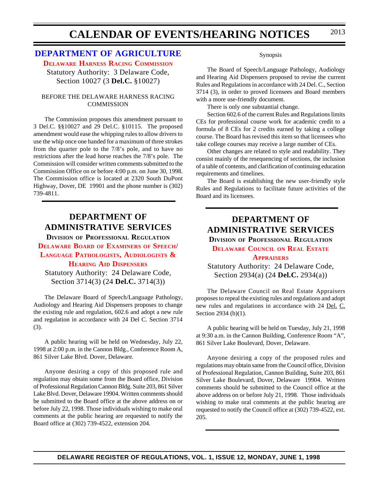#### 2013 **CALENDAR OF EVENTS/HEARING NOTICES**

### **[DEPARTMENT OF AGRICULTURE](http://www.state.de.us/deptagri/index.htm)**

**DELAWARE HARNESS RACING [COMMISSION](#page-4-0)**

Statutory Authority: 3 Delaware Code, Section 10027 (3 **Del.C.** §10027)

### BEFORE THE DELAWARE HARNESS RACING COMMISSION

The Commission proposes this amendment pursuant to 3 Del.C. §§10027 and 29 Del.C. §10115. The proposed amendment would ease the whipping rules to allow drivers to use the whip once one handed for a maximum of three strokes from the quarter pole to the 7/8's pole, and to have no restrictions after the lead horse reaches the 7/8's pole. The Commission will consider written comments submitted to the Commission Office on or before 4:00 p.m. on June 30, 1998. The Commission office is located at 2320 South DuPont Highway, Dover, DE 19901 and the phone number is (302) 739-4811.

### **DEPARTMENT OF ADMINISTRATIVE SERVICES**

**DIVISION OF PROFESSIONAL REGULATION DELAWARE BOARD OF EXAMINERS OF SPEECH/ LANGUAGE [PATHOLOGISTS, AUDIOLOGISTS &](#page-4-0) HEARING AID DISPENSERS**

Statutory Authority: 24 Delaware Code, Section 3714(3) (24 **Del.C.** 3714(3))

The Delaware Board of Speech/Language Pathology, Audiology and Hearing Aid Dispensers proposes to change the existing rule and regulation, 602.6 and adopt a new rule and regulation in accordance with 24 Del C. Section 3714 (3).

A public hearing will be held on Wednesday, July 22, 1998 at 2:00 p.m. in the Cannon Bldg., Conference Room A, 861 Silver Lake Blvd. Dover, Delaware.

Anyone desiring a copy of this proposed rule and regulation may obtain some from the Board office, Division of Professional Regulation Cannon Bldg. Suite 203, 861 Silver Lake Blvd. Dover, Delaware 19904. Written comments should be submitted to the Board office at the above address on or before July 22, 1998. Those individuals wishing to make oral comments at the public hearing are requested to notify the Board office at (302) 739-4522, extension 204.

Synopsis

The Board of Speech/Language Pathology, Audiology and Hearing Aid Dispensers proposed to revise the current Rules and Regulations in accordance with 24 Del. C., Section 3714 (3), in order to proved licensees and Board members with a more use-friendly document.

There is only one substantial change.

Section 602.6 of the current Rules and Regulations limits CEs for professional course work for academic credit to a formula of 8 CEs for 2 credits earned by taking a college course. The Board has revised this item so that licensees who take college courses may receive a large number of CEs.

Other changes are related to style and readability. They consist mainly of the resequencing of sections, the inclusion of a table of contents, and clarification of continuing education requirements and timelines.

The Board is establishing the new user-friendly style Rules and Regulations to facilitate future activities of the Board and its licensees.

### **DEPARTMENT OF ADMINISTRATIVE SERVICES**

### **DIVISION OF PROFESSIONAL REGULATION DELAWARE COUNCIL ON REAL ESTATE [APPRAISERS](#page-4-0)**

Statutory Authority: 24 Delaware Code, Section 2934(a) (24 **Del.C.** 2934(a))

The Delaware Council on Real Estate Appraisers proposes to repeal the existing rules and regulations and adopt new rules and regulations in accordance with 24 Del. C. Section 2934 (b)(1).

A public hearing will be held on Tuesday, July 21, 1998 at 9:30 a.m. in the Cannon Building, Conference Room "A", 861 Silver Lake Boulevard, Dover, Delaware.

Anyone desiring a copy of the proposed rules and regulations may obtain same from the Council office, Division of Professional Regulation, Cannon Building, Suite 203, 861 Silver Lake Boulevard, Dover, Delaware 19904. Written comments should be submitted to the Council office at the above address on or before July 21, 1998. Those individuals wishing to make oral comments at the public hearing are requested to notify the Council office at (302) 739-4522, ext. 205.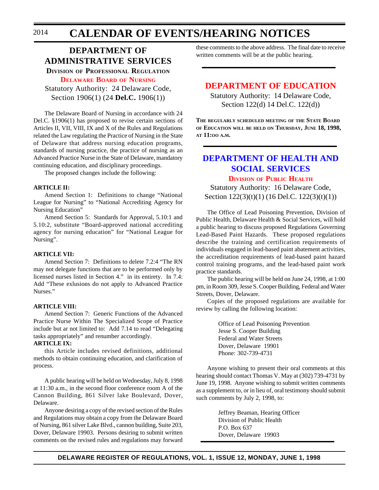### **DEPARTMENT OF ADMINISTRATIVE SERVICES DIVISION OF PROFESSIONAL REGULATION**

**[DELAWARE](#page-4-0) BOARD OF NURSING**

Statutory Authority: 24 Delaware Code, Section 1906(1) (24 **Del.C.** 1906(1))

The Delaware Board of Nursing in accordance with 24 Del.C. §1906(1) has proposed to revise certain sections of Articles II, VII, VIII, IX and X of the Rules and Regulations related the Law regulating the Practice of Nursing in the State of Delaware that address nursing education programs, standards of nursing practice, the practice of nursing as an Advanced Practice Nurse in the State of Delaware, mandatory continuing education, and disciplinary proceedings.

The proposed changes include the following:

#### **ARTICLE II:**

Amend Section 1: Definitions to change "National League for Nursing" to "National Accrediting Agency for Nursing Education"

Amend Section 5: Standards for Approval, 5.10:1 and 5.10:2, substitute "Board-approved national accrediting agency for nursing education" for "National League for Nursing".

#### **ARTICLE VII:**

Amend Section 7: Definitions to delete 7.2:4 "The RN may not delegate functions that are to be performed only by licensed nurses listed in Section 4." in its entirety. In 7.4: Add "These exlusions do not apply to Advanced Practice Nurses."

#### **ARTICLE VIII:**

Amend Section 7: Generic Functions of the Advanced Practice Nurse Within The Specialized Scope of Practice include but ar not limited to: Add 7.14 to read "Delegating tasks appropriately" and renumber accordingly.

#### **ARTICLE IX:**

this Article includes revised definitions, additional methods to obtain continuing education, and clarification of process.

A public hearing will be held on Wednesday, July 8, 1998 at 11:30 a.m., in the second floor conference room A of the Cannon Building, 861 Silver lake Boulevard, Dover, Delaware.

Anyone desiring a copy of the revised section of the Rules and Regulations may obtain a copy from the Delaware Board of Nursing, 861 silver Lake Blvd., cannon building, Suite 203, Dover, Delaware 19903. Persons desiring to submit written comments on the revised rules and regulations may forward

these comments to the above address. The final date to receive written comments will be at the public hearing.

### **[DEPARTMENT OF EDUCATION](#page-4-0)**

Statutory Authority: 14 Delaware Code, Section 122(d) 14 Del.C. 122(d))

**THE REGULARLY SCHEDULED MEETING OF THE STATE BOARD OF EDUCATION WILL BE HELD ON THURSDAY, JUNE 18, 1998, AT 11:OO A.M.**

## **[DEPARTMENT OF HEALTH AND](http://www.state.de.us/govern/agencies/dhss/irm/dph/dphhome.htm) SOCIAL SERVICES**

**[DIVISION](#page-4-0) OF PUBLIC HEALTH**

Statutory Authority: 16 Delaware Code, Section 122(3)(t)(1) (16 Del.C. 122(3)(t)(1))

The Office of Lead Poisoning Prevention, Division of Public Health, Delaware Health & Social Services, will hold a public hearing to discuss proposed Regulations Governing Lead-Based Paint Hazards. These proposed regulations describe the training and certification requirements of individuals engaged in lead-based paint abatement activities, the accreditation requirements of lead-based paint hazard control training programs, and the lead-based paint work practice standards.

The public hearing will be held on June 24, 1998, at 1:00 pm, in Room 309, Jesse S. Cooper Building, Federal and Water Streets, Dover, Delaware.

Copies of the proposed regulations are available for review by calling the following location:

> Office of Lead Poisoning Prevention Jesse S. Cooper Building Federal and Water Streets Dover, Delaware 19901 Phone: 302-739-4731

Anyone wishing to present their oral comments at this hearing should contact Thomas V. May at (302) 739-4731 by June 19, 1998. Anyone wishing to submit written comments as a supplement to, or in lieu of, oral testimony should submit such comments by July 2, 1998, to:

> Jeffrey Beaman, Hearing Officer Division of Public Health P.O. Box 637 Dover, Delaware 19903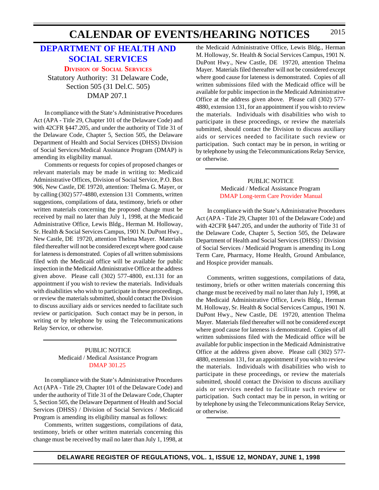### **[DEPARTMENT OF HEALTH AND](http://www.state.de.us/govern/agencies/dhss/irm/dss/dsshome.htm) SOCIAL SERVICES**

**DIVISION OF SOCIAL [SERVICES](#page-4-0)**

Statutory Authority: 31 Delaware Code, Section 505 (31 Del.C. 505) DMAP 207.1

In compliance with the State's Administrative Procedures Act (APA - Title 29, Chapter 101 of the Delaware Code) and with 42CFR §447.205, and under the authority of Title 31 of the Delaware Code, Chapter 5, Section 505, the Delaware Department of Health and Social Services (DHSS) Division of Social Services/Medical Assistance Program (DMAP) is amending its eligibility manual.

Comments or requests for copies of proposed changes or relevant materials may be made in writing to: Medicaid Administrative Offices, Division of Social Service, P.O. Box 906, New Castle, DE 19720, attention: Thelma G. Mayer, or by calling (302) 577-4880, extension 131 Comments, written suggestions, compilations of data, testimony, briefs or other written materials concerning the proposed change must be received by mail no later than July 1, 1998, at the Medicaid Administrative Office, Lewis Bldg., Herman M. Holloway, Sr. Health & Social Services Campus, 1901 N. DuPont Hwy., New Castle, DE 19720, attention Thelma Mayer. Materials filed thereafter will not be considered except where good cause for lateness is demonstrated. Copies of all written submissions filed with the Medicaid office will be available for public inspection in the Medicaid Administrative Office at the address given above. Please call (302) 577-4800, ext.131 for an appointment if you wish to review the materials. Individuals with disabilities who wish to participate in these proceedings, or review the materials submitted, should contact the Division to discuss auxiliary aids or services needed to facilitate such review or participation. Such contact may be in person, in writing or by telephone by using the Telecommunications Relay Service, or otherwise.

#### PUBLIC NOTICE Medicaid / Medical Assistance Program [DMAP 301.25](#page-4-0)

In compliance with the State's Administrative Procedures Act (APA - Title 29, Chapter 101 of the Delaware Code) and under the authority of Title 31 of the Delaware Code, Chapter 5, Section 505, the Delaware Department of Health and Social Services (DHSS) / Division of Social Services / Medicaid Program is amending its eligibility manual as follows:

Comments, written suggestions, compilations of data, testimony, briefs or other written materials concerning this change must be received by mail no later than July 1, 1998, at

the Medicaid Administrative Office, Lewis Bldg., Herman M. Holloway, Sr. Health & Social Services Campus, 1901 N. DuPont Hwy., New Castle, DE 19720, attention Thelma Mayer. Materials filed thereafter will not be considered except where good cause for lateness is demonstrated. Copies of all written submissions filed with the Medicaid office will be available for public inspection in the Medicaid Administrative Office at the address given above. Please call (302) 577- 4880, extension 131, for an appointment if you wish to review the materials. Individuals with disabilities who wish to participate in these proceedings, or review the materials submitted, should contact the Division to discuss auxiliary aids or services needed to facilitate such review or participation. Such contact may be in person, in writing or by telephone by using the Telecommunications Relay Service, or otherwise.

2015

#### PUBLIC NOTICE Medicaid / Medical Assistance Program [DMAP Long-term Care Provider Manual](#page-4-0)

In compliance with the State's Administrative Procedures Act (APA - Title 29, Chapter 101 of the Delaware Code) and with 42CFR §447.205, and under the authority of Title 31 of the Delaware Code, Chapter 5, Section 505, the Delaware Department of Health and Social Services (DHSS) / Division of Social Services / Medicaid Program is amending its Long Term Care, Pharmacy, Home Health, Ground Ambulance, and Hospice provider manuals.

Comments, written suggestions, compilations of data, testimony, briefs or other written materials concerning this change must be received by mail no later than July 1, 1998, at the Medicaid Administrative Office, Lewis Bldg., Herman M. Holloway, Sr. Health & Social Services Campus, 1901 N. DuPont Hwy., New Castle, DE 19720, attention Thelma Mayer. Materials filed thereafter will not be considered except where good cause for lateness is demonstrated. Copies of all written submissions filed with the Medicaid office will be available for public inspection in the Medicaid Administrative Office at the address given above. Please call (302) 577- 4880, extension 131, for an appointment if you wish to review the materials. Individuals with disabilities who wish to participate in these proceedings, or review the materials submitted, should contact the Division to discuss auxiliary aids or services needed to facilitate such review or participation. Such contact may be in person, in writing or by telephone by using the Telecommunications Relay Service, or otherwise.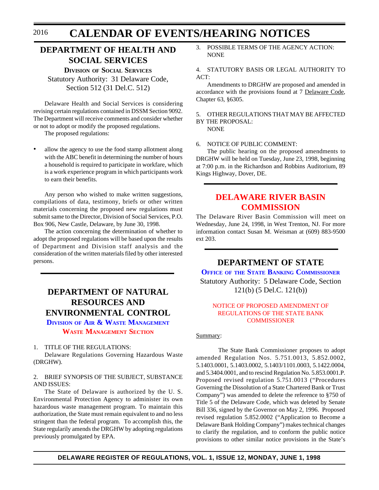## **DEPARTMENT OF HEALTH AND SOCIAL SERVICES**

**DIVISION OF SOCIAL SERVICES** Statutory Authority: 31 Delaware Code, Section 512 (31 Del.C. 512)

Delaware Health and Social Services is considering revising certain regulations contained in DSSM Section 9092. The Department will receive comments and consider whether or not to adopt or modify the proposed regulations.

The proposed regulations:

allow the agency to use the food stamp allotment along with the ABC benefit in determining the number of hours a household is required to participate in workfare, which is a work experience program in which participants work to earn their benefits.

Any person who wished to make written suggestions, compilations of data, testimony, briefs or other written materials concerning the proposed new regulations must submit same to the Director, Division of Social Services, P.O. Box 906, New Castle, Delaware, by June 30, 1998.

The action concerning the determination of whether to adopt the proposed regulations will be based upon the results of Department and Division staff analysis and the consideration of the written materials filed by other interested persons.

# **DEPARTMENT OF NATURAL RESOURCES AND ENVIRONMENTAL CONTROL**

**DIVISION OF [AIR & WASTE](http://www.dnrec.state.de.us/aandw.htm) MANAGEMENT WASTE [MANAGEMENT](#page-4-0) SECTION**

#### 1. TITLE OF THE REGULATIONS:

Delaware Regulations Governing Hazardous Waste (DRGHW).

#### 2. BRIEF SYNOPSIS OF THE SUBJECT, SUBSTANCE AND ISSUES:

The State of Delaware is authorized by the U. S. Environmental Protection Agency to administer its own hazardous waste management program. To maintain this authorization, the State must remain equivalent to and no less stringent than the federal program. To accomplish this, the State regularily amends the DRGHW by adopting regulations previously promulgated by EPA.

3. POSSIBLE TERMS OF THE AGENCY ACTION: NONE

#### 4. STATUTORY BASIS OR LEGAL AUTHORITY TO ACT:

Amendments to DRGHW are proposed and amended in accordance with the provisions found at 7 Delaware Code, Chapter 63, §6305.

#### 5. OTHER REGULATIONS THAT MAY BE AFFECTED BY THE PROPOSAL: NONE

#### 6. NOTICE OF PUBLIC COMMENT:

The public hearing on the proposed amendments to DRGHW will be held on Tuesday, June 23, 1998, beginning at 7:00 p.m. in the Richardson and Robbins Auditorium, 89 Kings Highway, Dover, DE.

### **[DELAWARE RIVER BASIN](#page-4-0) COMMISSION**

The Delaware River Basin Commission will meet on Wednesday, June 24, 1998, in West Trenton, NJ. For more information contact Susan M. Weisman at (609) 883-9500 ext 203.

### **DEPARTMENT OF STATE**

**OFFICE OF THE STATE BANKING [COMMISSIONER](http://www.state.de.us/bank/index.htm)** Statutory Authority: 5 Delaware Code, Section 121(b) (5 Del.C. 121(b))

#### [NOTICE OF PROPOSED AMENDMENT OF](#page-4-0) REGULATIONS OF THE STATE BANK COMMISSIONER

#### Summary:

The State Bank Commissioner proposes to adopt amended Regulation Nos. 5.751.0013, 5.852.0002, 5.1403.0001, 5.1403.0002, 5.1403/1101.0003, 5.1422.0004, and 5.3404.0001, and to rescind Regulation No. 5.853.0001.P. Proposed revised regulation 5.751.0013 ("Procedures Governing the Dissolution of a State Chartered Bank or Trust Company") was amended to delete the reference to §750 of Title 5 of the Delaware Code, which was deleted by Senate Bill 336, signed by the Governor on May 2, 1996. Proposed revised regulation 5.852.0002 ("Application to Become a Delaware Bank Holding Company") makes technical changes to clarify the regulation, and to conform the public notice provisions to other similar notice provisions in the State's